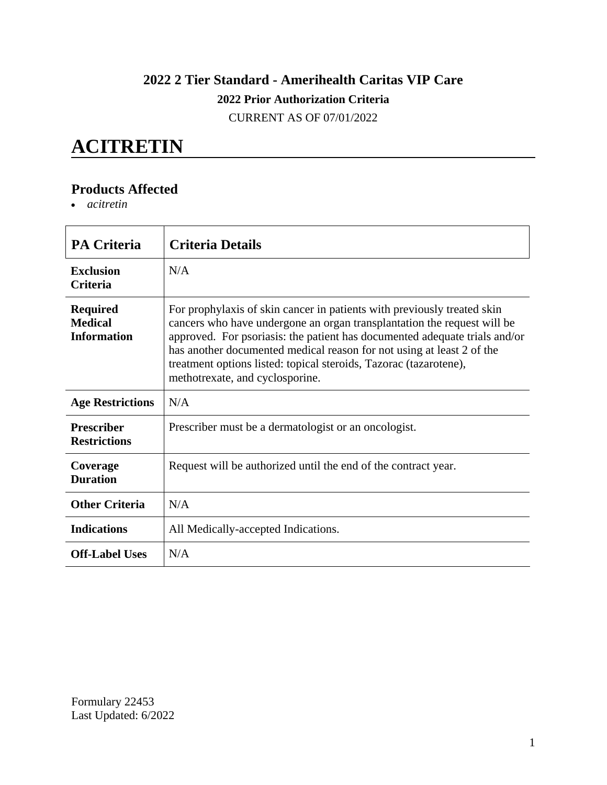### **2022 2 Tier Standard - Amerihealth Caritas VIP Care 2022 Prior Authorization Criteria**

CURRENT AS OF 07/01/2022

### **ACITRETIN**

#### **Products Affected**

*acitretin*

| <b>PA Criteria</b>                                      | <b>Criteria Details</b>                                                                                                                                                                                                                                                                                                                                                                                           |
|---------------------------------------------------------|-------------------------------------------------------------------------------------------------------------------------------------------------------------------------------------------------------------------------------------------------------------------------------------------------------------------------------------------------------------------------------------------------------------------|
| <b>Exclusion</b><br><b>Criteria</b>                     | N/A                                                                                                                                                                                                                                                                                                                                                                                                               |
| <b>Required</b><br><b>Medical</b><br><b>Information</b> | For prophylaxis of skin cancer in patients with previously treated skin<br>cancers who have undergone an organ transplantation the request will be<br>approved. For psoriasis: the patient has documented adequate trials and/or<br>has another documented medical reason for not using at least 2 of the<br>treatment options listed: topical steroids, Tazorac (tazarotene),<br>methotrexate, and cyclosporine. |
| <b>Age Restrictions</b>                                 | N/A                                                                                                                                                                                                                                                                                                                                                                                                               |
| <b>Prescriber</b><br><b>Restrictions</b>                | Prescriber must be a dermatologist or an oncologist.                                                                                                                                                                                                                                                                                                                                                              |
| Coverage<br><b>Duration</b>                             | Request will be authorized until the end of the contract year.                                                                                                                                                                                                                                                                                                                                                    |
| <b>Other Criteria</b>                                   | N/A                                                                                                                                                                                                                                                                                                                                                                                                               |
| <b>Indications</b>                                      | All Medically-accepted Indications.                                                                                                                                                                                                                                                                                                                                                                               |
| <b>Off-Label Uses</b>                                   | N/A                                                                                                                                                                                                                                                                                                                                                                                                               |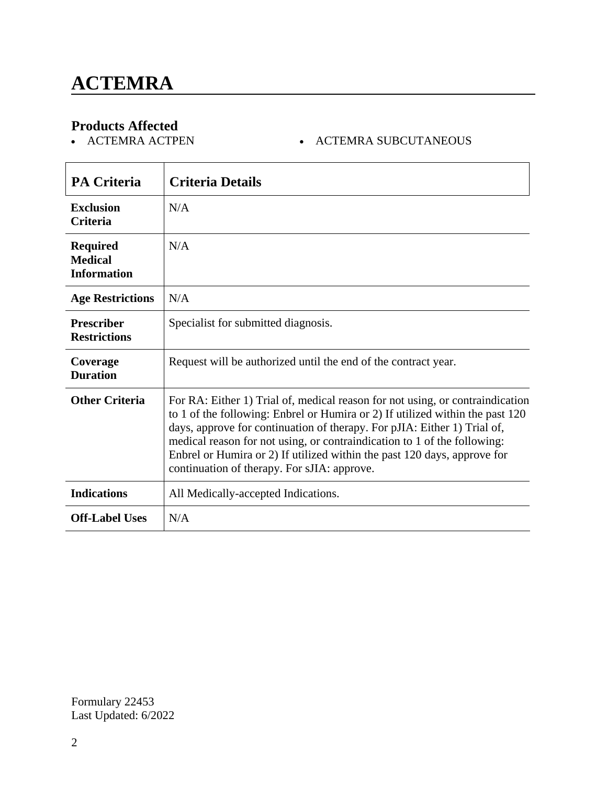# **Products Affected**

- ACTEMRA SUBCUTANEOUS

| <b>PA Criteria</b>                                      | <b>Criteria Details</b>                                                                                                                                                                                                                                                                                                                                                                                                                           |
|---------------------------------------------------------|---------------------------------------------------------------------------------------------------------------------------------------------------------------------------------------------------------------------------------------------------------------------------------------------------------------------------------------------------------------------------------------------------------------------------------------------------|
| <b>Exclusion</b><br><b>Criteria</b>                     | N/A                                                                                                                                                                                                                                                                                                                                                                                                                                               |
| <b>Required</b><br><b>Medical</b><br><b>Information</b> | N/A                                                                                                                                                                                                                                                                                                                                                                                                                                               |
| <b>Age Restrictions</b>                                 | N/A                                                                                                                                                                                                                                                                                                                                                                                                                                               |
| <b>Prescriber</b><br><b>Restrictions</b>                | Specialist for submitted diagnosis.                                                                                                                                                                                                                                                                                                                                                                                                               |
| Coverage<br><b>Duration</b>                             | Request will be authorized until the end of the contract year.                                                                                                                                                                                                                                                                                                                                                                                    |
| <b>Other Criteria</b>                                   | For RA: Either 1) Trial of, medical reason for not using, or contraindication<br>to 1 of the following: Enbrel or Humira or 2) If utilized within the past 120<br>days, approve for continuation of therapy. For pJIA: Either 1) Trial of,<br>medical reason for not using, or contraindication to 1 of the following:<br>Enbrel or Humira or 2) If utilized within the past 120 days, approve for<br>continuation of therapy. For sJIA: approve. |
| <b>Indications</b>                                      | All Medically-accepted Indications.                                                                                                                                                                                                                                                                                                                                                                                                               |
| <b>Off-Label Uses</b>                                   | N/A                                                                                                                                                                                                                                                                                                                                                                                                                                               |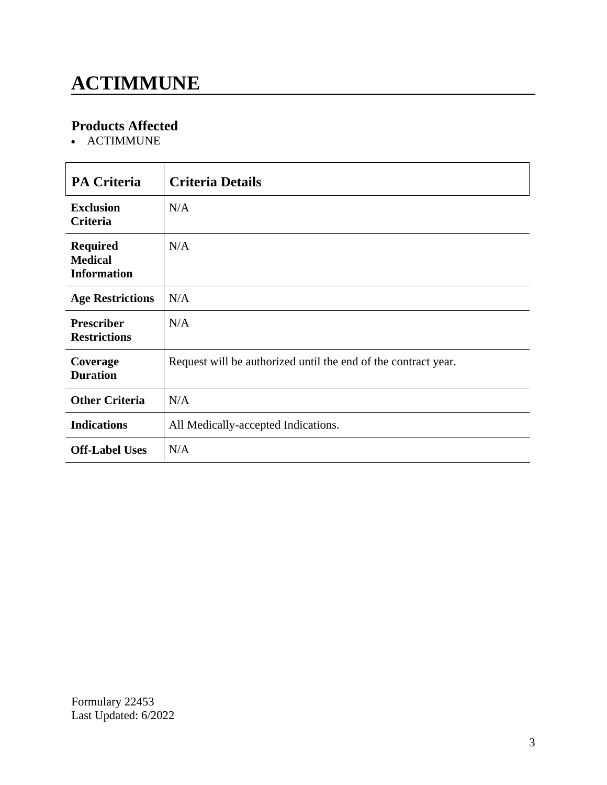# **ACTIMMUNE**

### **Products Affected**

• ACTIMMUNE

| <b>PA Criteria</b>                                      | <b>Criteria Details</b>                                        |
|---------------------------------------------------------|----------------------------------------------------------------|
| <b>Exclusion</b><br><b>Criteria</b>                     | N/A                                                            |
| <b>Required</b><br><b>Medical</b><br><b>Information</b> | N/A                                                            |
| <b>Age Restrictions</b>                                 | N/A                                                            |
| <b>Prescriber</b><br><b>Restrictions</b>                | N/A                                                            |
| Coverage<br><b>Duration</b>                             | Request will be authorized until the end of the contract year. |
| <b>Other Criteria</b>                                   | N/A                                                            |
| <b>Indications</b>                                      | All Medically-accepted Indications.                            |
| <b>Off-Label Uses</b>                                   | N/A                                                            |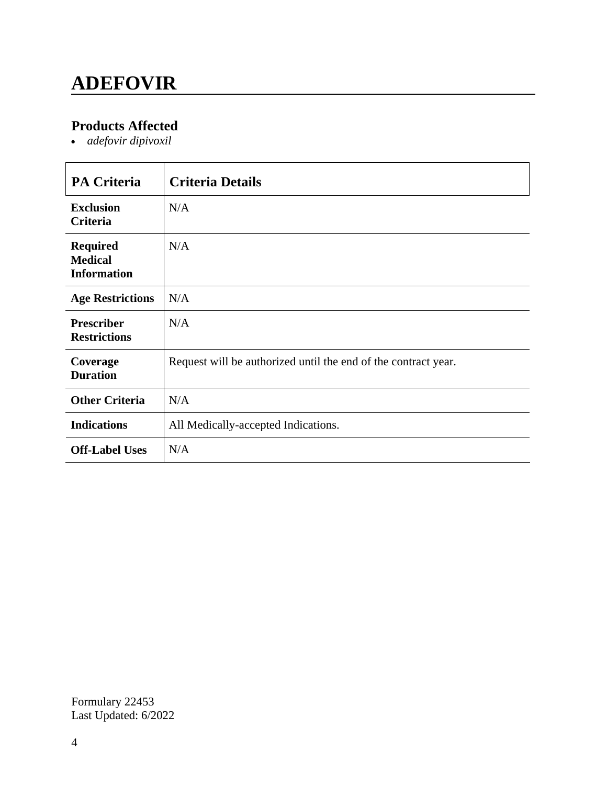## **ADEFOVIR**

### **Products Affected**

*adefovir dipivoxil*

| <b>PA Criteria</b>                                      | <b>Criteria Details</b>                                        |
|---------------------------------------------------------|----------------------------------------------------------------|
| <b>Exclusion</b><br>Criteria                            | N/A                                                            |
| <b>Required</b><br><b>Medical</b><br><b>Information</b> | N/A                                                            |
| <b>Age Restrictions</b>                                 | N/A                                                            |
| <b>Prescriber</b><br><b>Restrictions</b>                | N/A                                                            |
| Coverage<br><b>Duration</b>                             | Request will be authorized until the end of the contract year. |
| <b>Other Criteria</b>                                   | N/A                                                            |
| <b>Indications</b>                                      | All Medically-accepted Indications.                            |
| <b>Off-Label Uses</b>                                   | N/A                                                            |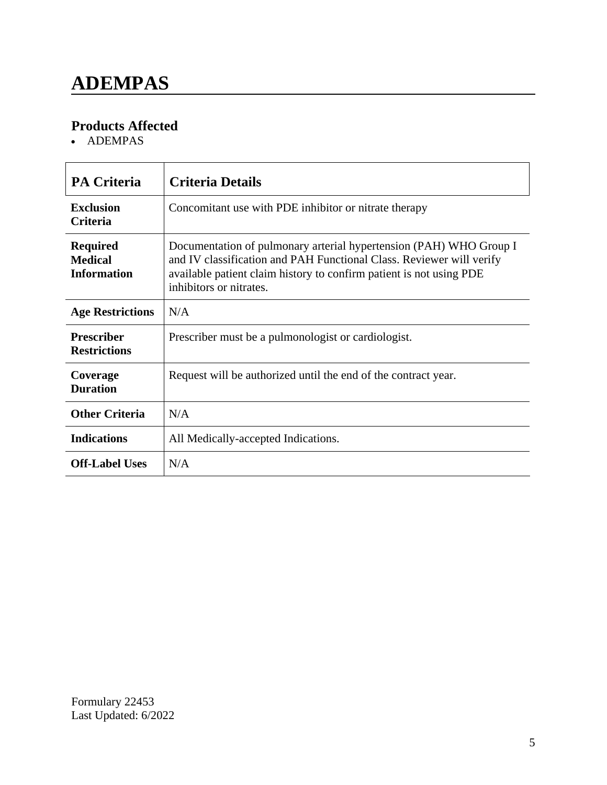### **ADEMPAS**

### **Products Affected**

• ADEMPAS

| <b>PA Criteria</b>                                      | <b>Criteria Details</b>                                                                                                                                                                                                                      |
|---------------------------------------------------------|----------------------------------------------------------------------------------------------------------------------------------------------------------------------------------------------------------------------------------------------|
| <b>Exclusion</b><br><b>Criteria</b>                     | Concomitant use with PDE inhibitor or nitrate therapy                                                                                                                                                                                        |
| <b>Required</b><br><b>Medical</b><br><b>Information</b> | Documentation of pulmonary arterial hypertension (PAH) WHO Group I<br>and IV classification and PAH Functional Class. Reviewer will verify<br>available patient claim history to confirm patient is not using PDE<br>inhibitors or nitrates. |
| <b>Age Restrictions</b>                                 | N/A                                                                                                                                                                                                                                          |
| <b>Prescriber</b><br><b>Restrictions</b>                | Prescriber must be a pulmonologist or cardiologist.                                                                                                                                                                                          |
| Coverage<br><b>Duration</b>                             | Request will be authorized until the end of the contract year.                                                                                                                                                                               |
| <b>Other Criteria</b>                                   | N/A                                                                                                                                                                                                                                          |
| <b>Indications</b>                                      | All Medically-accepted Indications.                                                                                                                                                                                                          |
| <b>Off-Label Uses</b>                                   | N/A                                                                                                                                                                                                                                          |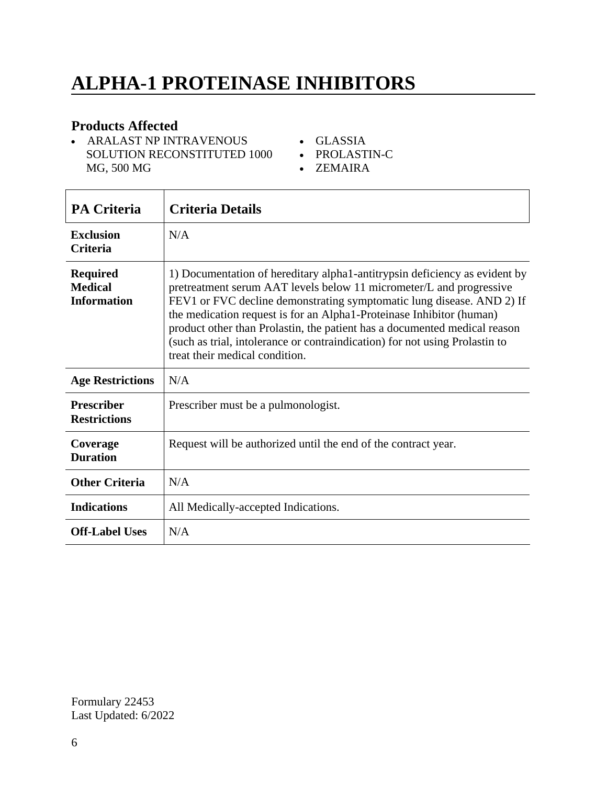# **ALPHA-1 PROTEINASE INHIBITORS**

#### **Products Affected**

- ARALAST NP INTRAVENOUS SOLUTION RECONSTITUTED 1000 MG, 500 MG
- GLASSIA
- PROLASTIN-C
- ZEMAIRA

| <b>PA Criteria</b>                                      | <b>Criteria Details</b>                                                                                                                                                                                                                                                                                                                                                                                                                                                                          |
|---------------------------------------------------------|--------------------------------------------------------------------------------------------------------------------------------------------------------------------------------------------------------------------------------------------------------------------------------------------------------------------------------------------------------------------------------------------------------------------------------------------------------------------------------------------------|
| <b>Exclusion</b><br><b>Criteria</b>                     | N/A                                                                                                                                                                                                                                                                                                                                                                                                                                                                                              |
| <b>Required</b><br><b>Medical</b><br><b>Information</b> | 1) Documentation of hereditary alpha1-antitrypsin deficiency as evident by<br>pretreatment serum AAT levels below 11 micrometer/L and progressive<br>FEV1 or FVC decline demonstrating symptomatic lung disease. AND 2) If<br>the medication request is for an Alpha1-Proteinase Inhibitor (human)<br>product other than Prolastin, the patient has a documented medical reason<br>(such as trial, intolerance or contraindication) for not using Prolastin to<br>treat their medical condition. |
| <b>Age Restrictions</b>                                 | N/A                                                                                                                                                                                                                                                                                                                                                                                                                                                                                              |
| <b>Prescriber</b><br><b>Restrictions</b>                | Prescriber must be a pulmonologist.                                                                                                                                                                                                                                                                                                                                                                                                                                                              |
| Coverage<br><b>Duration</b>                             | Request will be authorized until the end of the contract year.                                                                                                                                                                                                                                                                                                                                                                                                                                   |
| <b>Other Criteria</b>                                   | N/A                                                                                                                                                                                                                                                                                                                                                                                                                                                                                              |
| <b>Indications</b>                                      | All Medically-accepted Indications.                                                                                                                                                                                                                                                                                                                                                                                                                                                              |
| <b>Off-Label Uses</b>                                   | N/A                                                                                                                                                                                                                                                                                                                                                                                                                                                                                              |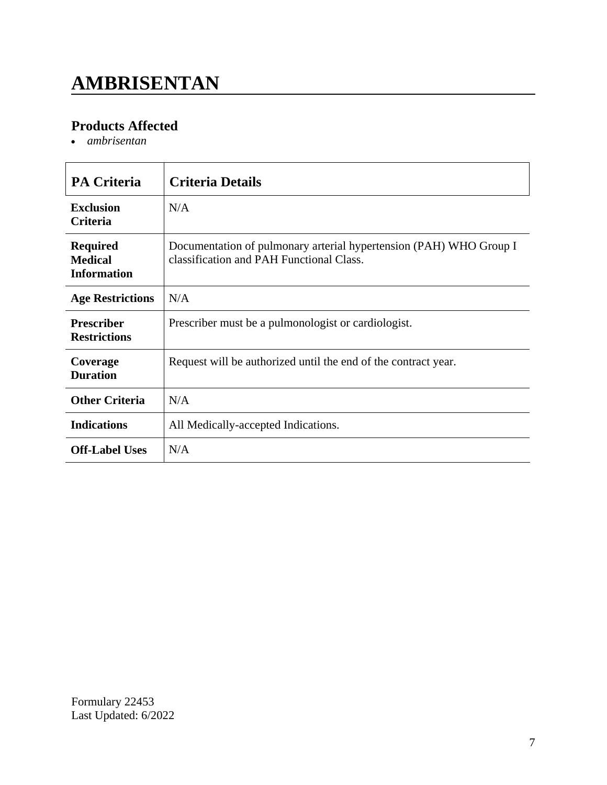# **AMBRISENTAN**

### **Products Affected**

*ambrisentan*

| <b>PA Criteria</b>                                      | <b>Criteria Details</b>                                                                                        |
|---------------------------------------------------------|----------------------------------------------------------------------------------------------------------------|
| <b>Exclusion</b><br><b>Criteria</b>                     | N/A                                                                                                            |
| <b>Required</b><br><b>Medical</b><br><b>Information</b> | Documentation of pulmonary arterial hypertension (PAH) WHO Group I<br>classification and PAH Functional Class. |
| <b>Age Restrictions</b>                                 | N/A                                                                                                            |
| <b>Prescriber</b><br><b>Restrictions</b>                | Prescriber must be a pulmonologist or cardiologist.                                                            |
| Coverage<br><b>Duration</b>                             | Request will be authorized until the end of the contract year.                                                 |
| <b>Other Criteria</b>                                   | N/A                                                                                                            |
| <b>Indications</b>                                      | All Medically-accepted Indications.                                                                            |
| <b>Off-Label Uses</b>                                   | N/A                                                                                                            |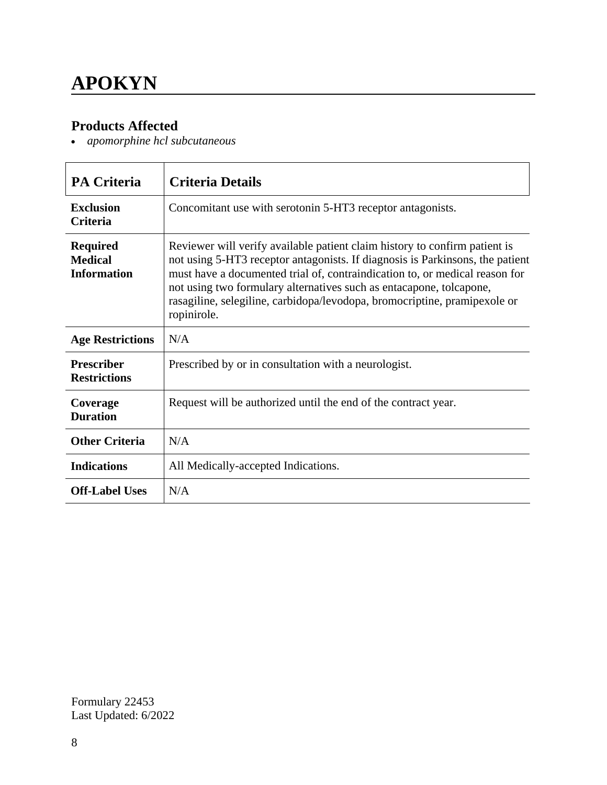### **APOKYN**

#### **Products Affected**

*apomorphine hcl subcutaneous*

| <b>PA Criteria</b>                                      | <b>Criteria Details</b>                                                                                                                                                                                                                                                                                                                                                                                       |
|---------------------------------------------------------|---------------------------------------------------------------------------------------------------------------------------------------------------------------------------------------------------------------------------------------------------------------------------------------------------------------------------------------------------------------------------------------------------------------|
| <b>Exclusion</b><br><b>Criteria</b>                     | Concomitant use with serotonin 5-HT3 receptor antagonists.                                                                                                                                                                                                                                                                                                                                                    |
| <b>Required</b><br><b>Medical</b><br><b>Information</b> | Reviewer will verify available patient claim history to confirm patient is<br>not using 5-HT3 receptor antagonists. If diagnosis is Parkinsons, the patient<br>must have a documented trial of, contraindication to, or medical reason for<br>not using two formulary alternatives such as entacapone, tolcapone,<br>rasagiline, selegiline, carbidopa/levodopa, bromocriptine, pramipexole or<br>ropinirole. |
| <b>Age Restrictions</b>                                 | N/A                                                                                                                                                                                                                                                                                                                                                                                                           |
| <b>Prescriber</b><br><b>Restrictions</b>                | Prescribed by or in consultation with a neurologist.                                                                                                                                                                                                                                                                                                                                                          |
| Coverage<br><b>Duration</b>                             | Request will be authorized until the end of the contract year.                                                                                                                                                                                                                                                                                                                                                |
| <b>Other Criteria</b>                                   | N/A                                                                                                                                                                                                                                                                                                                                                                                                           |
| <b>Indications</b>                                      | All Medically-accepted Indications.                                                                                                                                                                                                                                                                                                                                                                           |
| <b>Off-Label Uses</b>                                   | N/A                                                                                                                                                                                                                                                                                                                                                                                                           |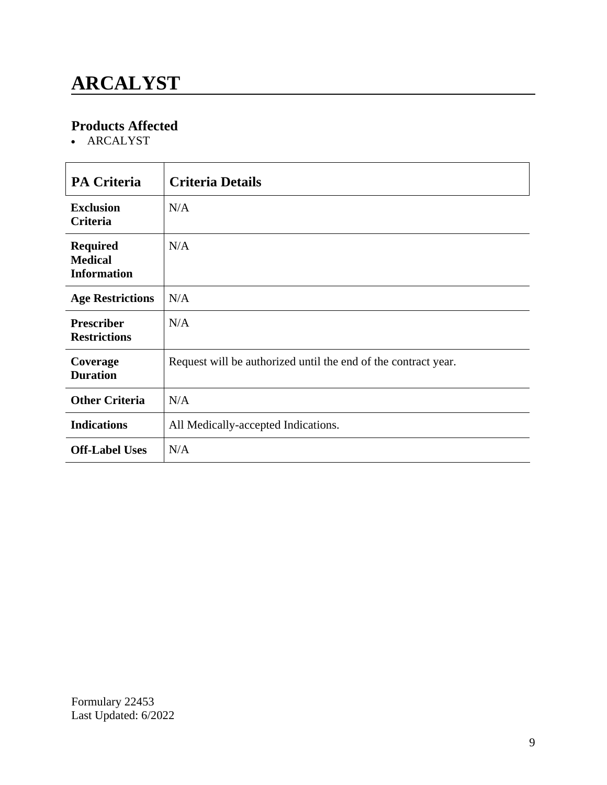## **ARCALYST**

### **Products Affected**

• ARCALYST

| <b>PA Criteria</b>                                      | <b>Criteria Details</b>                                        |
|---------------------------------------------------------|----------------------------------------------------------------|
| <b>Exclusion</b><br>Criteria                            | N/A                                                            |
| <b>Required</b><br><b>Medical</b><br><b>Information</b> | N/A                                                            |
| <b>Age Restrictions</b>                                 | N/A                                                            |
| <b>Prescriber</b><br><b>Restrictions</b>                | N/A                                                            |
| Coverage<br><b>Duration</b>                             | Request will be authorized until the end of the contract year. |
| <b>Other Criteria</b>                                   | N/A                                                            |
| <b>Indications</b>                                      | All Medically-accepted Indications.                            |
| <b>Off-Label Uses</b>                                   | N/A                                                            |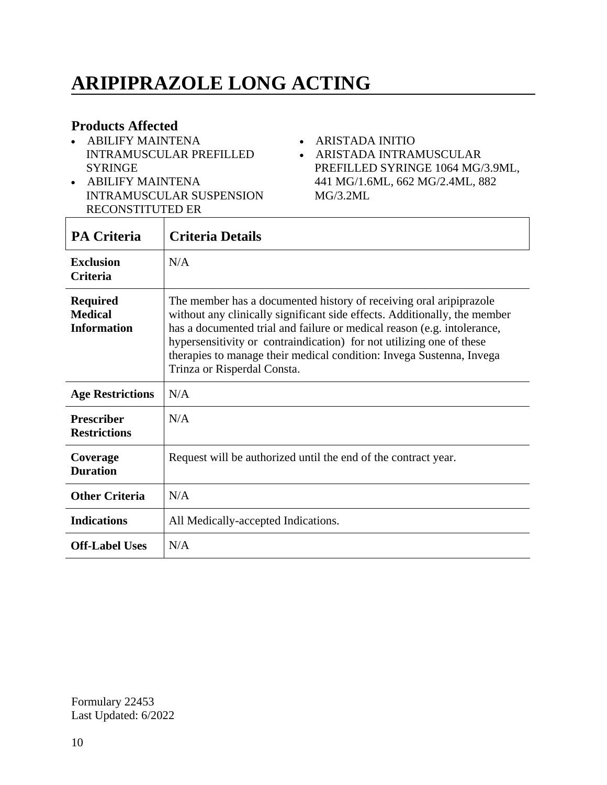# **ARIPIPRAZOLE LONG ACTING**

#### **Products Affected**

- ABILIFY MAINTENA INTRAMUSCULAR PREFILLED SYRINGE
- ABILIFY MAINTENA INTRAMUSCULAR SUSPENSION RECONSTITUTED ER
- ARISTADA INITIO
- ARISTADA INTRAMUSCULAR PREFILLED SYRINGE 1064 MG/3.9ML, 441 MG/1.6ML, 662 MG/2.4ML, 882 MG/3.2ML

| <b>PA Criteria</b>                                      | <b>Criteria Details</b>                                                                                                                                                                                                                                                                                                                                                                                   |
|---------------------------------------------------------|-----------------------------------------------------------------------------------------------------------------------------------------------------------------------------------------------------------------------------------------------------------------------------------------------------------------------------------------------------------------------------------------------------------|
| <b>Exclusion</b><br><b>Criteria</b>                     | N/A                                                                                                                                                                                                                                                                                                                                                                                                       |
| <b>Required</b><br><b>Medical</b><br><b>Information</b> | The member has a documented history of receiving oral aripiprazole<br>without any clinically significant side effects. Additionally, the member<br>has a documented trial and failure or medical reason (e.g. intolerance,<br>hypersensitivity or contraindication) for not utilizing one of these<br>therapies to manage their medical condition: Invega Sustenna, Invega<br>Trinza or Risperdal Consta. |
| <b>Age Restrictions</b>                                 | N/A                                                                                                                                                                                                                                                                                                                                                                                                       |
| <b>Prescriber</b><br><b>Restrictions</b>                | N/A                                                                                                                                                                                                                                                                                                                                                                                                       |
| Coverage<br><b>Duration</b>                             | Request will be authorized until the end of the contract year.                                                                                                                                                                                                                                                                                                                                            |
| <b>Other Criteria</b>                                   | N/A                                                                                                                                                                                                                                                                                                                                                                                                       |
| <b>Indications</b>                                      | All Medically-accepted Indications.                                                                                                                                                                                                                                                                                                                                                                       |
| <b>Off-Label Uses</b>                                   | N/A                                                                                                                                                                                                                                                                                                                                                                                                       |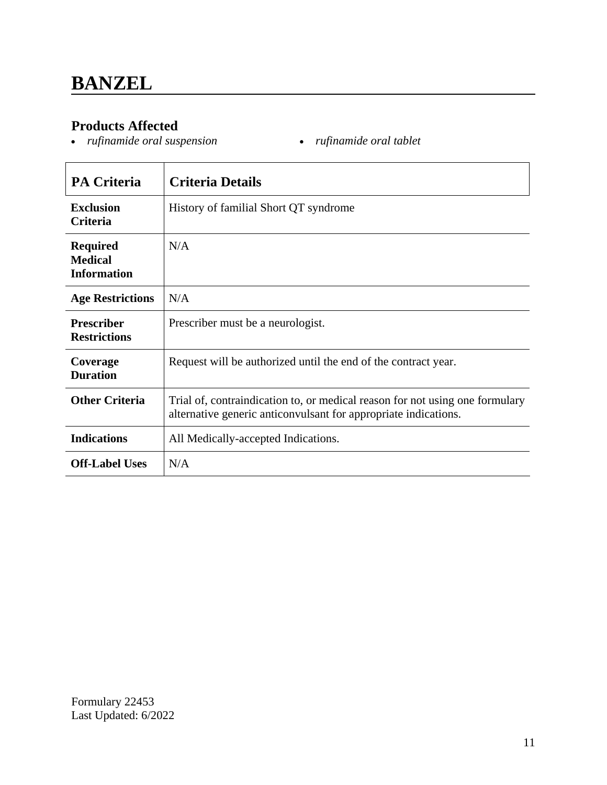#### **Products Affected**

- *rufinamide oral suspension rufinamide oral tablet*
	-

| <b>PA Criteria</b>                                      | <b>Criteria Details</b>                                                                                                                         |
|---------------------------------------------------------|-------------------------------------------------------------------------------------------------------------------------------------------------|
| <b>Exclusion</b><br><b>Criteria</b>                     | History of familial Short QT syndrome                                                                                                           |
| <b>Required</b><br><b>Medical</b><br><b>Information</b> | N/A                                                                                                                                             |
| <b>Age Restrictions</b>                                 | N/A                                                                                                                                             |
| <b>Prescriber</b><br><b>Restrictions</b>                | Prescriber must be a neurologist.                                                                                                               |
| Coverage<br><b>Duration</b>                             | Request will be authorized until the end of the contract year.                                                                                  |
| <b>Other Criteria</b>                                   | Trial of, contraindication to, or medical reason for not using one formulary<br>alternative generic anticonvulsant for appropriate indications. |
| <b>Indications</b>                                      | All Medically-accepted Indications.                                                                                                             |
| <b>Off-Label Uses</b>                                   | N/A                                                                                                                                             |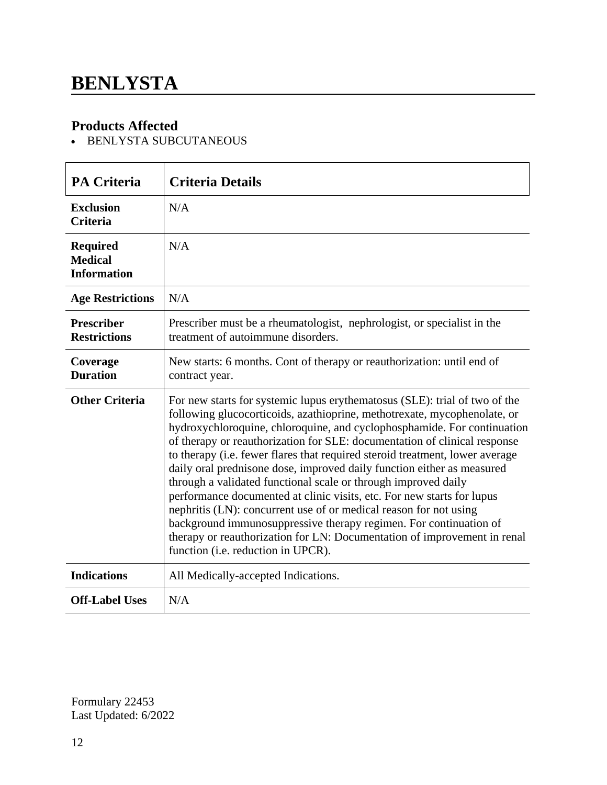### **BENLYSTA**

#### **Products Affected**

- BENLYSTA SUBCUTANEOUS

| <b>PA Criteria</b>                                      | <b>Criteria Details</b>                                                                                                                                                                                                                                                                                                                                                                                                                                                                                                                                                                                                                                                                                                                                                                                                                                                          |
|---------------------------------------------------------|----------------------------------------------------------------------------------------------------------------------------------------------------------------------------------------------------------------------------------------------------------------------------------------------------------------------------------------------------------------------------------------------------------------------------------------------------------------------------------------------------------------------------------------------------------------------------------------------------------------------------------------------------------------------------------------------------------------------------------------------------------------------------------------------------------------------------------------------------------------------------------|
| <b>Exclusion</b><br><b>Criteria</b>                     | N/A                                                                                                                                                                                                                                                                                                                                                                                                                                                                                                                                                                                                                                                                                                                                                                                                                                                                              |
| <b>Required</b><br><b>Medical</b><br><b>Information</b> | N/A                                                                                                                                                                                                                                                                                                                                                                                                                                                                                                                                                                                                                                                                                                                                                                                                                                                                              |
| <b>Age Restrictions</b>                                 | N/A                                                                                                                                                                                                                                                                                                                                                                                                                                                                                                                                                                                                                                                                                                                                                                                                                                                                              |
| <b>Prescriber</b><br><b>Restrictions</b>                | Prescriber must be a rheumatologist, nephrologist, or specialist in the<br>treatment of autoimmune disorders.                                                                                                                                                                                                                                                                                                                                                                                                                                                                                                                                                                                                                                                                                                                                                                    |
| Coverage<br><b>Duration</b>                             | New starts: 6 months. Cont of therapy or reauthorization: until end of<br>contract year.                                                                                                                                                                                                                                                                                                                                                                                                                                                                                                                                                                                                                                                                                                                                                                                         |
| <b>Other Criteria</b>                                   | For new starts for systemic lupus erythematosus (SLE): trial of two of the<br>following glucocorticoids, azathioprine, methotrexate, mycophenolate, or<br>hydroxychloroquine, chloroquine, and cyclophosphamide. For continuation<br>of therapy or reauthorization for SLE: documentation of clinical response<br>to therapy (i.e. fewer flares that required steroid treatment, lower average<br>daily oral prednisone dose, improved daily function either as measured<br>through a validated functional scale or through improved daily<br>performance documented at clinic visits, etc. For new starts for lupus<br>nephritis (LN): concurrent use of or medical reason for not using<br>background immunosuppressive therapy regimen. For continuation of<br>therapy or reauthorization for LN: Documentation of improvement in renal<br>function (i.e. reduction in UPCR). |
| <b>Indications</b>                                      | All Medically-accepted Indications.                                                                                                                                                                                                                                                                                                                                                                                                                                                                                                                                                                                                                                                                                                                                                                                                                                              |
| <b>Off-Label Uses</b>                                   | N/A                                                                                                                                                                                                                                                                                                                                                                                                                                                                                                                                                                                                                                                                                                                                                                                                                                                                              |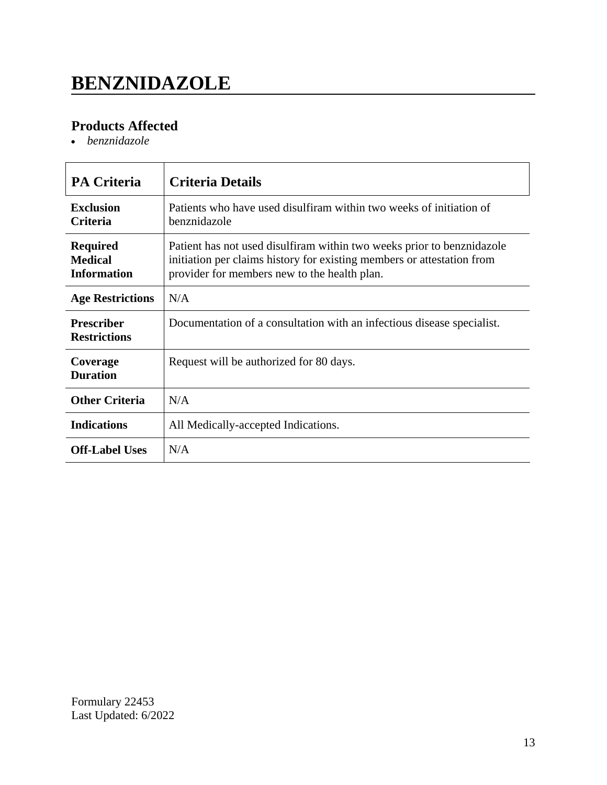## **BENZNIDAZOLE**

### **Products Affected**

*benznidazole*

| <b>PA Criteria</b>                                      | <b>Criteria Details</b>                                                                                                                                                                          |
|---------------------------------------------------------|--------------------------------------------------------------------------------------------------------------------------------------------------------------------------------------------------|
| <b>Exclusion</b><br><b>Criteria</b>                     | Patients who have used disulfiram within two weeks of initiation of<br>benznidazole                                                                                                              |
| <b>Required</b><br><b>Medical</b><br><b>Information</b> | Patient has not used disulfiram within two weeks prior to benznidazole<br>initiation per claims history for existing members or attestation from<br>provider for members new to the health plan. |
| <b>Age Restrictions</b>                                 | N/A                                                                                                                                                                                              |
| <b>Prescriber</b><br><b>Restrictions</b>                | Documentation of a consultation with an infectious disease specialist.                                                                                                                           |
| Coverage<br><b>Duration</b>                             | Request will be authorized for 80 days.                                                                                                                                                          |
| <b>Other Criteria</b>                                   | N/A                                                                                                                                                                                              |
| <b>Indications</b>                                      | All Medically-accepted Indications.                                                                                                                                                              |
| <b>Off-Label Uses</b>                                   | N/A                                                                                                                                                                                              |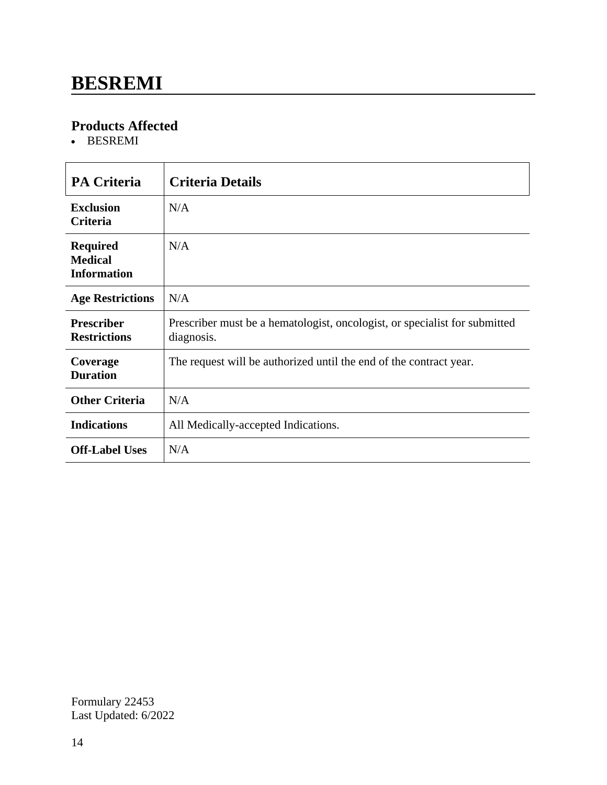### **BESREMI**

#### **Products Affected**

• BESREMI

| <b>PA Criteria</b>                                      | <b>Criteria Details</b>                                                                  |
|---------------------------------------------------------|------------------------------------------------------------------------------------------|
| <b>Exclusion</b><br><b>Criteria</b>                     | N/A                                                                                      |
| <b>Required</b><br><b>Medical</b><br><b>Information</b> | N/A                                                                                      |
| <b>Age Restrictions</b>                                 | N/A                                                                                      |
| <b>Prescriber</b><br><b>Restrictions</b>                | Prescriber must be a hematologist, oncologist, or specialist for submitted<br>diagnosis. |
| Coverage<br><b>Duration</b>                             | The request will be authorized until the end of the contract year.                       |
| <b>Other Criteria</b>                                   | N/A                                                                                      |
| <b>Indications</b>                                      | All Medically-accepted Indications.                                                      |
| <b>Off-Label Uses</b>                                   | N/A                                                                                      |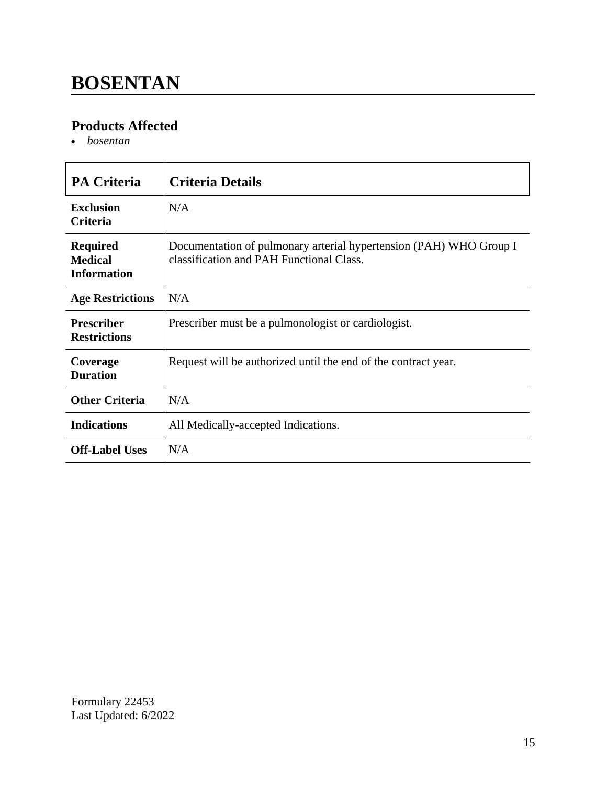### **BOSENTAN**

#### **Products Affected**

*bosentan*

| <b>PA Criteria</b>                                      | <b>Criteria Details</b>                                                                                        |
|---------------------------------------------------------|----------------------------------------------------------------------------------------------------------------|
| <b>Exclusion</b><br><b>Criteria</b>                     | N/A                                                                                                            |
| <b>Required</b><br><b>Medical</b><br><b>Information</b> | Documentation of pulmonary arterial hypertension (PAH) WHO Group I<br>classification and PAH Functional Class. |
| <b>Age Restrictions</b>                                 | N/A                                                                                                            |
| <b>Prescriber</b><br><b>Restrictions</b>                | Prescriber must be a pulmonologist or cardiologist.                                                            |
| Coverage<br><b>Duration</b>                             | Request will be authorized until the end of the contract year.                                                 |
| <b>Other Criteria</b>                                   | N/A                                                                                                            |
| <b>Indications</b>                                      | All Medically-accepted Indications.                                                                            |
| <b>Off-Label Uses</b>                                   | N/A                                                                                                            |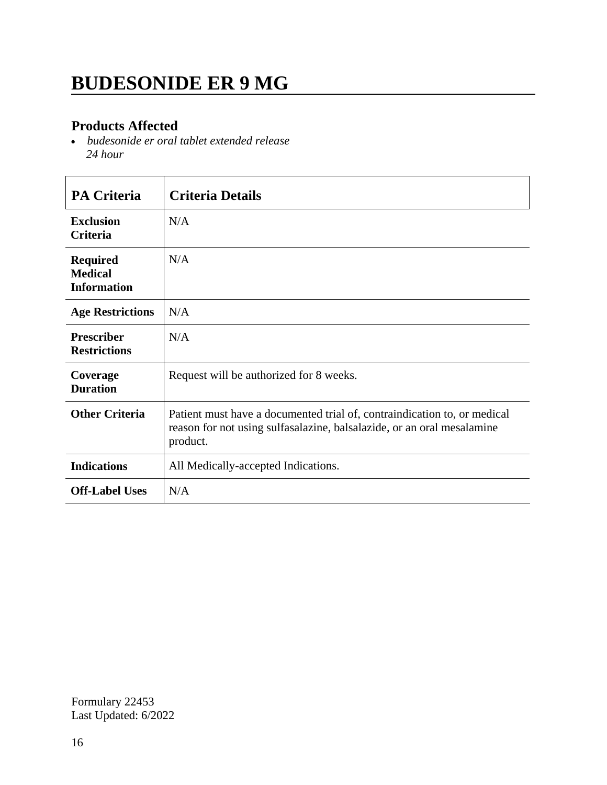### **BUDESONIDE ER 9 MG**

#### **Products Affected**

 *budesonide er oral tablet extended release 24 hour*

| <b>PA Criteria</b>                                      | <b>Criteria Details</b>                                                                                                                                        |
|---------------------------------------------------------|----------------------------------------------------------------------------------------------------------------------------------------------------------------|
| <b>Exclusion</b><br><b>Criteria</b>                     | N/A                                                                                                                                                            |
| <b>Required</b><br><b>Medical</b><br><b>Information</b> | N/A                                                                                                                                                            |
| <b>Age Restrictions</b>                                 | N/A                                                                                                                                                            |
| <b>Prescriber</b><br><b>Restrictions</b>                | N/A                                                                                                                                                            |
| Coverage<br><b>Duration</b>                             | Request will be authorized for 8 weeks.                                                                                                                        |
| <b>Other Criteria</b>                                   | Patient must have a documented trial of, contraindication to, or medical<br>reason for not using sulfasalazine, balsalazide, or an oral mesalamine<br>product. |
| <b>Indications</b>                                      | All Medically-accepted Indications.                                                                                                                            |
| <b>Off-Label Uses</b>                                   | N/A                                                                                                                                                            |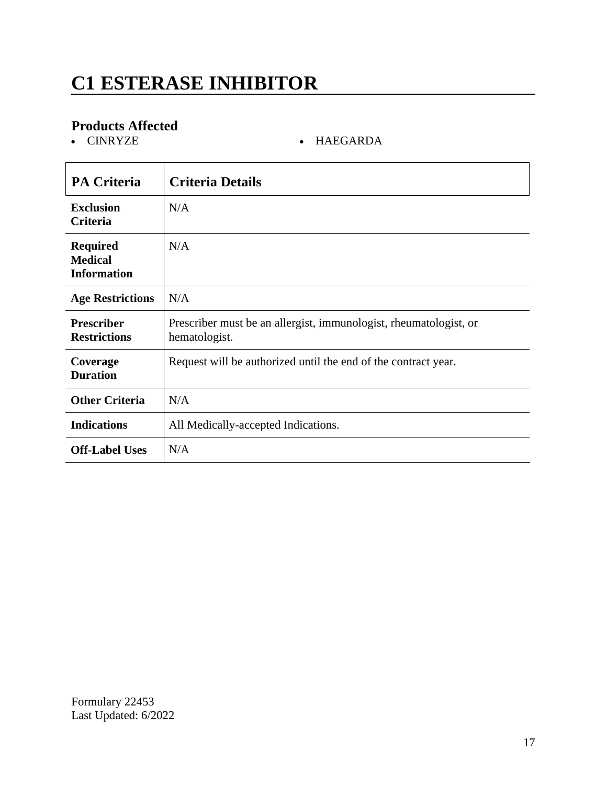## **C1 ESTERASE INHIBITOR**

# **Products Affected**

 $\bullet$  HAEGARDA

| <b>PA Criteria</b>                                      | <b>Criteria Details</b>                                                            |
|---------------------------------------------------------|------------------------------------------------------------------------------------|
| <b>Exclusion</b><br>Criteria                            | N/A                                                                                |
| <b>Required</b><br><b>Medical</b><br><b>Information</b> | N/A                                                                                |
| <b>Age Restrictions</b>                                 | N/A                                                                                |
| <b>Prescriber</b><br><b>Restrictions</b>                | Prescriber must be an allergist, immunologist, rheumatologist, or<br>hematologist. |
| Coverage<br><b>Duration</b>                             | Request will be authorized until the end of the contract year.                     |
| <b>Other Criteria</b>                                   | N/A                                                                                |
| <b>Indications</b>                                      | All Medically-accepted Indications.                                                |
| <b>Off-Label Uses</b>                                   | N/A                                                                                |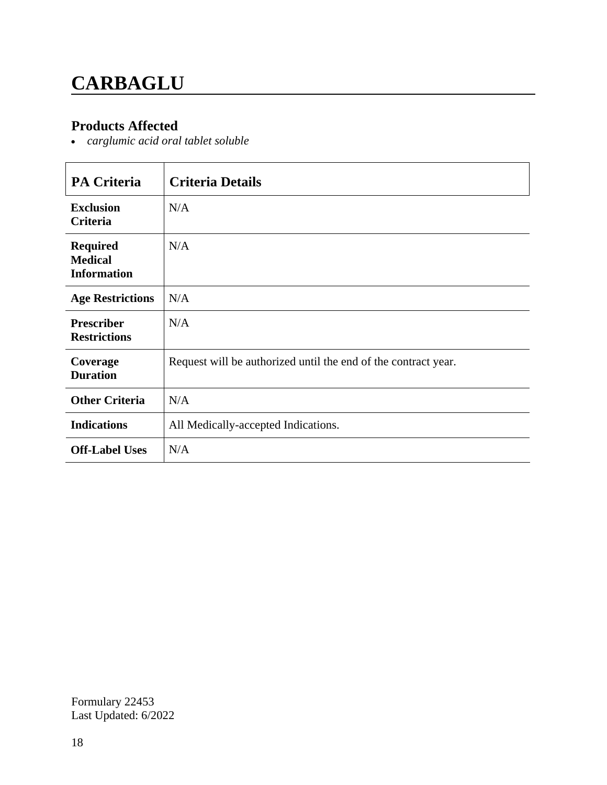# **CARBAGLU**

#### **Products Affected**

*carglumic acid oral tablet soluble*

| <b>PA Criteria</b>                                      | <b>Criteria Details</b>                                        |
|---------------------------------------------------------|----------------------------------------------------------------|
| <b>Exclusion</b><br><b>Criteria</b>                     | N/A                                                            |
| <b>Required</b><br><b>Medical</b><br><b>Information</b> | N/A                                                            |
| <b>Age Restrictions</b>                                 | N/A                                                            |
| <b>Prescriber</b><br><b>Restrictions</b>                | N/A                                                            |
| Coverage<br><b>Duration</b>                             | Request will be authorized until the end of the contract year. |
| <b>Other Criteria</b>                                   | N/A                                                            |
| <b>Indications</b>                                      | All Medically-accepted Indications.                            |
| <b>Off-Label Uses</b>                                   | N/A                                                            |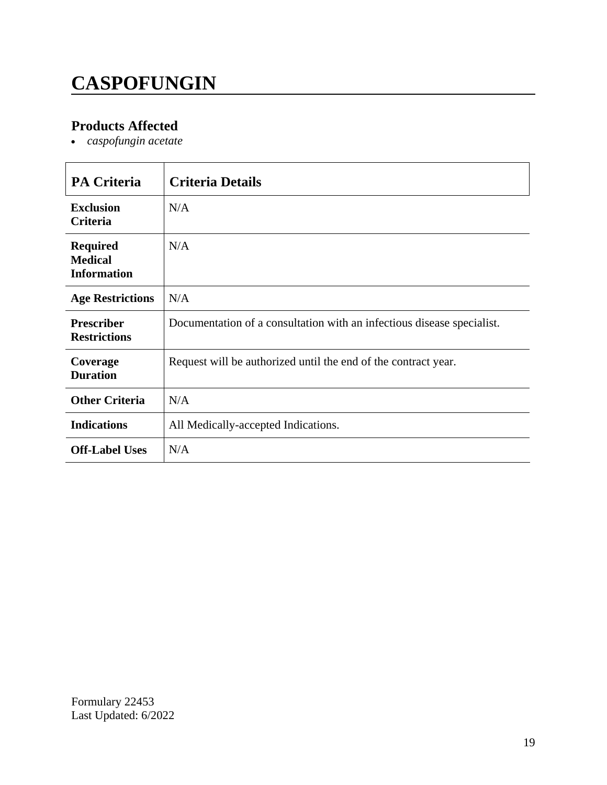# **CASPOFUNGIN**

### **Products Affected**

*caspofungin acetate*

| <b>PA Criteria</b>                                      | <b>Criteria Details</b>                                                |
|---------------------------------------------------------|------------------------------------------------------------------------|
| <b>Exclusion</b><br><b>Criteria</b>                     | N/A                                                                    |
| <b>Required</b><br><b>Medical</b><br><b>Information</b> | N/A                                                                    |
| <b>Age Restrictions</b>                                 | N/A                                                                    |
| <b>Prescriber</b><br><b>Restrictions</b>                | Documentation of a consultation with an infectious disease specialist. |
| Coverage<br><b>Duration</b>                             | Request will be authorized until the end of the contract year.         |
| <b>Other Criteria</b>                                   | N/A                                                                    |
| <b>Indications</b>                                      | All Medically-accepted Indications.                                    |
| <b>Off-Label Uses</b>                                   | N/A                                                                    |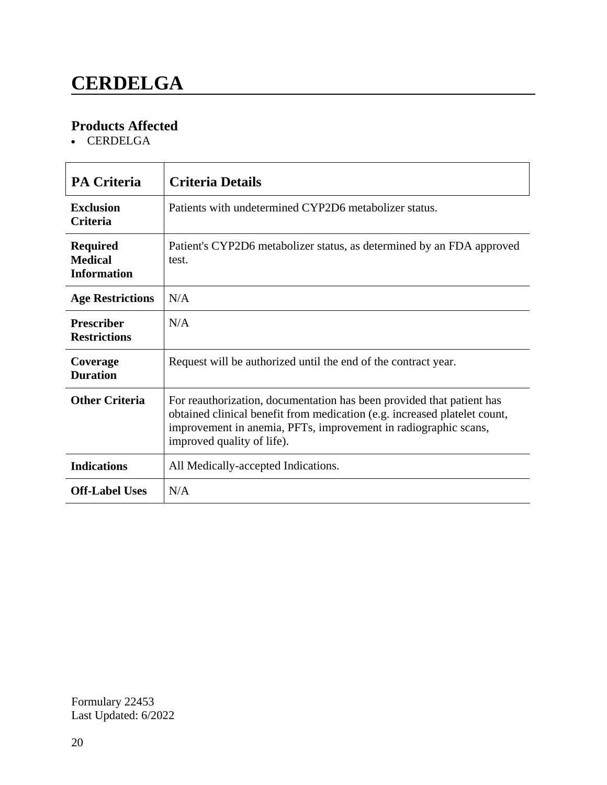### **CERDELGA**

### **Products Affected**

• CERDELGA

| <b>PA Criteria</b>                                      | <b>Criteria Details</b>                                                                                                                                                                                                                             |
|---------------------------------------------------------|-----------------------------------------------------------------------------------------------------------------------------------------------------------------------------------------------------------------------------------------------------|
| <b>Exclusion</b><br><b>Criteria</b>                     | Patients with undetermined CYP2D6 metabolizer status.                                                                                                                                                                                               |
| <b>Required</b><br><b>Medical</b><br><b>Information</b> | Patient's CYP2D6 metabolizer status, as determined by an FDA approved<br>test.                                                                                                                                                                      |
| <b>Age Restrictions</b>                                 | N/A                                                                                                                                                                                                                                                 |
| <b>Prescriber</b><br><b>Restrictions</b>                | N/A                                                                                                                                                                                                                                                 |
| Coverage<br><b>Duration</b>                             | Request will be authorized until the end of the contract year.                                                                                                                                                                                      |
| <b>Other Criteria</b>                                   | For reauthorization, documentation has been provided that patient has<br>obtained clinical benefit from medication (e.g. increased platelet count,<br>improvement in anemia, PFTs, improvement in radiographic scans,<br>improved quality of life). |
| <b>Indications</b>                                      | All Medically-accepted Indications.                                                                                                                                                                                                                 |
| <b>Off-Label Uses</b>                                   | N/A                                                                                                                                                                                                                                                 |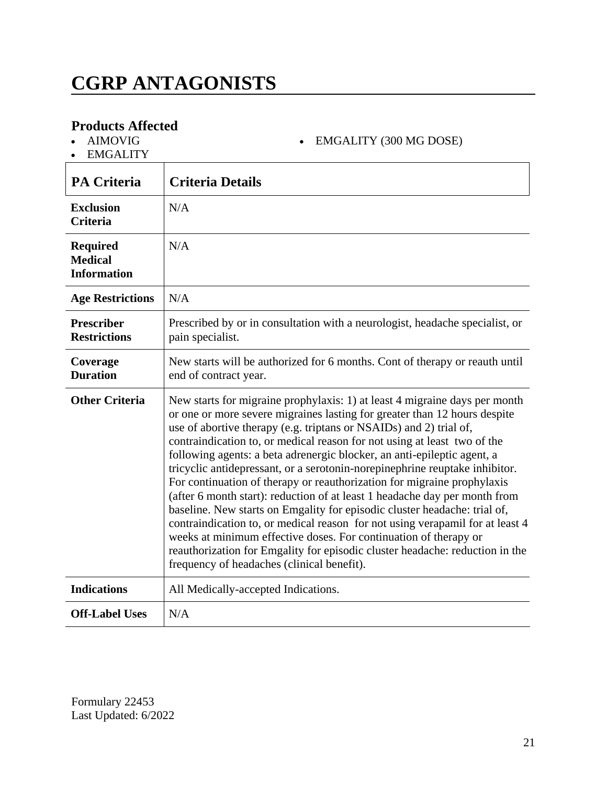### **CGRP ANTAGONISTS**

#### **Products Affected**

AIMOVIG

EMGALITY

**PA Criteria Criteria Details Exclusion Criteria** N/A **Required Medical Information** N/A **Age Restrictions** N/A **Prescriber Restrictions** Prescribed by or in consultation with a neurologist, headache specialist, or pain specialist. **Coverage Duration** New starts will be authorized for 6 months. Cont of therapy or reauth until end of contract year. **Other Criteria** New starts for migraine prophylaxis: 1) at least 4 migraine days per month or one or more severe migraines lasting for greater than 12 hours despite use of abortive therapy (e.g. triptans or NSAIDs) and 2) trial of, contraindication to, or medical reason for not using at least two of the following agents: a beta adrenergic blocker, an anti-epileptic agent, a tricyclic antidepressant, or a serotonin-norepinephrine reuptake inhibitor. For continuation of therapy or reauthorization for migraine prophylaxis (after 6 month start): reduction of at least 1 headache day per month from baseline. New starts on Emgality for episodic cluster headache: trial of, contraindication to, or medical reason for not using verapamil for at least 4 weeks at minimum effective doses. For continuation of therapy or reauthorization for Emgality for episodic cluster headache: reduction in the frequency of headaches (clinical benefit). **Indications** All Medically-accepted Indications. **Off-Label Uses** N/A

EMGALITY (300 MG DOSE)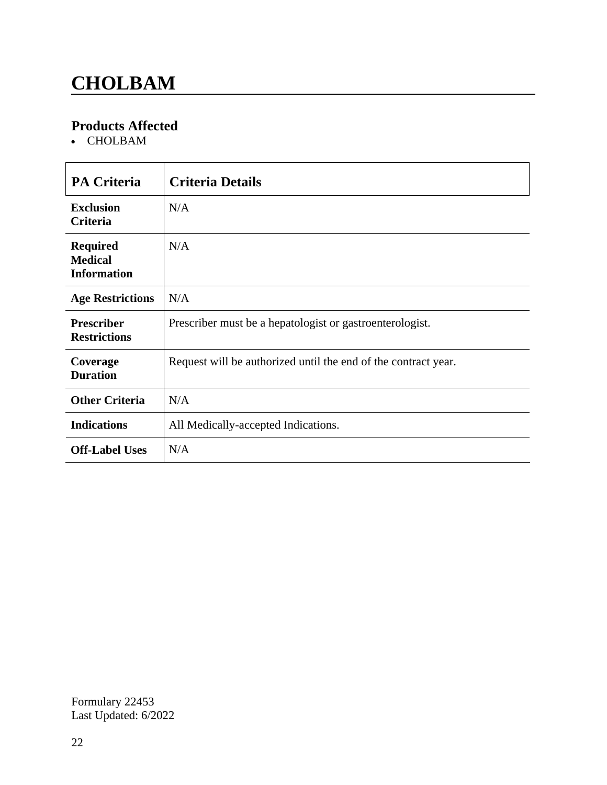### **CHOLBAM**

### **Products Affected**

CHOLBAM

| <b>PA Criteria</b>                                      | <b>Criteria Details</b>                                        |
|---------------------------------------------------------|----------------------------------------------------------------|
| <b>Exclusion</b><br><b>Criteria</b>                     | N/A                                                            |
| <b>Required</b><br><b>Medical</b><br><b>Information</b> | N/A                                                            |
| <b>Age Restrictions</b>                                 | N/A                                                            |
| <b>Prescriber</b><br><b>Restrictions</b>                | Prescriber must be a hepatologist or gastroenterologist.       |
| Coverage<br><b>Duration</b>                             | Request will be authorized until the end of the contract year. |
| <b>Other Criteria</b>                                   | N/A                                                            |
| <b>Indications</b>                                      | All Medically-accepted Indications.                            |
| <b>Off-Label Uses</b>                                   | N/A                                                            |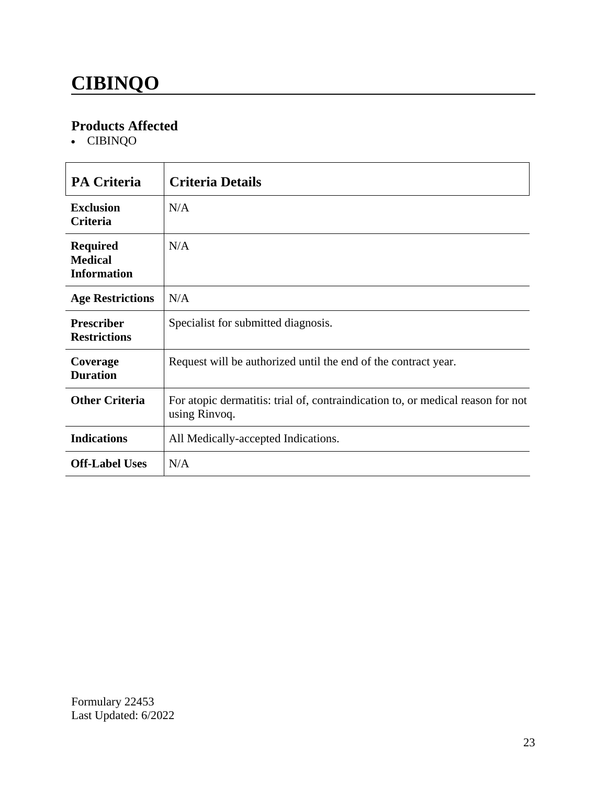# **CIBINQO**

#### **Products Affected**

CIBINQO

| <b>PA Criteria</b>                                      | <b>Criteria Details</b>                                                                          |
|---------------------------------------------------------|--------------------------------------------------------------------------------------------------|
| <b>Exclusion</b><br><b>Criteria</b>                     | N/A                                                                                              |
| <b>Required</b><br><b>Medical</b><br><b>Information</b> | N/A                                                                                              |
| <b>Age Restrictions</b>                                 | N/A                                                                                              |
| <b>Prescriber</b><br><b>Restrictions</b>                | Specialist for submitted diagnosis.                                                              |
| Coverage<br><b>Duration</b>                             | Request will be authorized until the end of the contract year.                                   |
| <b>Other Criteria</b>                                   | For atopic dermatitis: trial of, contraindication to, or medical reason for not<br>using Rinvoq. |
| <b>Indications</b>                                      | All Medically-accepted Indications.                                                              |
| <b>Off-Label Uses</b>                                   | N/A                                                                                              |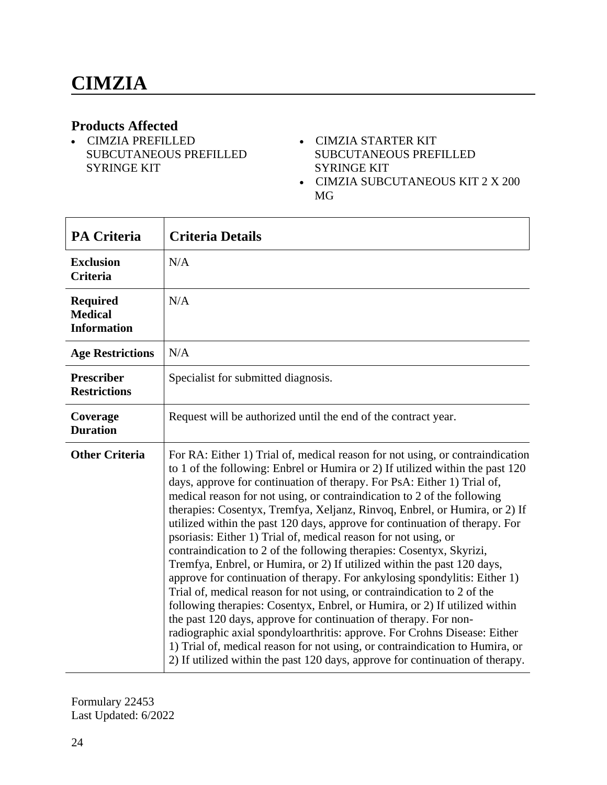#### **Products Affected**

- CIMZIA PREFILLED SUBCUTANEOUS PREFILLED SYRINGE KIT
- CIMZIA STARTER KIT SUBCUTANEOUS PREFILLED SYRINGE KIT
- CIMZIA SUBCUTANEOUS KIT 2 X 200 MG

| <b>PA Criteria</b>                                      | <b>Criteria Details</b>                                                                                                                                                                                                                                                                                                                                                                                                                                                                                                                                                                                                                                                                                                                                                                                                                                                                                                                                                                                                                                                                                                                                                                                                                                          |
|---------------------------------------------------------|------------------------------------------------------------------------------------------------------------------------------------------------------------------------------------------------------------------------------------------------------------------------------------------------------------------------------------------------------------------------------------------------------------------------------------------------------------------------------------------------------------------------------------------------------------------------------------------------------------------------------------------------------------------------------------------------------------------------------------------------------------------------------------------------------------------------------------------------------------------------------------------------------------------------------------------------------------------------------------------------------------------------------------------------------------------------------------------------------------------------------------------------------------------------------------------------------------------------------------------------------------------|
| <b>Exclusion</b><br><b>Criteria</b>                     | N/A                                                                                                                                                                                                                                                                                                                                                                                                                                                                                                                                                                                                                                                                                                                                                                                                                                                                                                                                                                                                                                                                                                                                                                                                                                                              |
| <b>Required</b><br><b>Medical</b><br><b>Information</b> | N/A                                                                                                                                                                                                                                                                                                                                                                                                                                                                                                                                                                                                                                                                                                                                                                                                                                                                                                                                                                                                                                                                                                                                                                                                                                                              |
| <b>Age Restrictions</b>                                 | N/A                                                                                                                                                                                                                                                                                                                                                                                                                                                                                                                                                                                                                                                                                                                                                                                                                                                                                                                                                                                                                                                                                                                                                                                                                                                              |
| <b>Prescriber</b><br><b>Restrictions</b>                | Specialist for submitted diagnosis.                                                                                                                                                                                                                                                                                                                                                                                                                                                                                                                                                                                                                                                                                                                                                                                                                                                                                                                                                                                                                                                                                                                                                                                                                              |
| Coverage<br><b>Duration</b>                             | Request will be authorized until the end of the contract year.                                                                                                                                                                                                                                                                                                                                                                                                                                                                                                                                                                                                                                                                                                                                                                                                                                                                                                                                                                                                                                                                                                                                                                                                   |
| <b>Other Criteria</b>                                   | For RA: Either 1) Trial of, medical reason for not using, or contraindication<br>to 1 of the following: Enbrel or Humira or 2) If utilized within the past 120<br>days, approve for continuation of therapy. For PsA: Either 1) Trial of,<br>medical reason for not using, or contraindication to 2 of the following<br>therapies: Cosentyx, Tremfya, Xeljanz, Rinvoq, Enbrel, or Humira, or 2) If<br>utilized within the past 120 days, approve for continuation of therapy. For<br>psoriasis: Either 1) Trial of, medical reason for not using, or<br>contraindication to 2 of the following therapies: Cosentyx, Skyrizi,<br>Tremfya, Enbrel, or Humira, or 2) If utilized within the past 120 days,<br>approve for continuation of therapy. For ankylosing spondylitis: Either 1)<br>Trial of, medical reason for not using, or contraindication to 2 of the<br>following therapies: Cosentyx, Enbrel, or Humira, or 2) If utilized within<br>the past 120 days, approve for continuation of therapy. For non-<br>radiographic axial spondyloarthritis: approve. For Crohns Disease: Either<br>1) Trial of, medical reason for not using, or contraindication to Humira, or<br>2) If utilized within the past 120 days, approve for continuation of therapy. |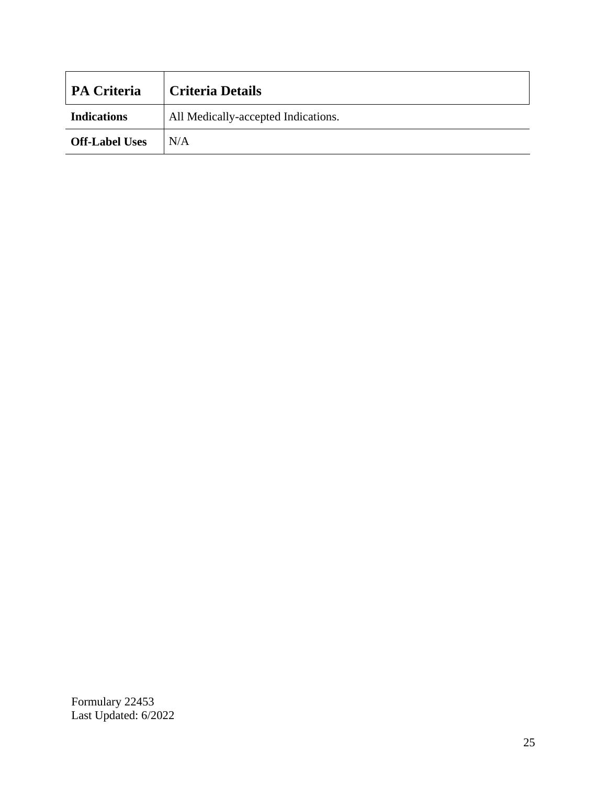| <b>PA Criteria</b>    | <b>Criteria Details</b>             |
|-----------------------|-------------------------------------|
| <b>Indications</b>    | All Medically-accepted Indications. |
| <b>Off-Label Uses</b> | N/A                                 |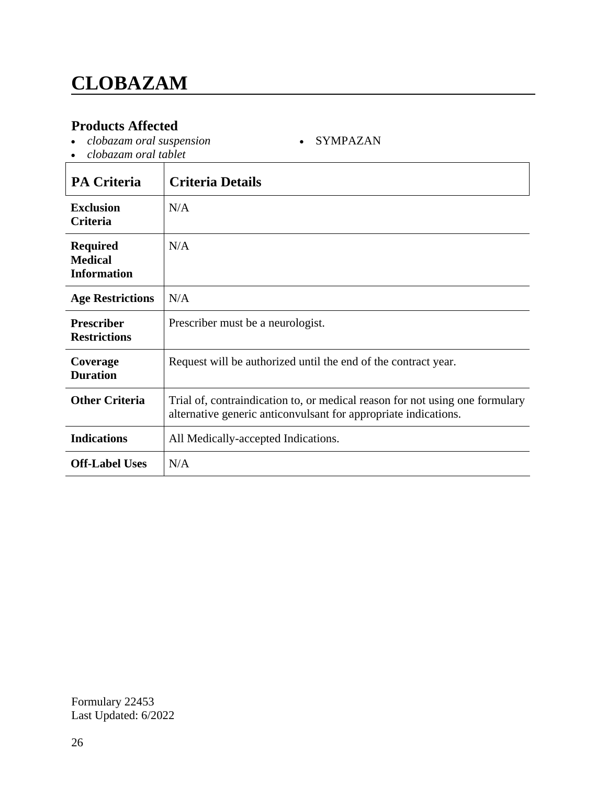#### **Products Affected**

*clobazam oral suspension*

SYMPAZAN

*clobazam oral tablet*

| <b>PA Criteria</b>                                      | <b>Criteria Details</b>                                                                                                                         |
|---------------------------------------------------------|-------------------------------------------------------------------------------------------------------------------------------------------------|
| <b>Exclusion</b><br><b>Criteria</b>                     | N/A                                                                                                                                             |
| <b>Required</b><br><b>Medical</b><br><b>Information</b> | N/A                                                                                                                                             |
| <b>Age Restrictions</b>                                 | N/A                                                                                                                                             |
| Prescriber<br><b>Restrictions</b>                       | Prescriber must be a neurologist.                                                                                                               |
| Coverage<br><b>Duration</b>                             | Request will be authorized until the end of the contract year.                                                                                  |
| <b>Other Criteria</b>                                   | Trial of, contraindication to, or medical reason for not using one formulary<br>alternative generic anticonvulsant for appropriate indications. |
| <b>Indications</b>                                      | All Medically-accepted Indications.                                                                                                             |
| <b>Off-Label Uses</b>                                   | N/A                                                                                                                                             |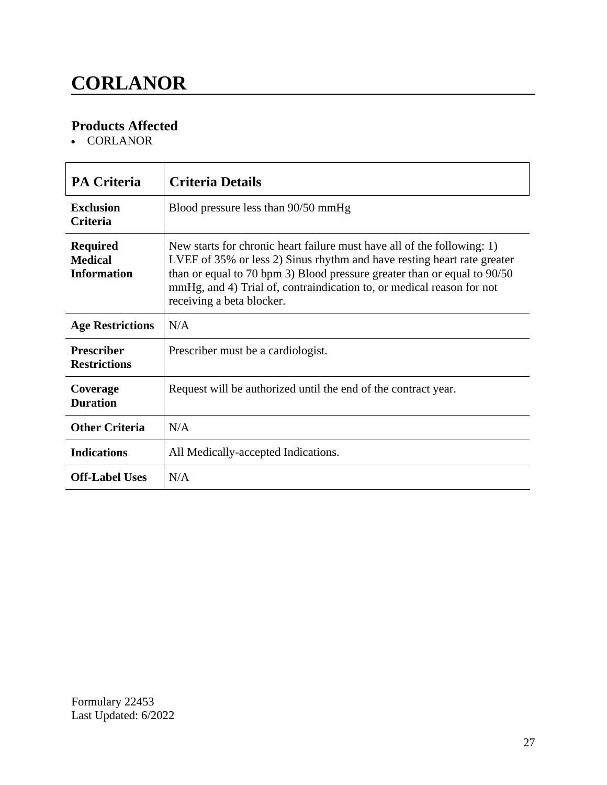# **CORLANOR**

### **Products Affected**

• CORLANOR

| <b>PA Criteria</b>                                      | <b>Criteria Details</b>                                                                                                                                                                                                                                                                                                              |
|---------------------------------------------------------|--------------------------------------------------------------------------------------------------------------------------------------------------------------------------------------------------------------------------------------------------------------------------------------------------------------------------------------|
| <b>Exclusion</b><br><b>Criteria</b>                     | Blood pressure less than 90/50 mmHg                                                                                                                                                                                                                                                                                                  |
| <b>Required</b><br><b>Medical</b><br><b>Information</b> | New starts for chronic heart failure must have all of the following: 1)<br>LVEF of 35% or less 2) Sinus rhythm and have resting heart rate greater<br>than or equal to 70 bpm 3) Blood pressure greater than or equal to 90/50<br>mmHg, and 4) Trial of, contraindication to, or medical reason for not<br>receiving a beta blocker. |
| <b>Age Restrictions</b>                                 | N/A                                                                                                                                                                                                                                                                                                                                  |
| <b>Prescriber</b><br><b>Restrictions</b>                | Prescriber must be a cardiologist.                                                                                                                                                                                                                                                                                                   |
| Coverage<br><b>Duration</b>                             | Request will be authorized until the end of the contract year.                                                                                                                                                                                                                                                                       |
| <b>Other Criteria</b>                                   | N/A                                                                                                                                                                                                                                                                                                                                  |
| <b>Indications</b>                                      | All Medically-accepted Indications.                                                                                                                                                                                                                                                                                                  |
| <b>Off-Label Uses</b>                                   | N/A                                                                                                                                                                                                                                                                                                                                  |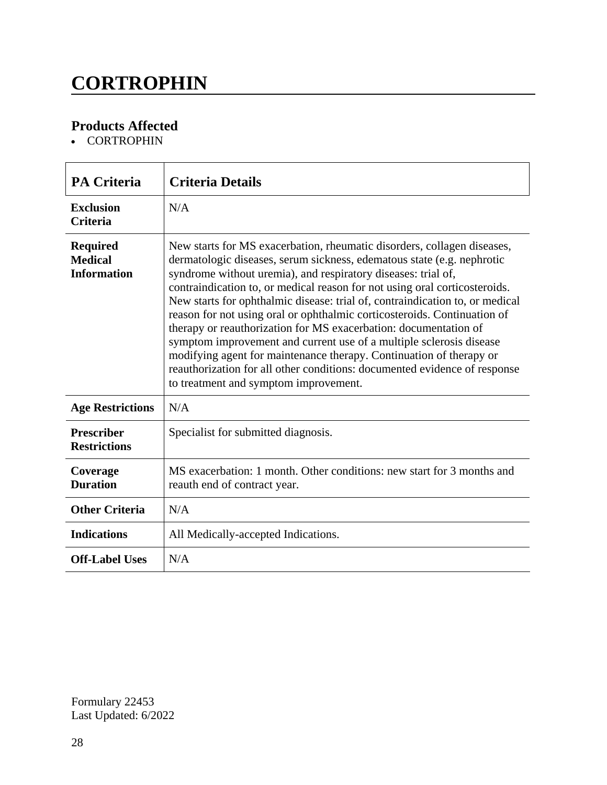### **CORTROPHIN**

### **Products Affected**

• CORTROPHIN

| <b>PA Criteria</b>                                      | <b>Criteria Details</b>                                                                                                                                                                                                                                                                                                                                                                                                                                                                                                                                                                                                                                                                                                                                                                              |
|---------------------------------------------------------|------------------------------------------------------------------------------------------------------------------------------------------------------------------------------------------------------------------------------------------------------------------------------------------------------------------------------------------------------------------------------------------------------------------------------------------------------------------------------------------------------------------------------------------------------------------------------------------------------------------------------------------------------------------------------------------------------------------------------------------------------------------------------------------------------|
| <b>Exclusion</b><br><b>Criteria</b>                     | N/A                                                                                                                                                                                                                                                                                                                                                                                                                                                                                                                                                                                                                                                                                                                                                                                                  |
| <b>Required</b><br><b>Medical</b><br><b>Information</b> | New starts for MS exacerbation, rheumatic disorders, collagen diseases,<br>dermatologic diseases, serum sickness, edematous state (e.g. nephrotic<br>syndrome without uremia), and respiratory diseases: trial of,<br>contraindication to, or medical reason for not using oral corticosteroids.<br>New starts for ophthalmic disease: trial of, contraindication to, or medical<br>reason for not using oral or ophthalmic corticosteroids. Continuation of<br>therapy or reauthorization for MS exacerbation: documentation of<br>symptom improvement and current use of a multiple sclerosis disease<br>modifying agent for maintenance therapy. Continuation of therapy or<br>reauthorization for all other conditions: documented evidence of response<br>to treatment and symptom improvement. |
| <b>Age Restrictions</b>                                 | N/A                                                                                                                                                                                                                                                                                                                                                                                                                                                                                                                                                                                                                                                                                                                                                                                                  |
| <b>Prescriber</b><br><b>Restrictions</b>                | Specialist for submitted diagnosis.                                                                                                                                                                                                                                                                                                                                                                                                                                                                                                                                                                                                                                                                                                                                                                  |
| Coverage<br><b>Duration</b>                             | MS exacerbation: 1 month. Other conditions: new start for 3 months and<br>reauth end of contract year.                                                                                                                                                                                                                                                                                                                                                                                                                                                                                                                                                                                                                                                                                               |
| <b>Other Criteria</b>                                   | N/A                                                                                                                                                                                                                                                                                                                                                                                                                                                                                                                                                                                                                                                                                                                                                                                                  |
| <b>Indications</b>                                      | All Medically-accepted Indications.                                                                                                                                                                                                                                                                                                                                                                                                                                                                                                                                                                                                                                                                                                                                                                  |
| <b>Off-Label Uses</b>                                   | N/A                                                                                                                                                                                                                                                                                                                                                                                                                                                                                                                                                                                                                                                                                                                                                                                                  |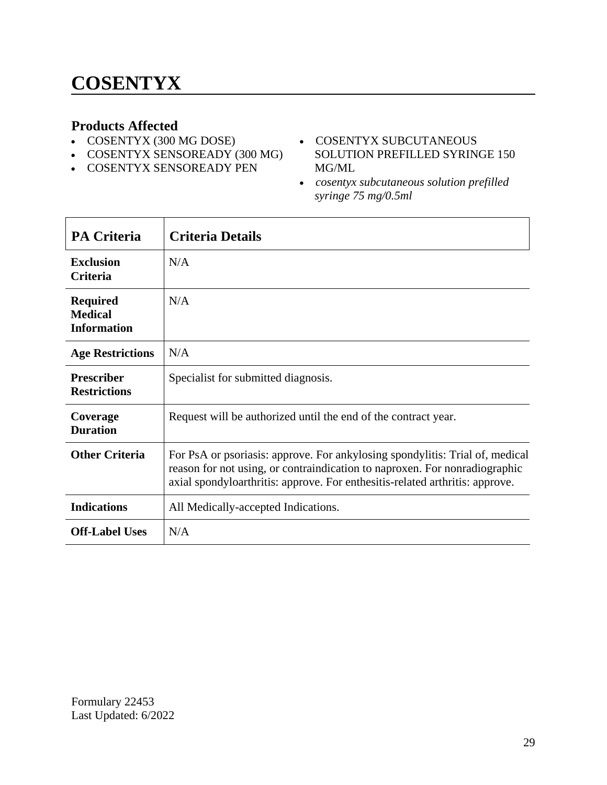#### **Products Affected**

- COSENTYX (300 MG DOSE)
- COSENTYX SENSOREADY (300 MG)
- COSENTYX SENSOREADY PEN
- COSENTYX SUBCUTANEOUS SOLUTION PREFILLED SYRINGE 150 MG/ML
- *cosentyx subcutaneous solution prefilled syringe 75 mg/0.5ml*

| <b>PA Criteria</b>                                      | <b>Criteria Details</b>                                                                                                                                                                                                                    |
|---------------------------------------------------------|--------------------------------------------------------------------------------------------------------------------------------------------------------------------------------------------------------------------------------------------|
| <b>Exclusion</b><br><b>Criteria</b>                     | N/A                                                                                                                                                                                                                                        |
| <b>Required</b><br><b>Medical</b><br><b>Information</b> | N/A                                                                                                                                                                                                                                        |
| <b>Age Restrictions</b>                                 | N/A                                                                                                                                                                                                                                        |
| <b>Prescriber</b><br><b>Restrictions</b>                | Specialist for submitted diagnosis.                                                                                                                                                                                                        |
| Coverage<br><b>Duration</b>                             | Request will be authorized until the end of the contract year.                                                                                                                                                                             |
| <b>Other Criteria</b>                                   | For PsA or psoriasis: approve. For ankylosing spondylitis: Trial of, medical<br>reason for not using, or contraindication to naproxen. For nonradiographic<br>axial spondyloarthritis: approve. For enthesitis-related arthritis: approve. |
| <b>Indications</b>                                      | All Medically-accepted Indications.                                                                                                                                                                                                        |
| <b>Off-Label Uses</b>                                   | N/A                                                                                                                                                                                                                                        |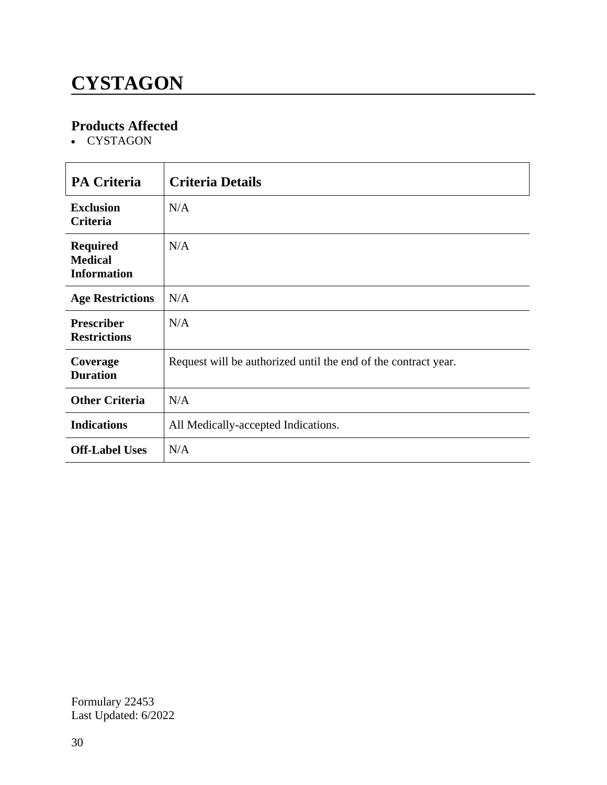### **CYSTAGON**

### **Products Affected**

• CYSTAGON

| <b>PA Criteria</b>                                      | <b>Criteria Details</b>                                        |
|---------------------------------------------------------|----------------------------------------------------------------|
| <b>Exclusion</b><br><b>Criteria</b>                     | N/A                                                            |
| <b>Required</b><br><b>Medical</b><br><b>Information</b> | N/A                                                            |
| <b>Age Restrictions</b>                                 | N/A                                                            |
| <b>Prescriber</b><br><b>Restrictions</b>                | N/A                                                            |
| Coverage<br><b>Duration</b>                             | Request will be authorized until the end of the contract year. |
| <b>Other Criteria</b>                                   | N/A                                                            |
| <b>Indications</b>                                      | All Medically-accepted Indications.                            |
| <b>Off-Label Uses</b>                                   | N/A                                                            |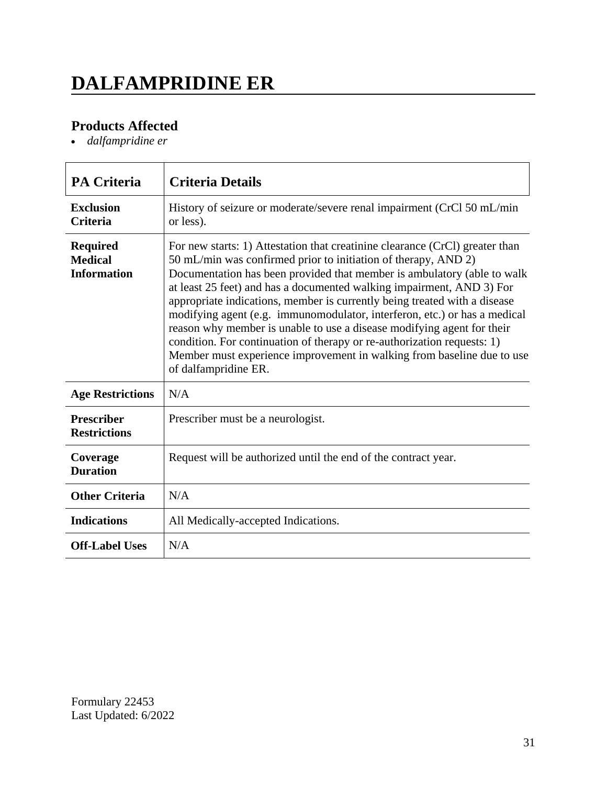# **DALFAMPRIDINE ER**

### **Products Affected**

*dalfampridine er*

| <b>PA Criteria</b>                                      | <b>Criteria Details</b>                                                                                                                                                                                                                                                                                                                                                                                                                                                                                                                                                                                                                                                                                             |
|---------------------------------------------------------|---------------------------------------------------------------------------------------------------------------------------------------------------------------------------------------------------------------------------------------------------------------------------------------------------------------------------------------------------------------------------------------------------------------------------------------------------------------------------------------------------------------------------------------------------------------------------------------------------------------------------------------------------------------------------------------------------------------------|
| <b>Exclusion</b><br><b>Criteria</b>                     | History of seizure or moderate/severe renal impairment (CrCl 50 mL/min<br>or less).                                                                                                                                                                                                                                                                                                                                                                                                                                                                                                                                                                                                                                 |
| <b>Required</b><br><b>Medical</b><br><b>Information</b> | For new starts: 1) Attestation that creatinine clearance (CrCl) greater than<br>50 mL/min was confirmed prior to initiation of therapy, AND 2)<br>Documentation has been provided that member is ambulatory (able to walk<br>at least 25 feet) and has a documented walking impairment, AND 3) For<br>appropriate indications, member is currently being treated with a disease<br>modifying agent (e.g. immunomodulator, interferon, etc.) or has a medical<br>reason why member is unable to use a disease modifying agent for their<br>condition. For continuation of therapy or re-authorization requests: 1)<br>Member must experience improvement in walking from baseline due to use<br>of dalfampridine ER. |
| <b>Age Restrictions</b>                                 | N/A                                                                                                                                                                                                                                                                                                                                                                                                                                                                                                                                                                                                                                                                                                                 |
| <b>Prescriber</b><br><b>Restrictions</b>                | Prescriber must be a neurologist.                                                                                                                                                                                                                                                                                                                                                                                                                                                                                                                                                                                                                                                                                   |
| Coverage<br><b>Duration</b>                             | Request will be authorized until the end of the contract year.                                                                                                                                                                                                                                                                                                                                                                                                                                                                                                                                                                                                                                                      |
| <b>Other Criteria</b>                                   | N/A                                                                                                                                                                                                                                                                                                                                                                                                                                                                                                                                                                                                                                                                                                                 |
| <b>Indications</b>                                      | All Medically-accepted Indications.                                                                                                                                                                                                                                                                                                                                                                                                                                                                                                                                                                                                                                                                                 |
| <b>Off-Label Uses</b>                                   | N/A                                                                                                                                                                                                                                                                                                                                                                                                                                                                                                                                                                                                                                                                                                                 |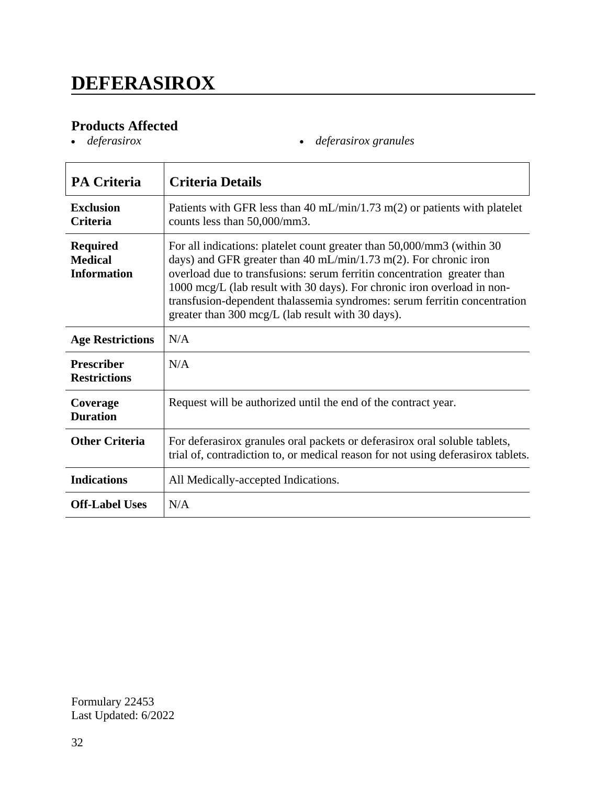### **DEFERASIROX**

# **Products Affected**

*deferasirox deferasirox granules*

| <b>PA Criteria</b>                                      | <b>Criteria Details</b>                                                                                                                                                                                                                                                                                                                                                                                                             |
|---------------------------------------------------------|-------------------------------------------------------------------------------------------------------------------------------------------------------------------------------------------------------------------------------------------------------------------------------------------------------------------------------------------------------------------------------------------------------------------------------------|
| <b>Exclusion</b><br><b>Criteria</b>                     | Patients with GFR less than 40 mL/min/1.73 m(2) or patients with platelet<br>counts less than 50,000/mm3.                                                                                                                                                                                                                                                                                                                           |
| <b>Required</b><br><b>Medical</b><br><b>Information</b> | For all indications: platelet count greater than 50,000/mm3 (within 30)<br>days) and GFR greater than 40 mL/min/1.73 m(2). For chronic iron<br>overload due to transfusions: serum ferritin concentration greater than<br>1000 mcg/L (lab result with 30 days). For chronic iron overload in non-<br>transfusion-dependent thalassemia syndromes: serum ferritin concentration<br>greater than 300 mcg/L (lab result with 30 days). |
| <b>Age Restrictions</b>                                 | N/A                                                                                                                                                                                                                                                                                                                                                                                                                                 |
| <b>Prescriber</b><br><b>Restrictions</b>                | N/A                                                                                                                                                                                                                                                                                                                                                                                                                                 |
| Coverage<br><b>Duration</b>                             | Request will be authorized until the end of the contract year.                                                                                                                                                                                                                                                                                                                                                                      |
| <b>Other Criteria</b>                                   | For deferasirox granules oral packets or deferasirox oral soluble tablets,<br>trial of, contradiction to, or medical reason for not using deferasirox tablets.                                                                                                                                                                                                                                                                      |
| <b>Indications</b>                                      | All Medically-accepted Indications.                                                                                                                                                                                                                                                                                                                                                                                                 |
| <b>Off-Label Uses</b>                                   | N/A                                                                                                                                                                                                                                                                                                                                                                                                                                 |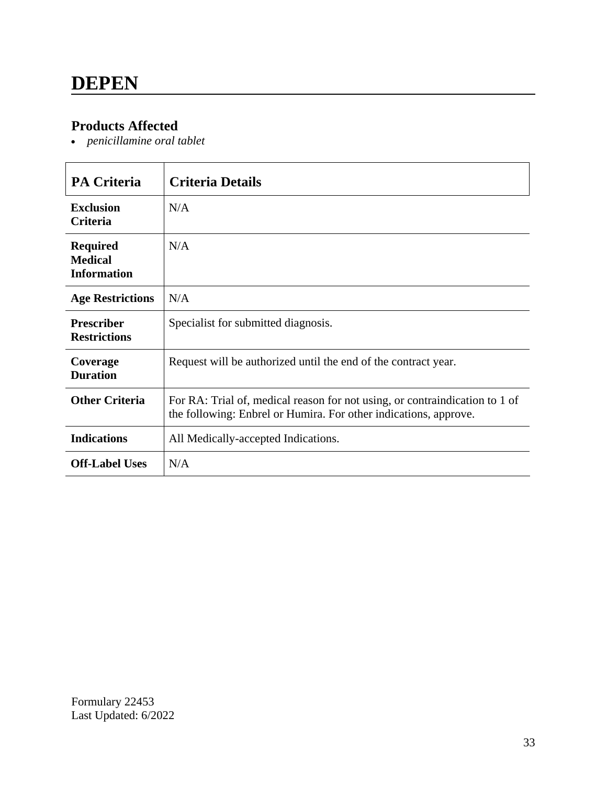#### **Products Affected**

*penicillamine oral tablet*

| <b>PA Criteria</b>                                      | <b>Criteria Details</b>                                                                                                                         |
|---------------------------------------------------------|-------------------------------------------------------------------------------------------------------------------------------------------------|
| <b>Exclusion</b><br>Criteria                            | N/A                                                                                                                                             |
| <b>Required</b><br><b>Medical</b><br><b>Information</b> | N/A                                                                                                                                             |
| <b>Age Restrictions</b>                                 | N/A                                                                                                                                             |
| <b>Prescriber</b><br><b>Restrictions</b>                | Specialist for submitted diagnosis.                                                                                                             |
| Coverage<br><b>Duration</b>                             | Request will be authorized until the end of the contract year.                                                                                  |
| <b>Other Criteria</b>                                   | For RA: Trial of, medical reason for not using, or contraindication to 1 of<br>the following: Enbrel or Humira. For other indications, approve. |
| <b>Indications</b>                                      | All Medically-accepted Indications.                                                                                                             |
| <b>Off-Label Uses</b>                                   | N/A                                                                                                                                             |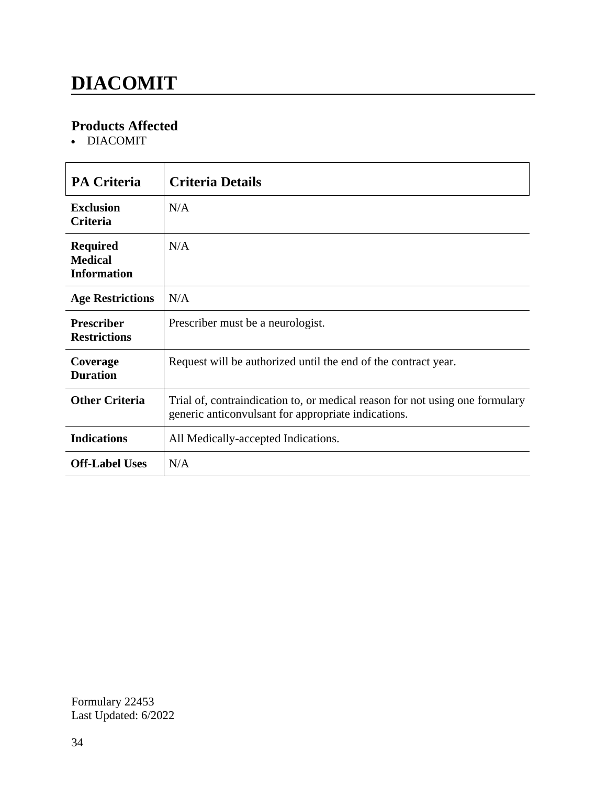### **DIACOMIT**

### **Products Affected**

DIACOMIT

| <b>PA Criteria</b>                                      | <b>Criteria Details</b>                                                                                                             |
|---------------------------------------------------------|-------------------------------------------------------------------------------------------------------------------------------------|
| <b>Exclusion</b><br><b>Criteria</b>                     | N/A                                                                                                                                 |
| <b>Required</b><br><b>Medical</b><br><b>Information</b> | N/A                                                                                                                                 |
| <b>Age Restrictions</b>                                 | N/A                                                                                                                                 |
| <b>Prescriber</b><br><b>Restrictions</b>                | Prescriber must be a neurologist.                                                                                                   |
| Coverage<br><b>Duration</b>                             | Request will be authorized until the end of the contract year.                                                                      |
| <b>Other Criteria</b>                                   | Trial of, contraindication to, or medical reason for not using one formulary<br>generic anticonvulsant for appropriate indications. |
| <b>Indications</b>                                      | All Medically-accepted Indications.                                                                                                 |
| <b>Off-Label Uses</b>                                   | N/A                                                                                                                                 |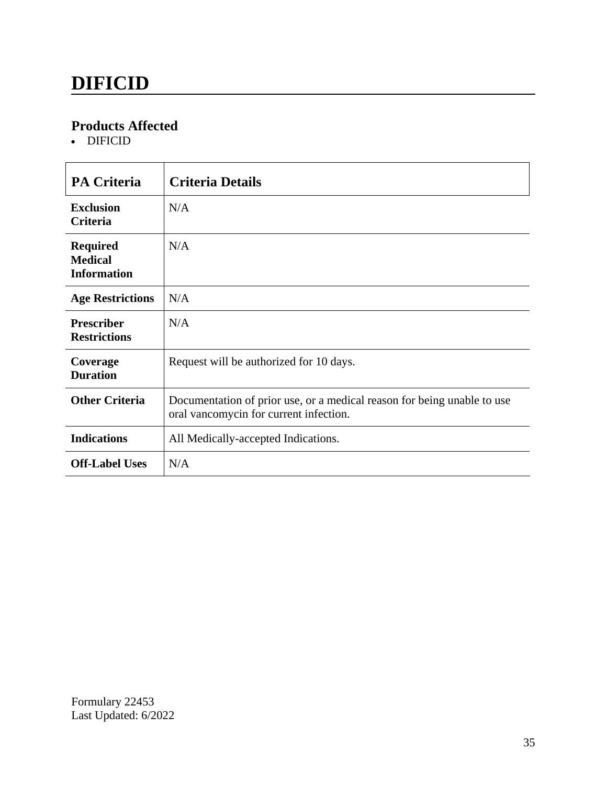# **DIFICID**

#### **Products Affected**

• DIFICID

| <b>PA Criteria</b>                                      | <b>Criteria Details</b>                                                                                           |
|---------------------------------------------------------|-------------------------------------------------------------------------------------------------------------------|
| <b>Exclusion</b><br><b>Criteria</b>                     | N/A                                                                                                               |
| <b>Required</b><br><b>Medical</b><br><b>Information</b> | N/A                                                                                                               |
| <b>Age Restrictions</b>                                 | N/A                                                                                                               |
| <b>Prescriber</b><br><b>Restrictions</b>                | N/A                                                                                                               |
| Coverage<br><b>Duration</b>                             | Request will be authorized for 10 days.                                                                           |
| <b>Other Criteria</b>                                   | Documentation of prior use, or a medical reason for being unable to use<br>oral vancomycin for current infection. |
| <b>Indications</b>                                      | All Medically-accepted Indications.                                                                               |
| <b>Off-Label Uses</b>                                   | N/A                                                                                                               |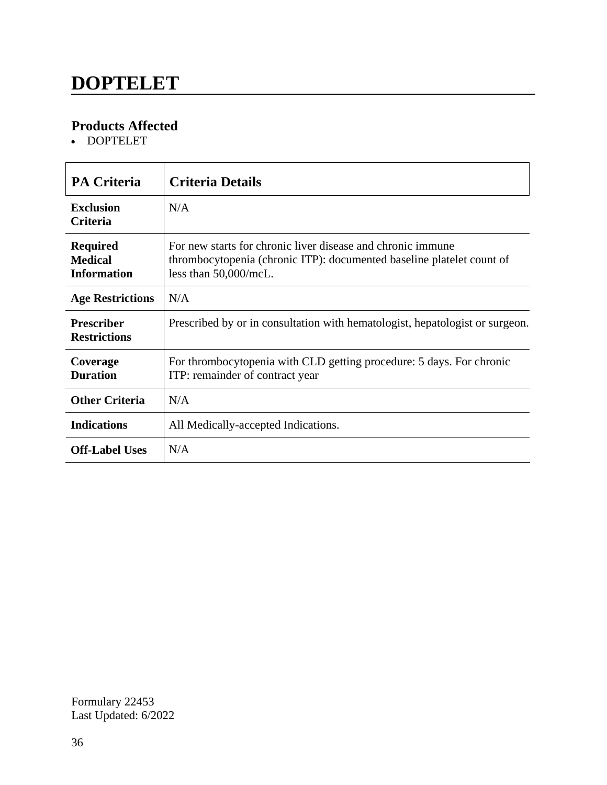### **DOPTELET**

### **Products Affected**

DOPTELET

| <b>PA Criteria</b>                                      | <b>Criteria Details</b>                                                                                                                                       |
|---------------------------------------------------------|---------------------------------------------------------------------------------------------------------------------------------------------------------------|
| <b>Exclusion</b><br><b>Criteria</b>                     | N/A                                                                                                                                                           |
| <b>Required</b><br><b>Medical</b><br><b>Information</b> | For new starts for chronic liver disease and chronic immune<br>thrombocytopenia (chronic ITP): documented baseline platelet count of<br>less than 50,000/mcL. |
| <b>Age Restrictions</b>                                 | N/A                                                                                                                                                           |
| <b>Prescriber</b><br><b>Restrictions</b>                | Prescribed by or in consultation with hematologist, hepatologist or surgeon.                                                                                  |
| Coverage<br><b>Duration</b>                             | For thrombocytopenia with CLD getting procedure: 5 days. For chronic<br>ITP: remainder of contract year                                                       |
| <b>Other Criteria</b>                                   | N/A                                                                                                                                                           |
| <b>Indications</b>                                      | All Medically-accepted Indications.                                                                                                                           |
| <b>Off-Label Uses</b>                                   | N/A                                                                                                                                                           |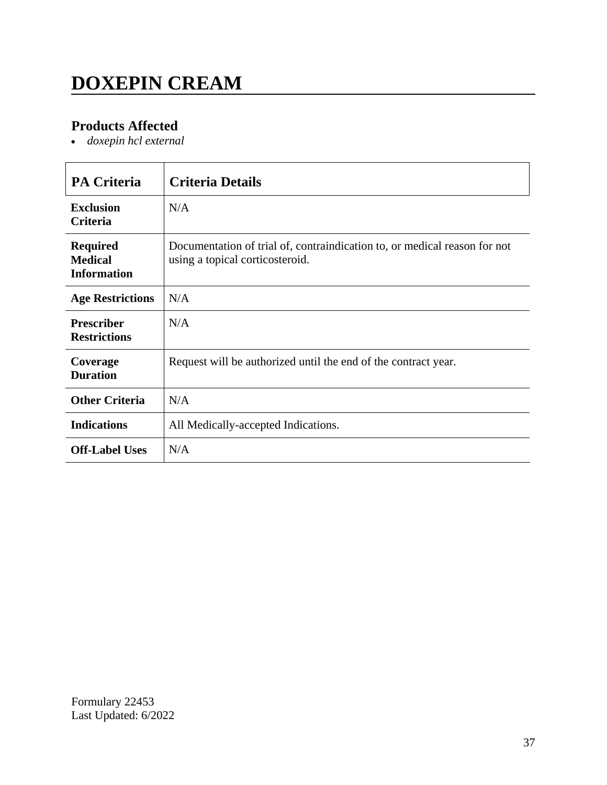# **DOXEPIN CREAM**

### **Products Affected**

*doxepin hcl external*

| <b>PA Criteria</b>                                      | <b>Criteria Details</b>                                                                                      |
|---------------------------------------------------------|--------------------------------------------------------------------------------------------------------------|
| <b>Exclusion</b><br><b>Criteria</b>                     | N/A                                                                                                          |
| <b>Required</b><br><b>Medical</b><br><b>Information</b> | Documentation of trial of, contraindication to, or medical reason for not<br>using a topical corticosteroid. |
| <b>Age Restrictions</b>                                 | N/A                                                                                                          |
| <b>Prescriber</b><br><b>Restrictions</b>                | N/A                                                                                                          |
| Coverage<br><b>Duration</b>                             | Request will be authorized until the end of the contract year.                                               |
| <b>Other Criteria</b>                                   | N/A                                                                                                          |
| <b>Indications</b>                                      | All Medically-accepted Indications.                                                                          |
| <b>Off-Label Uses</b>                                   | N/A                                                                                                          |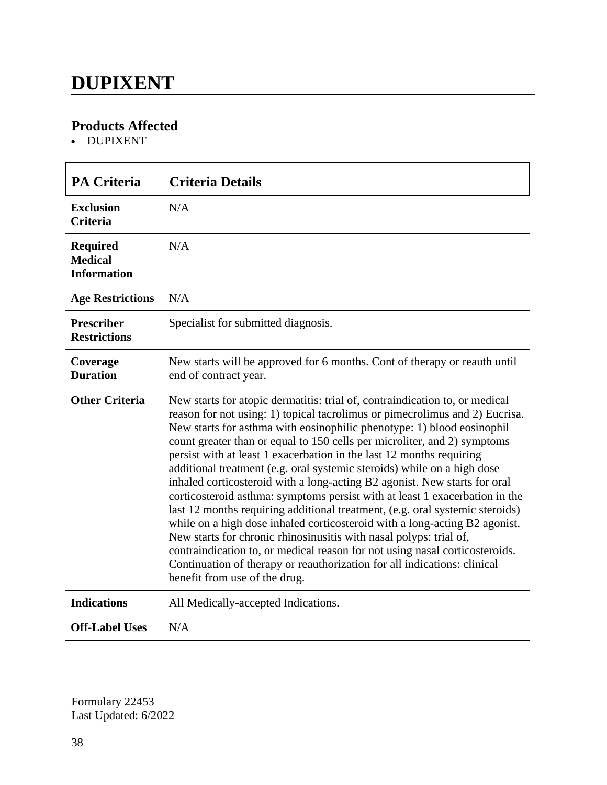### **DUPIXENT**

### **Products Affected**

DUPIXENT

| <b>PA Criteria</b>                                      | <b>Criteria Details</b>                                                                                                                                                                                                                                                                                                                                                                                                                                                                                                                                                                                                                                                                                                                                                                                                                                                                                                                                                                                                                                         |
|---------------------------------------------------------|-----------------------------------------------------------------------------------------------------------------------------------------------------------------------------------------------------------------------------------------------------------------------------------------------------------------------------------------------------------------------------------------------------------------------------------------------------------------------------------------------------------------------------------------------------------------------------------------------------------------------------------------------------------------------------------------------------------------------------------------------------------------------------------------------------------------------------------------------------------------------------------------------------------------------------------------------------------------------------------------------------------------------------------------------------------------|
| <b>Exclusion</b><br><b>Criteria</b>                     | N/A                                                                                                                                                                                                                                                                                                                                                                                                                                                                                                                                                                                                                                                                                                                                                                                                                                                                                                                                                                                                                                                             |
| <b>Required</b><br><b>Medical</b><br><b>Information</b> | N/A                                                                                                                                                                                                                                                                                                                                                                                                                                                                                                                                                                                                                                                                                                                                                                                                                                                                                                                                                                                                                                                             |
| <b>Age Restrictions</b>                                 | N/A                                                                                                                                                                                                                                                                                                                                                                                                                                                                                                                                                                                                                                                                                                                                                                                                                                                                                                                                                                                                                                                             |
| <b>Prescriber</b><br><b>Restrictions</b>                | Specialist for submitted diagnosis.                                                                                                                                                                                                                                                                                                                                                                                                                                                                                                                                                                                                                                                                                                                                                                                                                                                                                                                                                                                                                             |
| Coverage<br><b>Duration</b>                             | New starts will be approved for 6 months. Cont of therapy or reauth until<br>end of contract year.                                                                                                                                                                                                                                                                                                                                                                                                                                                                                                                                                                                                                                                                                                                                                                                                                                                                                                                                                              |
| <b>Other Criteria</b>                                   | New starts for atopic dermatitis: trial of, contraindication to, or medical<br>reason for not using: 1) topical tacrolimus or pimecrolimus and 2) Eucrisa.<br>New starts for asthma with eosinophilic phenotype: 1) blood eosinophil<br>count greater than or equal to 150 cells per microliter, and 2) symptoms<br>persist with at least 1 exacerbation in the last 12 months requiring<br>additional treatment (e.g. oral systemic steroids) while on a high dose<br>inhaled corticosteroid with a long-acting B2 agonist. New starts for oral<br>corticosteroid asthma: symptoms persist with at least 1 exacerbation in the<br>last 12 months requiring additional treatment, (e.g. oral systemic steroids)<br>while on a high dose inhaled corticosteroid with a long-acting B2 agonist.<br>New starts for chronic rhinosinusitis with nasal polyps: trial of,<br>contraindication to, or medical reason for not using nasal corticosteroids.<br>Continuation of therapy or reauthorization for all indications: clinical<br>benefit from use of the drug. |
| <b>Indications</b>                                      | All Medically-accepted Indications.                                                                                                                                                                                                                                                                                                                                                                                                                                                                                                                                                                                                                                                                                                                                                                                                                                                                                                                                                                                                                             |
| <b>Off-Label Uses</b>                                   | N/A                                                                                                                                                                                                                                                                                                                                                                                                                                                                                                                                                                                                                                                                                                                                                                                                                                                                                                                                                                                                                                                             |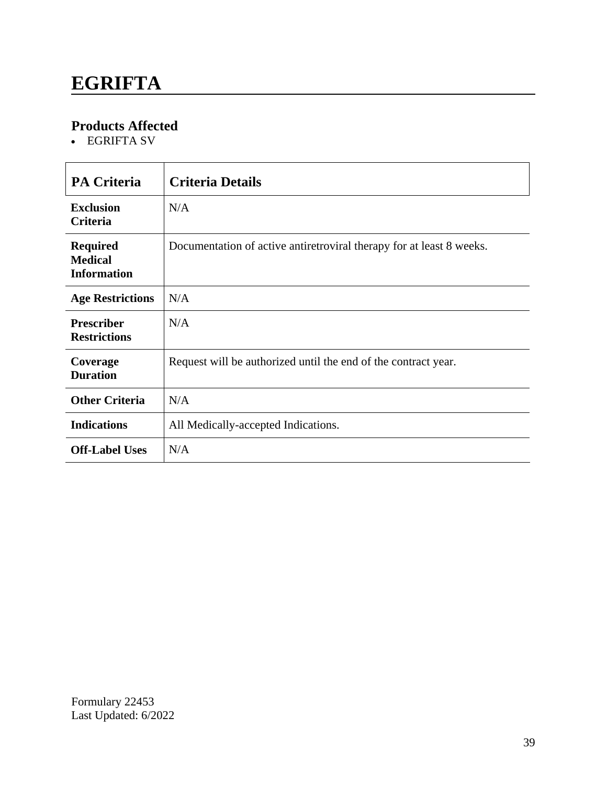### **EGRIFTA**

### **Products Affected**

EGRIFTA SV

| <b>PA Criteria</b>                                      | <b>Criteria Details</b>                                              |
|---------------------------------------------------------|----------------------------------------------------------------------|
| <b>Exclusion</b><br><b>Criteria</b>                     | N/A                                                                  |
| <b>Required</b><br><b>Medical</b><br><b>Information</b> | Documentation of active antiretroviral therapy for at least 8 weeks. |
| <b>Age Restrictions</b>                                 | N/A                                                                  |
| <b>Prescriber</b><br><b>Restrictions</b>                | N/A                                                                  |
| Coverage<br><b>Duration</b>                             | Request will be authorized until the end of the contract year.       |
| <b>Other Criteria</b>                                   | N/A                                                                  |
| <b>Indications</b>                                      | All Medically-accepted Indications.                                  |
| <b>Off-Label Uses</b>                                   | N/A                                                                  |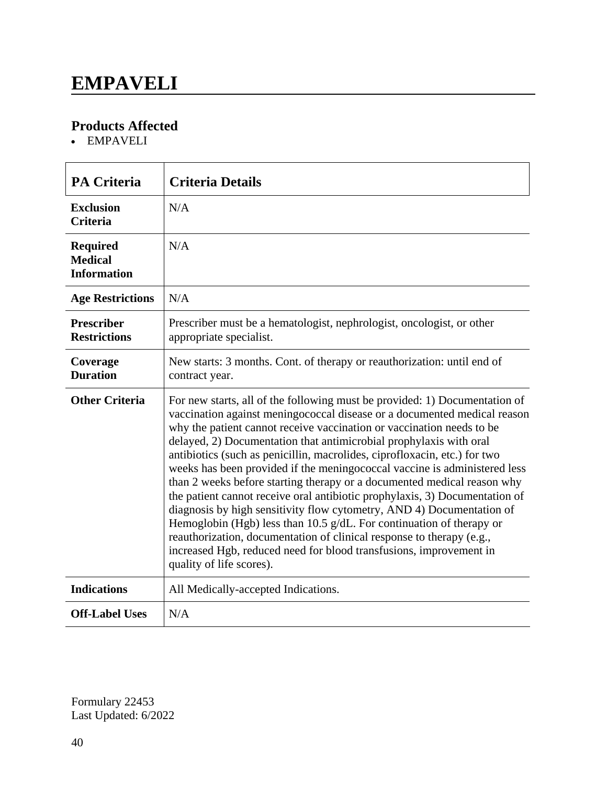### **EMPAVELI**

### **Products Affected**

EMPAVELI

| <b>PA Criteria</b>                                      | <b>Criteria Details</b>                                                                                                                                                                                                                                                                                                                                                                                                                                                                                                                                                                                                                                                                                                                                                                                                                                                                                                                               |
|---------------------------------------------------------|-------------------------------------------------------------------------------------------------------------------------------------------------------------------------------------------------------------------------------------------------------------------------------------------------------------------------------------------------------------------------------------------------------------------------------------------------------------------------------------------------------------------------------------------------------------------------------------------------------------------------------------------------------------------------------------------------------------------------------------------------------------------------------------------------------------------------------------------------------------------------------------------------------------------------------------------------------|
| <b>Exclusion</b><br><b>Criteria</b>                     | N/A                                                                                                                                                                                                                                                                                                                                                                                                                                                                                                                                                                                                                                                                                                                                                                                                                                                                                                                                                   |
| <b>Required</b><br><b>Medical</b><br><b>Information</b> | N/A                                                                                                                                                                                                                                                                                                                                                                                                                                                                                                                                                                                                                                                                                                                                                                                                                                                                                                                                                   |
| <b>Age Restrictions</b>                                 | N/A                                                                                                                                                                                                                                                                                                                                                                                                                                                                                                                                                                                                                                                                                                                                                                                                                                                                                                                                                   |
| <b>Prescriber</b><br><b>Restrictions</b>                | Prescriber must be a hematologist, nephrologist, oncologist, or other<br>appropriate specialist.                                                                                                                                                                                                                                                                                                                                                                                                                                                                                                                                                                                                                                                                                                                                                                                                                                                      |
| Coverage<br><b>Duration</b>                             | New starts: 3 months. Cont. of therapy or reauthorization: until end of<br>contract year.                                                                                                                                                                                                                                                                                                                                                                                                                                                                                                                                                                                                                                                                                                                                                                                                                                                             |
| <b>Other Criteria</b>                                   | For new starts, all of the following must be provided: 1) Documentation of<br>vaccination against meningococcal disease or a documented medical reason<br>why the patient cannot receive vaccination or vaccination needs to be<br>delayed, 2) Documentation that antimicrobial prophylaxis with oral<br>antibiotics (such as penicillin, macrolides, ciprofloxacin, etc.) for two<br>weeks has been provided if the meningococcal vaccine is administered less<br>than 2 weeks before starting therapy or a documented medical reason why<br>the patient cannot receive oral antibiotic prophylaxis, 3) Documentation of<br>diagnosis by high sensitivity flow cytometry, AND 4) Documentation of<br>Hemoglobin (Hgb) less than 10.5 g/dL. For continuation of therapy or<br>reauthorization, documentation of clinical response to therapy (e.g.,<br>increased Hgb, reduced need for blood transfusions, improvement in<br>quality of life scores). |
| <b>Indications</b>                                      | All Medically-accepted Indications.                                                                                                                                                                                                                                                                                                                                                                                                                                                                                                                                                                                                                                                                                                                                                                                                                                                                                                                   |
| <b>Off-Label Uses</b>                                   | N/A                                                                                                                                                                                                                                                                                                                                                                                                                                                                                                                                                                                                                                                                                                                                                                                                                                                                                                                                                   |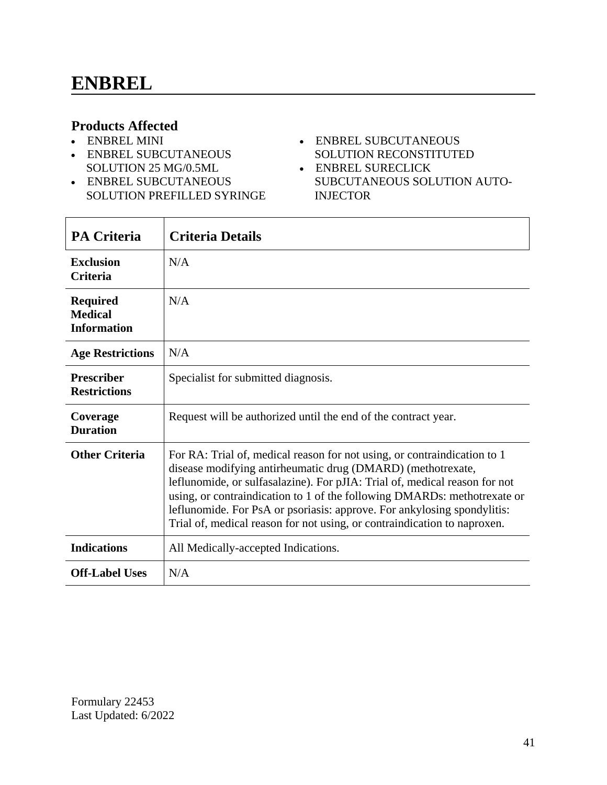#### **Products Affected**

- ENBREL MINI
- ENBREL SUBCUTANEOUS SOLUTION 25 MG/0.5ML
- ENBREL SUBCUTANEOUS SOLUTION PREFILLED SYRINGE
- ENBREL SUBCUTANEOUS SOLUTION RECONSTITUTED
- ENBREL SURECLICK SUBCUTANEOUS SOLUTION AUTO-INJECTOR

| <b>PA Criteria</b>                                      | <b>Criteria Details</b>                                                                                                                                                                                                                                                                                                                                                                                                                                  |
|---------------------------------------------------------|----------------------------------------------------------------------------------------------------------------------------------------------------------------------------------------------------------------------------------------------------------------------------------------------------------------------------------------------------------------------------------------------------------------------------------------------------------|
| <b>Exclusion</b><br><b>Criteria</b>                     | N/A                                                                                                                                                                                                                                                                                                                                                                                                                                                      |
| <b>Required</b><br><b>Medical</b><br><b>Information</b> | N/A                                                                                                                                                                                                                                                                                                                                                                                                                                                      |
| <b>Age Restrictions</b>                                 | N/A                                                                                                                                                                                                                                                                                                                                                                                                                                                      |
| <b>Prescriber</b><br><b>Restrictions</b>                | Specialist for submitted diagnosis.                                                                                                                                                                                                                                                                                                                                                                                                                      |
| Coverage<br><b>Duration</b>                             | Request will be authorized until the end of the contract year.                                                                                                                                                                                                                                                                                                                                                                                           |
| <b>Other Criteria</b>                                   | For RA: Trial of, medical reason for not using, or contraindication to 1<br>disease modifying antirheumatic drug (DMARD) (methotrexate,<br>leflunomide, or sulfasalazine). For pJIA: Trial of, medical reason for not<br>using, or contraindication to 1 of the following DMARDs: methotrexate or<br>leflunomide. For PsA or psoriasis: approve. For ankylosing spondylitis:<br>Trial of, medical reason for not using, or contraindication to naproxen. |
| <b>Indications</b>                                      | All Medically-accepted Indications.                                                                                                                                                                                                                                                                                                                                                                                                                      |
| <b>Off-Label Uses</b>                                   | N/A                                                                                                                                                                                                                                                                                                                                                                                                                                                      |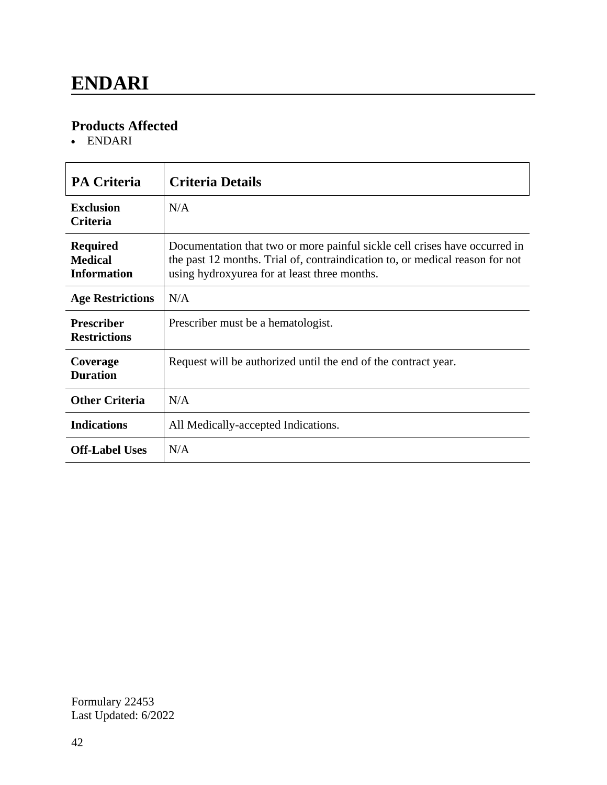### **Products Affected**

ENDARI

| <b>PA Criteria</b>                                      | <b>Criteria Details</b>                                                                                                                                                                                    |
|---------------------------------------------------------|------------------------------------------------------------------------------------------------------------------------------------------------------------------------------------------------------------|
| <b>Exclusion</b><br><b>Criteria</b>                     | N/A                                                                                                                                                                                                        |
| <b>Required</b><br><b>Medical</b><br><b>Information</b> | Documentation that two or more painful sickle cell crises have occurred in<br>the past 12 months. Trial of, contraindication to, or medical reason for not<br>using hydroxyurea for at least three months. |
| <b>Age Restrictions</b>                                 | N/A                                                                                                                                                                                                        |
| <b>Prescriber</b><br><b>Restrictions</b>                | Prescriber must be a hematologist.                                                                                                                                                                         |
| Coverage<br><b>Duration</b>                             | Request will be authorized until the end of the contract year.                                                                                                                                             |
| <b>Other Criteria</b>                                   | N/A                                                                                                                                                                                                        |
| <b>Indications</b>                                      | All Medically-accepted Indications.                                                                                                                                                                        |
| <b>Off-Label Uses</b>                                   | N/A                                                                                                                                                                                                        |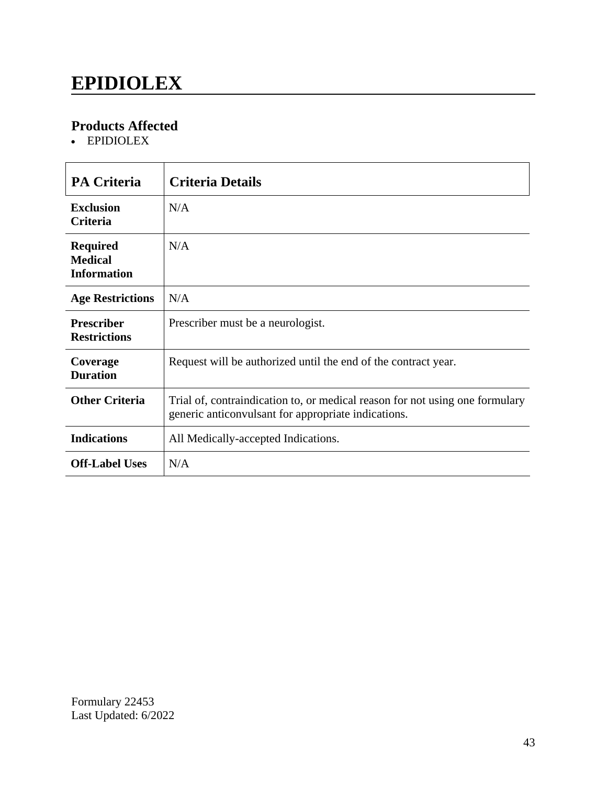### **EPIDIOLEX**

### **Products Affected**

EPIDIOLEX

| <b>PA Criteria</b>                                      | <b>Criteria Details</b>                                                                                                             |
|---------------------------------------------------------|-------------------------------------------------------------------------------------------------------------------------------------|
| <b>Exclusion</b><br><b>Criteria</b>                     | N/A                                                                                                                                 |
| <b>Required</b><br><b>Medical</b><br><b>Information</b> | N/A                                                                                                                                 |
| <b>Age Restrictions</b>                                 | N/A                                                                                                                                 |
| <b>Prescriber</b><br><b>Restrictions</b>                | Prescriber must be a neurologist.                                                                                                   |
| Coverage<br><b>Duration</b>                             | Request will be authorized until the end of the contract year.                                                                      |
| <b>Other Criteria</b>                                   | Trial of, contraindication to, or medical reason for not using one formulary<br>generic anticonvulsant for appropriate indications. |
| <b>Indications</b>                                      | All Medically-accepted Indications.                                                                                                 |
| <b>Off-Label Uses</b>                                   | N/A                                                                                                                                 |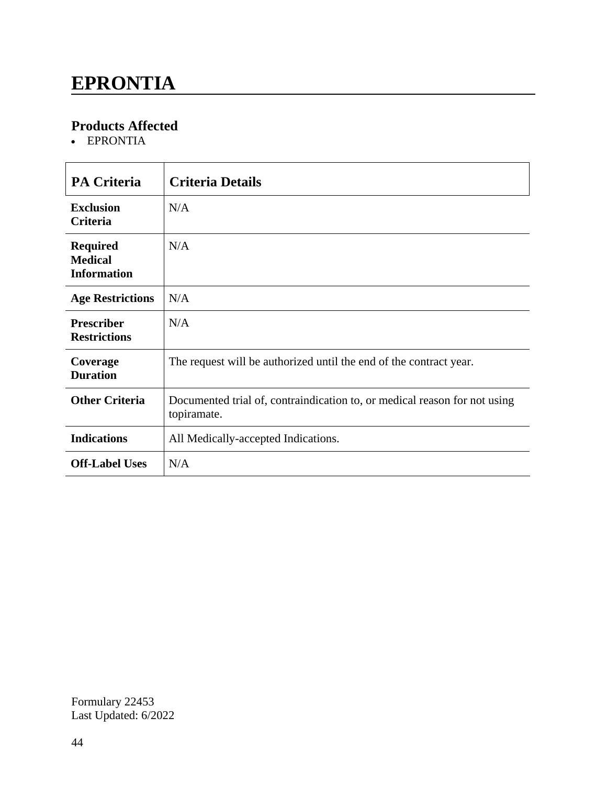### **EPRONTIA**

### **Products Affected**

EPRONTIA

| <b>PA Criteria</b>                                      | <b>Criteria Details</b>                                                                  |
|---------------------------------------------------------|------------------------------------------------------------------------------------------|
| <b>Exclusion</b><br><b>Criteria</b>                     | N/A                                                                                      |
| <b>Required</b><br><b>Medical</b><br><b>Information</b> | N/A                                                                                      |
| <b>Age Restrictions</b>                                 | N/A                                                                                      |
| <b>Prescriber</b><br><b>Restrictions</b>                | N/A                                                                                      |
| Coverage<br><b>Duration</b>                             | The request will be authorized until the end of the contract year.                       |
| <b>Other Criteria</b>                                   | Documented trial of, contraindication to, or medical reason for not using<br>topiramate. |
| <b>Indications</b>                                      | All Medically-accepted Indications.                                                      |
| <b>Off-Label Uses</b>                                   | N/A                                                                                      |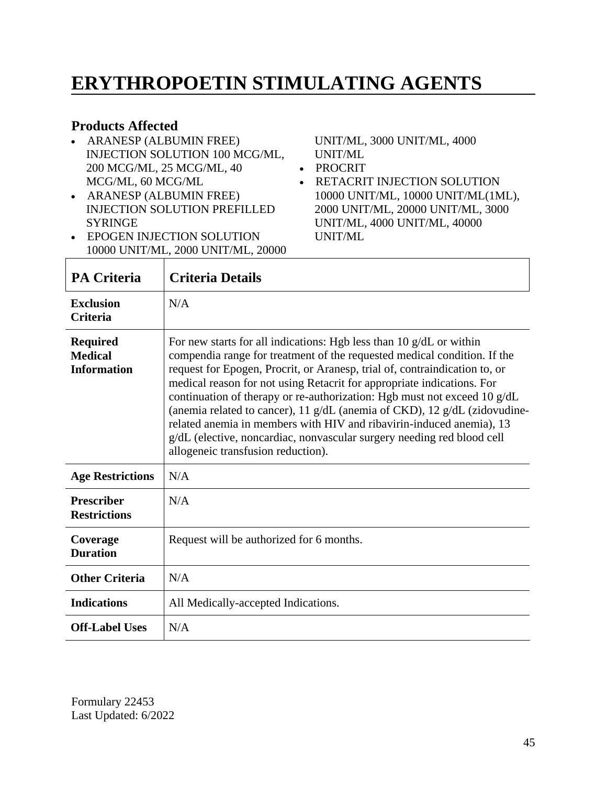### **ERYTHROPOETIN STIMULATING AGENTS**

#### **Products Affected**

- ARANESP (ALBUMIN FREE) INJECTION SOLUTION 100 MCG/ML, 200 MCG/ML, 25 MCG/ML, 40 MCG/ML, 60 MCG/ML
- ARANESP (ALBUMIN FREE) INJECTION SOLUTION PREFILLED SYRINGE
- EPOGEN INJECTION SOLUTION 10000 UNIT/ML, 2000 UNIT/ML, 20000

UNIT/ML, 3000 UNIT/ML, 4000 UNIT/ML

- PROCRIT
- RETACRIT INJECTION SOLUTION 10000 UNIT/ML, 10000 UNIT/ML(1ML), 2000 UNIT/ML, 20000 UNIT/ML, 3000 UNIT/ML, 4000 UNIT/ML, 40000 UNIT/ML

| <b>PA Criteria</b>                                      | <b>Criteria Details</b>                                                                                                                                                                                                                                                                                                                                                                                                                                                                                                                                                                                                                                            |
|---------------------------------------------------------|--------------------------------------------------------------------------------------------------------------------------------------------------------------------------------------------------------------------------------------------------------------------------------------------------------------------------------------------------------------------------------------------------------------------------------------------------------------------------------------------------------------------------------------------------------------------------------------------------------------------------------------------------------------------|
| <b>Exclusion</b><br><b>Criteria</b>                     | N/A                                                                                                                                                                                                                                                                                                                                                                                                                                                                                                                                                                                                                                                                |
| <b>Required</b><br><b>Medical</b><br><b>Information</b> | For new starts for all indications: Hgb less than $10 \text{ g}/dL$ or within<br>compendia range for treatment of the requested medical condition. If the<br>request for Epogen, Procrit, or Aranesp, trial of, contraindication to, or<br>medical reason for not using Retacrit for appropriate indications. For<br>continuation of therapy or re-authorization: Hgb must not exceed 10 g/dL<br>(anemia related to cancer), 11 g/dL (anemia of CKD), 12 g/dL (zidovudine-<br>related anemia in members with HIV and ribavirin-induced anemia), 13<br>g/dL (elective, noncardiac, nonvascular surgery needing red blood cell<br>allogeneic transfusion reduction). |
| <b>Age Restrictions</b>                                 | N/A                                                                                                                                                                                                                                                                                                                                                                                                                                                                                                                                                                                                                                                                |
| <b>Prescriber</b><br><b>Restrictions</b>                | N/A                                                                                                                                                                                                                                                                                                                                                                                                                                                                                                                                                                                                                                                                |
| Coverage<br><b>Duration</b>                             | Request will be authorized for 6 months.                                                                                                                                                                                                                                                                                                                                                                                                                                                                                                                                                                                                                           |
| <b>Other Criteria</b>                                   | N/A                                                                                                                                                                                                                                                                                                                                                                                                                                                                                                                                                                                                                                                                |
| <b>Indications</b>                                      | All Medically-accepted Indications.                                                                                                                                                                                                                                                                                                                                                                                                                                                                                                                                                                                                                                |
| <b>Off-Label Uses</b>                                   | N/A                                                                                                                                                                                                                                                                                                                                                                                                                                                                                                                                                                                                                                                                |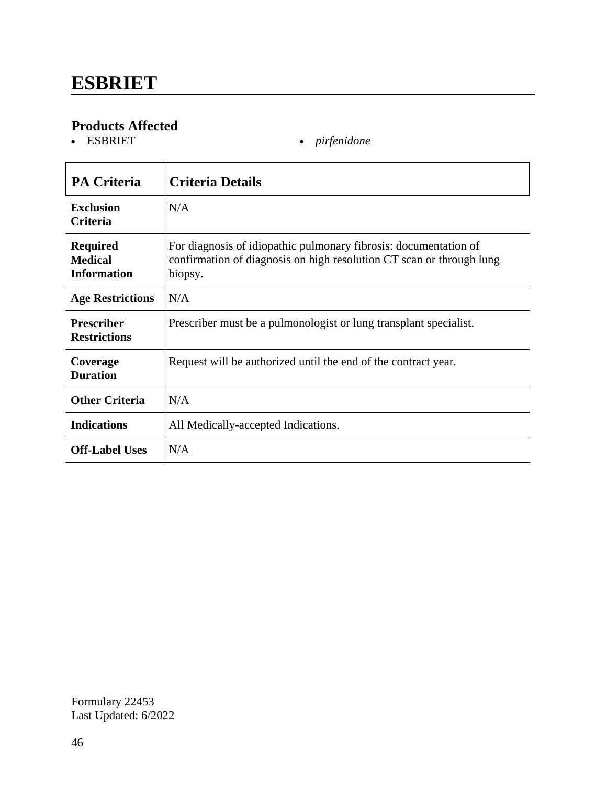# **Products Affected**

• *pirfenidone* 

| <b>PA Criteria</b>                                      | <b>Criteria Details</b>                                                                                                                             |
|---------------------------------------------------------|-----------------------------------------------------------------------------------------------------------------------------------------------------|
| <b>Exclusion</b><br><b>Criteria</b>                     | N/A                                                                                                                                                 |
| <b>Required</b><br><b>Medical</b><br><b>Information</b> | For diagnosis of idiopathic pulmonary fibrosis: documentation of<br>confirmation of diagnosis on high resolution CT scan or through lung<br>biopsy. |
| <b>Age Restrictions</b>                                 | N/A                                                                                                                                                 |
| <b>Prescriber</b><br><b>Restrictions</b>                | Prescriber must be a pulmonologist or lung transplant specialist.                                                                                   |
| Coverage<br><b>Duration</b>                             | Request will be authorized until the end of the contract year.                                                                                      |
| <b>Other Criteria</b>                                   | N/A                                                                                                                                                 |
| <b>Indications</b>                                      | All Medically-accepted Indications.                                                                                                                 |
| <b>Off-Label Uses</b>                                   | N/A                                                                                                                                                 |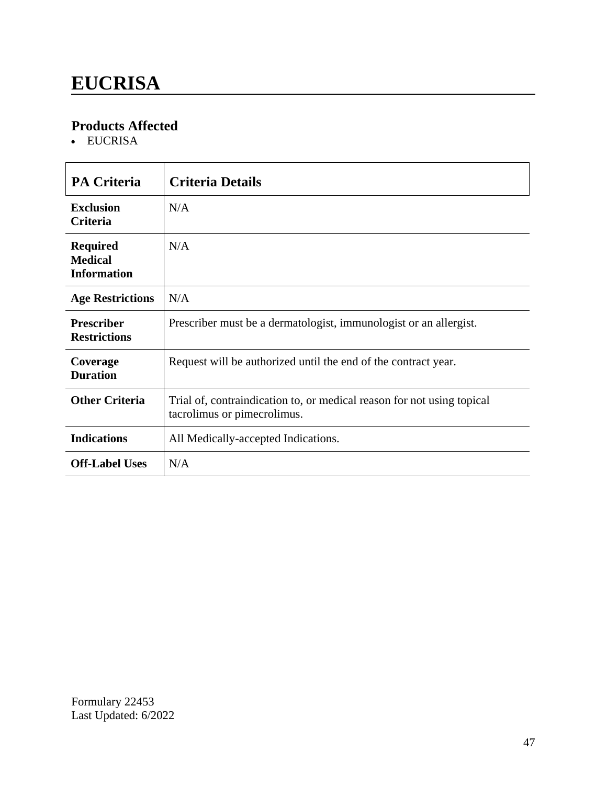### **EUCRISA**

### **Products Affected**

• EUCRISA

| <b>PA Criteria</b>                                      | <b>Criteria Details</b>                                                                               |
|---------------------------------------------------------|-------------------------------------------------------------------------------------------------------|
| <b>Exclusion</b><br><b>Criteria</b>                     | N/A                                                                                                   |
| <b>Required</b><br><b>Medical</b><br><b>Information</b> | N/A                                                                                                   |
| <b>Age Restrictions</b>                                 | N/A                                                                                                   |
| <b>Prescriber</b><br><b>Restrictions</b>                | Prescriber must be a dermatologist, immunologist or an allergist.                                     |
| Coverage<br><b>Duration</b>                             | Request will be authorized until the end of the contract year.                                        |
| <b>Other Criteria</b>                                   | Trial of, contraindication to, or medical reason for not using topical<br>tacrolimus or pimecrolimus. |
| <b>Indications</b>                                      | All Medically-accepted Indications.                                                                   |
| <b>Off-Label Uses</b>                                   | N/A                                                                                                   |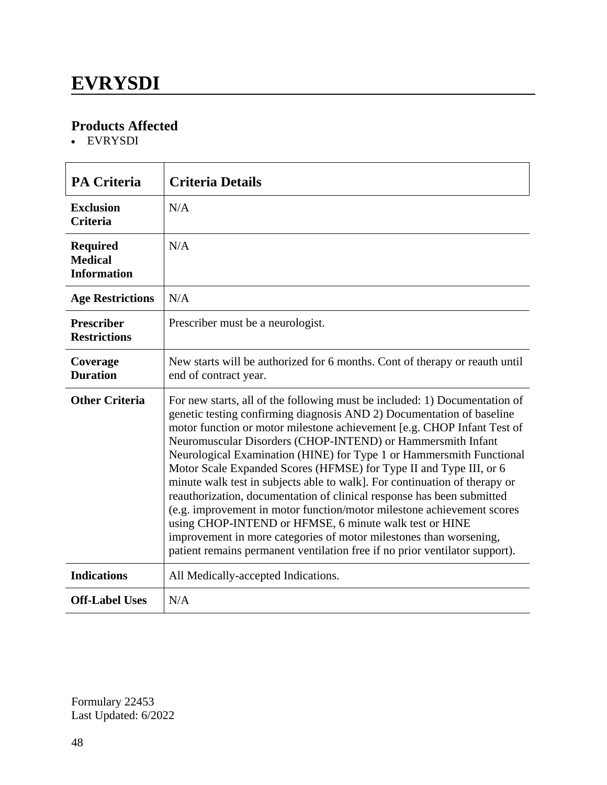### **EVRYSDI**

### **Products Affected**

EVRYSDI

| <b>PA Criteria</b>                                      | <b>Criteria Details</b>                                                                                                                                                                                                                                                                                                                                                                                                                                                                                                                                                                                                                                                                                                                                                                                                                                                                      |
|---------------------------------------------------------|----------------------------------------------------------------------------------------------------------------------------------------------------------------------------------------------------------------------------------------------------------------------------------------------------------------------------------------------------------------------------------------------------------------------------------------------------------------------------------------------------------------------------------------------------------------------------------------------------------------------------------------------------------------------------------------------------------------------------------------------------------------------------------------------------------------------------------------------------------------------------------------------|
| <b>Exclusion</b><br><b>Criteria</b>                     | N/A                                                                                                                                                                                                                                                                                                                                                                                                                                                                                                                                                                                                                                                                                                                                                                                                                                                                                          |
| <b>Required</b><br><b>Medical</b><br><b>Information</b> | N/A                                                                                                                                                                                                                                                                                                                                                                                                                                                                                                                                                                                                                                                                                                                                                                                                                                                                                          |
| <b>Age Restrictions</b>                                 | N/A                                                                                                                                                                                                                                                                                                                                                                                                                                                                                                                                                                                                                                                                                                                                                                                                                                                                                          |
| <b>Prescriber</b><br><b>Restrictions</b>                | Prescriber must be a neurologist.                                                                                                                                                                                                                                                                                                                                                                                                                                                                                                                                                                                                                                                                                                                                                                                                                                                            |
| Coverage<br><b>Duration</b>                             | New starts will be authorized for 6 months. Cont of therapy or reauth until<br>end of contract year.                                                                                                                                                                                                                                                                                                                                                                                                                                                                                                                                                                                                                                                                                                                                                                                         |
| <b>Other Criteria</b>                                   | For new starts, all of the following must be included: 1) Documentation of<br>genetic testing confirming diagnosis AND 2) Documentation of baseline<br>motor function or motor milestone achievement [e.g. CHOP Infant Test of<br>Neuromuscular Disorders (CHOP-INTEND) or Hammersmith Infant<br>Neurological Examination (HINE) for Type 1 or Hammersmith Functional<br>Motor Scale Expanded Scores (HFMSE) for Type II and Type III, or 6<br>minute walk test in subjects able to walk]. For continuation of therapy or<br>reauthorization, documentation of clinical response has been submitted<br>(e.g. improvement in motor function/motor milestone achievement scores<br>using CHOP-INTEND or HFMSE, 6 minute walk test or HINE<br>improvement in more categories of motor milestones than worsening,<br>patient remains permanent ventilation free if no prior ventilator support). |
| <b>Indications</b>                                      | All Medically-accepted Indications.                                                                                                                                                                                                                                                                                                                                                                                                                                                                                                                                                                                                                                                                                                                                                                                                                                                          |
| <b>Off-Label Uses</b>                                   | N/A                                                                                                                                                                                                                                                                                                                                                                                                                                                                                                                                                                                                                                                                                                                                                                                                                                                                                          |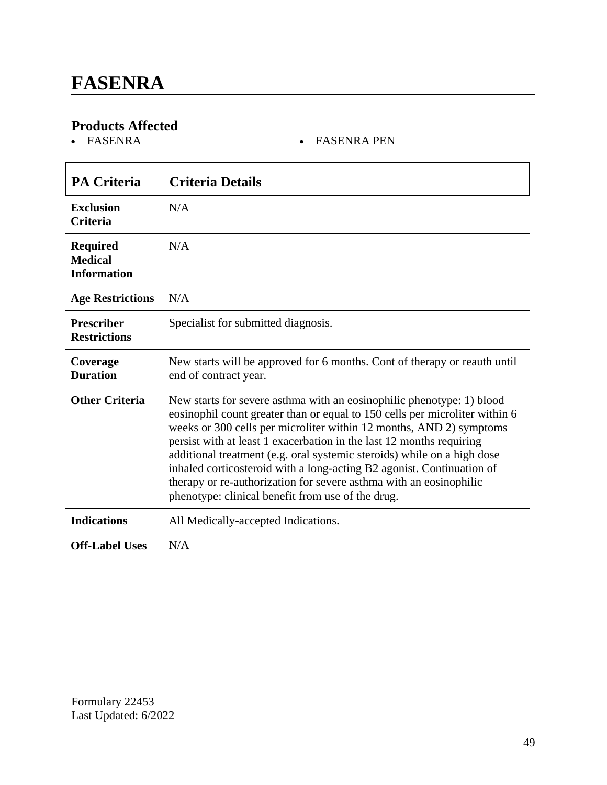# **Products Affected**

#### • FASENRA PEN

| <b>PA Criteria</b>                                      | <b>Criteria Details</b>                                                                                                                                                                                                                                                                                                                                                                                                                                                                                                                                                            |
|---------------------------------------------------------|------------------------------------------------------------------------------------------------------------------------------------------------------------------------------------------------------------------------------------------------------------------------------------------------------------------------------------------------------------------------------------------------------------------------------------------------------------------------------------------------------------------------------------------------------------------------------------|
| <b>Exclusion</b><br><b>Criteria</b>                     | N/A                                                                                                                                                                                                                                                                                                                                                                                                                                                                                                                                                                                |
| <b>Required</b><br><b>Medical</b><br><b>Information</b> | N/A                                                                                                                                                                                                                                                                                                                                                                                                                                                                                                                                                                                |
| <b>Age Restrictions</b>                                 | N/A                                                                                                                                                                                                                                                                                                                                                                                                                                                                                                                                                                                |
| <b>Prescriber</b><br><b>Restrictions</b>                | Specialist for submitted diagnosis.                                                                                                                                                                                                                                                                                                                                                                                                                                                                                                                                                |
| Coverage<br><b>Duration</b>                             | New starts will be approved for 6 months. Cont of therapy or reauth until<br>end of contract year.                                                                                                                                                                                                                                                                                                                                                                                                                                                                                 |
| <b>Other Criteria</b>                                   | New starts for severe asthma with an eosinophilic phenotype: 1) blood<br>eosinophil count greater than or equal to 150 cells per microliter within 6<br>weeks or 300 cells per microliter within 12 months, AND 2) symptoms<br>persist with at least 1 exacerbation in the last 12 months requiring<br>additional treatment (e.g. oral systemic steroids) while on a high dose<br>inhaled corticosteroid with a long-acting B2 agonist. Continuation of<br>therapy or re-authorization for severe asthma with an eosinophilic<br>phenotype: clinical benefit from use of the drug. |
| <b>Indications</b>                                      | All Medically-accepted Indications.                                                                                                                                                                                                                                                                                                                                                                                                                                                                                                                                                |
| <b>Off-Label Uses</b>                                   | N/A                                                                                                                                                                                                                                                                                                                                                                                                                                                                                                                                                                                |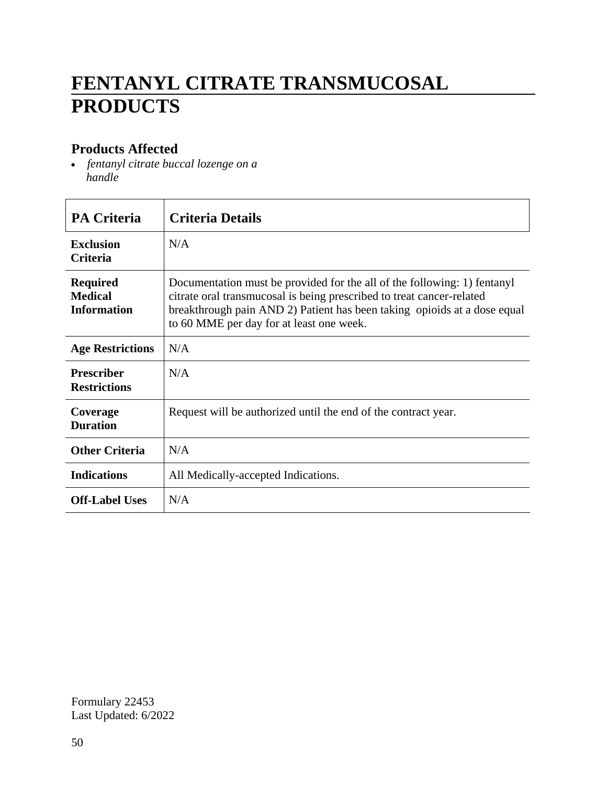# **FENTANYL CITRATE TRANSMUCOSAL PRODUCTS**

#### **Products Affected**

 *fentanyl citrate buccal lozenge on a handle*

| <b>PA Criteria</b>                                      | <b>Criteria Details</b>                                                                                                                                                                                                                                                   |
|---------------------------------------------------------|---------------------------------------------------------------------------------------------------------------------------------------------------------------------------------------------------------------------------------------------------------------------------|
| <b>Exclusion</b><br><b>Criteria</b>                     | N/A                                                                                                                                                                                                                                                                       |
| <b>Required</b><br><b>Medical</b><br><b>Information</b> | Documentation must be provided for the all of the following: 1) fentanyl<br>citrate oral transmucosal is being prescribed to treat cancer-related<br>breakthrough pain AND 2) Patient has been taking opioids at a dose equal<br>to 60 MME per day for at least one week. |
| <b>Age Restrictions</b>                                 | N/A                                                                                                                                                                                                                                                                       |
| <b>Prescriber</b><br><b>Restrictions</b>                | N/A                                                                                                                                                                                                                                                                       |
| Coverage<br><b>Duration</b>                             | Request will be authorized until the end of the contract year.                                                                                                                                                                                                            |
| <b>Other Criteria</b>                                   | N/A                                                                                                                                                                                                                                                                       |
| <b>Indications</b>                                      | All Medically-accepted Indications.                                                                                                                                                                                                                                       |
| <b>Off-Label Uses</b>                                   | N/A                                                                                                                                                                                                                                                                       |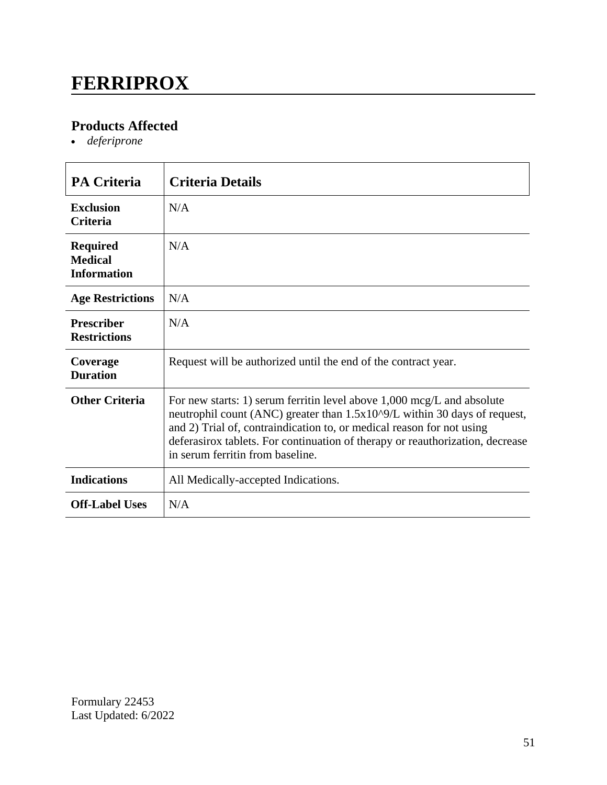### **FERRIPROX**

### **Products Affected**

*deferiprone*

| <b>PA Criteria</b>                                      | <b>Criteria Details</b>                                                                                                                                                                                                                                                                                                                                    |
|---------------------------------------------------------|------------------------------------------------------------------------------------------------------------------------------------------------------------------------------------------------------------------------------------------------------------------------------------------------------------------------------------------------------------|
| <b>Exclusion</b><br><b>Criteria</b>                     | N/A                                                                                                                                                                                                                                                                                                                                                        |
| <b>Required</b><br><b>Medical</b><br><b>Information</b> | N/A                                                                                                                                                                                                                                                                                                                                                        |
| <b>Age Restrictions</b>                                 | N/A                                                                                                                                                                                                                                                                                                                                                        |
| <b>Prescriber</b><br><b>Restrictions</b>                | N/A                                                                                                                                                                                                                                                                                                                                                        |
| Coverage<br><b>Duration</b>                             | Request will be authorized until the end of the contract year.                                                                                                                                                                                                                                                                                             |
| <b>Other Criteria</b>                                   | For new starts: 1) serum ferritin level above $1,000 \text{~mg/L}$ and absolute<br>neutrophil count (ANC) greater than 1.5x10^9/L within 30 days of request,<br>and 2) Trial of, contraindication to, or medical reason for not using<br>deferasirox tablets. For continuation of therapy or reauthorization, decrease<br>in serum ferritin from baseline. |
| <b>Indications</b>                                      | All Medically-accepted Indications.                                                                                                                                                                                                                                                                                                                        |
| <b>Off-Label Uses</b>                                   | N/A                                                                                                                                                                                                                                                                                                                                                        |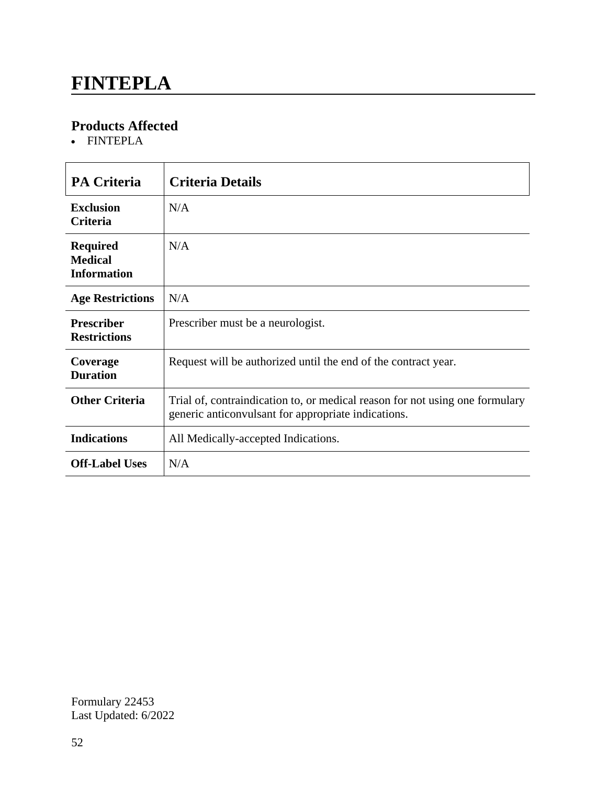### **FINTEPLA**

### **Products Affected**

FINTEPLA

| <b>PA Criteria</b>                                      | <b>Criteria Details</b>                                                                                                             |
|---------------------------------------------------------|-------------------------------------------------------------------------------------------------------------------------------------|
| <b>Exclusion</b><br><b>Criteria</b>                     | N/A                                                                                                                                 |
| <b>Required</b><br><b>Medical</b><br><b>Information</b> | N/A                                                                                                                                 |
| <b>Age Restrictions</b>                                 | N/A                                                                                                                                 |
| <b>Prescriber</b><br><b>Restrictions</b>                | Prescriber must be a neurologist.                                                                                                   |
| Coverage<br><b>Duration</b>                             | Request will be authorized until the end of the contract year.                                                                      |
| <b>Other Criteria</b>                                   | Trial of, contraindication to, or medical reason for not using one formulary<br>generic anticonvulsant for appropriate indications. |
| <b>Indications</b>                                      | All Medically-accepted Indications.                                                                                                 |
| <b>Off-Label Uses</b>                                   | N/A                                                                                                                                 |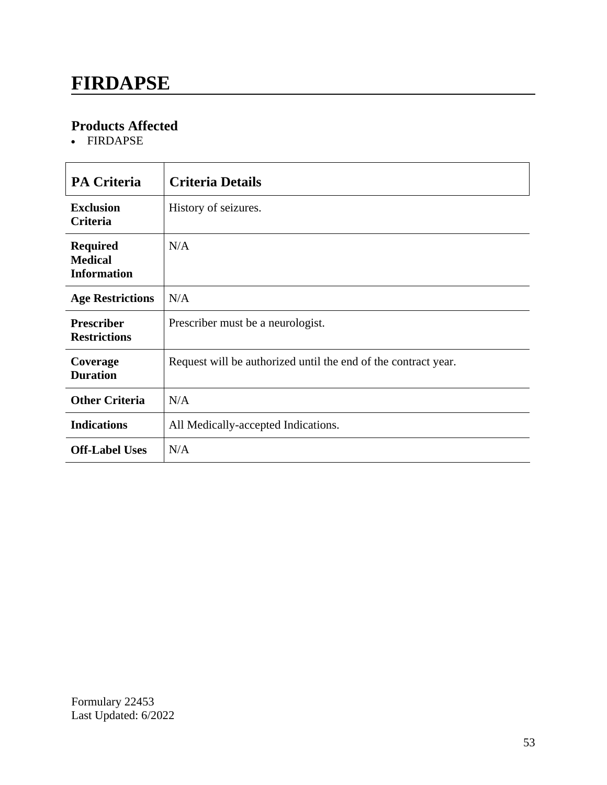### **FIRDAPSE**

### **Products Affected**

FIRDAPSE

| <b>PA Criteria</b>                                      | <b>Criteria Details</b>                                        |
|---------------------------------------------------------|----------------------------------------------------------------|
| <b>Exclusion</b><br>Criteria                            | History of seizures.                                           |
| <b>Required</b><br><b>Medical</b><br><b>Information</b> | N/A                                                            |
| <b>Age Restrictions</b>                                 | N/A                                                            |
| <b>Prescriber</b><br><b>Restrictions</b>                | Prescriber must be a neurologist.                              |
| Coverage<br><b>Duration</b>                             | Request will be authorized until the end of the contract year. |
| <b>Other Criteria</b>                                   | N/A                                                            |
| <b>Indications</b>                                      | All Medically-accepted Indications.                            |
| <b>Off-Label Uses</b>                                   | N/A                                                            |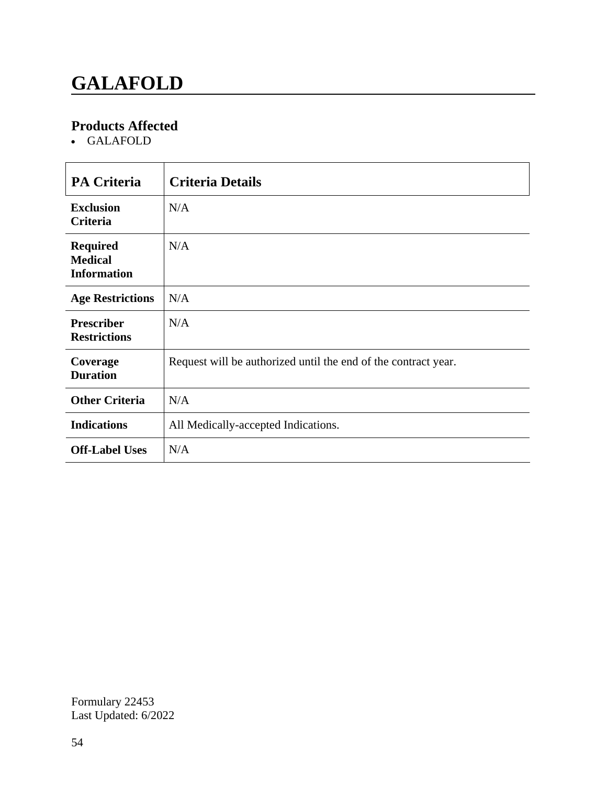# **GALAFOLD**

### **Products Affected**

GALAFOLD

| <b>PA Criteria</b>                                      | <b>Criteria Details</b>                                        |
|---------------------------------------------------------|----------------------------------------------------------------|
| <b>Exclusion</b><br>Criteria                            | N/A                                                            |
| <b>Required</b><br><b>Medical</b><br><b>Information</b> | N/A                                                            |
| <b>Age Restrictions</b>                                 | N/A                                                            |
| <b>Prescriber</b><br><b>Restrictions</b>                | N/A                                                            |
| Coverage<br><b>Duration</b>                             | Request will be authorized until the end of the contract year. |
| <b>Other Criteria</b>                                   | N/A                                                            |
| <b>Indications</b>                                      | All Medically-accepted Indications.                            |
| <b>Off-Label Uses</b>                                   | N/A                                                            |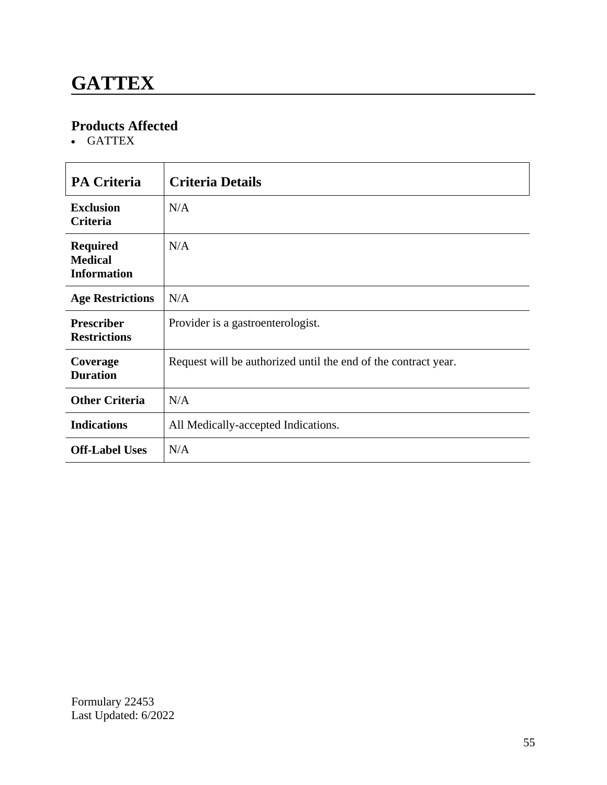### **GATTEX**

### **Products Affected**

GATTEX

| <b>PA Criteria</b>                                      | <b>Criteria Details</b>                                        |
|---------------------------------------------------------|----------------------------------------------------------------|
| <b>Exclusion</b><br><b>Criteria</b>                     | N/A                                                            |
| <b>Required</b><br><b>Medical</b><br><b>Information</b> | N/A                                                            |
| <b>Age Restrictions</b>                                 | N/A                                                            |
| <b>Prescriber</b><br><b>Restrictions</b>                | Provider is a gastroenterologist.                              |
| Coverage<br><b>Duration</b>                             | Request will be authorized until the end of the contract year. |
| <b>Other Criteria</b>                                   | N/A                                                            |
| <b>Indications</b>                                      | All Medically-accepted Indications.                            |
| <b>Off-Label Uses</b>                                   | N/A                                                            |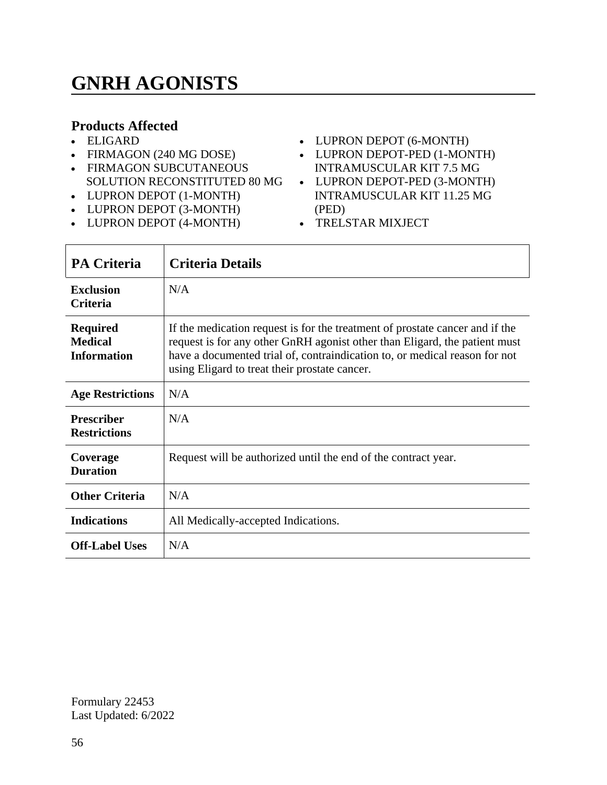# **GNRH AGONISTS**

#### **Products Affected**

- ELIGARD
- FIRMAGON (240 MG DOSE)
- FIRMAGON SUBCUTANEOUS SOLUTION RECONSTITUTED 80 MG
- LUPRON DEPOT (1-MONTH)
- LUPRON DEPOT (3-MONTH)
- LUPRON DEPOT (4-MONTH)
- LUPRON DEPOT (6-MONTH)
- LUPRON DEPOT-PED (1-MONTH) INTRAMUSCULAR KIT 7.5 MG
- LUPRON DEPOT-PED (3-MONTH) INTRAMUSCULAR KIT 11.25 MG (PED)
- TRELSTAR MIXJECT

| <b>PA Criteria</b>                                      | <b>Criteria Details</b>                                                                                                                                                                                                                                                                   |
|---------------------------------------------------------|-------------------------------------------------------------------------------------------------------------------------------------------------------------------------------------------------------------------------------------------------------------------------------------------|
| <b>Exclusion</b><br><b>Criteria</b>                     | N/A                                                                                                                                                                                                                                                                                       |
| <b>Required</b><br><b>Medical</b><br><b>Information</b> | If the medication request is for the treatment of prostate cancer and if the<br>request is for any other GnRH agonist other than Eligard, the patient must<br>have a documented trial of, contraindication to, or medical reason for not<br>using Eligard to treat their prostate cancer. |
| <b>Age Restrictions</b>                                 | N/A                                                                                                                                                                                                                                                                                       |
| <b>Prescriber</b><br><b>Restrictions</b>                | N/A                                                                                                                                                                                                                                                                                       |
| Coverage<br><b>Duration</b>                             | Request will be authorized until the end of the contract year.                                                                                                                                                                                                                            |
| <b>Other Criteria</b>                                   | N/A                                                                                                                                                                                                                                                                                       |
| <b>Indications</b>                                      | All Medically-accepted Indications.                                                                                                                                                                                                                                                       |
| <b>Off-Label Uses</b>                                   | N/A                                                                                                                                                                                                                                                                                       |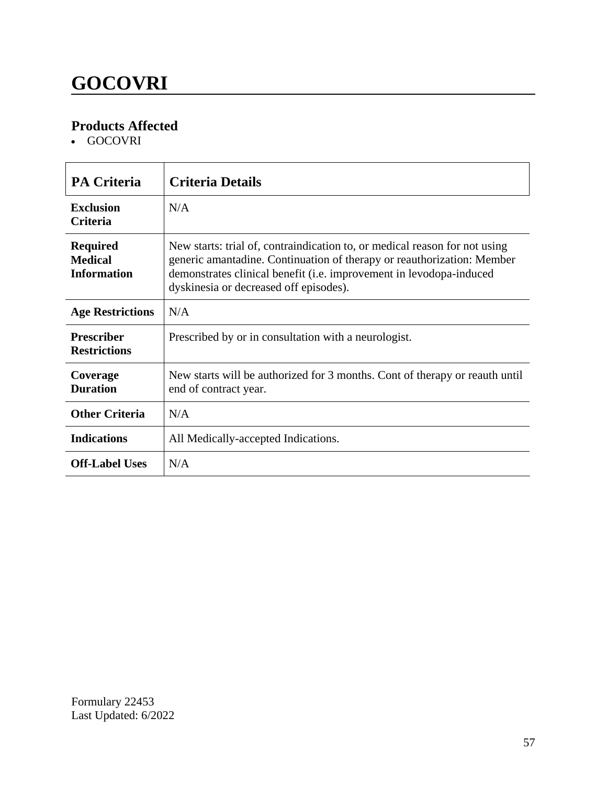# **GOCOVRI**

### **Products Affected**

GOCOVRI

| <b>PA Criteria</b>                                      | <b>Criteria Details</b>                                                                                                                                                                                                                                               |
|---------------------------------------------------------|-----------------------------------------------------------------------------------------------------------------------------------------------------------------------------------------------------------------------------------------------------------------------|
| <b>Exclusion</b><br><b>Criteria</b>                     | N/A                                                                                                                                                                                                                                                                   |
| <b>Required</b><br><b>Medical</b><br><b>Information</b> | New starts: trial of, contraindication to, or medical reason for not using<br>generic amantadine. Continuation of therapy or reauthorization: Member<br>demonstrates clinical benefit (i.e. improvement in levodopa-induced<br>dyskinesia or decreased off episodes). |
| <b>Age Restrictions</b>                                 | N/A                                                                                                                                                                                                                                                                   |
| <b>Prescriber</b><br><b>Restrictions</b>                | Prescribed by or in consultation with a neurologist.                                                                                                                                                                                                                  |
| Coverage<br><b>Duration</b>                             | New starts will be authorized for 3 months. Cont of therapy or reauth until<br>end of contract year.                                                                                                                                                                  |
| <b>Other Criteria</b>                                   | N/A                                                                                                                                                                                                                                                                   |
| <b>Indications</b>                                      | All Medically-accepted Indications.                                                                                                                                                                                                                                   |
| <b>Off-Label Uses</b>                                   | N/A                                                                                                                                                                                                                                                                   |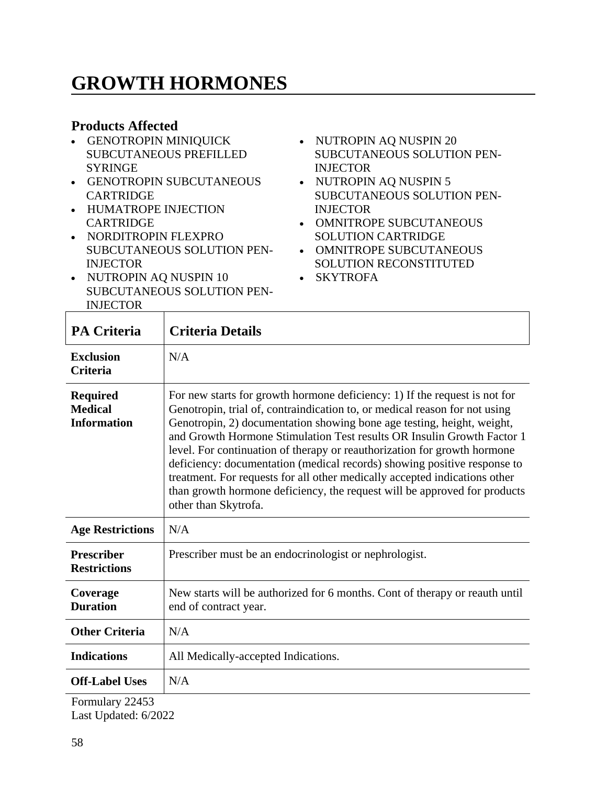# **GROWTH HORMONES**

#### **Products Affected**

- GENOTROPIN MINIQUICK SUBCUTANEOUS PREFILLED **SYRINGE**
- GENOTROPIN SUBCUTANEOUS CARTRIDGE
- HUMATROPE INJECTION **CARTRIDGE**

• NUTROPIN AQ NUSPIN 10

• NORDITROPIN FLEXPRO SUBCUTANEOUS SOLUTION PEN-INJECTOR

SUBCUTANEOUS SOLUTION PEN-

- NUTROPIN AQ NUSPIN 20 SUBCUTANEOUS SOLUTION PEN-INJECTOR
- NUTROPIN AQ NUSPIN 5 SUBCUTANEOUS SOLUTION PEN-INJECTOR
- OMNITROPE SUBCUTANEOUS SOLUTION CARTRIDGE
- OMNITROPE SUBCUTANEOUS SOLUTION RECONSTITUTED
- SKYTROFA
- INJECTOR **PA Criteria Criteria Details Exclusion Criteria** N/A **Required Medical Information** For new starts for growth hormone deficiency: 1) If the request is not for Genotropin, trial of, contraindication to, or medical reason for not using Genotropin, 2) documentation showing bone age testing, height, weight, and Growth Hormone Stimulation Test results OR Insulin Growth Factor 1 level. For continuation of therapy or reauthorization for growth hormone deficiency: documentation (medical records) showing positive response to treatment. For requests for all other medically accepted indications other than growth hormone deficiency, the request will be approved for products other than Skytrofa. **Age Restrictions** N/A **Prescriber Restrictions** Prescriber must be an endocrinologist or nephrologist. **Coverage Duration** New starts will be authorized for 6 months. Cont of therapy or reauth until end of contract year. **Other Criteria** N/A **Indications** | All Medically-accepted Indications. **Off-Label Uses** N/A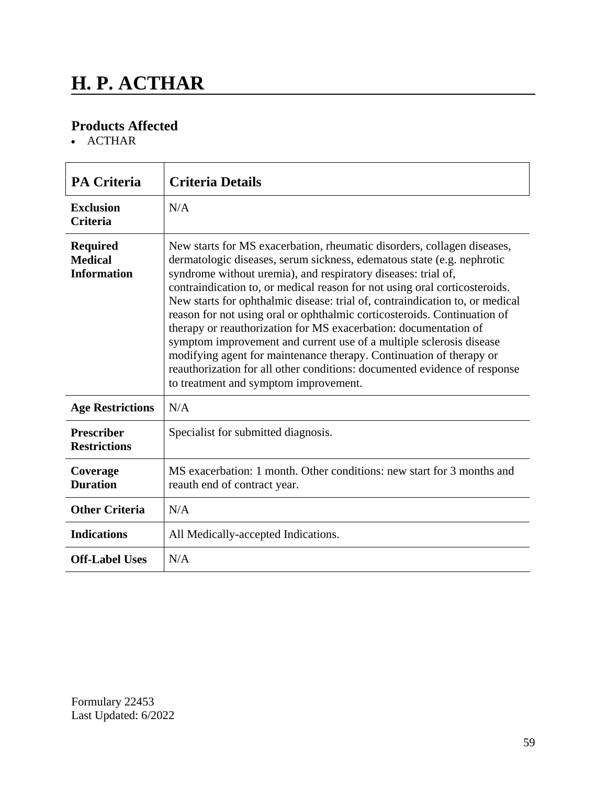# **H. P. ACTHAR**

### **Products Affected**

• ACTHAR

| <b>PA Criteria</b>                                      | <b>Criteria Details</b>                                                                                                                                                                                                                                                                                                                                                                                                                                                                                                                                                                                                                                                                                                                                                                              |
|---------------------------------------------------------|------------------------------------------------------------------------------------------------------------------------------------------------------------------------------------------------------------------------------------------------------------------------------------------------------------------------------------------------------------------------------------------------------------------------------------------------------------------------------------------------------------------------------------------------------------------------------------------------------------------------------------------------------------------------------------------------------------------------------------------------------------------------------------------------------|
| <b>Exclusion</b><br><b>Criteria</b>                     | N/A                                                                                                                                                                                                                                                                                                                                                                                                                                                                                                                                                                                                                                                                                                                                                                                                  |
| <b>Required</b><br><b>Medical</b><br><b>Information</b> | New starts for MS exacerbation, rheumatic disorders, collagen diseases,<br>dermatologic diseases, serum sickness, edematous state (e.g. nephrotic<br>syndrome without uremia), and respiratory diseases: trial of,<br>contraindication to, or medical reason for not using oral corticosteroids.<br>New starts for ophthalmic disease: trial of, contraindication to, or medical<br>reason for not using oral or ophthalmic corticosteroids. Continuation of<br>therapy or reauthorization for MS exacerbation: documentation of<br>symptom improvement and current use of a multiple sclerosis disease<br>modifying agent for maintenance therapy. Continuation of therapy or<br>reauthorization for all other conditions: documented evidence of response<br>to treatment and symptom improvement. |
| <b>Age Restrictions</b>                                 | N/A                                                                                                                                                                                                                                                                                                                                                                                                                                                                                                                                                                                                                                                                                                                                                                                                  |
| <b>Prescriber</b><br><b>Restrictions</b>                | Specialist for submitted diagnosis.                                                                                                                                                                                                                                                                                                                                                                                                                                                                                                                                                                                                                                                                                                                                                                  |
| Coverage<br><b>Duration</b>                             | MS exacerbation: 1 month. Other conditions: new start for 3 months and<br>reauth end of contract year.                                                                                                                                                                                                                                                                                                                                                                                                                                                                                                                                                                                                                                                                                               |
| <b>Other Criteria</b>                                   | N/A                                                                                                                                                                                                                                                                                                                                                                                                                                                                                                                                                                                                                                                                                                                                                                                                  |
| <b>Indications</b>                                      | All Medically-accepted Indications.                                                                                                                                                                                                                                                                                                                                                                                                                                                                                                                                                                                                                                                                                                                                                                  |
| <b>Off-Label Uses</b>                                   | N/A                                                                                                                                                                                                                                                                                                                                                                                                                                                                                                                                                                                                                                                                                                                                                                                                  |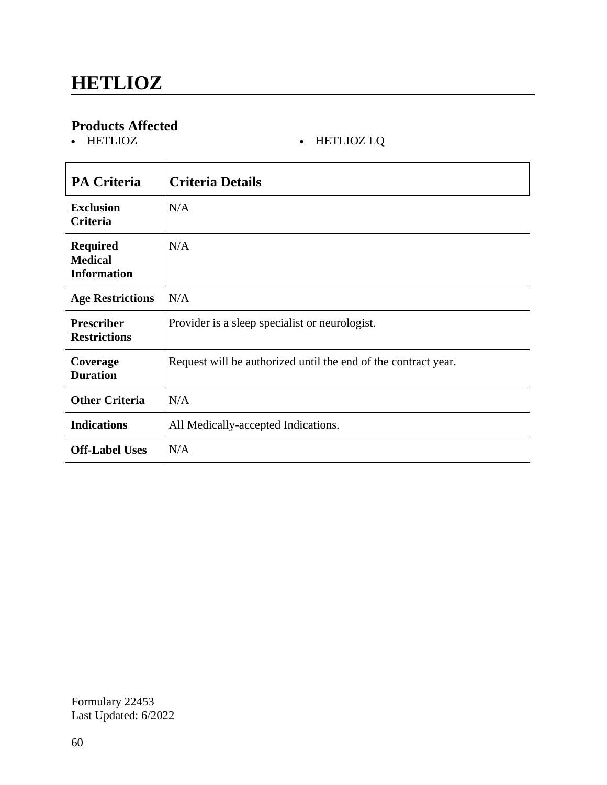# **Products Affected**

#### • HETLIOZ LQ

| <b>PA Criteria</b>                                      | <b>Criteria Details</b>                                        |
|---------------------------------------------------------|----------------------------------------------------------------|
| <b>Exclusion</b><br>Criteria                            | N/A                                                            |
| <b>Required</b><br><b>Medical</b><br><b>Information</b> | N/A                                                            |
| <b>Age Restrictions</b>                                 | N/A                                                            |
| <b>Prescriber</b><br><b>Restrictions</b>                | Provider is a sleep specialist or neurologist.                 |
| Coverage<br><b>Duration</b>                             | Request will be authorized until the end of the contract year. |
| <b>Other Criteria</b>                                   | N/A                                                            |
| <b>Indications</b>                                      | All Medically-accepted Indications.                            |
| <b>Off-Label Uses</b>                                   | N/A                                                            |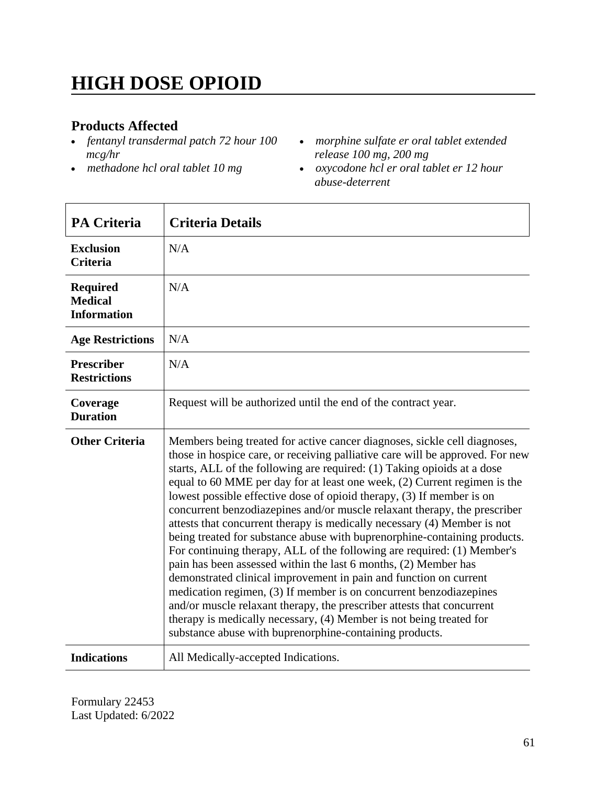# **HIGH DOSE OPIOID**

#### **Products Affected**

- *fentanyl transdermal patch 72 hour 100 mcg/hr*
- *methadone hcl oral tablet 10 mg*
- *morphine sulfate er oral tablet extended release 100 mg, 200 mg*
- *oxycodone hcl er oral tablet er 12 hour abuse-deterrent*

| <b>PA Criteria</b>                                      | <b>Criteria Details</b>                                                                                                                                                                                                                                                                                                                                                                                                                                                                                                                                                                                                                                                                                                                                                                                                                                                                                                                                                                                                                                                                                                                |
|---------------------------------------------------------|----------------------------------------------------------------------------------------------------------------------------------------------------------------------------------------------------------------------------------------------------------------------------------------------------------------------------------------------------------------------------------------------------------------------------------------------------------------------------------------------------------------------------------------------------------------------------------------------------------------------------------------------------------------------------------------------------------------------------------------------------------------------------------------------------------------------------------------------------------------------------------------------------------------------------------------------------------------------------------------------------------------------------------------------------------------------------------------------------------------------------------------|
| <b>Exclusion</b><br><b>Criteria</b>                     | N/A                                                                                                                                                                                                                                                                                                                                                                                                                                                                                                                                                                                                                                                                                                                                                                                                                                                                                                                                                                                                                                                                                                                                    |
| <b>Required</b><br><b>Medical</b><br><b>Information</b> | N/A                                                                                                                                                                                                                                                                                                                                                                                                                                                                                                                                                                                                                                                                                                                                                                                                                                                                                                                                                                                                                                                                                                                                    |
| <b>Age Restrictions</b>                                 | N/A                                                                                                                                                                                                                                                                                                                                                                                                                                                                                                                                                                                                                                                                                                                                                                                                                                                                                                                                                                                                                                                                                                                                    |
| <b>Prescriber</b><br><b>Restrictions</b>                | N/A                                                                                                                                                                                                                                                                                                                                                                                                                                                                                                                                                                                                                                                                                                                                                                                                                                                                                                                                                                                                                                                                                                                                    |
| Coverage<br><b>Duration</b>                             | Request will be authorized until the end of the contract year.                                                                                                                                                                                                                                                                                                                                                                                                                                                                                                                                                                                                                                                                                                                                                                                                                                                                                                                                                                                                                                                                         |
| <b>Other Criteria</b>                                   | Members being treated for active cancer diagnoses, sickle cell diagnoses,<br>those in hospice care, or receiving palliative care will be approved. For new<br>starts, ALL of the following are required: (1) Taking opioids at a dose<br>equal to 60 MME per day for at least one week, (2) Current regimen is the<br>lowest possible effective dose of opioid therapy, (3) If member is on<br>concurrent benzodiazepines and/or muscle relaxant therapy, the prescriber<br>attests that concurrent therapy is medically necessary (4) Member is not<br>being treated for substance abuse with buprenorphine-containing products.<br>For continuing therapy, ALL of the following are required: (1) Member's<br>pain has been assessed within the last 6 months, (2) Member has<br>demonstrated clinical improvement in pain and function on current<br>medication regimen, (3) If member is on concurrent benzodiazepines<br>and/or muscle relaxant therapy, the prescriber attests that concurrent<br>therapy is medically necessary, (4) Member is not being treated for<br>substance abuse with buprenorphine-containing products. |
| <b>Indications</b>                                      | All Medically-accepted Indications.                                                                                                                                                                                                                                                                                                                                                                                                                                                                                                                                                                                                                                                                                                                                                                                                                                                                                                                                                                                                                                                                                                    |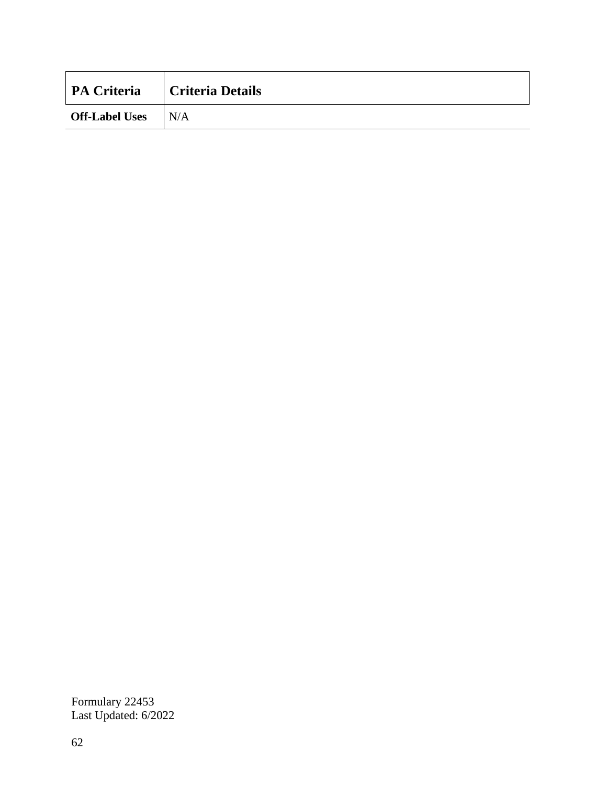| <b>PA Criteria</b>        | Criteria Details |
|---------------------------|------------------|
| <b>Off-Label Uses</b> N/A |                  |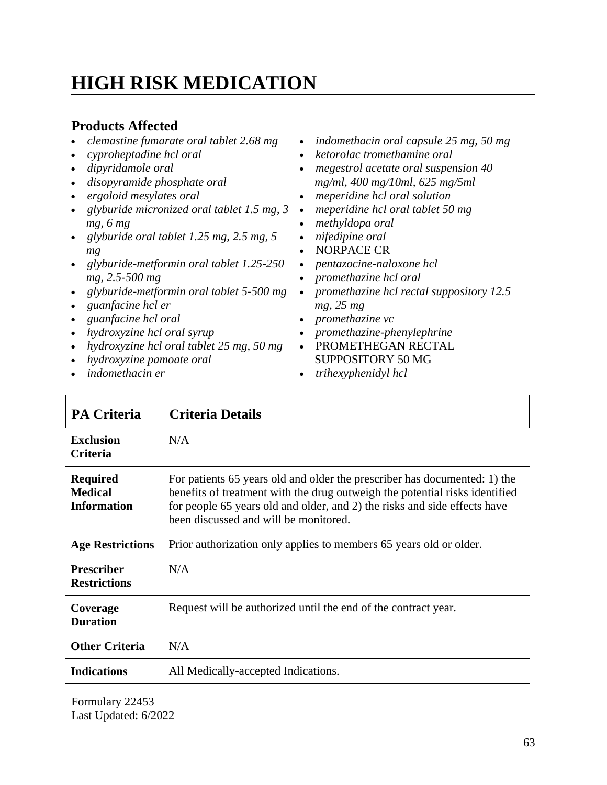# **HIGH RISK MEDICATION**

#### **Products Affected**

- *clemastine fumarate oral tablet 2.68 mg*
- *cyproheptadine hcl oral*
- *dipyridamole oral*
- *disopyramide phosphate oral*
- *ergoloid mesylates oral*
- *glyburide micronized oral tablet 1.5 mg, 3 mg, 6 mg*
- *glyburide oral tablet 1.25 mg, 2.5 mg, 5 mg*
- *glyburide-metformin oral tablet 1.25-250 mg, 2.5-500 mg*
- *glyburide-metformin oral tablet 5-500 mg*
- *guanfacine hcl er*
- *guanfacine hcl oral*
- *hydroxyzine hcl oral syrup*
- *hydroxyzine hcl oral tablet 25 mg, 50 mg*
- *hydroxyzine pamoate oral*
- *indomethacin er*
- *indomethacin oral capsule 25 mg, 50 mg*
- *ketorolac tromethamine oral*
- *megestrol acetate oral suspension 40 mg/ml, 400 mg/10ml, 625 mg/5ml*
- *meperidine hcl oral solution*
- *meperidine hcl oral tablet 50 mg*
- *methyldopa oral*
- *nifedipine oral*
- NORPACE CR
- *pentazocine-naloxone hcl*
- *promethazine hcl oral*
- *promethazine hcl rectal suppository 12.5 mg, 25 mg*
- *promethazine vc*
- *promethazine-phenylephrine*
- PROMETHEGAN RECTAL SUPPOSITORY 50 MG
- *trihexyphenidyl hcl*

| <b>PA Criteria</b>                                      | <b>Criteria Details</b>                                                                                                                                                                                                                                                        |
|---------------------------------------------------------|--------------------------------------------------------------------------------------------------------------------------------------------------------------------------------------------------------------------------------------------------------------------------------|
| <b>Exclusion</b><br><b>Criteria</b>                     | N/A                                                                                                                                                                                                                                                                            |
| <b>Required</b><br><b>Medical</b><br><b>Information</b> | For patients 65 years old and older the prescriber has documented: 1) the<br>benefits of treatment with the drug outweigh the potential risks identified<br>for people 65 years old and older, and 2) the risks and side effects have<br>been discussed and will be monitored. |
| <b>Age Restrictions</b>                                 | Prior authorization only applies to members 65 years old or older.                                                                                                                                                                                                             |
| <b>Prescriber</b><br><b>Restrictions</b>                | N/A                                                                                                                                                                                                                                                                            |
| Coverage<br><b>Duration</b>                             | Request will be authorized until the end of the contract year.                                                                                                                                                                                                                 |
| <b>Other Criteria</b>                                   | N/A                                                                                                                                                                                                                                                                            |
| <b>Indications</b>                                      | All Medically-accepted Indications.                                                                                                                                                                                                                                            |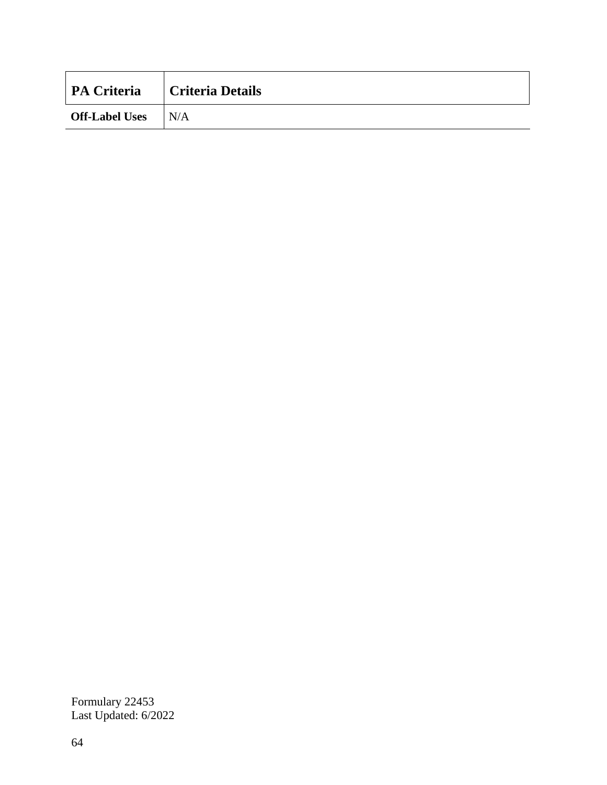| <b>PA Criteria</b>        | Criteria Details |
|---------------------------|------------------|
| <b>Off-Label Uses</b> N/A |                  |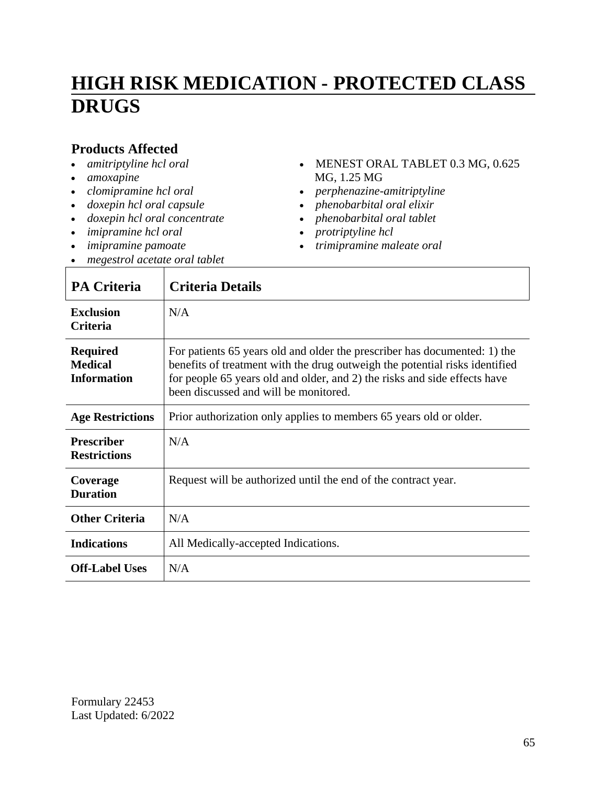## **HIGH RISK MEDICATION - PROTECTED CLASS DRUGS**

#### **Products Affected**

- *amitriptyline hcl oral*
- *amoxapine*
- *clomipramine hcl oral*
- *doxepin hcl oral capsule*
- *doxepin hcl oral concentrate*
- *imipramine hcl oral*
- *imipramine pamoate*
- *megestrol acetate oral tablet*
- MENEST ORAL TABLET 0.3 MG, 0.625 MG, 1.25 MG
- *perphenazine-amitriptyline*
- *phenobarbital oral elixir*
- *phenobarbital oral tablet*
- *protriptyline hcl*
- *trimipramine maleate oral*

| <b>PA Criteria</b>                                      | <b>Criteria Details</b>                                                                                                                                                                                                                                                        |
|---------------------------------------------------------|--------------------------------------------------------------------------------------------------------------------------------------------------------------------------------------------------------------------------------------------------------------------------------|
| <b>Exclusion</b><br><b>Criteria</b>                     | N/A                                                                                                                                                                                                                                                                            |
| <b>Required</b><br><b>Medical</b><br><b>Information</b> | For patients 65 years old and older the prescriber has documented: 1) the<br>benefits of treatment with the drug outweigh the potential risks identified<br>for people 65 years old and older, and 2) the risks and side effects have<br>been discussed and will be monitored. |
| <b>Age Restrictions</b>                                 | Prior authorization only applies to members 65 years old or older.                                                                                                                                                                                                             |
| <b>Prescriber</b><br><b>Restrictions</b>                | N/A                                                                                                                                                                                                                                                                            |
| Coverage<br><b>Duration</b>                             | Request will be authorized until the end of the contract year.                                                                                                                                                                                                                 |
| <b>Other Criteria</b>                                   | N/A                                                                                                                                                                                                                                                                            |
| <b>Indications</b>                                      | All Medically-accepted Indications.                                                                                                                                                                                                                                            |
| <b>Off-Label Uses</b>                                   | N/A                                                                                                                                                                                                                                                                            |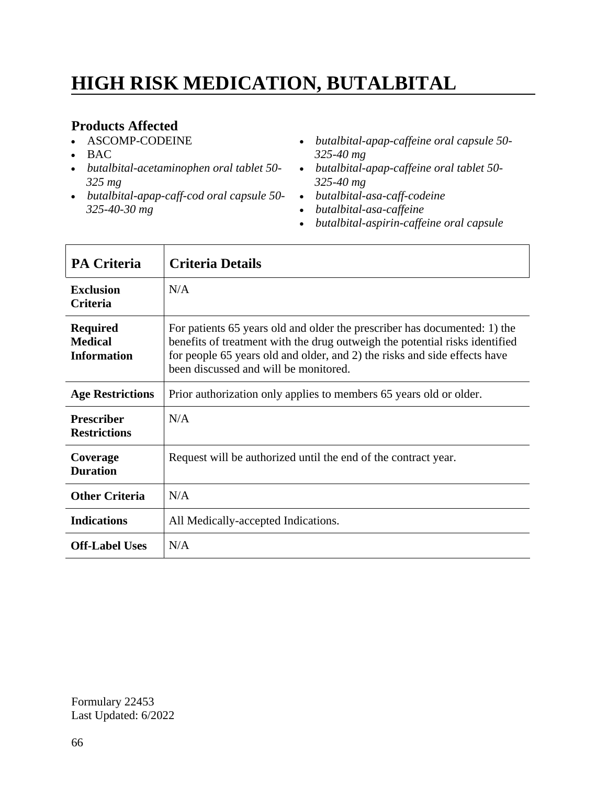# **HIGH RISK MEDICATION, BUTALBITAL**

### **Products Affected**

- ASCOMP-CODEINE
- $-BAC$

 $\mathsf{r}$ 

- *butalbital-acetaminophen oral tablet 50- 325 mg*
- *butalbital-apap-caff-cod oral capsule 50- 325-40-30 mg*
- *butalbital-apap-caffeine oral capsule 50- 325-40 mg*
- *butalbital-apap-caffeine oral tablet 50- 325-40 mg*
- *butalbital-asa-caff-codeine*
- *butalbital-asa-caffeine*
- *butalbital-aspirin-caffeine oral capsule*

| <b>PA Criteria</b>                                      | <b>Criteria Details</b>                                                                                                                                                                                                                                                        |
|---------------------------------------------------------|--------------------------------------------------------------------------------------------------------------------------------------------------------------------------------------------------------------------------------------------------------------------------------|
| <b>Exclusion</b><br><b>Criteria</b>                     | N/A                                                                                                                                                                                                                                                                            |
| <b>Required</b><br><b>Medical</b><br><b>Information</b> | For patients 65 years old and older the prescriber has documented: 1) the<br>benefits of treatment with the drug outweigh the potential risks identified<br>for people 65 years old and older, and 2) the risks and side effects have<br>been discussed and will be monitored. |
| <b>Age Restrictions</b>                                 | Prior authorization only applies to members 65 years old or older.                                                                                                                                                                                                             |
| <b>Prescriber</b><br><b>Restrictions</b>                | N/A                                                                                                                                                                                                                                                                            |
| Coverage<br><b>Duration</b>                             | Request will be authorized until the end of the contract year.                                                                                                                                                                                                                 |
| <b>Other Criteria</b>                                   | N/A                                                                                                                                                                                                                                                                            |
| <b>Indications</b>                                      | All Medically-accepted Indications.                                                                                                                                                                                                                                            |
| <b>Off-Label Uses</b>                                   | N/A                                                                                                                                                                                                                                                                            |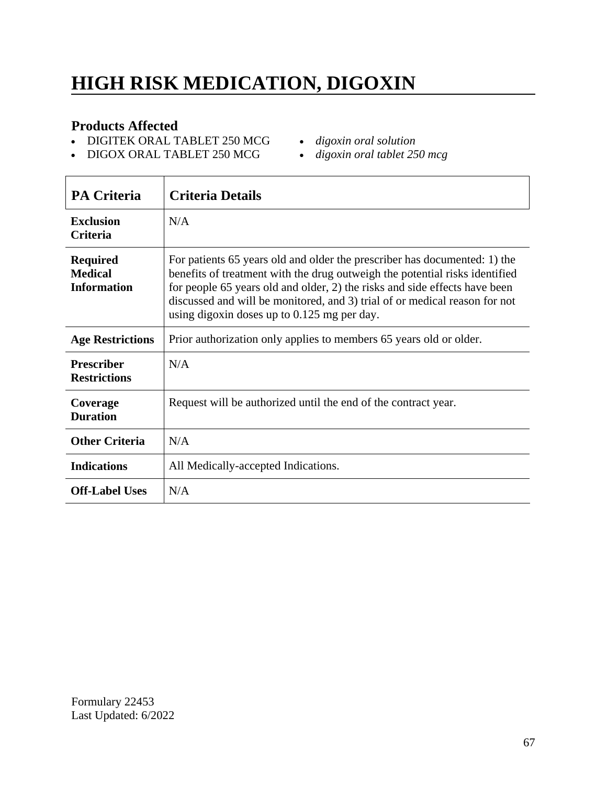# **HIGH RISK MEDICATION, DIGOXIN**

#### **Products Affected**

- DIGITEK ORAL TABLET 250 MCG
- *digoxin oral solution*
- DIGOX ORAL TABLET 250 MCG
- *digoxin oral tablet 250 mcg*

| <b>PA Criteria</b>                                      | <b>Criteria Details</b>                                                                                                                                                                                                                                                                                                                                             |
|---------------------------------------------------------|---------------------------------------------------------------------------------------------------------------------------------------------------------------------------------------------------------------------------------------------------------------------------------------------------------------------------------------------------------------------|
| <b>Exclusion</b><br>Criteria                            | N/A                                                                                                                                                                                                                                                                                                                                                                 |
| <b>Required</b><br><b>Medical</b><br><b>Information</b> | For patients 65 years old and older the prescriber has documented: 1) the<br>benefits of treatment with the drug outweigh the potential risks identified<br>for people 65 years old and older, 2) the risks and side effects have been<br>discussed and will be monitored, and 3) trial of or medical reason for not<br>using digoxin doses up to 0.125 mg per day. |
| <b>Age Restrictions</b>                                 | Prior authorization only applies to members 65 years old or older.                                                                                                                                                                                                                                                                                                  |
| <b>Prescriber</b><br><b>Restrictions</b>                | N/A                                                                                                                                                                                                                                                                                                                                                                 |
| Coverage<br><b>Duration</b>                             | Request will be authorized until the end of the contract year.                                                                                                                                                                                                                                                                                                      |
| <b>Other Criteria</b>                                   | N/A                                                                                                                                                                                                                                                                                                                                                                 |
| <b>Indications</b>                                      | All Medically-accepted Indications.                                                                                                                                                                                                                                                                                                                                 |
| <b>Off-Label Uses</b>                                   | N/A                                                                                                                                                                                                                                                                                                                                                                 |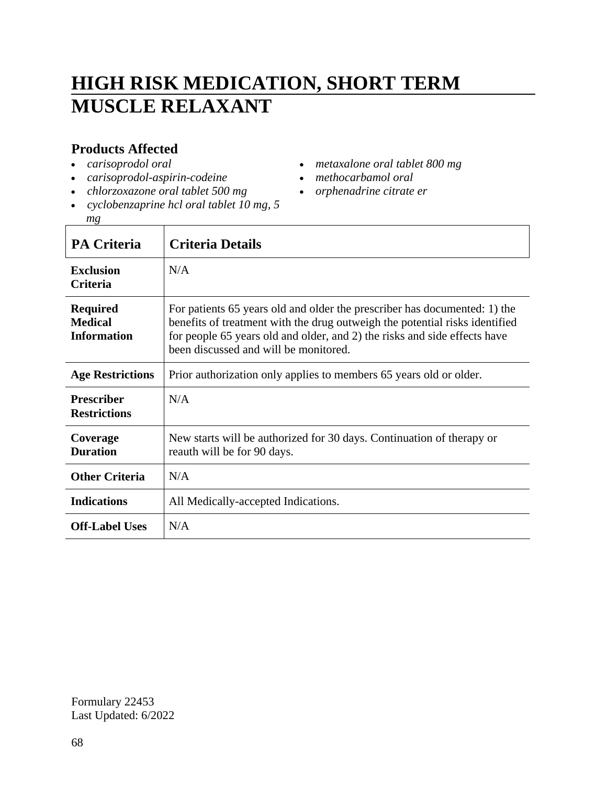# **HIGH RISK MEDICATION, SHORT TERM MUSCLE RELAXANT**

#### **Products Affected**

- *carisoprodol oral*
- *carisoprodol-aspirin-codeine*
- *chlorzoxazone oral tablet 500 mg*
- *cyclobenzaprine hcl oral tablet 10 mg, 5 mg*
- *metaxalone oral tablet 800 mg*
- *methocarbamol oral*
- *orphenadrine citrate er*

| <b>PA Criteria</b>                                      | <b>Criteria Details</b>                                                                                                                                                                                                                                                        |
|---------------------------------------------------------|--------------------------------------------------------------------------------------------------------------------------------------------------------------------------------------------------------------------------------------------------------------------------------|
| <b>Exclusion</b><br><b>Criteria</b>                     | N/A                                                                                                                                                                                                                                                                            |
| <b>Required</b><br><b>Medical</b><br><b>Information</b> | For patients 65 years old and older the prescriber has documented: 1) the<br>benefits of treatment with the drug outweigh the potential risks identified<br>for people 65 years old and older, and 2) the risks and side effects have<br>been discussed and will be monitored. |
| <b>Age Restrictions</b>                                 | Prior authorization only applies to members 65 years old or older.                                                                                                                                                                                                             |
| <b>Prescriber</b><br><b>Restrictions</b>                | N/A                                                                                                                                                                                                                                                                            |
| Coverage<br><b>Duration</b>                             | New starts will be authorized for 30 days. Continuation of therapy or<br>reauth will be for 90 days.                                                                                                                                                                           |
| <b>Other Criteria</b>                                   | N/A                                                                                                                                                                                                                                                                            |
| <b>Indications</b>                                      | All Medically-accepted Indications.                                                                                                                                                                                                                                            |
| <b>Off-Label Uses</b>                                   | N/A                                                                                                                                                                                                                                                                            |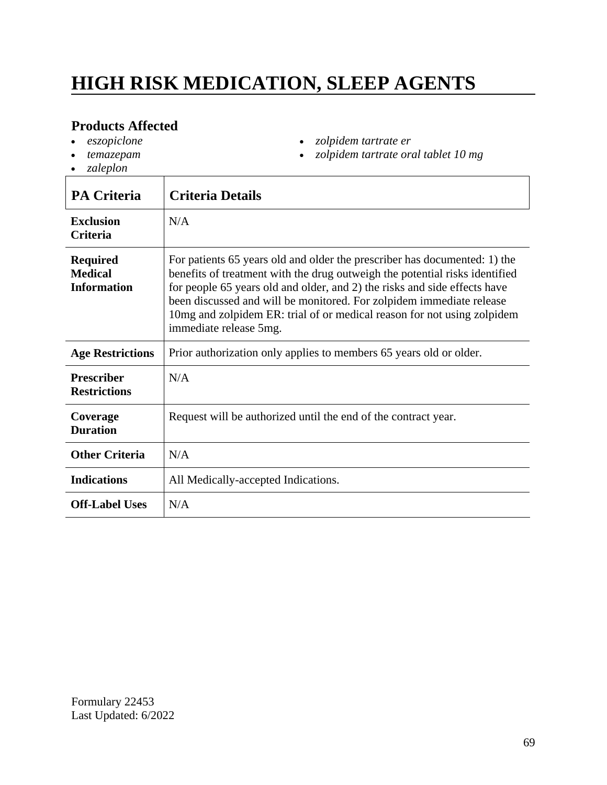# **HIGH RISK MEDICATION, SLEEP AGENTS**

*zolpidem tartrate er*

*zolpidem tartrate oral tablet 10 mg*

#### **Products Affected**

- *eszopiclone*
- *temazepam*
- *zaleplon*
- **PA Criteria Criteria Details Exclusion Criteria** N/A **Required Medical Information** For patients 65 years old and older the prescriber has documented: 1) the benefits of treatment with the drug outweigh the potential risks identified for people 65 years old and older, and 2) the risks and side effects have been discussed and will be monitored. For zolpidem immediate release 10mg and zolpidem ER: trial of or medical reason for not using zolpidem immediate release 5mg. Age Restrictions **Prior** authorization only applies to members 65 years old or older. **Prescriber Restrictions** N/A **Coverage Duration** Request will be authorized until the end of the contract year. **Other Criteria** N/A **Indications** All Medically-accepted Indications. **Off-Label Uses** N/A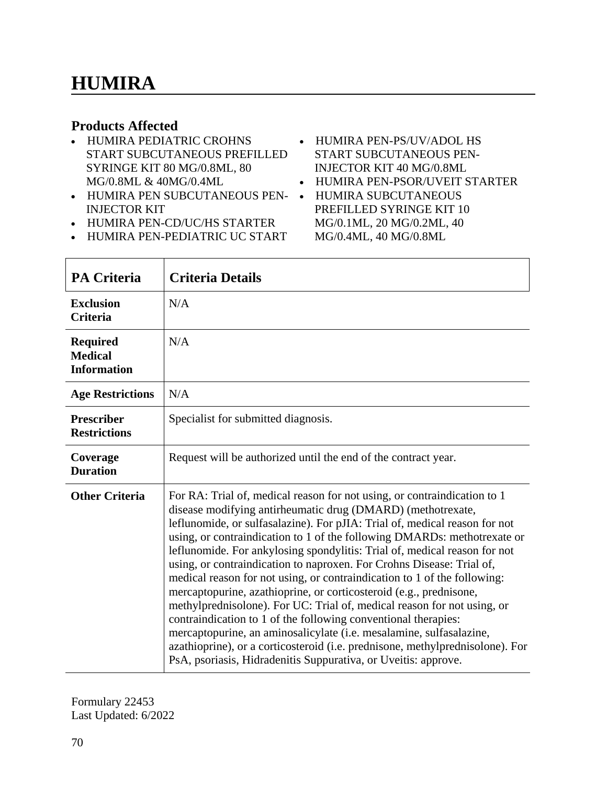#### **Products Affected**

- HUMIRA PEDIATRIC CROHNS START SUBCUTANEOUS PREFILLED SYRINGE KIT 80 MG/0.8ML, 80 MG/0.8ML & 40MG/0.4ML
- HUMIRA PEN SUBCUTANEOUS PEN- INJECTOR KIT
- HUMIRA PEN-CD/UC/HS STARTER
- HUMIRA PEN-PEDIATRIC UC START
- HUMIRA PEN-PS/UV/ADOL HS START SUBCUTANEOUS PEN-INJECTOR KIT 40 MG/0.8ML
- HUMIRA PEN-PSOR/UVEIT STARTER
- HUMIRA SUBCUTANEOUS PREFILLED SYRINGE KIT 10 MG/0.1ML, 20 MG/0.2ML, 40 MG/0.4ML, 40 MG/0.8ML

| <b>PA Criteria</b>                                      | <b>Criteria Details</b>                                                                                                                                                                                                                                                                                                                                                                                                                                                                                                                                                                                                                                                                                                                                                                                                                                                                                                                                                          |
|---------------------------------------------------------|----------------------------------------------------------------------------------------------------------------------------------------------------------------------------------------------------------------------------------------------------------------------------------------------------------------------------------------------------------------------------------------------------------------------------------------------------------------------------------------------------------------------------------------------------------------------------------------------------------------------------------------------------------------------------------------------------------------------------------------------------------------------------------------------------------------------------------------------------------------------------------------------------------------------------------------------------------------------------------|
| <b>Exclusion</b><br><b>Criteria</b>                     | N/A                                                                                                                                                                                                                                                                                                                                                                                                                                                                                                                                                                                                                                                                                                                                                                                                                                                                                                                                                                              |
| <b>Required</b><br><b>Medical</b><br><b>Information</b> | N/A                                                                                                                                                                                                                                                                                                                                                                                                                                                                                                                                                                                                                                                                                                                                                                                                                                                                                                                                                                              |
| <b>Age Restrictions</b>                                 | N/A                                                                                                                                                                                                                                                                                                                                                                                                                                                                                                                                                                                                                                                                                                                                                                                                                                                                                                                                                                              |
| <b>Prescriber</b><br><b>Restrictions</b>                | Specialist for submitted diagnosis.                                                                                                                                                                                                                                                                                                                                                                                                                                                                                                                                                                                                                                                                                                                                                                                                                                                                                                                                              |
| Coverage<br><b>Duration</b>                             | Request will be authorized until the end of the contract year.                                                                                                                                                                                                                                                                                                                                                                                                                                                                                                                                                                                                                                                                                                                                                                                                                                                                                                                   |
| <b>Other Criteria</b>                                   | For RA: Trial of, medical reason for not using, or contraindication to 1<br>disease modifying antirheumatic drug (DMARD) (methotrexate,<br>leflunomide, or sulfasalazine). For pJIA: Trial of, medical reason for not<br>using, or contraindication to 1 of the following DMARDs: methotrexate or<br>leflunomide. For ankylosing spondylitis: Trial of, medical reason for not<br>using, or contraindication to naproxen. For Crohns Disease: Trial of,<br>medical reason for not using, or contraindication to 1 of the following:<br>mercaptopurine, azathioprine, or corticosteroid (e.g., prednisone,<br>methylprednisolone). For UC: Trial of, medical reason for not using, or<br>contraindication to 1 of the following conventional therapies:<br>mercaptopurine, an aminosalicylate (i.e. mesalamine, sulfasalazine,<br>azathioprine), or a corticosteroid (i.e. prednisone, methylprednisolone). For<br>PsA, psoriasis, Hidradenitis Suppurativa, or Uveitis: approve. |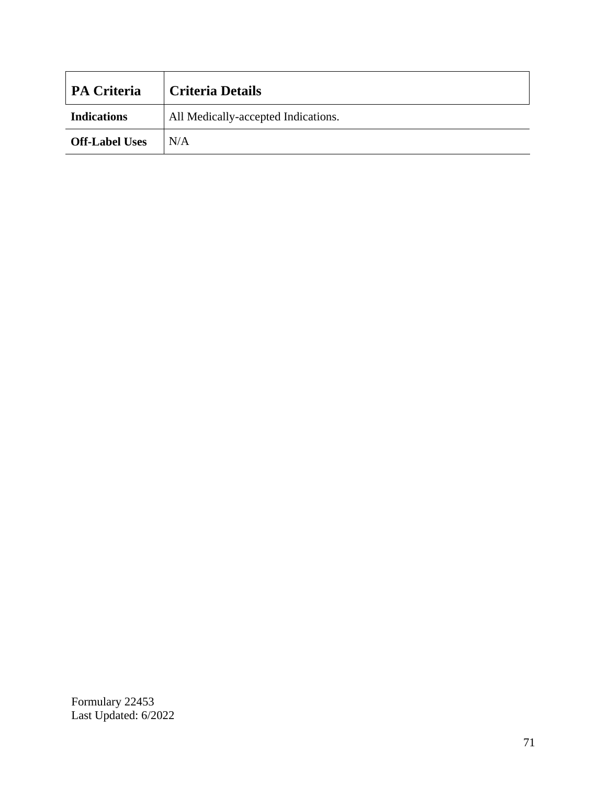| <b>PA Criteria</b>    | <b>Criteria Details</b>             |
|-----------------------|-------------------------------------|
| <b>Indications</b>    | All Medically-accepted Indications. |
| <b>Off-Label Uses</b> | N/A                                 |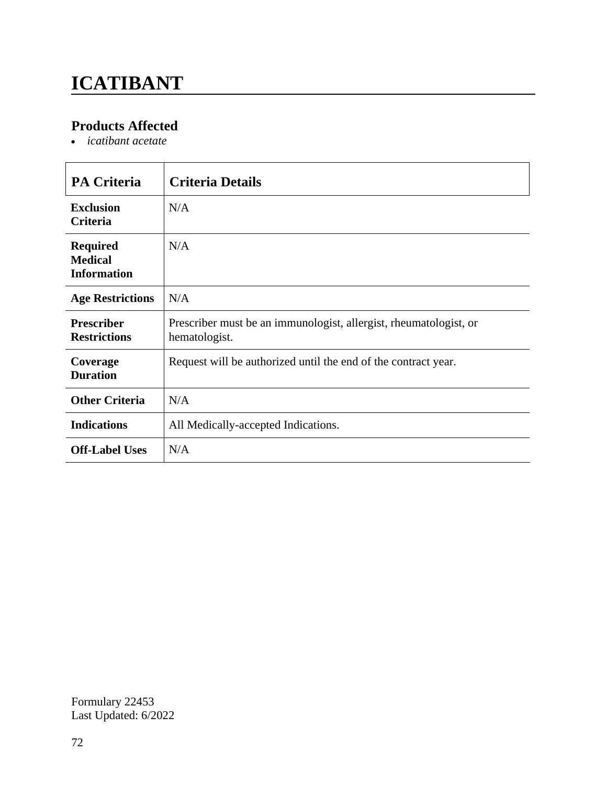# **ICATIBANT**

### **Products Affected**

*icatibant acetate*

| <b>PA Criteria</b>                                      | <b>Criteria Details</b>                                                            |
|---------------------------------------------------------|------------------------------------------------------------------------------------|
| <b>Exclusion</b><br><b>Criteria</b>                     | N/A                                                                                |
| <b>Required</b><br><b>Medical</b><br><b>Information</b> | N/A                                                                                |
| <b>Age Restrictions</b>                                 | N/A                                                                                |
| <b>Prescriber</b><br><b>Restrictions</b>                | Prescriber must be an immunologist, allergist, rheumatologist, or<br>hematologist. |
| Coverage<br><b>Duration</b>                             | Request will be authorized until the end of the contract year.                     |
| <b>Other Criteria</b>                                   | N/A                                                                                |
| <b>Indications</b>                                      | All Medically-accepted Indications.                                                |
| <b>Off-Label Uses</b>                                   | N/A                                                                                |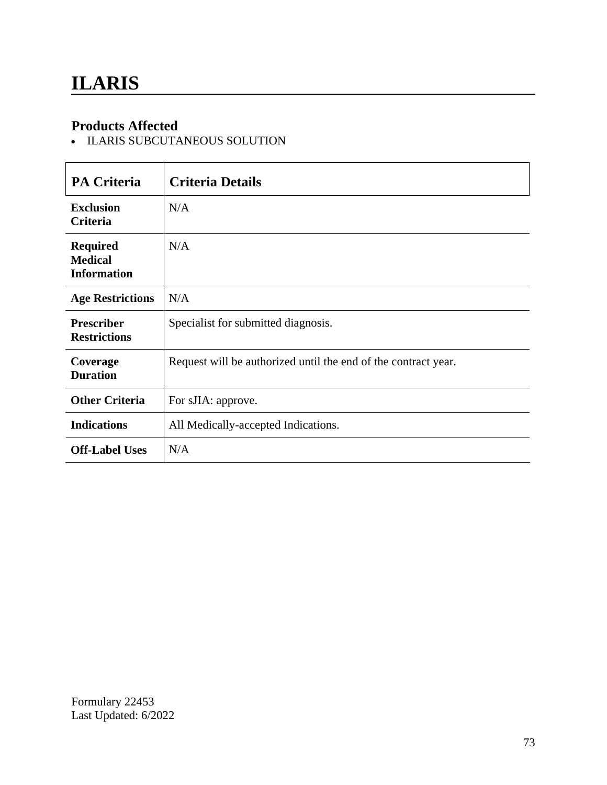#### **Products Affected**

- ILARIS SUBCUTANEOUS SOLUTION

| <b>PA Criteria</b>                                      | <b>Criteria Details</b>                                        |
|---------------------------------------------------------|----------------------------------------------------------------|
| <b>Exclusion</b><br><b>Criteria</b>                     | N/A                                                            |
| <b>Required</b><br><b>Medical</b><br><b>Information</b> | N/A                                                            |
| <b>Age Restrictions</b>                                 | N/A                                                            |
| <b>Prescriber</b><br><b>Restrictions</b>                | Specialist for submitted diagnosis.                            |
| Coverage<br><b>Duration</b>                             | Request will be authorized until the end of the contract year. |
| <b>Other Criteria</b>                                   | For sJIA: approve.                                             |
| <b>Indications</b>                                      | All Medically-accepted Indications.                            |
| <b>Off-Label Uses</b>                                   | N/A                                                            |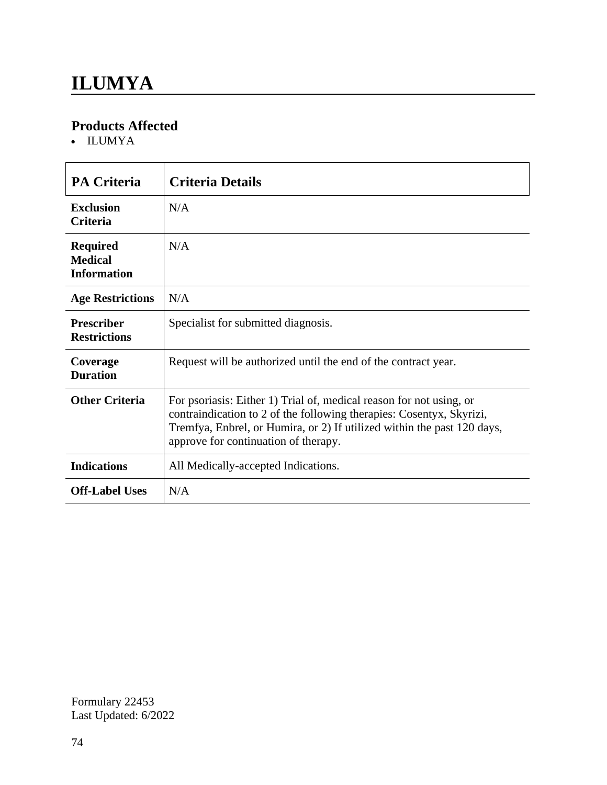#### **Products Affected**

ILUMYA

| <b>PA Criteria</b>                                      | <b>Criteria Details</b>                                                                                                                                                                                                                                        |
|---------------------------------------------------------|----------------------------------------------------------------------------------------------------------------------------------------------------------------------------------------------------------------------------------------------------------------|
| <b>Exclusion</b><br><b>Criteria</b>                     | N/A                                                                                                                                                                                                                                                            |
| <b>Required</b><br><b>Medical</b><br><b>Information</b> | N/A                                                                                                                                                                                                                                                            |
| <b>Age Restrictions</b>                                 | N/A                                                                                                                                                                                                                                                            |
| <b>Prescriber</b><br><b>Restrictions</b>                | Specialist for submitted diagnosis.                                                                                                                                                                                                                            |
| Coverage<br><b>Duration</b>                             | Request will be authorized until the end of the contract year.                                                                                                                                                                                                 |
| <b>Other Criteria</b>                                   | For psoriasis: Either 1) Trial of, medical reason for not using, or<br>contraindication to 2 of the following therapies: Cosentyx, Skyrizi,<br>Tremfya, Enbrel, or Humira, or 2) If utilized within the past 120 days,<br>approve for continuation of therapy. |
| <b>Indications</b>                                      | All Medically-accepted Indications.                                                                                                                                                                                                                            |
| <b>Off-Label Uses</b>                                   | N/A                                                                                                                                                                                                                                                            |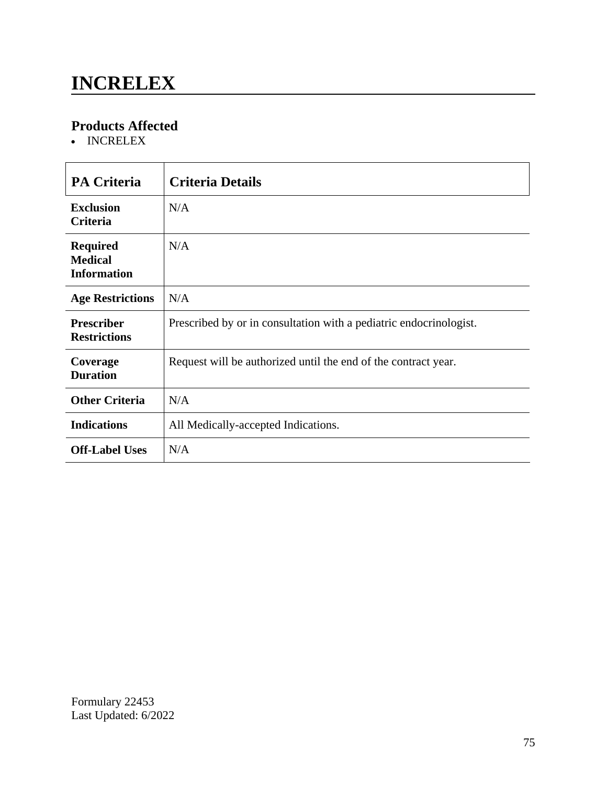### **INCRELEX**

#### **Products Affected**

• INCRELEX

| <b>PA Criteria</b>                                      | <b>Criteria Details</b>                                            |
|---------------------------------------------------------|--------------------------------------------------------------------|
| <b>Exclusion</b><br><b>Criteria</b>                     | N/A                                                                |
| <b>Required</b><br><b>Medical</b><br><b>Information</b> | N/A                                                                |
| <b>Age Restrictions</b>                                 | N/A                                                                |
| <b>Prescriber</b><br><b>Restrictions</b>                | Prescribed by or in consultation with a pediatric endocrinologist. |
| Coverage<br><b>Duration</b>                             | Request will be authorized until the end of the contract year.     |
| <b>Other Criteria</b>                                   | N/A                                                                |
| <b>Indications</b>                                      | All Medically-accepted Indications.                                |
| <b>Off-Label Uses</b>                                   | N/A                                                                |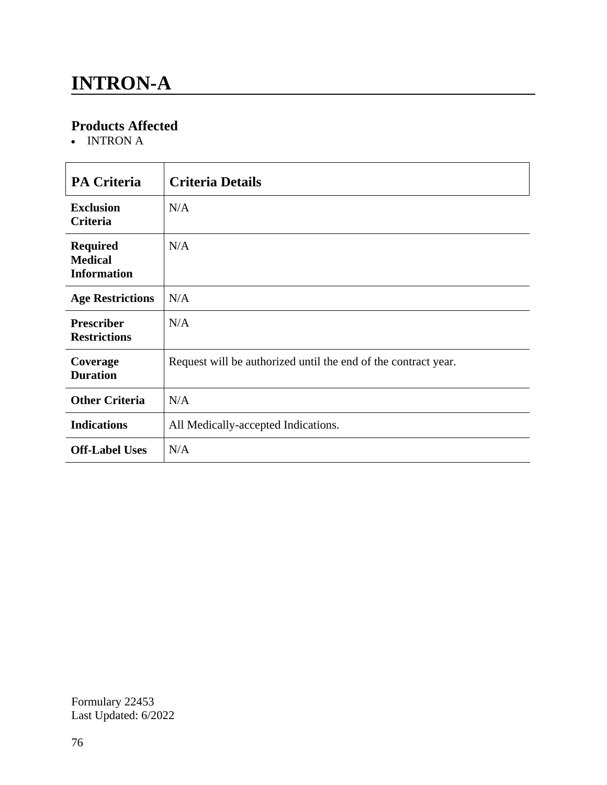### **INTRON-A**

#### **Products Affected**

• INTRON A

| <b>PA Criteria</b>                                      | <b>Criteria Details</b>                                        |
|---------------------------------------------------------|----------------------------------------------------------------|
| <b>Exclusion</b><br>Criteria                            | N/A                                                            |
| <b>Required</b><br><b>Medical</b><br><b>Information</b> | N/A                                                            |
| <b>Age Restrictions</b>                                 | N/A                                                            |
| <b>Prescriber</b><br><b>Restrictions</b>                | N/A                                                            |
| Coverage<br><b>Duration</b>                             | Request will be authorized until the end of the contract year. |
| <b>Other Criteria</b>                                   | N/A                                                            |
| <b>Indications</b>                                      | All Medically-accepted Indications.                            |
| <b>Off-Label Uses</b>                                   | N/A                                                            |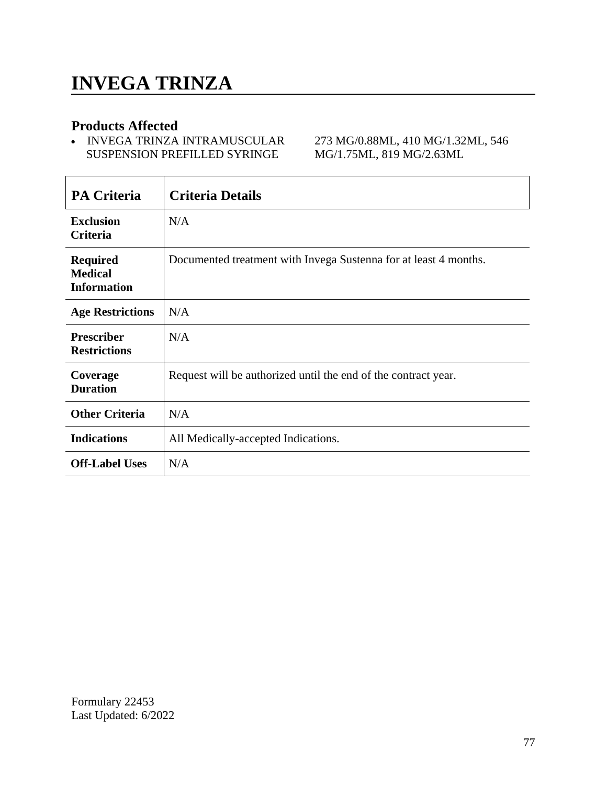#### **Products Affected**

• INVEGA TRINZA INTRAMUSCULAR SUSPENSION PREFILLED SYRINGE

273 MG/0.88ML, 410 MG/1.32ML, 546 MG/1.75ML, 819 MG/2.63ML

| <b>PA Criteria</b>                                      | <b>Criteria Details</b>                                          |
|---------------------------------------------------------|------------------------------------------------------------------|
| <b>Exclusion</b><br>Criteria                            | N/A                                                              |
| <b>Required</b><br><b>Medical</b><br><b>Information</b> | Documented treatment with Invega Sustenna for at least 4 months. |
| <b>Age Restrictions</b>                                 | N/A                                                              |
| <b>Prescriber</b><br><b>Restrictions</b>                | N/A                                                              |
| Coverage<br><b>Duration</b>                             | Request will be authorized until the end of the contract year.   |
| <b>Other Criteria</b>                                   | N/A                                                              |
| <b>Indications</b>                                      | All Medically-accepted Indications.                              |
| <b>Off-Label Uses</b>                                   | N/A                                                              |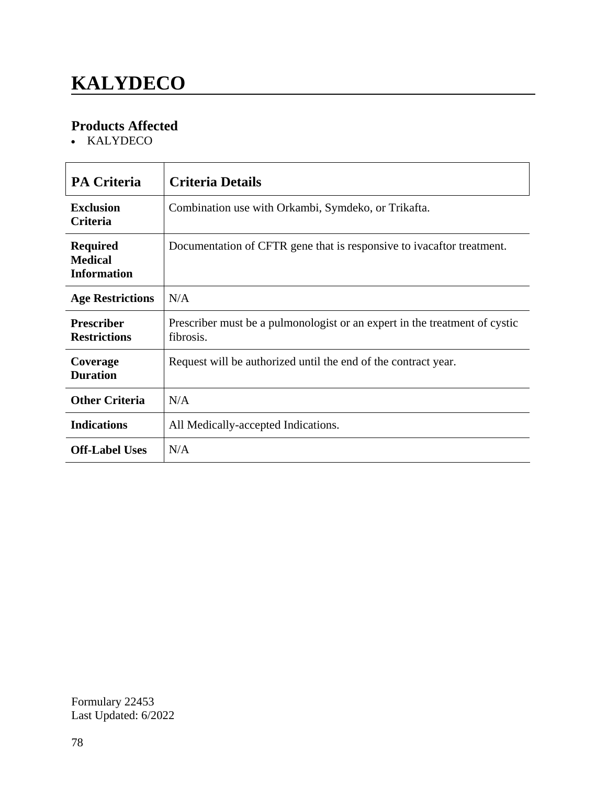# **KALYDECO**

### **Products Affected**

• KALYDECO

| <b>PA Criteria</b>                                      | Criteria Details                                                                        |
|---------------------------------------------------------|-----------------------------------------------------------------------------------------|
| <b>Exclusion</b><br><b>Criteria</b>                     | Combination use with Orkambi, Symdeko, or Trikafta.                                     |
| <b>Required</b><br><b>Medical</b><br><b>Information</b> | Documentation of CFTR gene that is responsive to ivacaftor treatment.                   |
| <b>Age Restrictions</b>                                 | N/A                                                                                     |
| <b>Prescriber</b><br><b>Restrictions</b>                | Prescriber must be a pulmonologist or an expert in the treatment of cystic<br>fibrosis. |
| Coverage<br><b>Duration</b>                             | Request will be authorized until the end of the contract year.                          |
| <b>Other Criteria</b>                                   | N/A                                                                                     |
| <b>Indications</b>                                      | All Medically-accepted Indications.                                                     |
| <b>Off-Label Uses</b>                                   | N/A                                                                                     |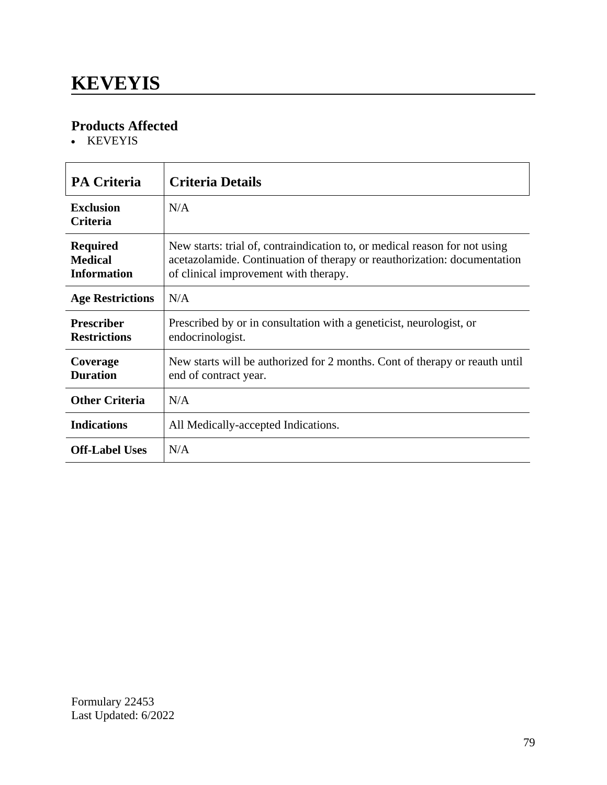### **KEVEYIS**

### **Products Affected**

• KEVEYIS

| <b>PA Criteria</b>                                      | <b>Criteria Details</b>                                                                                                                                                                         |
|---------------------------------------------------------|-------------------------------------------------------------------------------------------------------------------------------------------------------------------------------------------------|
| <b>Exclusion</b><br><b>Criteria</b>                     | N/A                                                                                                                                                                                             |
| <b>Required</b><br><b>Medical</b><br><b>Information</b> | New starts: trial of, contraindication to, or medical reason for not using<br>acetazolamide. Continuation of therapy or reauthorization: documentation<br>of clinical improvement with therapy. |
| <b>Age Restrictions</b>                                 | N/A                                                                                                                                                                                             |
| <b>Prescriber</b><br><b>Restrictions</b>                | Prescribed by or in consultation with a geneticist, neurologist, or<br>endocrinologist.                                                                                                         |
| Coverage<br><b>Duration</b>                             | New starts will be authorized for 2 months. Cont of therapy or reauth until<br>end of contract year.                                                                                            |
| <b>Other Criteria</b>                                   | N/A                                                                                                                                                                                             |
| <b>Indications</b>                                      | All Medically-accepted Indications.                                                                                                                                                             |
| <b>Off-Label Uses</b>                                   | N/A                                                                                                                                                                                             |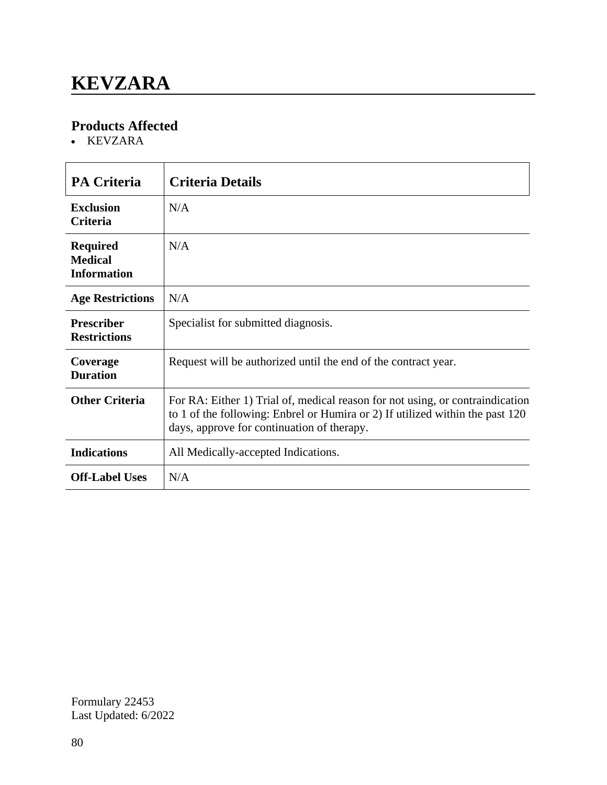### **KEVZARA**

#### **Products Affected**

KEVZARA

| <b>PA Criteria</b>                                      | <b>Criteria Details</b>                                                                                                                                                                                      |
|---------------------------------------------------------|--------------------------------------------------------------------------------------------------------------------------------------------------------------------------------------------------------------|
| <b>Exclusion</b><br>Criteria                            | N/A                                                                                                                                                                                                          |
| <b>Required</b><br><b>Medical</b><br><b>Information</b> | N/A                                                                                                                                                                                                          |
| <b>Age Restrictions</b>                                 | N/A                                                                                                                                                                                                          |
| <b>Prescriber</b><br><b>Restrictions</b>                | Specialist for submitted diagnosis.                                                                                                                                                                          |
| Coverage<br><b>Duration</b>                             | Request will be authorized until the end of the contract year.                                                                                                                                               |
| <b>Other Criteria</b>                                   | For RA: Either 1) Trial of, medical reason for not using, or contraindication<br>to 1 of the following: Enbrel or Humira or 2) If utilized within the past 120<br>days, approve for continuation of therapy. |
| <b>Indications</b>                                      | All Medically-accepted Indications.                                                                                                                                                                          |
| <b>Off-Label Uses</b>                                   | N/A                                                                                                                                                                                                          |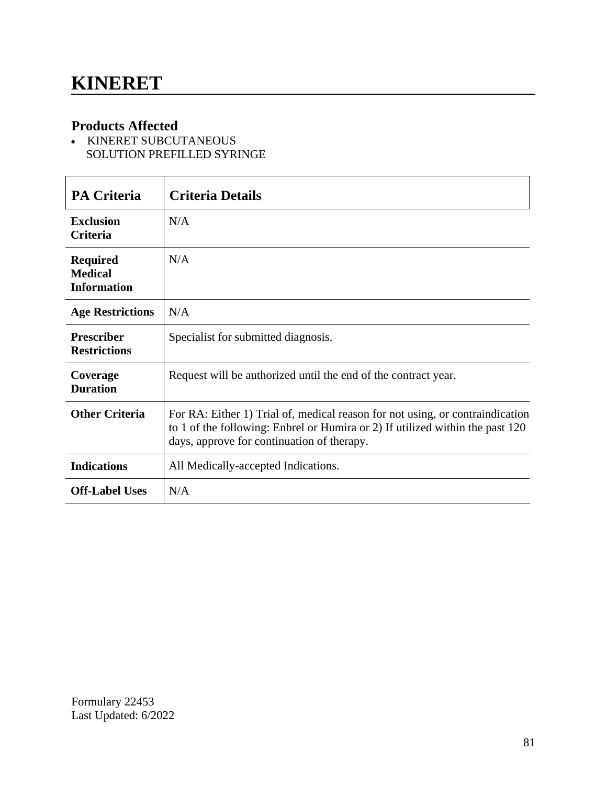### **Products Affected**

- KINERET SUBCUTANEOUS SOLUTION PREFILLED SYRINGE

| <b>PA Criteria</b>                                      | <b>Criteria Details</b>                                                                                                                                                                                      |
|---------------------------------------------------------|--------------------------------------------------------------------------------------------------------------------------------------------------------------------------------------------------------------|
| <b>Exclusion</b><br><b>Criteria</b>                     | N/A                                                                                                                                                                                                          |
| <b>Required</b><br><b>Medical</b><br><b>Information</b> | N/A                                                                                                                                                                                                          |
| <b>Age Restrictions</b>                                 | N/A                                                                                                                                                                                                          |
| <b>Prescriber</b><br><b>Restrictions</b>                | Specialist for submitted diagnosis.                                                                                                                                                                          |
| Coverage<br><b>Duration</b>                             | Request will be authorized until the end of the contract year.                                                                                                                                               |
| <b>Other Criteria</b>                                   | For RA: Either 1) Trial of, medical reason for not using, or contraindication<br>to 1 of the following: Enbrel or Humira or 2) If utilized within the past 120<br>days, approve for continuation of therapy. |
| <b>Indications</b>                                      | All Medically-accepted Indications.                                                                                                                                                                          |
| <b>Off-Label Uses</b>                                   | N/A                                                                                                                                                                                                          |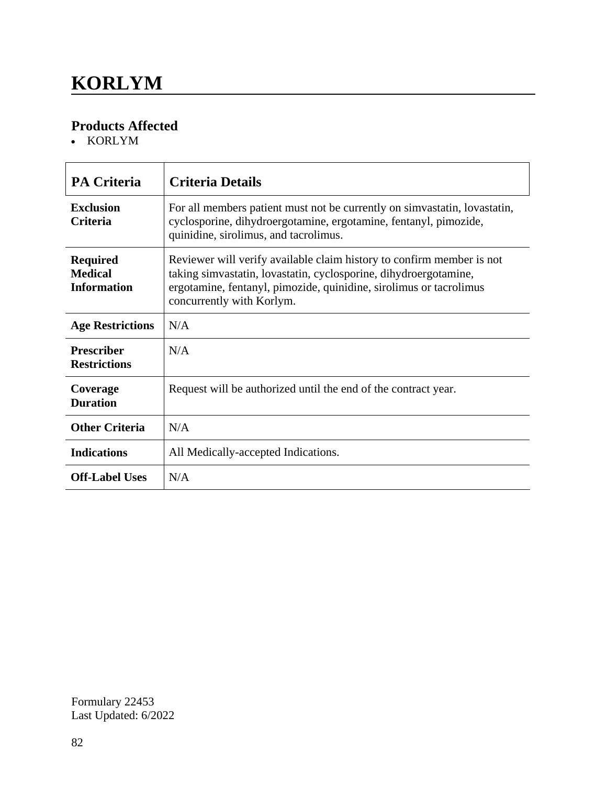### **KORLYM**

### **Products Affected**

KORLYM

| <b>PA Criteria</b>                                      | <b>Criteria Details</b>                                                                                                                                                                                                                      |
|---------------------------------------------------------|----------------------------------------------------------------------------------------------------------------------------------------------------------------------------------------------------------------------------------------------|
| <b>Exclusion</b><br><b>Criteria</b>                     | For all members patient must not be currently on simvastatin, lovastatin,<br>cyclosporine, dihydroergotamine, ergotamine, fentanyl, pimozide,<br>quinidine, sirolimus, and tacrolimus.                                                       |
| <b>Required</b><br><b>Medical</b><br><b>Information</b> | Reviewer will verify available claim history to confirm member is not<br>taking simvastatin, lovastatin, cyclosporine, dihydroergotamine,<br>ergotamine, fentanyl, pimozide, quinidine, sirolimus or tacrolimus<br>concurrently with Korlym. |
| <b>Age Restrictions</b>                                 | N/A                                                                                                                                                                                                                                          |
| <b>Prescriber</b><br><b>Restrictions</b>                | N/A                                                                                                                                                                                                                                          |
| Coverage<br><b>Duration</b>                             | Request will be authorized until the end of the contract year.                                                                                                                                                                               |
| <b>Other Criteria</b>                                   | N/A                                                                                                                                                                                                                                          |
| <b>Indications</b>                                      | All Medically-accepted Indications.                                                                                                                                                                                                          |
| <b>Off-Label Uses</b>                                   | N/A                                                                                                                                                                                                                                          |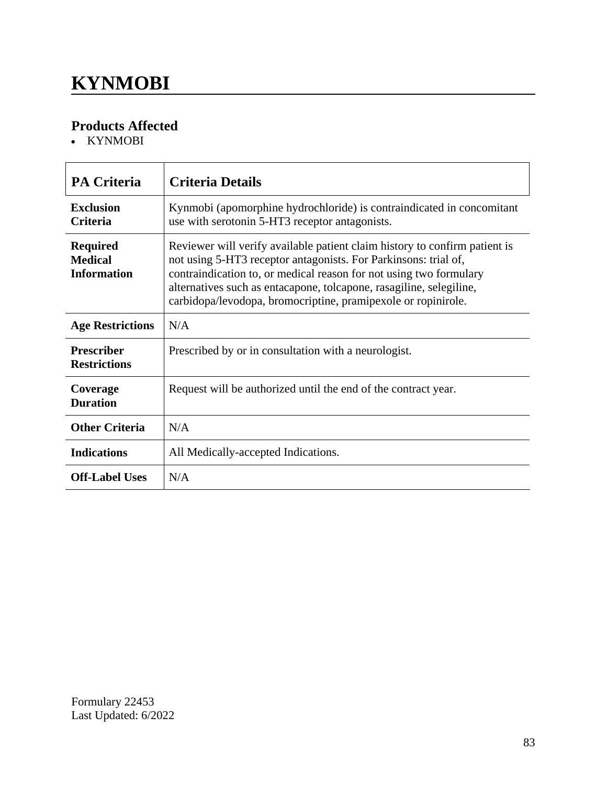### **KYNMOBI**

### **Products Affected**

• KYNMOBI

| <b>PA Criteria</b>                                      | <b>Criteria Details</b>                                                                                                                                                                                                                                                                                                                                     |
|---------------------------------------------------------|-------------------------------------------------------------------------------------------------------------------------------------------------------------------------------------------------------------------------------------------------------------------------------------------------------------------------------------------------------------|
| <b>Exclusion</b><br><b>Criteria</b>                     | Kynmobi (apomorphine hydrochloride) is contraindicated in concomitant<br>use with serotonin 5-HT3 receptor antagonists.                                                                                                                                                                                                                                     |
| <b>Required</b><br><b>Medical</b><br><b>Information</b> | Reviewer will verify available patient claim history to confirm patient is<br>not using 5-HT3 receptor antagonists. For Parkinsons: trial of,<br>contraindication to, or medical reason for not using two formulary<br>alternatives such as entacapone, tolcapone, rasagiline, selegiline,<br>carbidopa/levodopa, bromocriptine, pramipexole or ropinirole. |
| <b>Age Restrictions</b>                                 | N/A                                                                                                                                                                                                                                                                                                                                                         |
| <b>Prescriber</b><br><b>Restrictions</b>                | Prescribed by or in consultation with a neurologist.                                                                                                                                                                                                                                                                                                        |
| Coverage<br><b>Duration</b>                             | Request will be authorized until the end of the contract year.                                                                                                                                                                                                                                                                                              |
| <b>Other Criteria</b>                                   | N/A                                                                                                                                                                                                                                                                                                                                                         |
| <b>Indications</b>                                      | All Medically-accepted Indications.                                                                                                                                                                                                                                                                                                                         |
| <b>Off-Label Uses</b>                                   | N/A                                                                                                                                                                                                                                                                                                                                                         |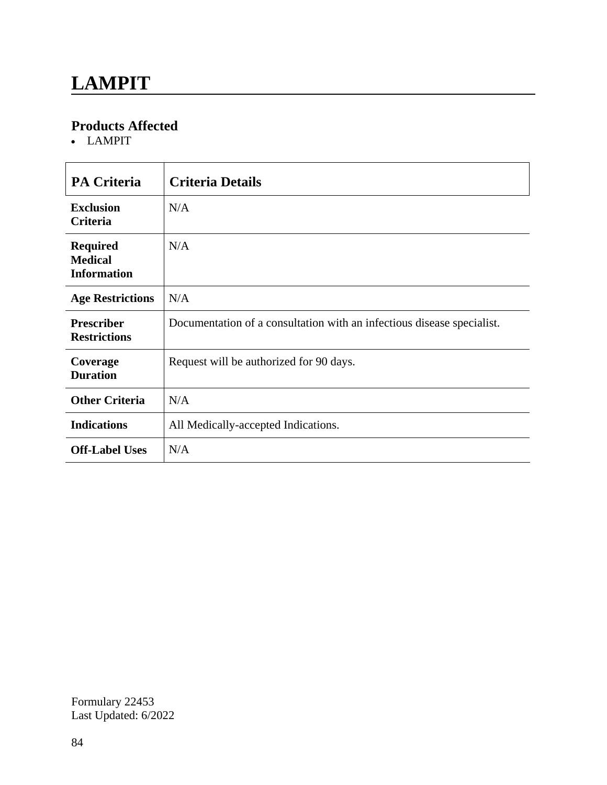### **LAMPIT**

#### **Products Affected**

LAMPIT

| <b>PA Criteria</b>                                      | <b>Criteria Details</b>                                                |
|---------------------------------------------------------|------------------------------------------------------------------------|
| <b>Exclusion</b><br><b>Criteria</b>                     | N/A                                                                    |
| <b>Required</b><br><b>Medical</b><br><b>Information</b> | N/A                                                                    |
| <b>Age Restrictions</b>                                 | N/A                                                                    |
| <b>Prescriber</b><br><b>Restrictions</b>                | Documentation of a consultation with an infectious disease specialist. |
| Coverage<br><b>Duration</b>                             | Request will be authorized for 90 days.                                |
| <b>Other Criteria</b>                                   | N/A                                                                    |
| <b>Indications</b>                                      | All Medically-accepted Indications.                                    |
| <b>Off-Label Uses</b>                                   | N/A                                                                    |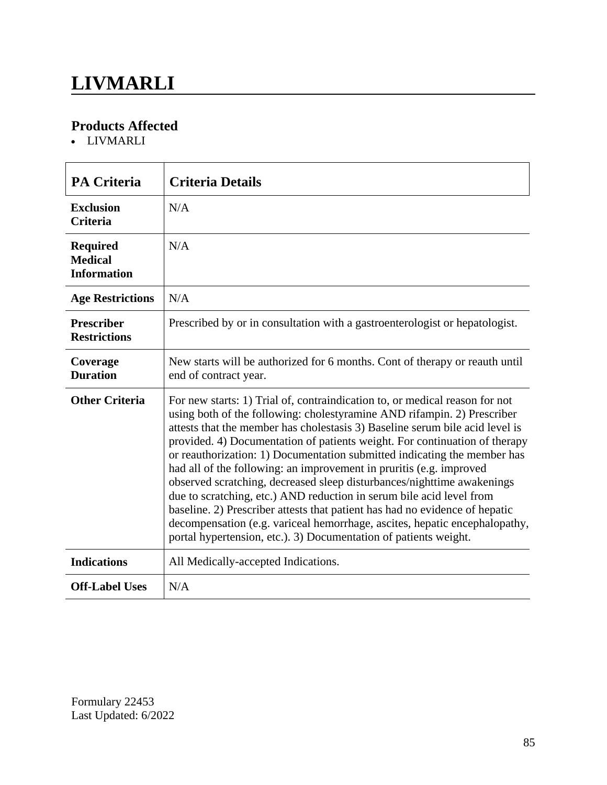### **LIVMARLI**

### **Products Affected**

LIVMARLI

| <b>PA Criteria</b>                                      | <b>Criteria Details</b>                                                                                                                                                                                                                                                                                                                                                                                                                                                                                                                                                                                                                                                                                                                                                                                                                                    |
|---------------------------------------------------------|------------------------------------------------------------------------------------------------------------------------------------------------------------------------------------------------------------------------------------------------------------------------------------------------------------------------------------------------------------------------------------------------------------------------------------------------------------------------------------------------------------------------------------------------------------------------------------------------------------------------------------------------------------------------------------------------------------------------------------------------------------------------------------------------------------------------------------------------------------|
| <b>Exclusion</b><br><b>Criteria</b>                     | N/A                                                                                                                                                                                                                                                                                                                                                                                                                                                                                                                                                                                                                                                                                                                                                                                                                                                        |
| <b>Required</b><br><b>Medical</b><br><b>Information</b> | N/A                                                                                                                                                                                                                                                                                                                                                                                                                                                                                                                                                                                                                                                                                                                                                                                                                                                        |
| <b>Age Restrictions</b>                                 | N/A                                                                                                                                                                                                                                                                                                                                                                                                                                                                                                                                                                                                                                                                                                                                                                                                                                                        |
| <b>Prescriber</b><br><b>Restrictions</b>                | Prescribed by or in consultation with a gastroenterologist or hepatologist.                                                                                                                                                                                                                                                                                                                                                                                                                                                                                                                                                                                                                                                                                                                                                                                |
| Coverage<br><b>Duration</b>                             | New starts will be authorized for 6 months. Cont of therapy or reauth until<br>end of contract year.                                                                                                                                                                                                                                                                                                                                                                                                                                                                                                                                                                                                                                                                                                                                                       |
| <b>Other Criteria</b>                                   | For new starts: 1) Trial of, contraindication to, or medical reason for not<br>using both of the following: cholestyramine AND rifampin. 2) Prescriber<br>attests that the member has cholestasis 3) Baseline serum bile acid level is<br>provided. 4) Documentation of patients weight. For continuation of therapy<br>or reauthorization: 1) Documentation submitted indicating the member has<br>had all of the following: an improvement in pruritis (e.g. improved<br>observed scratching, decreased sleep disturbances/nighttime awakenings<br>due to scratching, etc.) AND reduction in serum bile acid level from<br>baseline. 2) Prescriber attests that patient has had no evidence of hepatic<br>decompensation (e.g. variceal hemorrhage, ascites, hepatic encephalopathy,<br>portal hypertension, etc.). 3) Documentation of patients weight. |
| <b>Indications</b>                                      | All Medically-accepted Indications.                                                                                                                                                                                                                                                                                                                                                                                                                                                                                                                                                                                                                                                                                                                                                                                                                        |
| <b>Off-Label Uses</b>                                   | N/A                                                                                                                                                                                                                                                                                                                                                                                                                                                                                                                                                                                                                                                                                                                                                                                                                                                        |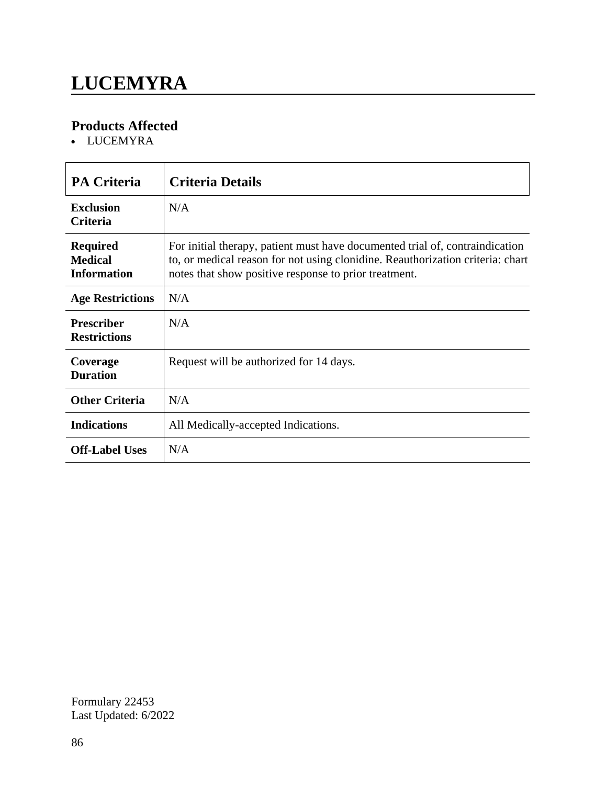# **LUCEMYRA**

### **Products Affected**

• LUCEMYRA

| <b>PA Criteria</b>                                      | <b>Criteria Details</b>                                                                                                                                                                                                 |
|---------------------------------------------------------|-------------------------------------------------------------------------------------------------------------------------------------------------------------------------------------------------------------------------|
| <b>Exclusion</b><br><b>Criteria</b>                     | N/A                                                                                                                                                                                                                     |
| <b>Required</b><br><b>Medical</b><br><b>Information</b> | For initial therapy, patient must have documented trial of, contraindication<br>to, or medical reason for not using clonidine. Reauthorization criteria: chart<br>notes that show positive response to prior treatment. |
| <b>Age Restrictions</b>                                 | N/A                                                                                                                                                                                                                     |
| <b>Prescriber</b><br><b>Restrictions</b>                | N/A                                                                                                                                                                                                                     |
| Coverage<br><b>Duration</b>                             | Request will be authorized for 14 days.                                                                                                                                                                                 |
| <b>Other Criteria</b>                                   | N/A                                                                                                                                                                                                                     |
| <b>Indications</b>                                      | All Medically-accepted Indications.                                                                                                                                                                                     |
| <b>Off-Label Uses</b>                                   | N/A                                                                                                                                                                                                                     |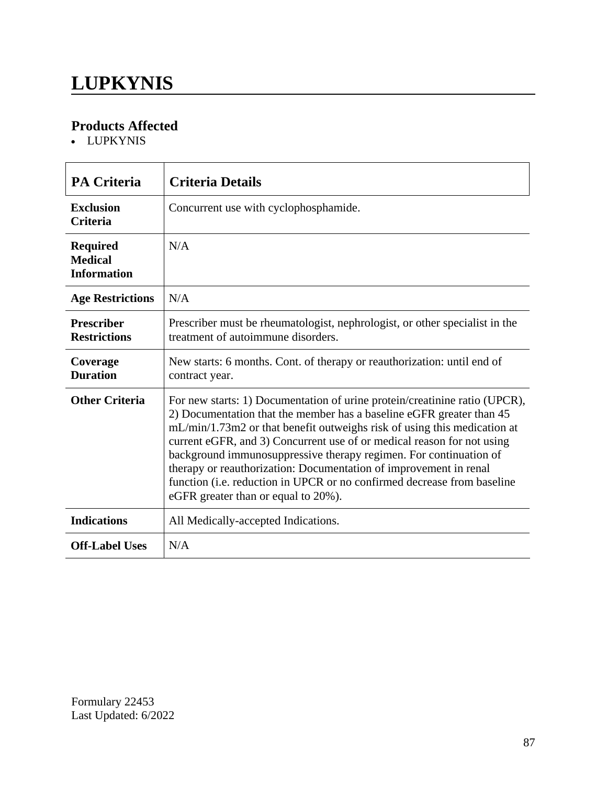### **LUPKYNIS**

#### **Products Affected**

LUPKYNIS

| <b>PA Criteria</b>                                      | <b>Criteria Details</b>                                                                                                                                                                                                                                                                                                                                                                                                                                                                                                                                              |
|---------------------------------------------------------|----------------------------------------------------------------------------------------------------------------------------------------------------------------------------------------------------------------------------------------------------------------------------------------------------------------------------------------------------------------------------------------------------------------------------------------------------------------------------------------------------------------------------------------------------------------------|
| <b>Exclusion</b><br><b>Criteria</b>                     | Concurrent use with cyclophosphamide.                                                                                                                                                                                                                                                                                                                                                                                                                                                                                                                                |
| <b>Required</b><br><b>Medical</b><br><b>Information</b> | N/A                                                                                                                                                                                                                                                                                                                                                                                                                                                                                                                                                                  |
| <b>Age Restrictions</b>                                 | N/A                                                                                                                                                                                                                                                                                                                                                                                                                                                                                                                                                                  |
| <b>Prescriber</b><br><b>Restrictions</b>                | Prescriber must be rheumatologist, nephrologist, or other specialist in the<br>treatment of autoimmune disorders.                                                                                                                                                                                                                                                                                                                                                                                                                                                    |
| Coverage<br><b>Duration</b>                             | New starts: 6 months. Cont. of therapy or reauthorization: until end of<br>contract year.                                                                                                                                                                                                                                                                                                                                                                                                                                                                            |
| <b>Other Criteria</b>                                   | For new starts: 1) Documentation of urine protein/creatinine ratio (UPCR),<br>2) Documentation that the member has a baseline eGFR greater than 45<br>mL/min/1.73m2 or that benefit outweighs risk of using this medication at<br>current eGFR, and 3) Concurrent use of or medical reason for not using<br>background immunosuppressive therapy regimen. For continuation of<br>therapy or reauthorization: Documentation of improvement in renal<br>function (i.e. reduction in UPCR or no confirmed decrease from baseline<br>eGFR greater than or equal to 20%). |
| <b>Indications</b>                                      | All Medically-accepted Indications.                                                                                                                                                                                                                                                                                                                                                                                                                                                                                                                                  |
| <b>Off-Label Uses</b>                                   | N/A                                                                                                                                                                                                                                                                                                                                                                                                                                                                                                                                                                  |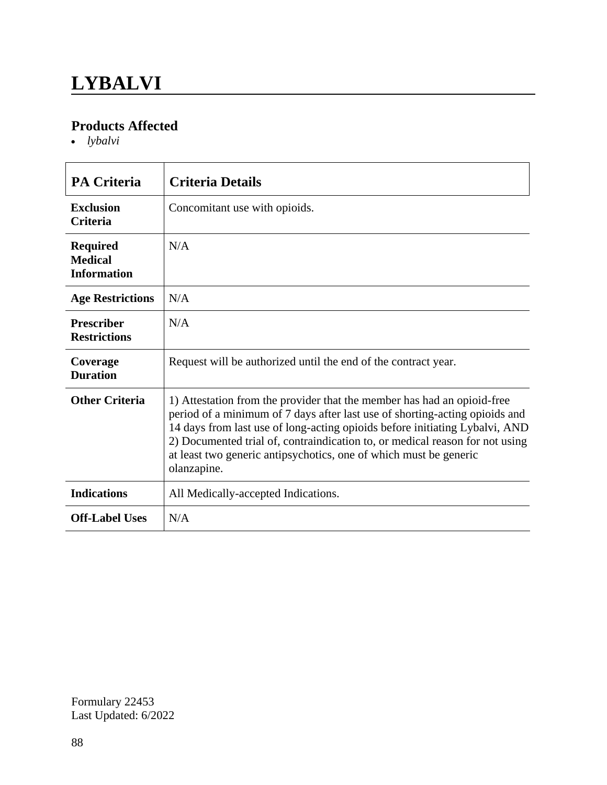### **LYBALVI**

#### **Products Affected**

*lybalvi*

| <b>PA Criteria</b>                                      | <b>Criteria Details</b>                                                                                                                                                                                                                                                                                                                                                                                   |
|---------------------------------------------------------|-----------------------------------------------------------------------------------------------------------------------------------------------------------------------------------------------------------------------------------------------------------------------------------------------------------------------------------------------------------------------------------------------------------|
| <b>Exclusion</b><br><b>Criteria</b>                     | Concomitant use with opioids.                                                                                                                                                                                                                                                                                                                                                                             |
| <b>Required</b><br><b>Medical</b><br><b>Information</b> | N/A                                                                                                                                                                                                                                                                                                                                                                                                       |
| <b>Age Restrictions</b>                                 | N/A                                                                                                                                                                                                                                                                                                                                                                                                       |
| <b>Prescriber</b><br><b>Restrictions</b>                | N/A                                                                                                                                                                                                                                                                                                                                                                                                       |
| Coverage<br><b>Duration</b>                             | Request will be authorized until the end of the contract year.                                                                                                                                                                                                                                                                                                                                            |
| <b>Other Criteria</b>                                   | 1) Attestation from the provider that the member has had an opioid-free<br>period of a minimum of 7 days after last use of shorting-acting opioids and<br>14 days from last use of long-acting opioids before initiating Lybalvi, AND<br>2) Documented trial of, contraindication to, or medical reason for not using<br>at least two generic antipsychotics, one of which must be generic<br>olanzapine. |
| <b>Indications</b>                                      | All Medically-accepted Indications.                                                                                                                                                                                                                                                                                                                                                                       |
| <b>Off-Label Uses</b>                                   | N/A                                                                                                                                                                                                                                                                                                                                                                                                       |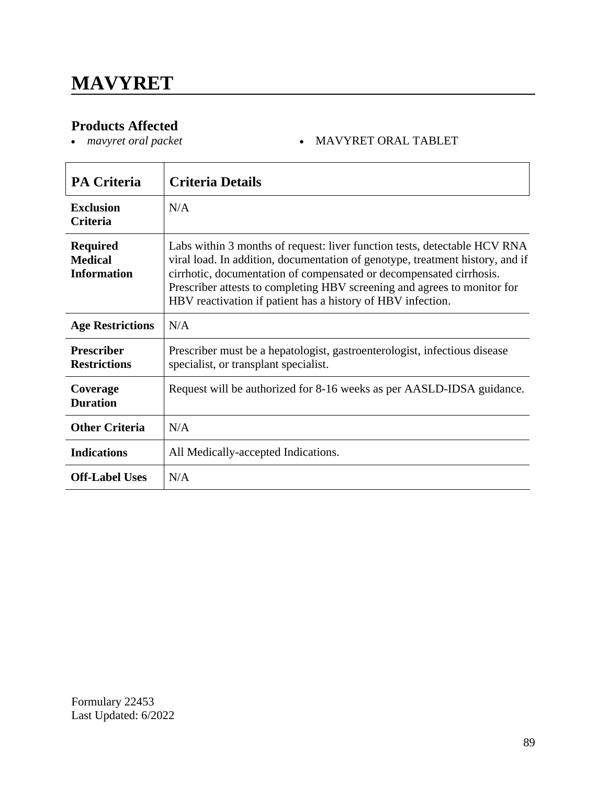# **Products Affected**<br>• *mavyret oral packet*

#### *mavyret oral packet* MAVYRET ORAL TABLET

| <b>PA Criteria</b>                                      | <b>Criteria Details</b>                                                                                                                                                                                                                                                                                                                                                      |
|---------------------------------------------------------|------------------------------------------------------------------------------------------------------------------------------------------------------------------------------------------------------------------------------------------------------------------------------------------------------------------------------------------------------------------------------|
| <b>Exclusion</b><br><b>Criteria</b>                     | N/A                                                                                                                                                                                                                                                                                                                                                                          |
| <b>Required</b><br><b>Medical</b><br><b>Information</b> | Labs within 3 months of request: liver function tests, detectable HCV RNA<br>viral load. In addition, documentation of genotype, treatment history, and if<br>cirrhotic, documentation of compensated or decompensated cirrhosis.<br>Prescriber attests to completing HBV screening and agrees to monitor for<br>HBV reactivation if patient has a history of HBV infection. |
| <b>Age Restrictions</b>                                 | N/A                                                                                                                                                                                                                                                                                                                                                                          |
| <b>Prescriber</b><br><b>Restrictions</b>                | Prescriber must be a hepatologist, gastroenterologist, infectious disease<br>specialist, or transplant specialist.                                                                                                                                                                                                                                                           |
| Coverage<br><b>Duration</b>                             | Request will be authorized for 8-16 weeks as per AASLD-IDSA guidance.                                                                                                                                                                                                                                                                                                        |
| <b>Other Criteria</b>                                   | N/A                                                                                                                                                                                                                                                                                                                                                                          |
| <b>Indications</b>                                      | All Medically-accepted Indications.                                                                                                                                                                                                                                                                                                                                          |
| <b>Off-Label Uses</b>                                   | N/A                                                                                                                                                                                                                                                                                                                                                                          |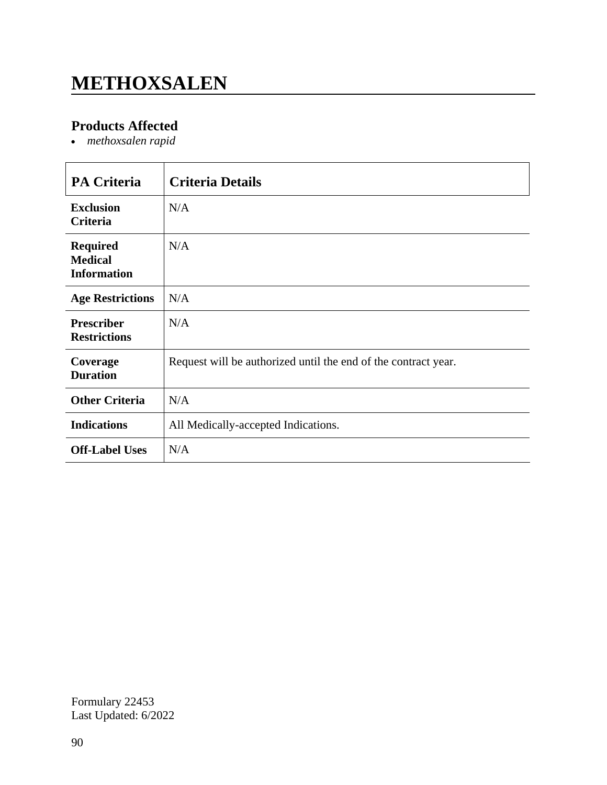# **METHOXSALEN**

### **Products Affected**

*methoxsalen rapid*

| <b>PA Criteria</b>                                      | <b>Criteria Details</b>                                        |
|---------------------------------------------------------|----------------------------------------------------------------|
| <b>Exclusion</b><br>Criteria                            | N/A                                                            |
| <b>Required</b><br><b>Medical</b><br><b>Information</b> | N/A                                                            |
| <b>Age Restrictions</b>                                 | N/A                                                            |
| <b>Prescriber</b><br><b>Restrictions</b>                | N/A                                                            |
| Coverage<br><b>Duration</b>                             | Request will be authorized until the end of the contract year. |
| <b>Other Criteria</b>                                   | N/A                                                            |
| <b>Indications</b>                                      | All Medically-accepted Indications.                            |
| <b>Off-Label Uses</b>                                   | N/A                                                            |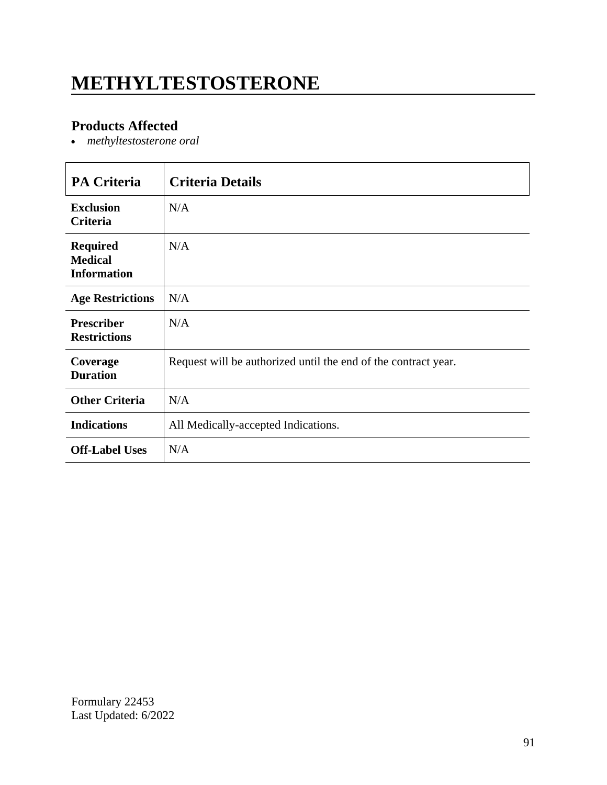# **METHYLTESTOSTERONE**

### **Products Affected**

*methyltestosterone oral*

| <b>PA Criteria</b>                                      | <b>Criteria Details</b>                                        |
|---------------------------------------------------------|----------------------------------------------------------------|
| <b>Exclusion</b><br><b>Criteria</b>                     | N/A                                                            |
| <b>Required</b><br><b>Medical</b><br><b>Information</b> | N/A                                                            |
| <b>Age Restrictions</b>                                 | N/A                                                            |
| <b>Prescriber</b><br><b>Restrictions</b>                | N/A                                                            |
| Coverage<br><b>Duration</b>                             | Request will be authorized until the end of the contract year. |
| <b>Other Criteria</b>                                   | N/A                                                            |
| <b>Indications</b>                                      | All Medically-accepted Indications.                            |
| <b>Off-Label Uses</b>                                   | N/A                                                            |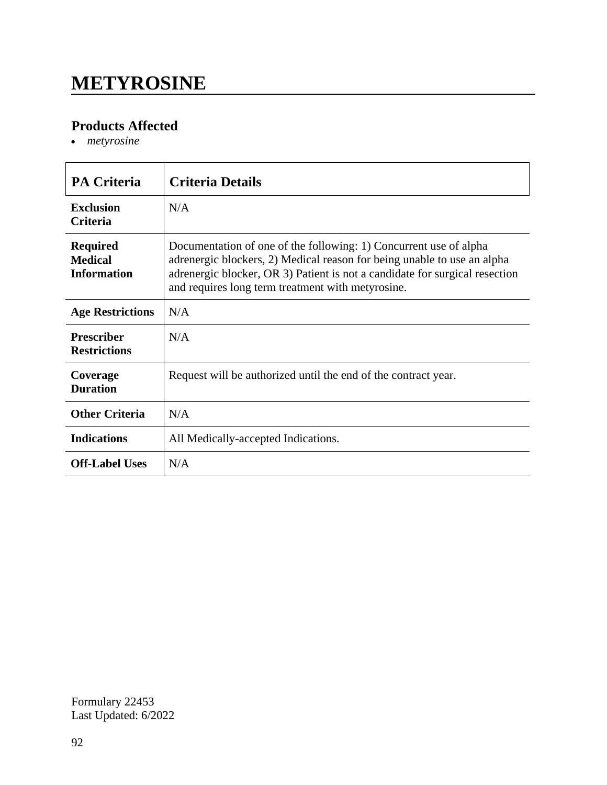### **METYROSINE**

#### **Products Affected**

*metyrosine*

| <b>PA Criteria</b>                                      | <b>Criteria Details</b>                                                                                                                                                                                                                                                          |
|---------------------------------------------------------|----------------------------------------------------------------------------------------------------------------------------------------------------------------------------------------------------------------------------------------------------------------------------------|
| <b>Exclusion</b><br><b>Criteria</b>                     | N/A                                                                                                                                                                                                                                                                              |
| <b>Required</b><br><b>Medical</b><br><b>Information</b> | Documentation of one of the following: 1) Concurrent use of alpha<br>adrenergic blockers, 2) Medical reason for being unable to use an alpha<br>adrenergic blocker, OR 3) Patient is not a candidate for surgical resection<br>and requires long term treatment with metyrosine. |
| <b>Age Restrictions</b>                                 | N/A                                                                                                                                                                                                                                                                              |
| <b>Prescriber</b><br><b>Restrictions</b>                | N/A                                                                                                                                                                                                                                                                              |
| Coverage<br><b>Duration</b>                             | Request will be authorized until the end of the contract year.                                                                                                                                                                                                                   |
| <b>Other Criteria</b>                                   | N/A                                                                                                                                                                                                                                                                              |
| <b>Indications</b>                                      | All Medically-accepted Indications.                                                                                                                                                                                                                                              |
| <b>Off-Label Uses</b>                                   | N/A                                                                                                                                                                                                                                                                              |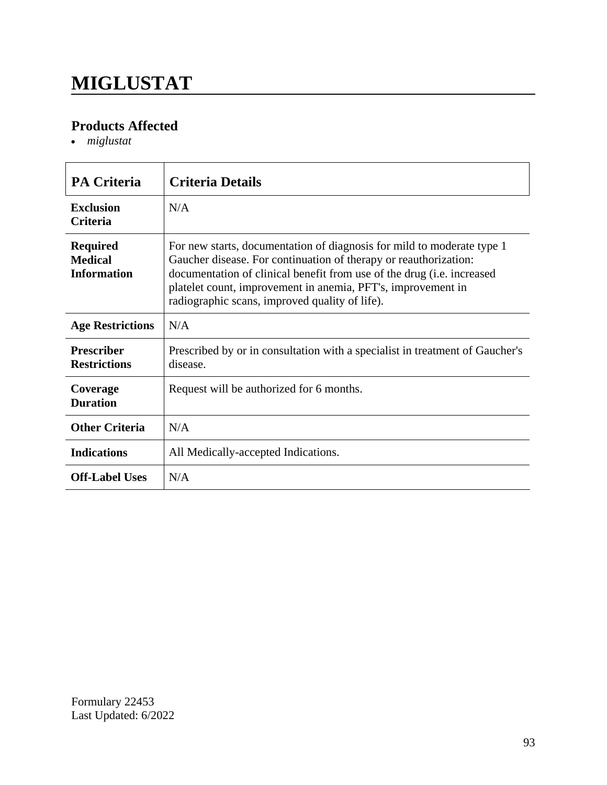# **MIGLUSTAT**

### **Products Affected**

*miglustat*

| <b>PA Criteria</b>                                      | <b>Criteria Details</b>                                                                                                                                                                                                                                                                                                                        |
|---------------------------------------------------------|------------------------------------------------------------------------------------------------------------------------------------------------------------------------------------------------------------------------------------------------------------------------------------------------------------------------------------------------|
| <b>Exclusion</b><br><b>Criteria</b>                     | N/A                                                                                                                                                                                                                                                                                                                                            |
| <b>Required</b><br><b>Medical</b><br><b>Information</b> | For new starts, documentation of diagnosis for mild to moderate type 1<br>Gaucher disease. For continuation of therapy or reauthorization:<br>documentation of clinical benefit from use of the drug ( <i>i.e.</i> increased<br>platelet count, improvement in anemia, PFT's, improvement in<br>radiographic scans, improved quality of life). |
| <b>Age Restrictions</b>                                 | N/A                                                                                                                                                                                                                                                                                                                                            |
| <b>Prescriber</b><br><b>Restrictions</b>                | Prescribed by or in consultation with a specialist in treatment of Gaucher's<br>disease.                                                                                                                                                                                                                                                       |
| Coverage<br><b>Duration</b>                             | Request will be authorized for 6 months.                                                                                                                                                                                                                                                                                                       |
| <b>Other Criteria</b>                                   | N/A                                                                                                                                                                                                                                                                                                                                            |
| <b>Indications</b>                                      | All Medically-accepted Indications.                                                                                                                                                                                                                                                                                                            |
| <b>Off-Label Uses</b>                                   | N/A                                                                                                                                                                                                                                                                                                                                            |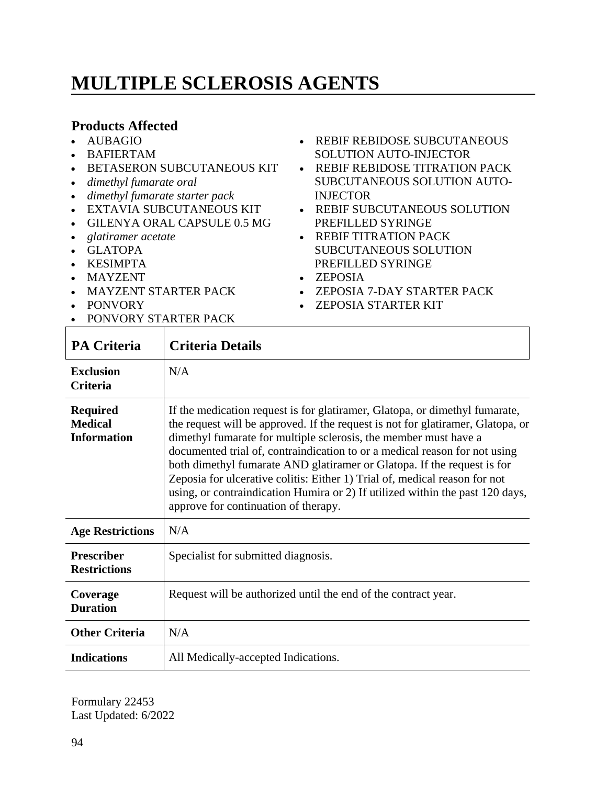# **MULTIPLE SCLEROSIS AGENTS**

#### **Products Affected**

- AUBAGIO
- BAFIERTAM
- **BETASERON SUBCUTANEOUS KIT**
- *dimethyl fumarate oral*
- *dimethyl fumarate starter pack*
- EXTAVIA SUBCUTANEOUS KIT
- GILENYA ORAL CAPSULE 0.5 MG
- *glatiramer acetate*
- GLATOPA
- KESIMPTA
- MAYZENT
- MAYZENT STARTER PACK
- PONVORY
- **PONVORY STARTER PACK**
- REBIF REBIDOSE SUBCUTANEOUS SOLUTION AUTO-INJECTOR
- REBIF REBIDOSE TITRATION PACK SUBCUTANEOUS SOLUTION AUTO-INJECTOR
- REBIF SUBCUTANEOUS SOLUTION PREFILLED SYRINGE
- REBIF TITRATION PACK SUBCUTANEOUS SOLUTION PREFILLED SYRINGE
- ZEPOSIA
- ZEPOSIA 7-DAY STARTER PACK
- ZEPOSIA STARTER KIT

| <b>PA Criteria</b>                                      | <b>Criteria Details</b>                                                                                                                                                                                                                                                                                                                                                                                                                                                                                                                                                                            |
|---------------------------------------------------------|----------------------------------------------------------------------------------------------------------------------------------------------------------------------------------------------------------------------------------------------------------------------------------------------------------------------------------------------------------------------------------------------------------------------------------------------------------------------------------------------------------------------------------------------------------------------------------------------------|
| <b>Exclusion</b><br>Criteria                            | N/A                                                                                                                                                                                                                                                                                                                                                                                                                                                                                                                                                                                                |
| <b>Required</b><br><b>Medical</b><br><b>Information</b> | If the medication request is for glatiramer, Glatopa, or dimethyl fumarate,<br>the request will be approved. If the request is not for glatiramer, Glatopa, or<br>dimethyl fumarate for multiple sclerosis, the member must have a<br>documented trial of, contraindication to or a medical reason for not using<br>both dimethyl fumarate AND glatiramer or Glatopa. If the request is for<br>Zeposia for ulcerative colitis: Either 1) Trial of, medical reason for not<br>using, or contraindication Humira or 2) If utilized within the past 120 days,<br>approve for continuation of therapy. |
| <b>Age Restrictions</b>                                 | N/A                                                                                                                                                                                                                                                                                                                                                                                                                                                                                                                                                                                                |
| <b>Prescriber</b><br><b>Restrictions</b>                | Specialist for submitted diagnosis.                                                                                                                                                                                                                                                                                                                                                                                                                                                                                                                                                                |
| Coverage<br><b>Duration</b>                             | Request will be authorized until the end of the contract year.                                                                                                                                                                                                                                                                                                                                                                                                                                                                                                                                     |
| <b>Other Criteria</b>                                   | N/A                                                                                                                                                                                                                                                                                                                                                                                                                                                                                                                                                                                                |
| <b>Indications</b>                                      | All Medically-accepted Indications.                                                                                                                                                                                                                                                                                                                                                                                                                                                                                                                                                                |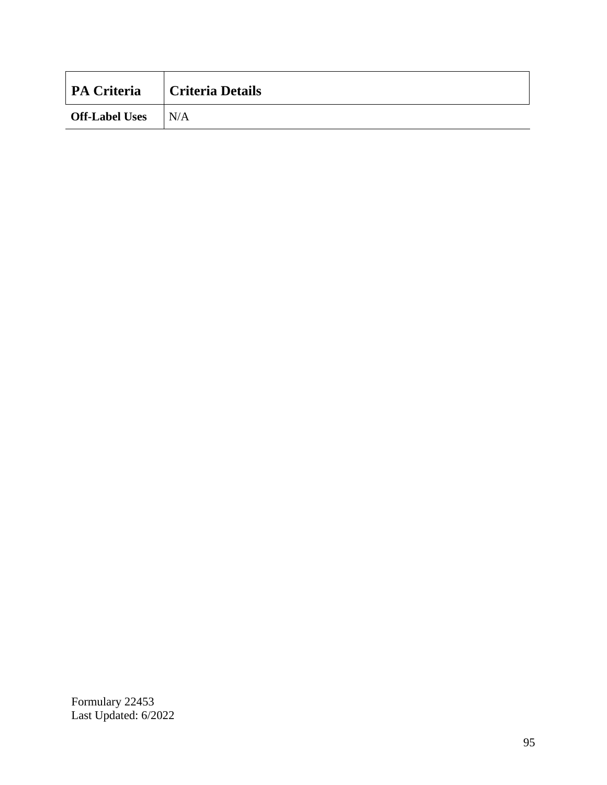| <b>PA Criteria</b>    | <b>Criteria Details</b> |
|-----------------------|-------------------------|
| <b>Off-Label Uses</b> | IN/A                    |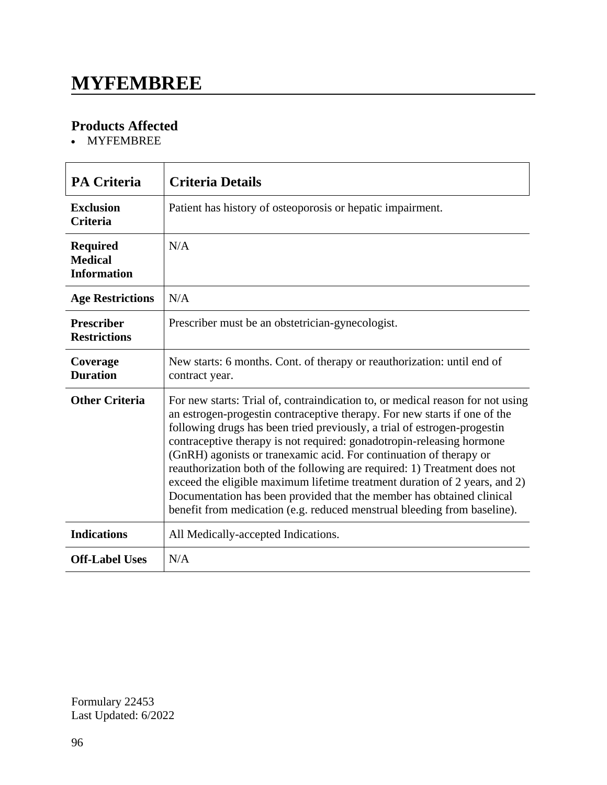### **MYFEMBREE**

### **Products Affected**

MYFEMBREE

| <b>PA Criteria</b>                                      | <b>Criteria Details</b>                                                                                                                                                                                                                                                                                                                                                                                                                                                                                                                                                                                                                                                                                |
|---------------------------------------------------------|--------------------------------------------------------------------------------------------------------------------------------------------------------------------------------------------------------------------------------------------------------------------------------------------------------------------------------------------------------------------------------------------------------------------------------------------------------------------------------------------------------------------------------------------------------------------------------------------------------------------------------------------------------------------------------------------------------|
| <b>Exclusion</b><br><b>Criteria</b>                     | Patient has history of osteoporosis or hepatic impairment.                                                                                                                                                                                                                                                                                                                                                                                                                                                                                                                                                                                                                                             |
| <b>Required</b><br><b>Medical</b><br><b>Information</b> | N/A                                                                                                                                                                                                                                                                                                                                                                                                                                                                                                                                                                                                                                                                                                    |
| <b>Age Restrictions</b>                                 | N/A                                                                                                                                                                                                                                                                                                                                                                                                                                                                                                                                                                                                                                                                                                    |
| <b>Prescriber</b><br><b>Restrictions</b>                | Prescriber must be an obstetrician-gynecologist.                                                                                                                                                                                                                                                                                                                                                                                                                                                                                                                                                                                                                                                       |
| Coverage<br><b>Duration</b>                             | New starts: 6 months. Cont. of therapy or reauthorization: until end of<br>contract year.                                                                                                                                                                                                                                                                                                                                                                                                                                                                                                                                                                                                              |
| <b>Other Criteria</b>                                   | For new starts: Trial of, contraindication to, or medical reason for not using<br>an estrogen-progestin contraceptive therapy. For new starts if one of the<br>following drugs has been tried previously, a trial of estrogen-progestin<br>contraceptive therapy is not required: gonadotropin-releasing hormone<br>(GnRH) agonists or tranexamic acid. For continuation of therapy or<br>reauthorization both of the following are required: 1) Treatment does not<br>exceed the eligible maximum lifetime treatment duration of 2 years, and 2)<br>Documentation has been provided that the member has obtained clinical<br>benefit from medication (e.g. reduced menstrual bleeding from baseline). |
| <b>Indications</b>                                      | All Medically-accepted Indications.                                                                                                                                                                                                                                                                                                                                                                                                                                                                                                                                                                                                                                                                    |
| <b>Off-Label Uses</b>                                   | N/A                                                                                                                                                                                                                                                                                                                                                                                                                                                                                                                                                                                                                                                                                                    |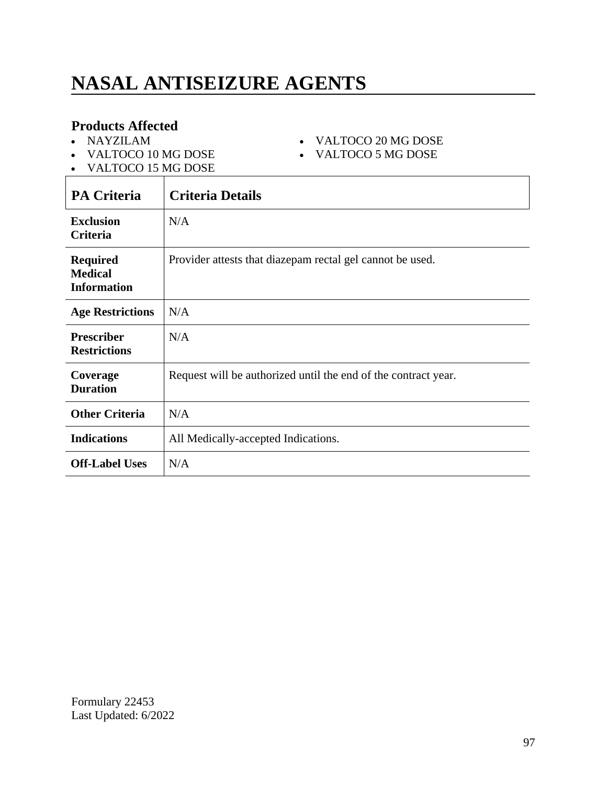# **NASAL ANTISEIZURE AGENTS**

#### **Products Affected**

- NAYZILAM
- VALTOCO 10 MG DOSE
- VALTOCO 20 MG DOSE VALTOCO 5 MG DOSE
- VALTOCO 15 MG DOSE

| <b>PA Criteria</b>                                      | <b>Criteria Details</b>                                        |
|---------------------------------------------------------|----------------------------------------------------------------|
| <b>Exclusion</b><br>Criteria                            | N/A                                                            |
| <b>Required</b><br><b>Medical</b><br><b>Information</b> | Provider attests that diazepam rectal gel cannot be used.      |
| <b>Age Restrictions</b>                                 | N/A                                                            |
| <b>Prescriber</b><br><b>Restrictions</b>                | N/A                                                            |
| Coverage<br><b>Duration</b>                             | Request will be authorized until the end of the contract year. |
| <b>Other Criteria</b>                                   | N/A                                                            |
| <b>Indications</b>                                      | All Medically-accepted Indications.                            |
| <b>Off-Label Uses</b>                                   | N/A                                                            |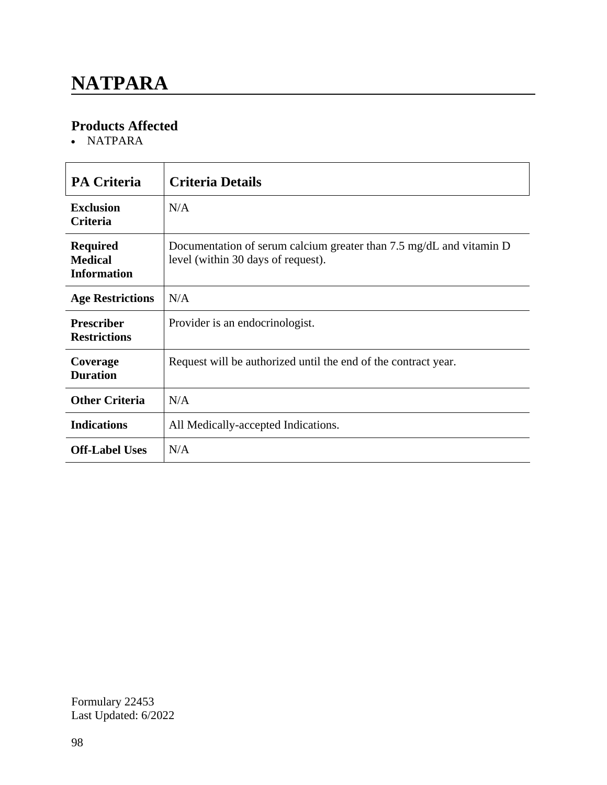### **NATPARA**

### **Products Affected**

NATPARA

| <b>PA Criteria</b>                                      | <b>Criteria Details</b>                                                                                   |
|---------------------------------------------------------|-----------------------------------------------------------------------------------------------------------|
| <b>Exclusion</b><br><b>Criteria</b>                     | N/A                                                                                                       |
| <b>Required</b><br><b>Medical</b><br><b>Information</b> | Documentation of serum calcium greater than 7.5 mg/dL and vitamin D<br>level (within 30 days of request). |
| <b>Age Restrictions</b>                                 | N/A                                                                                                       |
| <b>Prescriber</b><br><b>Restrictions</b>                | Provider is an endocrinologist.                                                                           |
| Coverage<br><b>Duration</b>                             | Request will be authorized until the end of the contract year.                                            |
| <b>Other Criteria</b>                                   | N/A                                                                                                       |
| <b>Indications</b>                                      | All Medically-accepted Indications.                                                                       |
| <b>Off-Label Uses</b>                                   | N/A                                                                                                       |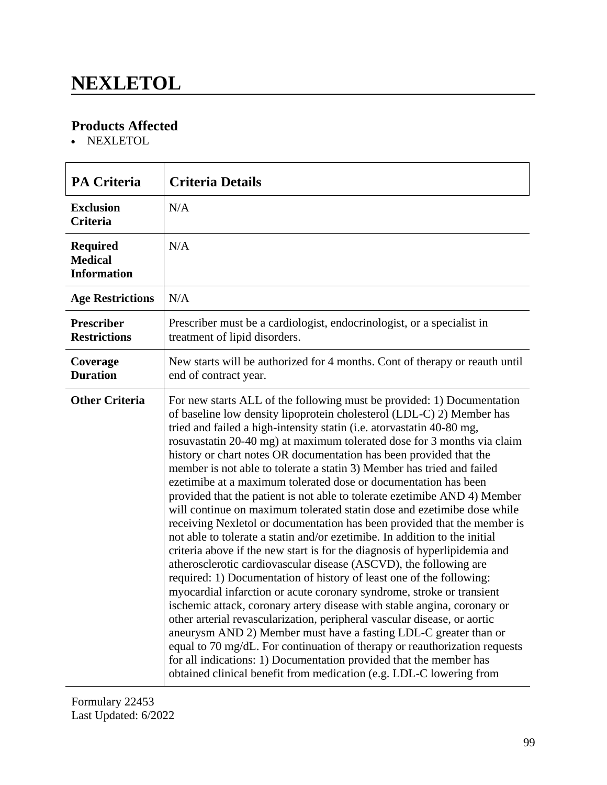### **NEXLETOL**

### **Products Affected**

NEXLETOL

| <b>PA Criteria</b>                                      | <b>Criteria Details</b>                                                                                                                                                                                                                                                                                                                                                                                                                                                                                                                                                                                                                                                                                                                                                                                                                                                                                                                                                                                                                                                                                                                                                                                                                                                                                                                                                                                                                                                                                                                                                                             |
|---------------------------------------------------------|-----------------------------------------------------------------------------------------------------------------------------------------------------------------------------------------------------------------------------------------------------------------------------------------------------------------------------------------------------------------------------------------------------------------------------------------------------------------------------------------------------------------------------------------------------------------------------------------------------------------------------------------------------------------------------------------------------------------------------------------------------------------------------------------------------------------------------------------------------------------------------------------------------------------------------------------------------------------------------------------------------------------------------------------------------------------------------------------------------------------------------------------------------------------------------------------------------------------------------------------------------------------------------------------------------------------------------------------------------------------------------------------------------------------------------------------------------------------------------------------------------------------------------------------------------------------------------------------------------|
| <b>Exclusion</b><br><b>Criteria</b>                     | N/A                                                                                                                                                                                                                                                                                                                                                                                                                                                                                                                                                                                                                                                                                                                                                                                                                                                                                                                                                                                                                                                                                                                                                                                                                                                                                                                                                                                                                                                                                                                                                                                                 |
| <b>Required</b><br><b>Medical</b><br><b>Information</b> | N/A                                                                                                                                                                                                                                                                                                                                                                                                                                                                                                                                                                                                                                                                                                                                                                                                                                                                                                                                                                                                                                                                                                                                                                                                                                                                                                                                                                                                                                                                                                                                                                                                 |
| <b>Age Restrictions</b>                                 | N/A                                                                                                                                                                                                                                                                                                                                                                                                                                                                                                                                                                                                                                                                                                                                                                                                                                                                                                                                                                                                                                                                                                                                                                                                                                                                                                                                                                                                                                                                                                                                                                                                 |
| <b>Prescriber</b><br><b>Restrictions</b>                | Prescriber must be a cardiologist, endocrinologist, or a specialist in<br>treatment of lipid disorders.                                                                                                                                                                                                                                                                                                                                                                                                                                                                                                                                                                                                                                                                                                                                                                                                                                                                                                                                                                                                                                                                                                                                                                                                                                                                                                                                                                                                                                                                                             |
| Coverage<br><b>Duration</b>                             | New starts will be authorized for 4 months. Cont of therapy or reauth until<br>end of contract year.                                                                                                                                                                                                                                                                                                                                                                                                                                                                                                                                                                                                                                                                                                                                                                                                                                                                                                                                                                                                                                                                                                                                                                                                                                                                                                                                                                                                                                                                                                |
| <b>Other Criteria</b>                                   | For new starts ALL of the following must be provided: 1) Documentation<br>of baseline low density lipoprotein cholesterol (LDL-C) 2) Member has<br>tried and failed a high-intensity statin (i.e. atorvastatin 40-80 mg,<br>rosuvastatin 20-40 mg) at maximum tolerated dose for 3 months via claim<br>history or chart notes OR documentation has been provided that the<br>member is not able to tolerate a statin 3) Member has tried and failed<br>ezetimibe at a maximum tolerated dose or documentation has been<br>provided that the patient is not able to tolerate ezetimibe AND 4) Member<br>will continue on maximum tolerated statin dose and ezetimibe dose while<br>receiving Nexletol or documentation has been provided that the member is<br>not able to tolerate a statin and/or ezetimibe. In addition to the initial<br>criteria above if the new start is for the diagnosis of hyperlipidemia and<br>atherosclerotic cardiovascular disease (ASCVD), the following are<br>required: 1) Documentation of history of least one of the following:<br>myocardial infarction or acute coronary syndrome, stroke or transient<br>ischemic attack, coronary artery disease with stable angina, coronary or<br>other arterial revascularization, peripheral vascular disease, or aortic<br>aneurysm AND 2) Member must have a fasting LDL-C greater than or<br>equal to 70 mg/dL. For continuation of therapy or reauthorization requests<br>for all indications: 1) Documentation provided that the member has<br>obtained clinical benefit from medication (e.g. LDL-C lowering from |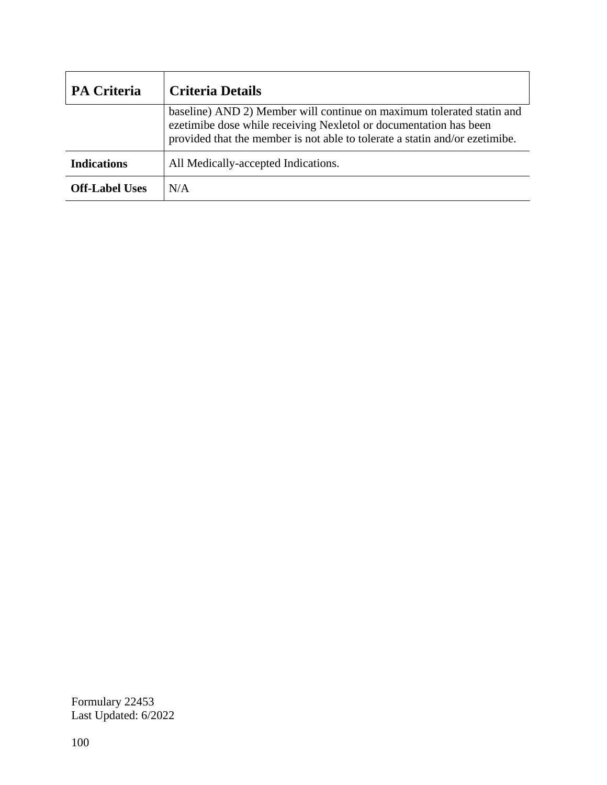| <b>PA Criteria</b>    | <b>Criteria Details</b>                                                                                                                                                                                                   |
|-----------------------|---------------------------------------------------------------------------------------------------------------------------------------------------------------------------------------------------------------------------|
|                       | baseline) AND 2) Member will continue on maximum tolerated statin and<br>ezetimibe dose while receiving Nexletol or documentation has been<br>provided that the member is not able to tolerate a statin and/or ezetimibe. |
| <b>Indications</b>    | All Medically-accepted Indications.                                                                                                                                                                                       |
| <b>Off-Label Uses</b> | N/A                                                                                                                                                                                                                       |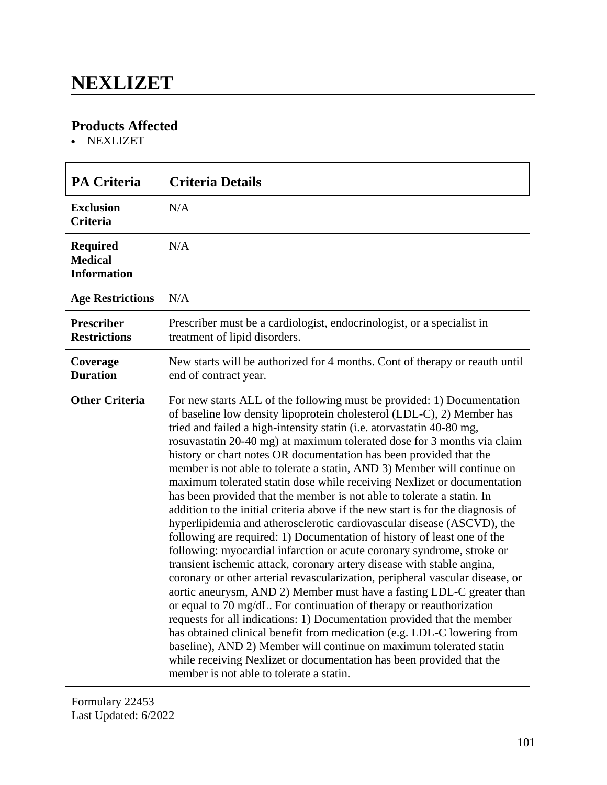### **NEXLIZET**

#### **Products Affected**

NEXLIZET

| <b>PA Criteria</b>                                      | <b>Criteria Details</b>                                                                                                                                                                                                                                                                                                                                                                                                                                                                                                                                                                                                                                                                                                                                                                                                                                                                                                                                                                                                                                                                                                                                                                                                                                                                                                                                                                                                                                                                                                                                                                  |
|---------------------------------------------------------|------------------------------------------------------------------------------------------------------------------------------------------------------------------------------------------------------------------------------------------------------------------------------------------------------------------------------------------------------------------------------------------------------------------------------------------------------------------------------------------------------------------------------------------------------------------------------------------------------------------------------------------------------------------------------------------------------------------------------------------------------------------------------------------------------------------------------------------------------------------------------------------------------------------------------------------------------------------------------------------------------------------------------------------------------------------------------------------------------------------------------------------------------------------------------------------------------------------------------------------------------------------------------------------------------------------------------------------------------------------------------------------------------------------------------------------------------------------------------------------------------------------------------------------------------------------------------------------|
| <b>Exclusion</b><br><b>Criteria</b>                     | N/A                                                                                                                                                                                                                                                                                                                                                                                                                                                                                                                                                                                                                                                                                                                                                                                                                                                                                                                                                                                                                                                                                                                                                                                                                                                                                                                                                                                                                                                                                                                                                                                      |
| <b>Required</b><br><b>Medical</b><br><b>Information</b> | N/A                                                                                                                                                                                                                                                                                                                                                                                                                                                                                                                                                                                                                                                                                                                                                                                                                                                                                                                                                                                                                                                                                                                                                                                                                                                                                                                                                                                                                                                                                                                                                                                      |
| <b>Age Restrictions</b>                                 | N/A                                                                                                                                                                                                                                                                                                                                                                                                                                                                                                                                                                                                                                                                                                                                                                                                                                                                                                                                                                                                                                                                                                                                                                                                                                                                                                                                                                                                                                                                                                                                                                                      |
| <b>Prescriber</b><br><b>Restrictions</b>                | Prescriber must be a cardiologist, endocrinologist, or a specialist in<br>treatment of lipid disorders.                                                                                                                                                                                                                                                                                                                                                                                                                                                                                                                                                                                                                                                                                                                                                                                                                                                                                                                                                                                                                                                                                                                                                                                                                                                                                                                                                                                                                                                                                  |
| Coverage<br><b>Duration</b>                             | New starts will be authorized for 4 months. Cont of therapy or reauth until<br>end of contract year.                                                                                                                                                                                                                                                                                                                                                                                                                                                                                                                                                                                                                                                                                                                                                                                                                                                                                                                                                                                                                                                                                                                                                                                                                                                                                                                                                                                                                                                                                     |
| <b>Other Criteria</b>                                   | For new starts ALL of the following must be provided: 1) Documentation<br>of baseline low density lipoprotein cholesterol (LDL-C), 2) Member has<br>tried and failed a high-intensity statin (i.e. atorvastatin 40-80 mg,<br>rosuvastatin 20-40 mg) at maximum tolerated dose for 3 months via claim<br>history or chart notes OR documentation has been provided that the<br>member is not able to tolerate a statin, AND 3) Member will continue on<br>maximum tolerated statin dose while receiving Nexlizet or documentation<br>has been provided that the member is not able to tolerate a statin. In<br>addition to the initial criteria above if the new start is for the diagnosis of<br>hyperlipidemia and atherosclerotic cardiovascular disease (ASCVD), the<br>following are required: 1) Documentation of history of least one of the<br>following: myocardial infarction or acute coronary syndrome, stroke or<br>transient ischemic attack, coronary artery disease with stable angina,<br>coronary or other arterial revascularization, peripheral vascular disease, or<br>aortic aneurysm, AND 2) Member must have a fasting LDL-C greater than<br>or equal to 70 mg/dL. For continuation of therapy or reauthorization<br>requests for all indications: 1) Documentation provided that the member<br>has obtained clinical benefit from medication (e.g. LDL-C lowering from<br>baseline), AND 2) Member will continue on maximum tolerated statin<br>while receiving Nexlizet or documentation has been provided that the<br>member is not able to tolerate a statin. |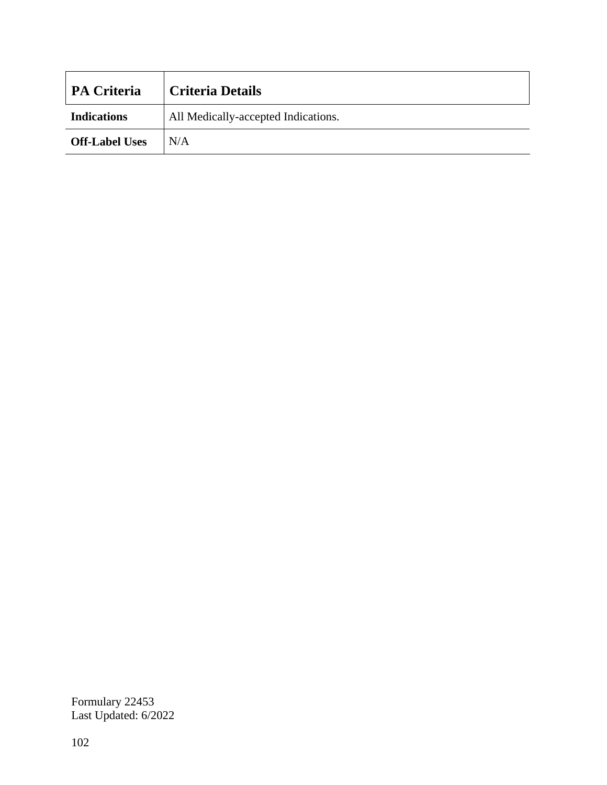| <b>PA Criteria</b>    | <b>Criteria Details</b>             |
|-----------------------|-------------------------------------|
| <b>Indications</b>    | All Medically-accepted Indications. |
| <b>Off-Label Uses</b> | N/A                                 |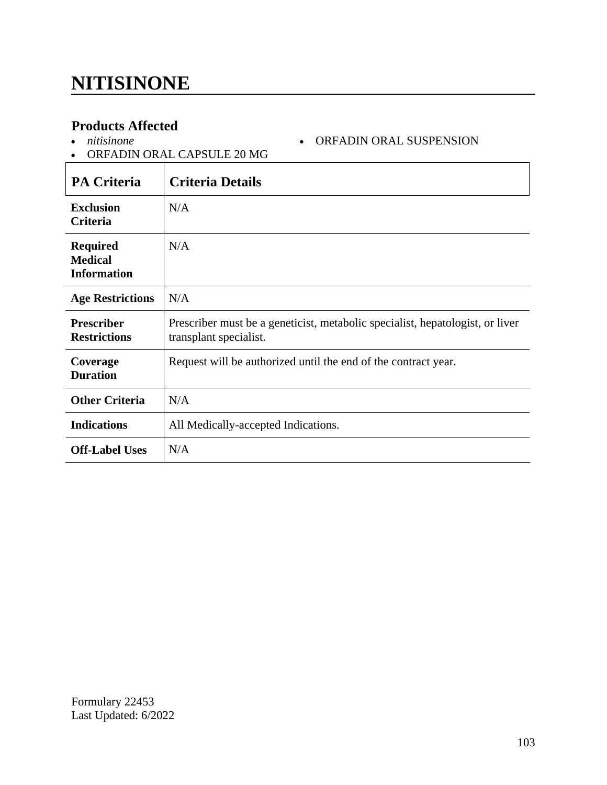### **NITISINONE**

#### **Products Affected**

| <b>Products Affected</b><br>ORFADIN ORAL SUSPENSION<br>nitisinone<br>$\bullet$<br>• ORFADIN ORAL CAPSULE 20 MG |                                                                                                         |
|----------------------------------------------------------------------------------------------------------------|---------------------------------------------------------------------------------------------------------|
| <b>PA Criteria</b>                                                                                             | <b>Criteria Details</b>                                                                                 |
| <b>Exclusion</b><br>Criteria                                                                                   | N/A                                                                                                     |
| Required<br><b>Medical</b><br>Information                                                                      | N/A                                                                                                     |
| <b>Age Restrictions</b>                                                                                        | N/A                                                                                                     |
| Prescriber<br><b>Restrictions</b>                                                                              | Prescriber must be a geneticist, metabolic specialist, hepatologist, or liver<br>transplant specialist. |
| Coverage<br><b>Duration</b>                                                                                    | Request will be authorized until the end of the contract year.                                          |
| <b>Other Criteria</b>                                                                                          | N/A                                                                                                     |
| <b>Indications</b>                                                                                             | All Medically-accepted Indications.                                                                     |

Formulary 22453 Last Updated: 6/2022

**Off-Label Uses** N/A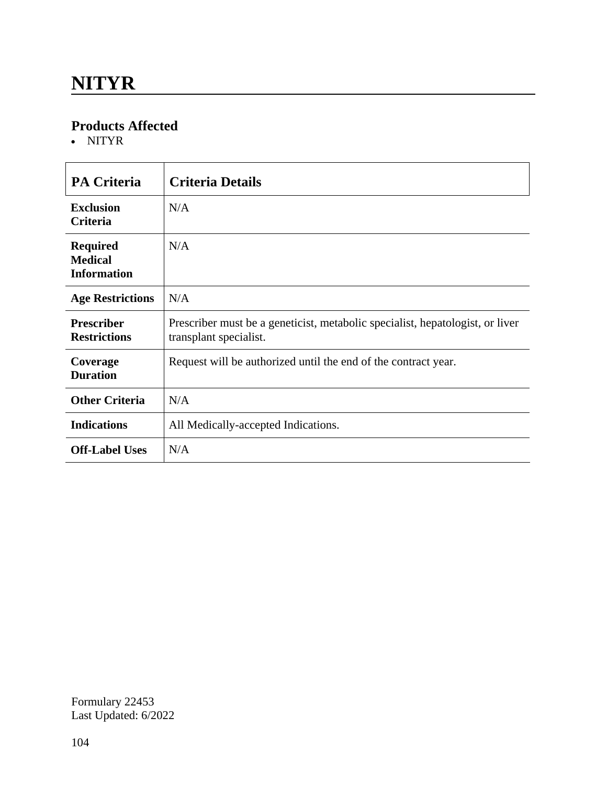### **NITYR**

#### **Products Affected**

NITYR

| <b>PA Criteria</b>                                      | <b>Criteria Details</b>                                                                                 |
|---------------------------------------------------------|---------------------------------------------------------------------------------------------------------|
| <b>Exclusion</b><br><b>Criteria</b>                     | N/A                                                                                                     |
| <b>Required</b><br><b>Medical</b><br><b>Information</b> | N/A                                                                                                     |
| <b>Age Restrictions</b>                                 | N/A                                                                                                     |
| <b>Prescriber</b><br><b>Restrictions</b>                | Prescriber must be a geneticist, metabolic specialist, hepatologist, or liver<br>transplant specialist. |
| Coverage<br><b>Duration</b>                             | Request will be authorized until the end of the contract year.                                          |
| <b>Other Criteria</b>                                   | N/A                                                                                                     |
| <b>Indications</b>                                      | All Medically-accepted Indications.                                                                     |
| <b>Off-Label Uses</b>                                   | N/A                                                                                                     |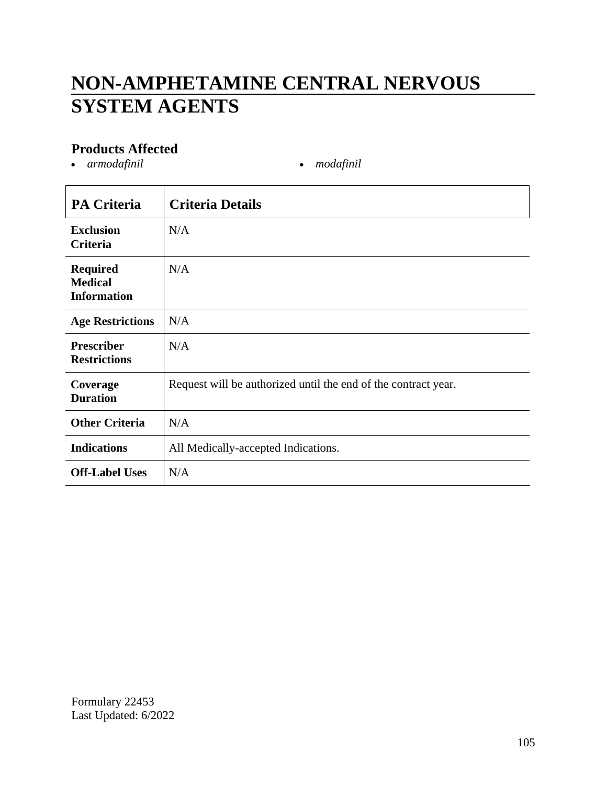# **NON-AMPHETAMINE CENTRAL NERVOUS SYSTEM AGENTS**

#### **Products Affected**

• *armodafinil* • *modafinil* 

| <b>PA Criteria</b>                                      | <b>Criteria Details</b>                                        |
|---------------------------------------------------------|----------------------------------------------------------------|
| <b>Exclusion</b><br>Criteria                            | N/A                                                            |
| <b>Required</b><br><b>Medical</b><br><b>Information</b> | N/A                                                            |
| <b>Age Restrictions</b>                                 | N/A                                                            |
| <b>Prescriber</b><br><b>Restrictions</b>                | N/A                                                            |
| Coverage<br><b>Duration</b>                             | Request will be authorized until the end of the contract year. |
| <b>Other Criteria</b>                                   | N/A                                                            |
| <b>Indications</b>                                      | All Medically-accepted Indications.                            |
| <b>Off-Label Uses</b>                                   | N/A                                                            |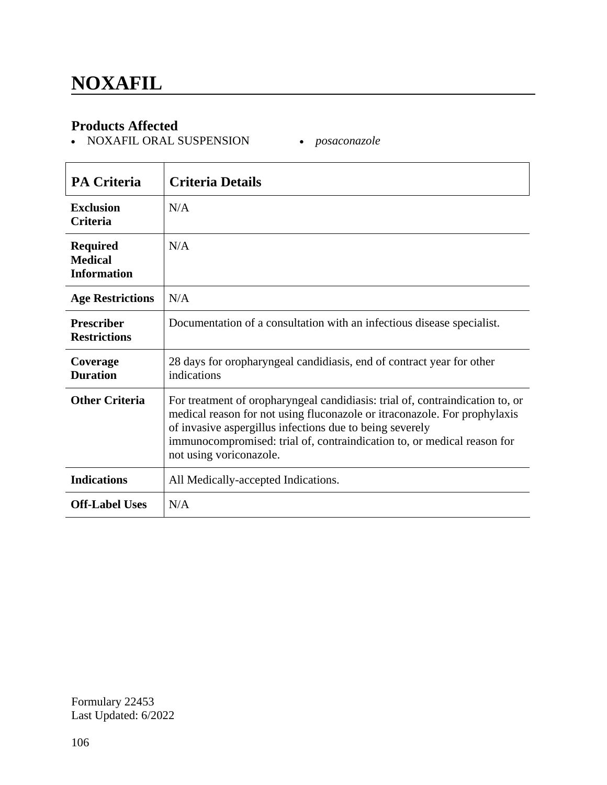#### **Products Affected**

NOXAFIL ORAL SUSPENSION *posaconazole*

| <b>PA Criteria</b>                                      | <b>Criteria Details</b>                                                                                                                                                                                                                                                                                                      |
|---------------------------------------------------------|------------------------------------------------------------------------------------------------------------------------------------------------------------------------------------------------------------------------------------------------------------------------------------------------------------------------------|
| <b>Exclusion</b><br><b>Criteria</b>                     | N/A                                                                                                                                                                                                                                                                                                                          |
| <b>Required</b><br><b>Medical</b><br><b>Information</b> | N/A                                                                                                                                                                                                                                                                                                                          |
| <b>Age Restrictions</b>                                 | N/A                                                                                                                                                                                                                                                                                                                          |
| <b>Prescriber</b><br><b>Restrictions</b>                | Documentation of a consultation with an infectious disease specialist.                                                                                                                                                                                                                                                       |
| Coverage<br><b>Duration</b>                             | 28 days for oropharyngeal candidiasis, end of contract year for other<br>indications                                                                                                                                                                                                                                         |
| <b>Other Criteria</b>                                   | For treatment of oropharyngeal candidiasis: trial of, contraindication to, or<br>medical reason for not using fluconazole or itraconazole. For prophylaxis<br>of invasive aspergillus infections due to being severely<br>immunocompromised: trial of, contraindication to, or medical reason for<br>not using voriconazole. |
| <b>Indications</b>                                      | All Medically-accepted Indications.                                                                                                                                                                                                                                                                                          |
| <b>Off-Label Uses</b>                                   | N/A                                                                                                                                                                                                                                                                                                                          |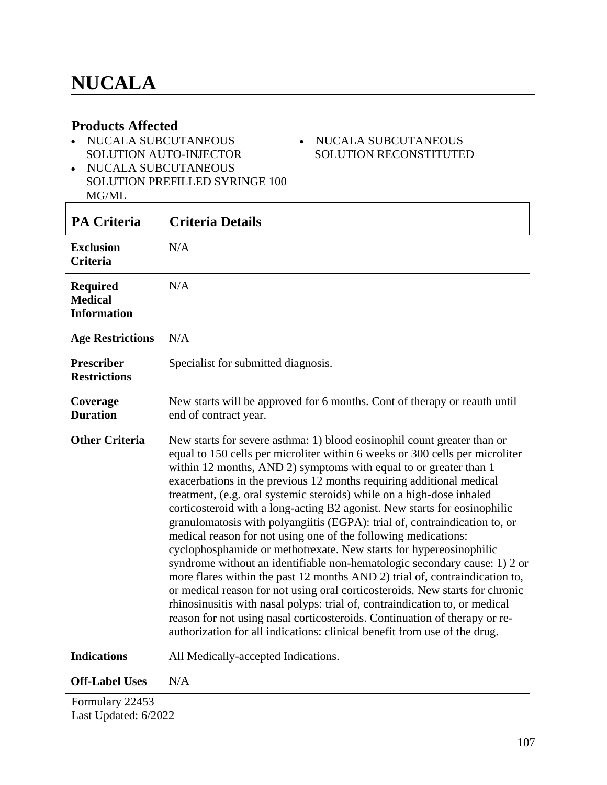$\mathbf{r}$ 

#### **Products Affected**

• NUCALA SUBCUTANEOUS SOLUTION AUTO-INJECTOR

#### - NUCALA SUBCUTANEOUS SOLUTION RECONSTITUTED

• NUCALA SUBCUTANEOUS SOLUTION PREFILLED SYRINGE 100 MG/ML

| <b>PA Criteria</b>                                      | <b>Criteria Details</b>                                                                                                                                                                                                                                                                                                                                                                                                                                                                                                                                                                                                                                                                                                                                                                                                                                                                                                                                                                                                                                                                                                                                                |
|---------------------------------------------------------|------------------------------------------------------------------------------------------------------------------------------------------------------------------------------------------------------------------------------------------------------------------------------------------------------------------------------------------------------------------------------------------------------------------------------------------------------------------------------------------------------------------------------------------------------------------------------------------------------------------------------------------------------------------------------------------------------------------------------------------------------------------------------------------------------------------------------------------------------------------------------------------------------------------------------------------------------------------------------------------------------------------------------------------------------------------------------------------------------------------------------------------------------------------------|
| <b>Exclusion</b><br><b>Criteria</b>                     | N/A                                                                                                                                                                                                                                                                                                                                                                                                                                                                                                                                                                                                                                                                                                                                                                                                                                                                                                                                                                                                                                                                                                                                                                    |
| <b>Required</b><br><b>Medical</b><br><b>Information</b> | N/A                                                                                                                                                                                                                                                                                                                                                                                                                                                                                                                                                                                                                                                                                                                                                                                                                                                                                                                                                                                                                                                                                                                                                                    |
| <b>Age Restrictions</b>                                 | N/A                                                                                                                                                                                                                                                                                                                                                                                                                                                                                                                                                                                                                                                                                                                                                                                                                                                                                                                                                                                                                                                                                                                                                                    |
| <b>Prescriber</b><br><b>Restrictions</b>                | Specialist for submitted diagnosis.                                                                                                                                                                                                                                                                                                                                                                                                                                                                                                                                                                                                                                                                                                                                                                                                                                                                                                                                                                                                                                                                                                                                    |
| Coverage<br><b>Duration</b>                             | New starts will be approved for 6 months. Cont of therapy or reauth until<br>end of contract year.                                                                                                                                                                                                                                                                                                                                                                                                                                                                                                                                                                                                                                                                                                                                                                                                                                                                                                                                                                                                                                                                     |
| <b>Other Criteria</b>                                   | New starts for severe asthma: 1) blood eosinophil count greater than or<br>equal to 150 cells per microliter within 6 weeks or 300 cells per microliter<br>within 12 months, AND 2) symptoms with equal to or greater than 1<br>exacerbations in the previous 12 months requiring additional medical<br>treatment, (e.g. oral systemic steroids) while on a high-dose inhaled<br>corticosteroid with a long-acting B2 agonist. New starts for eosinophilic<br>granulomatosis with polyangiitis (EGPA): trial of, contraindication to, or<br>medical reason for not using one of the following medications:<br>cyclophosphamide or methotrexate. New starts for hypereosinophilic<br>syndrome without an identifiable non-hematologic secondary cause: 1) 2 or<br>more flares within the past 12 months AND 2) trial of, contraindication to,<br>or medical reason for not using oral corticosteroids. New starts for chronic<br>rhinosinusitis with nasal polyps: trial of, contraindication to, or medical<br>reason for not using nasal corticosteroids. Continuation of therapy or re-<br>authorization for all indications: clinical benefit from use of the drug. |
| <b>Indications</b>                                      | All Medically-accepted Indications.                                                                                                                                                                                                                                                                                                                                                                                                                                                                                                                                                                                                                                                                                                                                                                                                                                                                                                                                                                                                                                                                                                                                    |
| <b>Off-Label Uses</b>                                   | N/A                                                                                                                                                                                                                                                                                                                                                                                                                                                                                                                                                                                                                                                                                                                                                                                                                                                                                                                                                                                                                                                                                                                                                                    |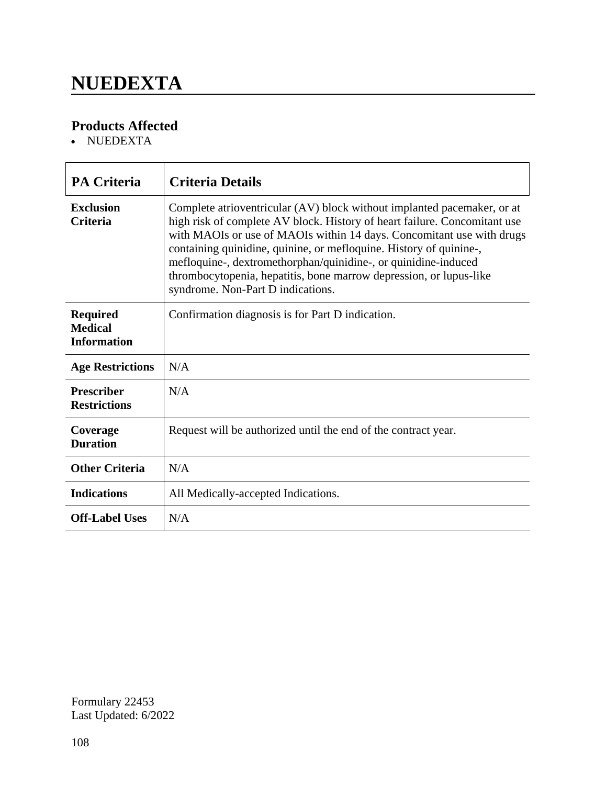### **NUEDEXTA**

### **Products Affected**

• NUEDEXTA

| <b>PA Criteria</b>                                      | <b>Criteria Details</b>                                                                                                                                                                                                                                                                                                                                                                                                                                                          |
|---------------------------------------------------------|----------------------------------------------------------------------------------------------------------------------------------------------------------------------------------------------------------------------------------------------------------------------------------------------------------------------------------------------------------------------------------------------------------------------------------------------------------------------------------|
| <b>Exclusion</b><br><b>Criteria</b>                     | Complete atrioventricular (AV) block without implanted pacemaker, or at<br>high risk of complete AV block. History of heart failure. Concomitant use<br>with MAOIs or use of MAOIs within 14 days. Concomitant use with drugs<br>containing quinidine, quinine, or mefloquine. History of quinine-,<br>mefloquine-, dextromethorphan/quinidine-, or quinidine-induced<br>thrombocytopenia, hepatitis, bone marrow depression, or lupus-like<br>syndrome. Non-Part D indications. |
| <b>Required</b><br><b>Medical</b><br><b>Information</b> | Confirmation diagnosis is for Part D indication.                                                                                                                                                                                                                                                                                                                                                                                                                                 |
| <b>Age Restrictions</b>                                 | N/A                                                                                                                                                                                                                                                                                                                                                                                                                                                                              |
| <b>Prescriber</b><br><b>Restrictions</b>                | N/A                                                                                                                                                                                                                                                                                                                                                                                                                                                                              |
| Coverage<br><b>Duration</b>                             | Request will be authorized until the end of the contract year.                                                                                                                                                                                                                                                                                                                                                                                                                   |
| <b>Other Criteria</b>                                   | N/A                                                                                                                                                                                                                                                                                                                                                                                                                                                                              |
| <b>Indications</b>                                      | All Medically-accepted Indications.                                                                                                                                                                                                                                                                                                                                                                                                                                              |
| <b>Off-Label Uses</b>                                   | N/A                                                                                                                                                                                                                                                                                                                                                                                                                                                                              |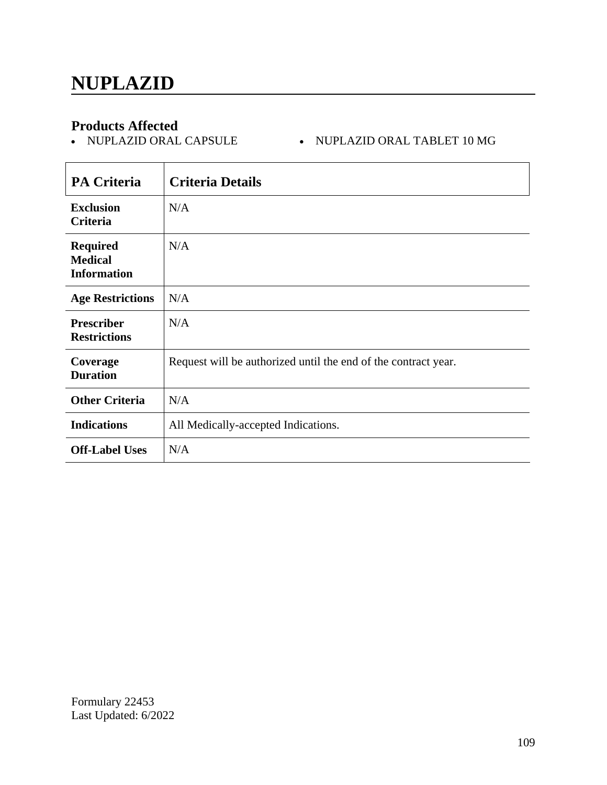- NUPLAZID ORAL CAPSULE - NUPLAZID ORAL TABLET 10 MG

| <b>PA Criteria</b>                                      | <b>Criteria Details</b>                                        |
|---------------------------------------------------------|----------------------------------------------------------------|
| <b>Exclusion</b><br>Criteria                            | N/A                                                            |
| <b>Required</b><br><b>Medical</b><br><b>Information</b> | N/A                                                            |
| <b>Age Restrictions</b>                                 | N/A                                                            |
| <b>Prescriber</b><br><b>Restrictions</b>                | N/A                                                            |
| Coverage<br><b>Duration</b>                             | Request will be authorized until the end of the contract year. |
| <b>Other Criteria</b>                                   | N/A                                                            |
| <b>Indications</b>                                      | All Medically-accepted Indications.                            |
| <b>Off-Label Uses</b>                                   | N/A                                                            |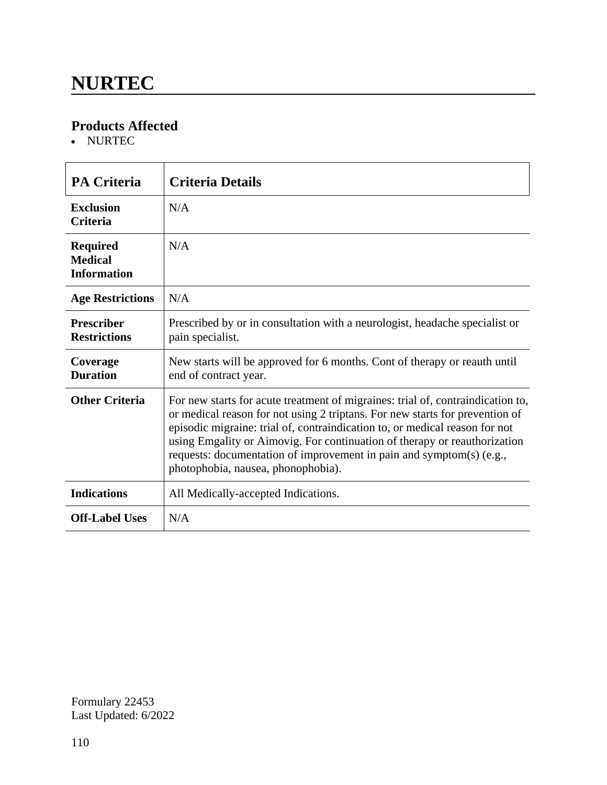### **NURTEC**

### **Products Affected**

• NURTEC

| <b>PA Criteria</b>                                      | <b>Criteria Details</b>                                                                                                                                                                                                                                                                                                                                                                                                                   |
|---------------------------------------------------------|-------------------------------------------------------------------------------------------------------------------------------------------------------------------------------------------------------------------------------------------------------------------------------------------------------------------------------------------------------------------------------------------------------------------------------------------|
| <b>Exclusion</b><br><b>Criteria</b>                     | N/A                                                                                                                                                                                                                                                                                                                                                                                                                                       |
| <b>Required</b><br><b>Medical</b><br><b>Information</b> | N/A                                                                                                                                                                                                                                                                                                                                                                                                                                       |
| <b>Age Restrictions</b>                                 | N/A                                                                                                                                                                                                                                                                                                                                                                                                                                       |
| <b>Prescriber</b><br><b>Restrictions</b>                | Prescribed by or in consultation with a neurologist, headache specialist or<br>pain specialist.                                                                                                                                                                                                                                                                                                                                           |
| Coverage<br><b>Duration</b>                             | New starts will be approved for 6 months. Cont of therapy or reauth until<br>end of contract year.                                                                                                                                                                                                                                                                                                                                        |
| <b>Other Criteria</b>                                   | For new starts for acute treatment of migraines: trial of, contraindication to,<br>or medical reason for not using 2 triptans. For new starts for prevention of<br>episodic migraine: trial of, contraindication to, or medical reason for not<br>using Emgality or Aimovig. For continuation of therapy or reauthorization<br>requests: documentation of improvement in pain and symptom(s) (e.g.,<br>photophobia, nausea, phonophobia). |
| <b>Indications</b>                                      | All Medically-accepted Indications.                                                                                                                                                                                                                                                                                                                                                                                                       |
| <b>Off-Label Uses</b>                                   | N/A                                                                                                                                                                                                                                                                                                                                                                                                                                       |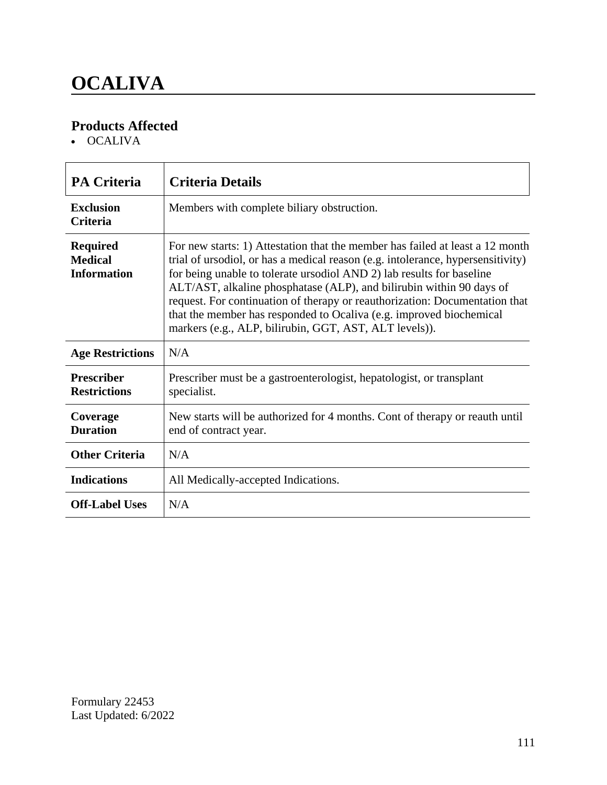# **OCALIVA**

### **Products Affected**

• OCALIVA

| <b>PA Criteria</b>                                      | <b>Criteria Details</b>                                                                                                                                                                                                                                                                                                                                                                                                                                                                                                           |
|---------------------------------------------------------|-----------------------------------------------------------------------------------------------------------------------------------------------------------------------------------------------------------------------------------------------------------------------------------------------------------------------------------------------------------------------------------------------------------------------------------------------------------------------------------------------------------------------------------|
| <b>Exclusion</b><br><b>Criteria</b>                     | Members with complete biliary obstruction.                                                                                                                                                                                                                                                                                                                                                                                                                                                                                        |
| <b>Required</b><br><b>Medical</b><br><b>Information</b> | For new starts: 1) Attestation that the member has failed at least a 12 month<br>trial of ursodiol, or has a medical reason (e.g. intolerance, hypersensitivity)<br>for being unable to tolerate ursodiol AND 2) lab results for baseline<br>ALT/AST, alkaline phosphatase (ALP), and bilirubin within 90 days of<br>request. For continuation of therapy or reauthorization: Documentation that<br>that the member has responded to Ocaliva (e.g. improved biochemical<br>markers (e.g., ALP, bilirubin, GGT, AST, ALT levels)). |
| <b>Age Restrictions</b>                                 | N/A                                                                                                                                                                                                                                                                                                                                                                                                                                                                                                                               |
| <b>Prescriber</b><br><b>Restrictions</b>                | Prescriber must be a gastroenterologist, hepatologist, or transplant<br>specialist.                                                                                                                                                                                                                                                                                                                                                                                                                                               |
| Coverage<br><b>Duration</b>                             | New starts will be authorized for 4 months. Cont of therapy or reauth until<br>end of contract year.                                                                                                                                                                                                                                                                                                                                                                                                                              |
| <b>Other Criteria</b>                                   | N/A                                                                                                                                                                                                                                                                                                                                                                                                                                                                                                                               |
| <b>Indications</b>                                      | All Medically-accepted Indications.                                                                                                                                                                                                                                                                                                                                                                                                                                                                                               |
| <b>Off-Label Uses</b>                                   | N/A                                                                                                                                                                                                                                                                                                                                                                                                                                                                                                                               |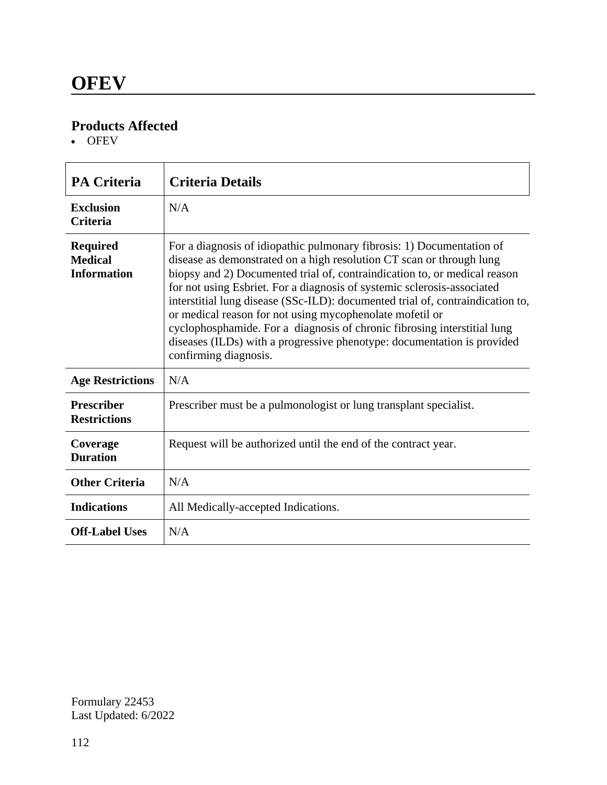OFEV

| <b>PA Criteria</b>                                      | <b>Criteria Details</b>                                                                                                                                                                                                                                                                                                                                                                                                                                                                                                                                                                                                             |
|---------------------------------------------------------|-------------------------------------------------------------------------------------------------------------------------------------------------------------------------------------------------------------------------------------------------------------------------------------------------------------------------------------------------------------------------------------------------------------------------------------------------------------------------------------------------------------------------------------------------------------------------------------------------------------------------------------|
| <b>Exclusion</b><br><b>Criteria</b>                     | N/A                                                                                                                                                                                                                                                                                                                                                                                                                                                                                                                                                                                                                                 |
| <b>Required</b><br><b>Medical</b><br><b>Information</b> | For a diagnosis of idiopathic pulmonary fibrosis: 1) Documentation of<br>disease as demonstrated on a high resolution CT scan or through lung<br>biopsy and 2) Documented trial of, contraindication to, or medical reason<br>for not using Esbriet. For a diagnosis of systemic sclerosis-associated<br>interstitial lung disease (SSc-ILD): documented trial of, contraindication to,<br>or medical reason for not using mycophenolate mofetil or<br>cyclophosphamide. For a diagnosis of chronic fibrosing interstitial lung<br>diseases (ILDs) with a progressive phenotype: documentation is provided<br>confirming diagnosis. |
| <b>Age Restrictions</b>                                 | N/A                                                                                                                                                                                                                                                                                                                                                                                                                                                                                                                                                                                                                                 |
| <b>Prescriber</b><br><b>Restrictions</b>                | Prescriber must be a pulmonologist or lung transplant specialist.                                                                                                                                                                                                                                                                                                                                                                                                                                                                                                                                                                   |
| Coverage<br><b>Duration</b>                             | Request will be authorized until the end of the contract year.                                                                                                                                                                                                                                                                                                                                                                                                                                                                                                                                                                      |
| <b>Other Criteria</b>                                   | N/A                                                                                                                                                                                                                                                                                                                                                                                                                                                                                                                                                                                                                                 |
| <b>Indications</b>                                      | All Medically-accepted Indications.                                                                                                                                                                                                                                                                                                                                                                                                                                                                                                                                                                                                 |
| <b>Off-Label Uses</b>                                   | N/A                                                                                                                                                                                                                                                                                                                                                                                                                                                                                                                                                                                                                                 |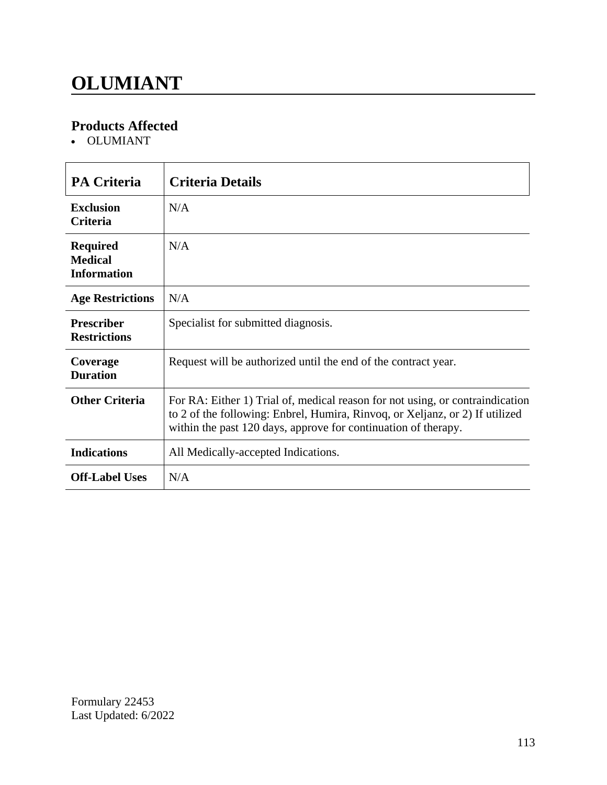# **OLUMIANT**

### **Products Affected**

OLUMIANT

| <b>PA Criteria</b>                                      | <b>Criteria Details</b>                                                                                                                                                                                                         |
|---------------------------------------------------------|---------------------------------------------------------------------------------------------------------------------------------------------------------------------------------------------------------------------------------|
| <b>Exclusion</b><br><b>Criteria</b>                     | N/A                                                                                                                                                                                                                             |
| <b>Required</b><br><b>Medical</b><br><b>Information</b> | N/A                                                                                                                                                                                                                             |
| <b>Age Restrictions</b>                                 | N/A                                                                                                                                                                                                                             |
| <b>Prescriber</b><br><b>Restrictions</b>                | Specialist for submitted diagnosis.                                                                                                                                                                                             |
| Coverage<br><b>Duration</b>                             | Request will be authorized until the end of the contract year.                                                                                                                                                                  |
| <b>Other Criteria</b>                                   | For RA: Either 1) Trial of, medical reason for not using, or contraindication<br>to 2 of the following: Enbrel, Humira, Rinvoq, or Xeljanz, or 2) If utilized<br>within the past 120 days, approve for continuation of therapy. |
| <b>Indications</b>                                      | All Medically-accepted Indications.                                                                                                                                                                                             |
| <b>Off-Label Uses</b>                                   | N/A                                                                                                                                                                                                                             |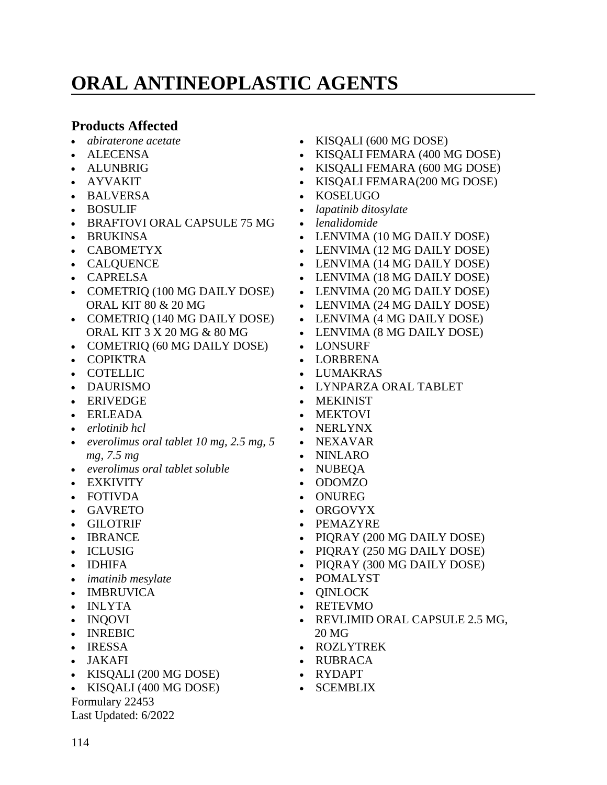# **ORAL ANTINEOPLASTIC AGENTS**

### **Products Affected**

- *abiraterone acetate*
- ALECENSA
- ALUNBRIG
- AYVAKIT
- BALVERSA
- BOSULIF
- BRAFTOVI ORAL CAPSULE 75 MG
- BRUKINSA
- CABOMETYX
- CALQUENCE
- CAPRELSA
- COMETRIQ (100 MG DAILY DOSE) ORAL KIT 80 & 20 MG
- COMETRIQ (140 MG DAILY DOSE) ORAL KIT 3 X 20 MG & 80 MG
- COMETRIQ (60 MG DAILY DOSE)
- COPIKTRA
- COTELLIC
- DAURISMO
- ERIVEDGE
- ERLEADA
- *erlotinib hcl*
- *everolimus oral tablet 10 mg, 2.5 mg, 5 mg, 7.5 mg*
- *everolimus oral tablet soluble*
- EXKIVITY
- FOTIVDA
- GAVRETO
- GILOTRIF
- IBRANCE
- ICLUSIG
- **IDHIFA**
- *imatinib mesylate*
- IMBRUVICA
- INLYTA
- INOOVI
- INREBIC
- IRESSA
- JAKAFI
- KISQALI (200 MG DOSE)
- KISQALI (400 MG DOSE)

Formulary 22453

Last Updated: 6/2022

- KISQALI (600 MG DOSE)
- KISQALI FEMARA (400 MG DOSE)
- KISQALI FEMARA (600 MG DOSE)
- KISQALI FEMARA(200 MG DOSE)
- KOSELUGO
- *lapatinib ditosylate*
- *lenalidomide*
- LENVIMA (10 MG DAILY DOSE)
- LENVIMA (12 MG DAILY DOSE)
- LENVIMA (14 MG DAILY DOSE)
- LENVIMA (18 MG DAILY DOSE)
- LENVIMA (20 MG DAILY DOSE)
- LENVIMA (24 MG DAILY DOSE)
- LENVIMA (4 MG DAILY DOSE)
- LENVIMA (8 MG DAILY DOSE)
- LONSURF
- LORBRENA
- LUMAKRAS
- LYNPARZA ORAL TABLET
- MEKINIST
- MEKTOVI
- NERLYNX
- NEXAVAR
- NINLARO
- NUBEQA
- ODOMZO
- ONUREG
- ORGOVYX
- PEMAZYRE
- PIORAY (200 MG DAILY DOSE)
- PIQRAY (250 MG DAILY DOSE)
- PIQRAY (300 MG DAILY DOSE)
- POMALYST
- **QINLOCK**
- RETEVMO
- REVLIMID ORAL CAPSULE 2.5 MG, 20 MG
- ROZLYTREK
- RUBRACA
- RYDAPT
- SCEMBLIX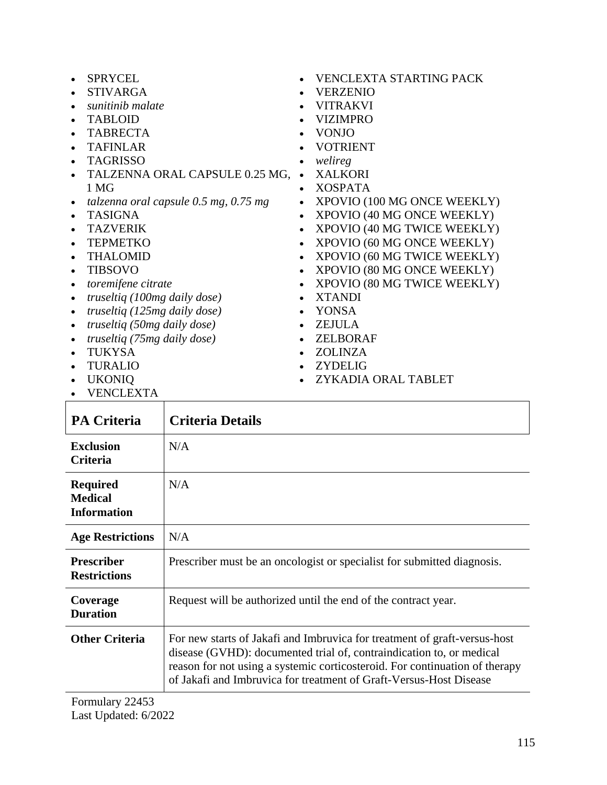|           | <b>SPRYCEL</b>                            |           | <b>VENCLEXTA STARTING PACK</b> |
|-----------|-------------------------------------------|-----------|--------------------------------|
|           | <b>STIVARGA</b>                           |           | <b>VERZENIO</b>                |
|           | sunitinib malate                          |           | <b>VITRAKVI</b>                |
|           | <b>TABLOID</b>                            |           | <b>VIZIMPRO</b>                |
|           | <b>TABRECTA</b>                           |           | <b>VONJO</b>                   |
|           | <b>TAFINLAR</b>                           |           | <b>VOTRIENT</b>                |
|           | <b>TAGRISSO</b>                           |           | welireg                        |
|           | TALZENNA ORAL CAPSULE 0.25 MG,            |           | <b>XALKORI</b>                 |
|           | 1 MG                                      | $\bullet$ | <b>XOSPATA</b>                 |
|           | talzenna oral capsule $0.5$ mg, $0.75$ mg | $\bullet$ | XPOVIO (100 MG ONCE WEEKLY)    |
|           | <b>TASIGNA</b>                            | $\bullet$ | XPOVIO (40 MG ONCE WEEKLY)     |
|           | <b>TAZVERIK</b>                           | $\bullet$ | XPOVIO (40 MG TWICE WEEKLY)    |
|           | <b>TEPMETKO</b>                           | $\bullet$ | XPOVIO (60 MG ONCE WEEKLY)     |
|           | <b>THALOMID</b>                           |           | XPOVIO (60 MG TWICE WEEKLY)    |
|           | <b>TIBSOVO</b>                            | $\bullet$ |                                |
|           |                                           | $\bullet$ | XPOVIO (80 MG ONCE WEEKLY)     |
|           | toremifene citrate                        | $\bullet$ | XPOVIO (80 MG TWICE WEEKLY)    |
|           | truseltiq (100mg daily dose)              |           | <b>XTANDI</b>                  |
|           | truseltiq (125mg daily dose)              | $\bullet$ | <b>YONSA</b>                   |
| $\bullet$ | truseltiq (50mg daily dose)               | $\bullet$ | <b>ZEJULA</b>                  |
|           | truseltiq (75mg daily dose)               |           | ZELBORAF                       |
|           | TUKYSA                                    | $\bullet$ | <b>ZOLINZA</b>                 |
|           | <b>TURALIO</b>                            |           | <b>ZYDELIG</b>                 |
|           | <b>UKONIQ</b>                             |           | ZYKADIA ORAL TABLET            |
|           | <b>VENCLEXTA</b>                          |           |                                |

| <b>PA Criteria</b>                                      | Criteria Details                                                                                                                                                                                                                                                                                       |
|---------------------------------------------------------|--------------------------------------------------------------------------------------------------------------------------------------------------------------------------------------------------------------------------------------------------------------------------------------------------------|
| <b>Exclusion</b><br><b>Criteria</b>                     | N/A                                                                                                                                                                                                                                                                                                    |
| <b>Required</b><br><b>Medical</b><br><b>Information</b> | N/A                                                                                                                                                                                                                                                                                                    |
| <b>Age Restrictions</b>                                 | N/A                                                                                                                                                                                                                                                                                                    |
| <b>Prescriber</b><br><b>Restrictions</b>                | Prescriber must be an oncologist or specialist for submitted diagnosis.                                                                                                                                                                                                                                |
| Coverage<br><b>Duration</b>                             | Request will be authorized until the end of the contract year.                                                                                                                                                                                                                                         |
| <b>Other Criteria</b>                                   | For new starts of Jakafi and Imbruvica for treatment of graft-versus-host<br>disease (GVHD): documented trial of, contraindication to, or medical<br>reason for not using a systemic corticosteroid. For continuation of therapy<br>of Jakafi and Imbruvica for treatment of Graft-Versus-Host Disease |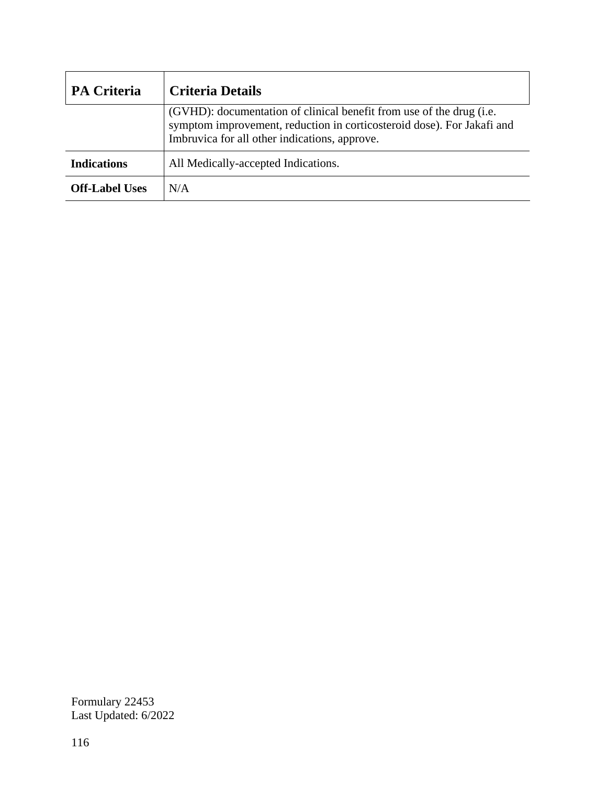| <b>PA Criteria</b>    | <b>Criteria Details</b>                                                                                                                                                                         |
|-----------------------|-------------------------------------------------------------------------------------------------------------------------------------------------------------------------------------------------|
|                       | (GVHD): documentation of clinical benefit from use of the drug (i.e.<br>symptom improvement, reduction in corticosteroid dose). For Jakafi and<br>Imbruvica for all other indications, approve. |
| <b>Indications</b>    | All Medically-accepted Indications.                                                                                                                                                             |
| <b>Off-Label Uses</b> | N/A                                                                                                                                                                                             |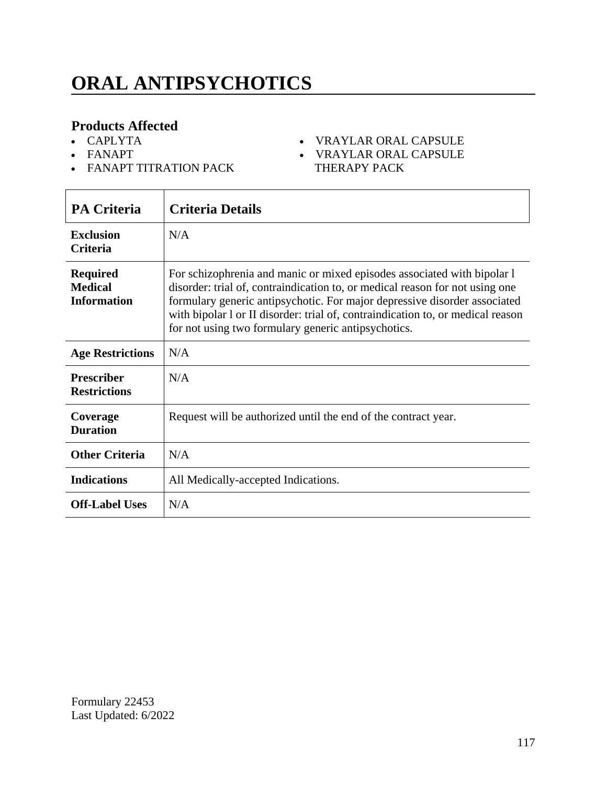# **ORAL ANTIPSYCHOTICS**

### **Products Affected**

- CAPLYTA
- FANAPT
- FANAPT TITRATION PACK

#### VRAYLAR ORAL CAPSULE

 VRAYLAR ORAL CAPSULE THERAPY PACK

| <b>PA Criteria</b>                                      | <b>Criteria Details</b>                                                                                                                                                                                                                                                                                                                                                        |
|---------------------------------------------------------|--------------------------------------------------------------------------------------------------------------------------------------------------------------------------------------------------------------------------------------------------------------------------------------------------------------------------------------------------------------------------------|
| <b>Exclusion</b><br><b>Criteria</b>                     | N/A                                                                                                                                                                                                                                                                                                                                                                            |
| <b>Required</b><br><b>Medical</b><br><b>Information</b> | For schizophrenia and manic or mixed episodes associated with bipolar 1<br>disorder: trial of, contraindication to, or medical reason for not using one<br>formulary generic antipsychotic. For major depressive disorder associated<br>with bipolar l or II disorder: trial of, contraindication to, or medical reason<br>for not using two formulary generic antipsychotics. |
| <b>Age Restrictions</b>                                 | N/A                                                                                                                                                                                                                                                                                                                                                                            |
| <b>Prescriber</b><br><b>Restrictions</b>                | N/A                                                                                                                                                                                                                                                                                                                                                                            |
| Coverage<br><b>Duration</b>                             | Request will be authorized until the end of the contract year.                                                                                                                                                                                                                                                                                                                 |
| <b>Other Criteria</b>                                   | N/A                                                                                                                                                                                                                                                                                                                                                                            |
| <b>Indications</b>                                      | All Medically-accepted Indications.                                                                                                                                                                                                                                                                                                                                            |
| <b>Off-Label Uses</b>                                   | N/A                                                                                                                                                                                                                                                                                                                                                                            |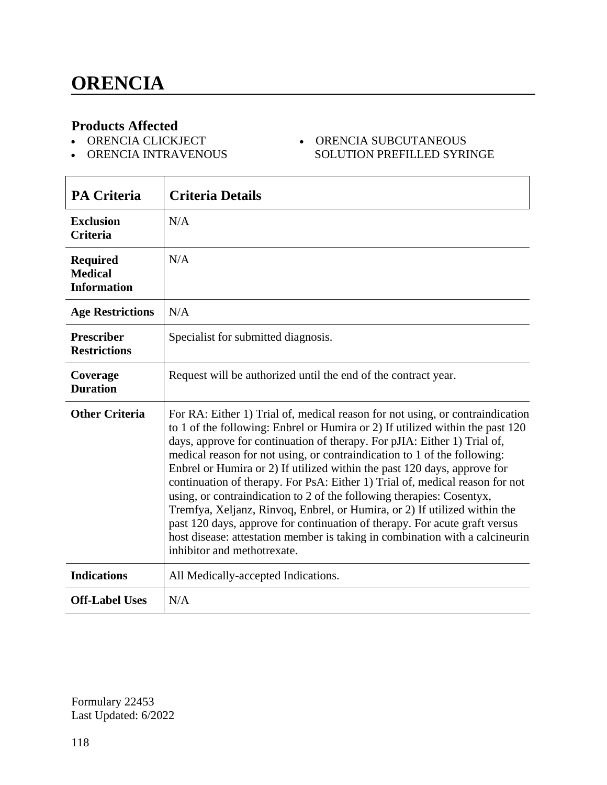- ORENCIA CLICKJECT
- ORENCIA INTRAVENOUS

#### ORENCIA SUBCUTANEOUS SOLUTION PREFILLED SYRINGE

| <b>PA Criteria</b>                                      | <b>Criteria Details</b>                                                                                                                                                                                                                                                                                                                                                                                                                                                                                                                                                                                                                                                                                                                                                                                                               |
|---------------------------------------------------------|---------------------------------------------------------------------------------------------------------------------------------------------------------------------------------------------------------------------------------------------------------------------------------------------------------------------------------------------------------------------------------------------------------------------------------------------------------------------------------------------------------------------------------------------------------------------------------------------------------------------------------------------------------------------------------------------------------------------------------------------------------------------------------------------------------------------------------------|
| <b>Exclusion</b><br><b>Criteria</b>                     | N/A                                                                                                                                                                                                                                                                                                                                                                                                                                                                                                                                                                                                                                                                                                                                                                                                                                   |
| <b>Required</b><br><b>Medical</b><br><b>Information</b> | N/A                                                                                                                                                                                                                                                                                                                                                                                                                                                                                                                                                                                                                                                                                                                                                                                                                                   |
| <b>Age Restrictions</b>                                 | N/A                                                                                                                                                                                                                                                                                                                                                                                                                                                                                                                                                                                                                                                                                                                                                                                                                                   |
| <b>Prescriber</b><br><b>Restrictions</b>                | Specialist for submitted diagnosis.                                                                                                                                                                                                                                                                                                                                                                                                                                                                                                                                                                                                                                                                                                                                                                                                   |
| Coverage<br><b>Duration</b>                             | Request will be authorized until the end of the contract year.                                                                                                                                                                                                                                                                                                                                                                                                                                                                                                                                                                                                                                                                                                                                                                        |
| <b>Other Criteria</b>                                   | For RA: Either 1) Trial of, medical reason for not using, or contraindication<br>to 1 of the following: Enbrel or Humira or 2) If utilized within the past 120<br>days, approve for continuation of therapy. For pJIA: Either 1) Trial of,<br>medical reason for not using, or contraindication to 1 of the following:<br>Enbrel or Humira or 2) If utilized within the past 120 days, approve for<br>continuation of therapy. For PsA: Either 1) Trial of, medical reason for not<br>using, or contraindication to 2 of the following therapies: Cosentyx,<br>Tremfya, Xeljanz, Rinvoq, Enbrel, or Humira, or 2) If utilized within the<br>past 120 days, approve for continuation of therapy. For acute graft versus<br>host disease: attestation member is taking in combination with a calcineurin<br>inhibitor and methotrexate. |
| <b>Indications</b>                                      | All Medically-accepted Indications.                                                                                                                                                                                                                                                                                                                                                                                                                                                                                                                                                                                                                                                                                                                                                                                                   |
| <b>Off-Label Uses</b>                                   | N/A                                                                                                                                                                                                                                                                                                                                                                                                                                                                                                                                                                                                                                                                                                                                                                                                                                   |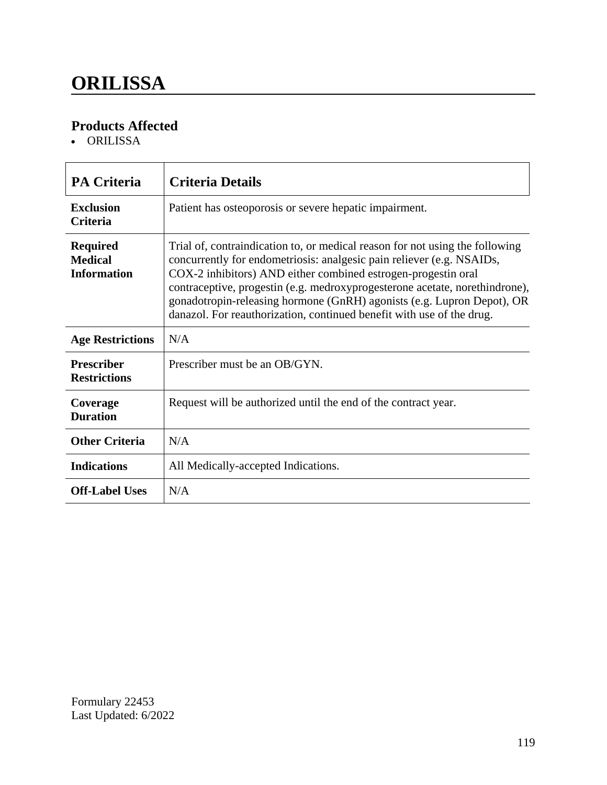# **ORILISSA**

### **Products Affected**

ORILISSA

| <b>PA Criteria</b>                                      | <b>Criteria Details</b>                                                                                                                                                                                                                                                                                                                                                                                                                                  |
|---------------------------------------------------------|----------------------------------------------------------------------------------------------------------------------------------------------------------------------------------------------------------------------------------------------------------------------------------------------------------------------------------------------------------------------------------------------------------------------------------------------------------|
| <b>Exclusion</b><br><b>Criteria</b>                     | Patient has osteoporosis or severe hepatic impairment.                                                                                                                                                                                                                                                                                                                                                                                                   |
| <b>Required</b><br><b>Medical</b><br><b>Information</b> | Trial of, contraindication to, or medical reason for not using the following<br>concurrently for endometriosis: analgesic pain reliever (e.g. NSAIDs,<br>COX-2 inhibitors) AND either combined estrogen-progestin oral<br>contraceptive, progestin (e.g. medroxyprogesterone acetate, norethindrone),<br>gonadotropin-releasing hormone (GnRH) agonists (e.g. Lupron Depot), OR<br>danazol. For reauthorization, continued benefit with use of the drug. |
| <b>Age Restrictions</b>                                 | N/A                                                                                                                                                                                                                                                                                                                                                                                                                                                      |
| <b>Prescriber</b><br><b>Restrictions</b>                | Prescriber must be an OB/GYN.                                                                                                                                                                                                                                                                                                                                                                                                                            |
| Coverage<br><b>Duration</b>                             | Request will be authorized until the end of the contract year.                                                                                                                                                                                                                                                                                                                                                                                           |
| <b>Other Criteria</b>                                   | N/A                                                                                                                                                                                                                                                                                                                                                                                                                                                      |
| <b>Indications</b>                                      | All Medically-accepted Indications.                                                                                                                                                                                                                                                                                                                                                                                                                      |
| <b>Off-Label Uses</b>                                   | N/A                                                                                                                                                                                                                                                                                                                                                                                                                                                      |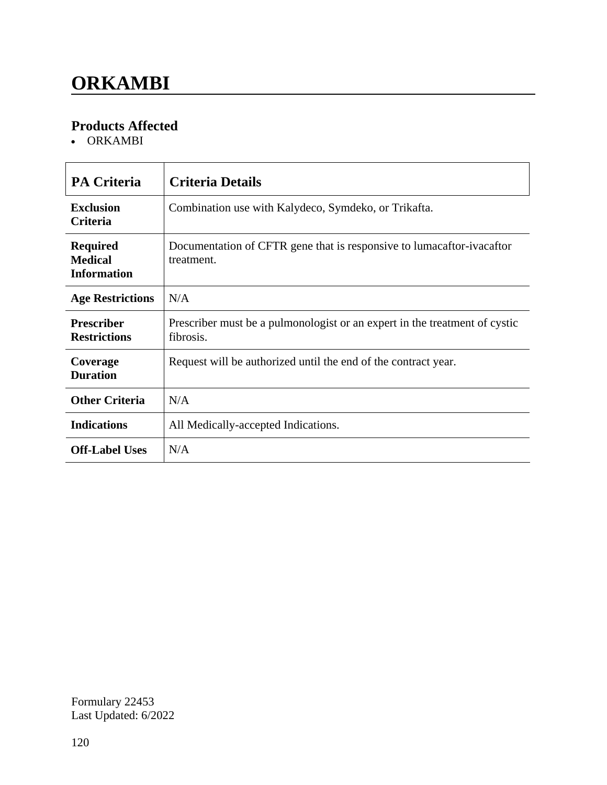# **ORKAMBI**

### **Products Affected**

ORKAMBI

| <b>PA Criteria</b>                                      | <b>Criteria Details</b>                                                                 |
|---------------------------------------------------------|-----------------------------------------------------------------------------------------|
| <b>Exclusion</b><br><b>Criteria</b>                     | Combination use with Kalydeco, Symdeko, or Trikafta.                                    |
| <b>Required</b><br><b>Medical</b><br><b>Information</b> | Documentation of CFTR gene that is responsive to lumacaftor-ivacaftor<br>treatment.     |
| <b>Age Restrictions</b>                                 | N/A                                                                                     |
| <b>Prescriber</b><br><b>Restrictions</b>                | Prescriber must be a pulmonologist or an expert in the treatment of cystic<br>fibrosis. |
| Coverage<br><b>Duration</b>                             | Request will be authorized until the end of the contract year.                          |
| <b>Other Criteria</b>                                   | N/A                                                                                     |
| <b>Indications</b>                                      | All Medically-accepted Indications.                                                     |
| <b>Off-Label Uses</b>                                   | N/A                                                                                     |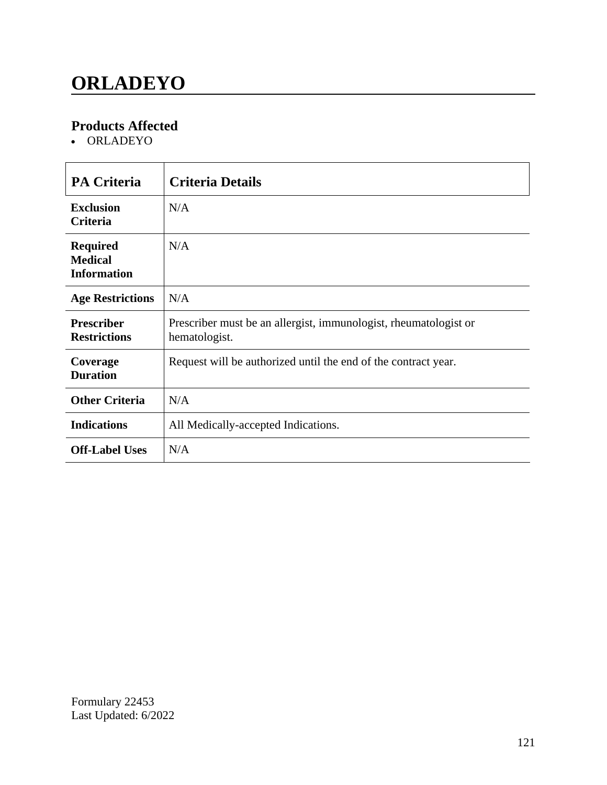# **ORLADEYO**

### **Products Affected**

ORLADEYO

| <b>PA Criteria</b>                                      | <b>Criteria Details</b>                                                           |
|---------------------------------------------------------|-----------------------------------------------------------------------------------|
| <b>Exclusion</b><br><b>Criteria</b>                     | N/A                                                                               |
| <b>Required</b><br><b>Medical</b><br><b>Information</b> | N/A                                                                               |
| <b>Age Restrictions</b>                                 | N/A                                                                               |
| <b>Prescriber</b><br><b>Restrictions</b>                | Prescriber must be an allergist, immunologist, rheumatologist or<br>hematologist. |
| Coverage<br><b>Duration</b>                             | Request will be authorized until the end of the contract year.                    |
| <b>Other Criteria</b>                                   | N/A                                                                               |
| <b>Indications</b>                                      | All Medically-accepted Indications.                                               |
| <b>Off-Label Uses</b>                                   | N/A                                                                               |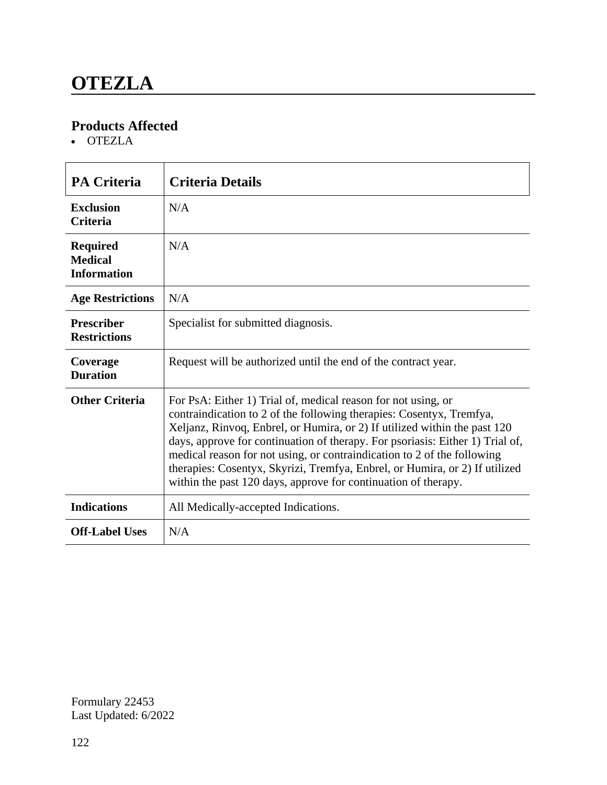• OTEZLA

| <b>PA Criteria</b>                                      | <b>Criteria Details</b>                                                                                                                                                                                                                                                                                                                                                                                                                                                                                                         |
|---------------------------------------------------------|---------------------------------------------------------------------------------------------------------------------------------------------------------------------------------------------------------------------------------------------------------------------------------------------------------------------------------------------------------------------------------------------------------------------------------------------------------------------------------------------------------------------------------|
| <b>Exclusion</b><br><b>Criteria</b>                     | N/A                                                                                                                                                                                                                                                                                                                                                                                                                                                                                                                             |
| <b>Required</b><br><b>Medical</b><br><b>Information</b> | N/A                                                                                                                                                                                                                                                                                                                                                                                                                                                                                                                             |
| <b>Age Restrictions</b>                                 | N/A                                                                                                                                                                                                                                                                                                                                                                                                                                                                                                                             |
| <b>Prescriber</b><br><b>Restrictions</b>                | Specialist for submitted diagnosis.                                                                                                                                                                                                                                                                                                                                                                                                                                                                                             |
| Coverage<br><b>Duration</b>                             | Request will be authorized until the end of the contract year.                                                                                                                                                                                                                                                                                                                                                                                                                                                                  |
| <b>Other Criteria</b>                                   | For PsA: Either 1) Trial of, medical reason for not using, or<br>contraindication to 2 of the following therapies: Cosentyx, Tremfya,<br>Xeljanz, Rinvoq, Enbrel, or Humira, or 2) If utilized within the past 120<br>days, approve for continuation of therapy. For psoriasis: Either 1) Trial of,<br>medical reason for not using, or contraindication to 2 of the following<br>therapies: Cosentyx, Skyrizi, Tremfya, Enbrel, or Humira, or 2) If utilized<br>within the past 120 days, approve for continuation of therapy. |
| <b>Indications</b>                                      | All Medically-accepted Indications.                                                                                                                                                                                                                                                                                                                                                                                                                                                                                             |
| <b>Off-Label Uses</b>                                   | N/A                                                                                                                                                                                                                                                                                                                                                                                                                                                                                                                             |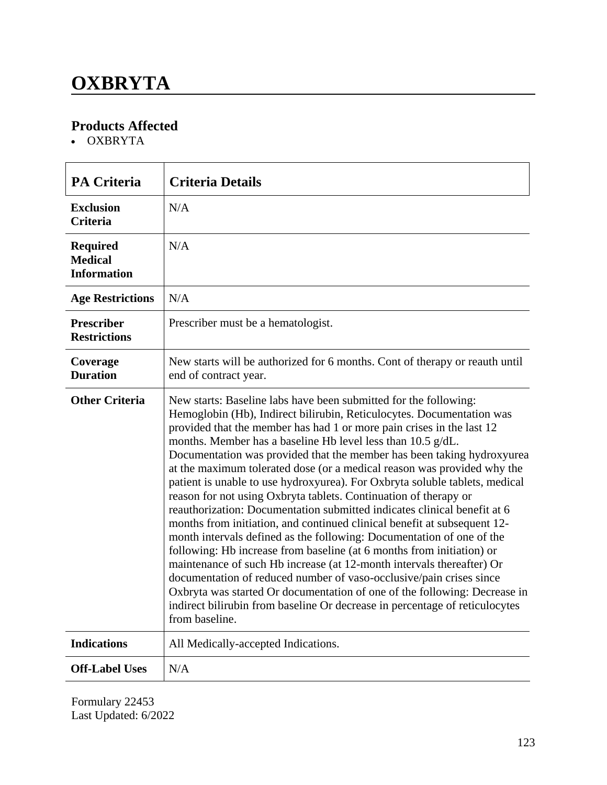# **OXBRYTA**

### **Products Affected**

OXBRYTA

| <b>PA Criteria</b>                                      | <b>Criteria Details</b>                                                                                                                                                                                                                                                                                                                                                                                                                                                                                                                                                                                                                                                                                                                                                                                                                                                                                                                                                                                                                                                                                                                                                                                                           |
|---------------------------------------------------------|-----------------------------------------------------------------------------------------------------------------------------------------------------------------------------------------------------------------------------------------------------------------------------------------------------------------------------------------------------------------------------------------------------------------------------------------------------------------------------------------------------------------------------------------------------------------------------------------------------------------------------------------------------------------------------------------------------------------------------------------------------------------------------------------------------------------------------------------------------------------------------------------------------------------------------------------------------------------------------------------------------------------------------------------------------------------------------------------------------------------------------------------------------------------------------------------------------------------------------------|
| <b>Exclusion</b><br><b>Criteria</b>                     | N/A                                                                                                                                                                                                                                                                                                                                                                                                                                                                                                                                                                                                                                                                                                                                                                                                                                                                                                                                                                                                                                                                                                                                                                                                                               |
| <b>Required</b><br><b>Medical</b><br><b>Information</b> | N/A                                                                                                                                                                                                                                                                                                                                                                                                                                                                                                                                                                                                                                                                                                                                                                                                                                                                                                                                                                                                                                                                                                                                                                                                                               |
| <b>Age Restrictions</b>                                 | N/A                                                                                                                                                                                                                                                                                                                                                                                                                                                                                                                                                                                                                                                                                                                                                                                                                                                                                                                                                                                                                                                                                                                                                                                                                               |
| <b>Prescriber</b><br><b>Restrictions</b>                | Prescriber must be a hematologist.                                                                                                                                                                                                                                                                                                                                                                                                                                                                                                                                                                                                                                                                                                                                                                                                                                                                                                                                                                                                                                                                                                                                                                                                |
| Coverage<br><b>Duration</b>                             | New starts will be authorized for 6 months. Cont of therapy or reauth until<br>end of contract year.                                                                                                                                                                                                                                                                                                                                                                                                                                                                                                                                                                                                                                                                                                                                                                                                                                                                                                                                                                                                                                                                                                                              |
| <b>Other Criteria</b>                                   | New starts: Baseline labs have been submitted for the following:<br>Hemoglobin (Hb), Indirect bilirubin, Reticulocytes. Documentation was<br>provided that the member has had 1 or more pain crises in the last 12<br>months. Member has a baseline Hb level less than 10.5 g/dL.<br>Documentation was provided that the member has been taking hydroxyurea<br>at the maximum tolerated dose (or a medical reason was provided why the<br>patient is unable to use hydroxyurea). For Oxbryta soluble tablets, medical<br>reason for not using Oxbryta tablets. Continuation of therapy or<br>reauthorization: Documentation submitted indicates clinical benefit at 6<br>months from initiation, and continued clinical benefit at subsequent 12-<br>month intervals defined as the following: Documentation of one of the<br>following: Hb increase from baseline (at 6 months from initiation) or<br>maintenance of such Hb increase (at 12-month intervals thereafter) Or<br>documentation of reduced number of vaso-occlusive/pain crises since<br>Oxbryta was started Or documentation of one of the following: Decrease in<br>indirect bilirubin from baseline Or decrease in percentage of reticulocytes<br>from baseline. |
| <b>Indications</b>                                      | All Medically-accepted Indications.                                                                                                                                                                                                                                                                                                                                                                                                                                                                                                                                                                                                                                                                                                                                                                                                                                                                                                                                                                                                                                                                                                                                                                                               |
| <b>Off-Label Uses</b>                                   | N/A                                                                                                                                                                                                                                                                                                                                                                                                                                                                                                                                                                                                                                                                                                                                                                                                                                                                                                                                                                                                                                                                                                                                                                                                                               |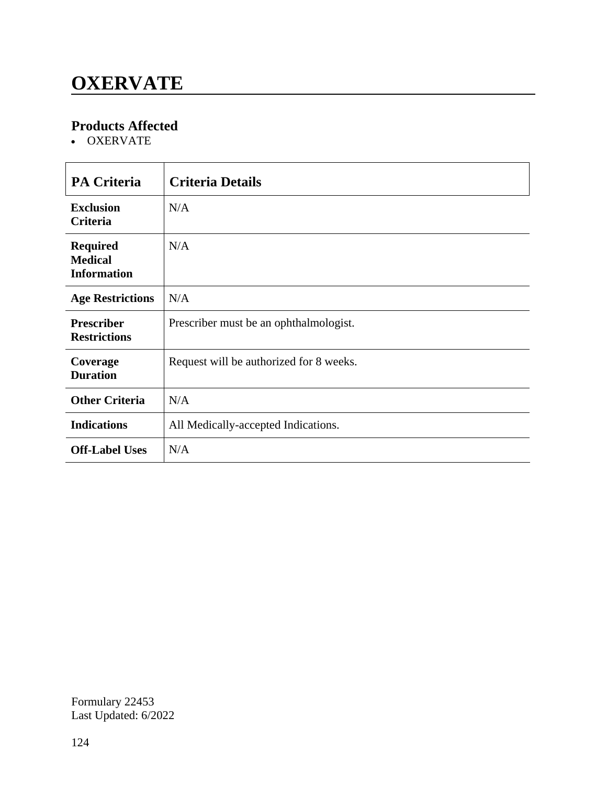# **OXERVATE**

### **Products Affected**

OXERVATE

| <b>PA Criteria</b>                                      | <b>Criteria Details</b>                 |
|---------------------------------------------------------|-----------------------------------------|
|                                                         |                                         |
| <b>Exclusion</b><br>Criteria                            | N/A                                     |
| <b>Required</b><br><b>Medical</b><br><b>Information</b> | N/A                                     |
| <b>Age Restrictions</b>                                 | N/A                                     |
| <b>Prescriber</b><br><b>Restrictions</b>                | Prescriber must be an ophthalmologist.  |
| Coverage<br><b>Duration</b>                             | Request will be authorized for 8 weeks. |
| <b>Other Criteria</b>                                   | N/A                                     |
| <b>Indications</b>                                      | All Medically-accepted Indications.     |
| <b>Off-Label Uses</b>                                   | N/A                                     |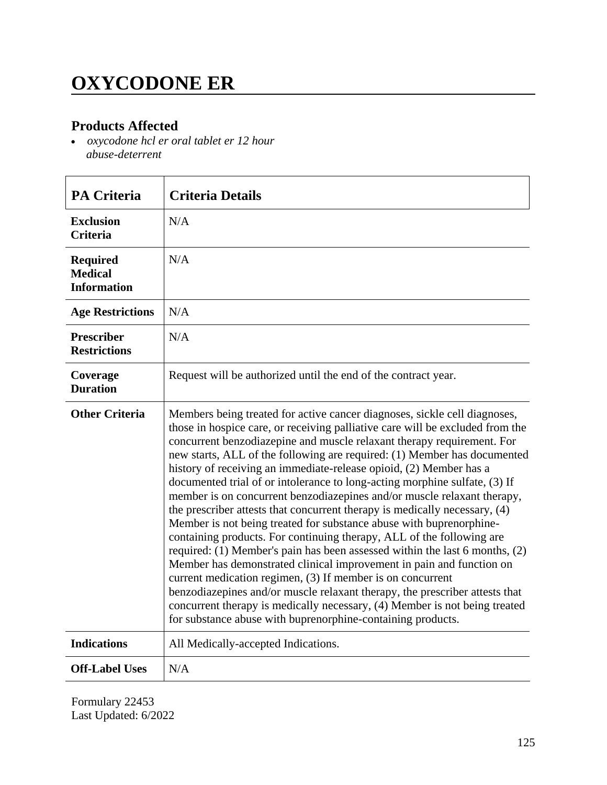# **OXYCODONE ER**

### **Products Affected**

 *oxycodone hcl er oral tablet er 12 hour abuse-deterrent*

| <b>PA Criteria</b>                                      | <b>Criteria Details</b>                                                                                                                                                                                                                                                                                                                                                                                                                                                                                                                                                                                                                                                                                                                                                                                                                                                                                                                                                                                                                                                                                                                                                                                                        |
|---------------------------------------------------------|--------------------------------------------------------------------------------------------------------------------------------------------------------------------------------------------------------------------------------------------------------------------------------------------------------------------------------------------------------------------------------------------------------------------------------------------------------------------------------------------------------------------------------------------------------------------------------------------------------------------------------------------------------------------------------------------------------------------------------------------------------------------------------------------------------------------------------------------------------------------------------------------------------------------------------------------------------------------------------------------------------------------------------------------------------------------------------------------------------------------------------------------------------------------------------------------------------------------------------|
| <b>Exclusion</b><br><b>Criteria</b>                     | N/A                                                                                                                                                                                                                                                                                                                                                                                                                                                                                                                                                                                                                                                                                                                                                                                                                                                                                                                                                                                                                                                                                                                                                                                                                            |
| <b>Required</b><br><b>Medical</b><br><b>Information</b> | N/A                                                                                                                                                                                                                                                                                                                                                                                                                                                                                                                                                                                                                                                                                                                                                                                                                                                                                                                                                                                                                                                                                                                                                                                                                            |
| <b>Age Restrictions</b>                                 | N/A                                                                                                                                                                                                                                                                                                                                                                                                                                                                                                                                                                                                                                                                                                                                                                                                                                                                                                                                                                                                                                                                                                                                                                                                                            |
| <b>Prescriber</b><br><b>Restrictions</b>                | N/A                                                                                                                                                                                                                                                                                                                                                                                                                                                                                                                                                                                                                                                                                                                                                                                                                                                                                                                                                                                                                                                                                                                                                                                                                            |
| Coverage<br><b>Duration</b>                             | Request will be authorized until the end of the contract year.                                                                                                                                                                                                                                                                                                                                                                                                                                                                                                                                                                                                                                                                                                                                                                                                                                                                                                                                                                                                                                                                                                                                                                 |
| <b>Other Criteria</b>                                   | Members being treated for active cancer diagnoses, sickle cell diagnoses,<br>those in hospice care, or receiving palliative care will be excluded from the<br>concurrent benzodiazepine and muscle relaxant therapy requirement. For<br>new starts, ALL of the following are required: (1) Member has documented<br>history of receiving an immediate-release opioid, (2) Member has a<br>documented trial of or intolerance to long-acting morphine sulfate, (3) If<br>member is on concurrent benzodiazepines and/or muscle relaxant therapy,<br>the prescriber attests that concurrent therapy is medically necessary, (4)<br>Member is not being treated for substance abuse with buprenorphine-<br>containing products. For continuing therapy, ALL of the following are<br>required: (1) Member's pain has been assessed within the last 6 months, (2)<br>Member has demonstrated clinical improvement in pain and function on<br>current medication regimen, (3) If member is on concurrent<br>benzodiazepines and/or muscle relaxant therapy, the prescriber attests that<br>concurrent therapy is medically necessary, (4) Member is not being treated<br>for substance abuse with buprenorphine-containing products. |
| <b>Indications</b>                                      | All Medically-accepted Indications.                                                                                                                                                                                                                                                                                                                                                                                                                                                                                                                                                                                                                                                                                                                                                                                                                                                                                                                                                                                                                                                                                                                                                                                            |
| <b>Off-Label Uses</b>                                   | N/A                                                                                                                                                                                                                                                                                                                                                                                                                                                                                                                                                                                                                                                                                                                                                                                                                                                                                                                                                                                                                                                                                                                                                                                                                            |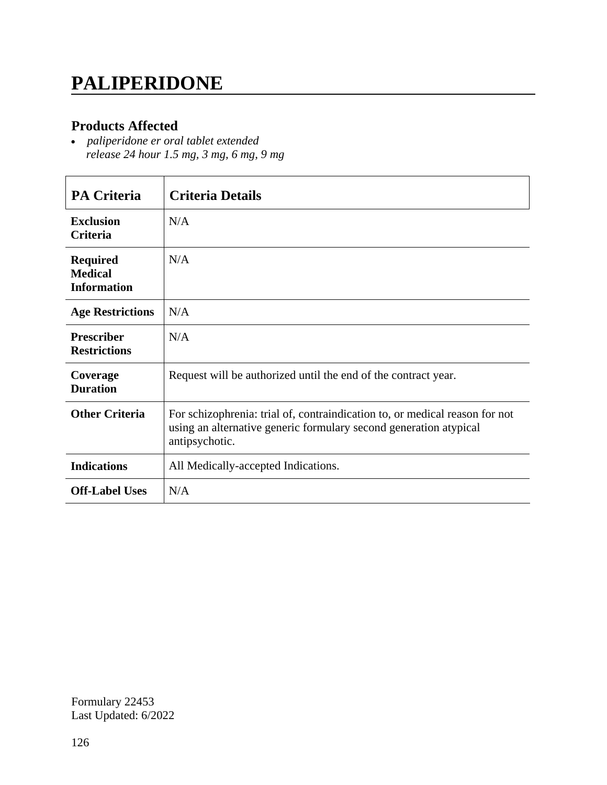### **PALIPERIDONE**

### **Products Affected**

 *paliperidone er oral tablet extended release 24 hour 1.5 mg, 3 mg, 6 mg, 9 mg*

| <b>PA Criteria</b>                                      | <b>Criteria Details</b>                                                                                                                                            |
|---------------------------------------------------------|--------------------------------------------------------------------------------------------------------------------------------------------------------------------|
| <b>Exclusion</b><br><b>Criteria</b>                     | N/A                                                                                                                                                                |
| <b>Required</b><br><b>Medical</b><br><b>Information</b> | N/A                                                                                                                                                                |
| <b>Age Restrictions</b>                                 | N/A                                                                                                                                                                |
| <b>Prescriber</b><br><b>Restrictions</b>                | N/A                                                                                                                                                                |
| Coverage<br><b>Duration</b>                             | Request will be authorized until the end of the contract year.                                                                                                     |
| <b>Other Criteria</b>                                   | For schizophrenia: trial of, contraindication to, or medical reason for not<br>using an alternative generic formulary second generation atypical<br>antipsychotic. |
| <b>Indications</b>                                      | All Medically-accepted Indications.                                                                                                                                |
| <b>Off-Label Uses</b>                                   | N/A                                                                                                                                                                |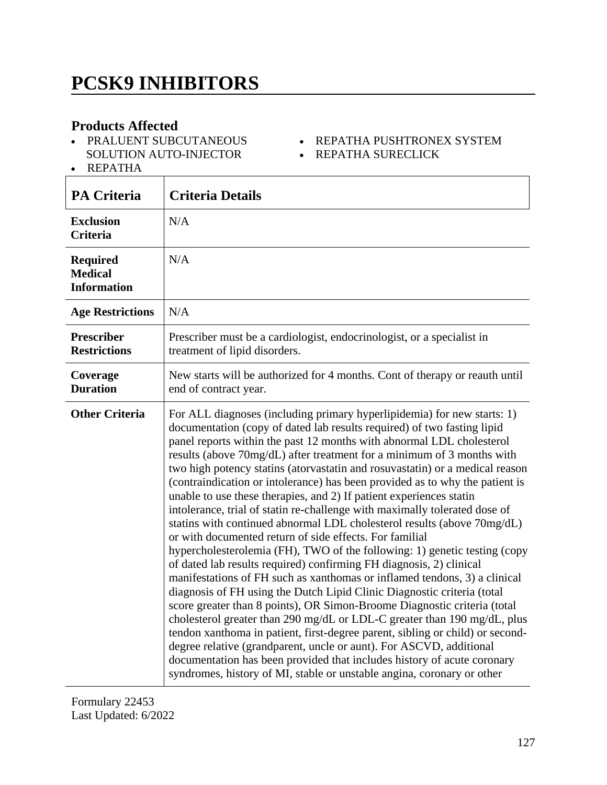# **PCSK9 INHIBITORS**

### **Products Affected**

- PRALUENT SUBCUTANEOUS SOLUTION AUTO-INJECTOR
- REPATHA PUSHTRONEX SYSTEM • REPATHA SURECLICK

REPATHA

'n

| <b>PA Criteria</b>                                      | <b>Criteria Details</b>                                                                                                                                                                                                                                                                                                                                                                                                                                                                                                                                                                                                                                                                                                                                                                                                                                                                                                                                                                                                                                                                                                                                                                                                                                                                                                                                                                                                                                                                                                                           |
|---------------------------------------------------------|---------------------------------------------------------------------------------------------------------------------------------------------------------------------------------------------------------------------------------------------------------------------------------------------------------------------------------------------------------------------------------------------------------------------------------------------------------------------------------------------------------------------------------------------------------------------------------------------------------------------------------------------------------------------------------------------------------------------------------------------------------------------------------------------------------------------------------------------------------------------------------------------------------------------------------------------------------------------------------------------------------------------------------------------------------------------------------------------------------------------------------------------------------------------------------------------------------------------------------------------------------------------------------------------------------------------------------------------------------------------------------------------------------------------------------------------------------------------------------------------------------------------------------------------------|
| <b>Exclusion</b><br><b>Criteria</b>                     | N/A                                                                                                                                                                                                                                                                                                                                                                                                                                                                                                                                                                                                                                                                                                                                                                                                                                                                                                                                                                                                                                                                                                                                                                                                                                                                                                                                                                                                                                                                                                                                               |
| <b>Required</b><br><b>Medical</b><br><b>Information</b> | N/A                                                                                                                                                                                                                                                                                                                                                                                                                                                                                                                                                                                                                                                                                                                                                                                                                                                                                                                                                                                                                                                                                                                                                                                                                                                                                                                                                                                                                                                                                                                                               |
| <b>Age Restrictions</b>                                 | N/A                                                                                                                                                                                                                                                                                                                                                                                                                                                                                                                                                                                                                                                                                                                                                                                                                                                                                                                                                                                                                                                                                                                                                                                                                                                                                                                                                                                                                                                                                                                                               |
| <b>Prescriber</b><br><b>Restrictions</b>                | Prescriber must be a cardiologist, endocrinologist, or a specialist in<br>treatment of lipid disorders.                                                                                                                                                                                                                                                                                                                                                                                                                                                                                                                                                                                                                                                                                                                                                                                                                                                                                                                                                                                                                                                                                                                                                                                                                                                                                                                                                                                                                                           |
| Coverage<br><b>Duration</b>                             | New starts will be authorized for 4 months. Cont of therapy or reauth until<br>end of contract year.                                                                                                                                                                                                                                                                                                                                                                                                                                                                                                                                                                                                                                                                                                                                                                                                                                                                                                                                                                                                                                                                                                                                                                                                                                                                                                                                                                                                                                              |
| <b>Other Criteria</b>                                   | For ALL diagnoses (including primary hyperlipidemia) for new starts: 1)<br>documentation (copy of dated lab results required) of two fasting lipid<br>panel reports within the past 12 months with abnormal LDL cholesterol<br>results (above 70mg/dL) after treatment for a minimum of 3 months with<br>two high potency statins (atorvastatin and rosuvastatin) or a medical reason<br>(contraindication or intolerance) has been provided as to why the patient is<br>unable to use these therapies, and 2) If patient experiences statin<br>intolerance, trial of statin re-challenge with maximally tolerated dose of<br>statins with continued abnormal LDL cholesterol results (above 70mg/dL)<br>or with documented return of side effects. For familial<br>hypercholesterolemia (FH), TWO of the following: 1) genetic testing (copy<br>of dated lab results required) confirming FH diagnosis, 2) clinical<br>manifestations of FH such as xanthomas or inflamed tendons, 3) a clinical<br>diagnosis of FH using the Dutch Lipid Clinic Diagnostic criteria (total<br>score greater than 8 points), OR Simon-Broome Diagnostic criteria (total<br>cholesterol greater than 290 mg/dL or LDL-C greater than 190 mg/dL, plus<br>tendon xanthoma in patient, first-degree parent, sibling or child) or second-<br>degree relative (grandparent, uncle or aunt). For ASCVD, additional<br>documentation has been provided that includes history of acute coronary<br>syndromes, history of MI, stable or unstable angina, coronary or other |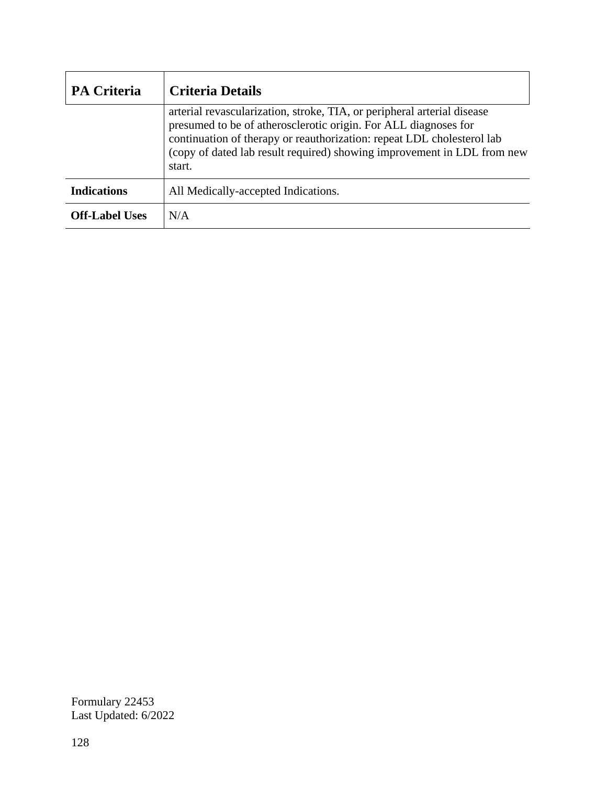| <b>PA Criteria</b>    | <b>Criteria Details</b>                                                                                                                                                                                                                                                                                   |
|-----------------------|-----------------------------------------------------------------------------------------------------------------------------------------------------------------------------------------------------------------------------------------------------------------------------------------------------------|
|                       | arterial revascularization, stroke, TIA, or peripheral arterial disease<br>presumed to be of atherosclerotic origin. For ALL diagnoses for<br>continuation of therapy or reauthorization: repeat LDL cholesterol lab<br>(copy of dated lab result required) showing improvement in LDL from new<br>start. |
| <b>Indications</b>    | All Medically-accepted Indications.                                                                                                                                                                                                                                                                       |
| <b>Off-Label Uses</b> | N/A                                                                                                                                                                                                                                                                                                       |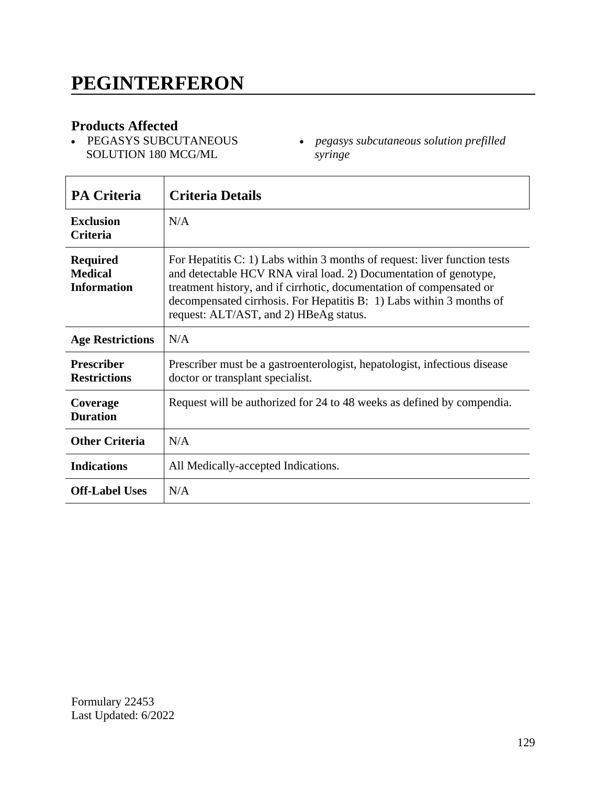PEGASYS SUBCUTANEOUS SOLUTION 180 MCG/ML

 $\overline{\phantom{a}}$ 

 *pegasys subcutaneous solution prefilled syringe*

| <b>PA Criteria</b>                                      | <b>Criteria Details</b>                                                                                                                                                                                                                                                                                                                 |
|---------------------------------------------------------|-----------------------------------------------------------------------------------------------------------------------------------------------------------------------------------------------------------------------------------------------------------------------------------------------------------------------------------------|
| <b>Exclusion</b><br><b>Criteria</b>                     | N/A                                                                                                                                                                                                                                                                                                                                     |
| <b>Required</b><br><b>Medical</b><br><b>Information</b> | For Hepatitis C: 1) Labs within 3 months of request: liver function tests<br>and detectable HCV RNA viral load. 2) Documentation of genotype,<br>treatment history, and if cirrhotic, documentation of compensated or<br>decompensated cirrhosis. For Hepatitis B: 1) Labs within 3 months of<br>request: ALT/AST, and 2) HBeAg status. |
| <b>Age Restrictions</b>                                 | N/A                                                                                                                                                                                                                                                                                                                                     |
| <b>Prescriber</b><br><b>Restrictions</b>                | Prescriber must be a gastroenterologist, hepatologist, infectious disease<br>doctor or transplant specialist.                                                                                                                                                                                                                           |
| Coverage<br><b>Duration</b>                             | Request will be authorized for 24 to 48 weeks as defined by compendia.                                                                                                                                                                                                                                                                  |
| <b>Other Criteria</b>                                   | N/A                                                                                                                                                                                                                                                                                                                                     |
| <b>Indications</b>                                      | All Medically-accepted Indications.                                                                                                                                                                                                                                                                                                     |
| <b>Off-Label Uses</b>                                   | N/A                                                                                                                                                                                                                                                                                                                                     |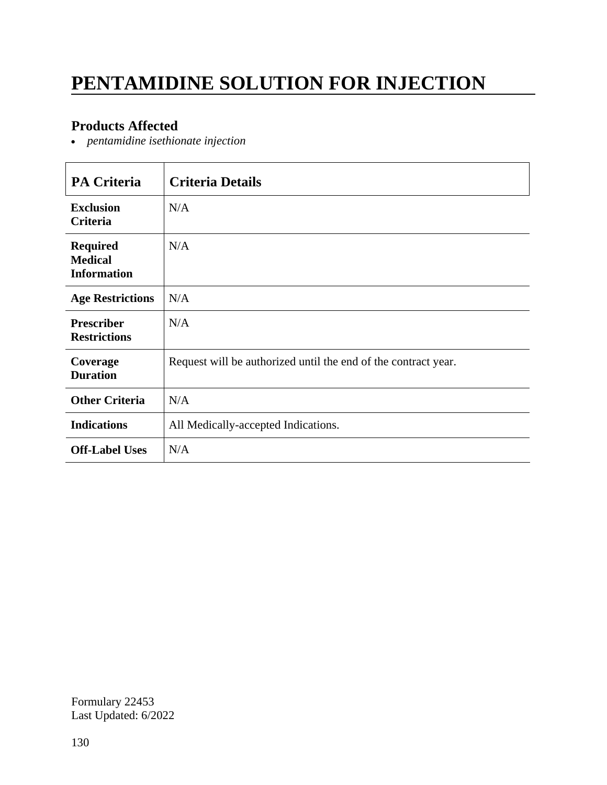# **PENTAMIDINE SOLUTION FOR INJECTION**

### **Products Affected**

*pentamidine isethionate injection*

| PA Criteria                                             | <b>Criteria Details</b>                                        |
|---------------------------------------------------------|----------------------------------------------------------------|
| <b>Exclusion</b><br>Criteria                            | N/A                                                            |
| <b>Required</b><br><b>Medical</b><br><b>Information</b> | N/A                                                            |
| <b>Age Restrictions</b>                                 | N/A                                                            |
| <b>Prescriber</b><br><b>Restrictions</b>                | N/A                                                            |
| Coverage<br><b>Duration</b>                             | Request will be authorized until the end of the contract year. |
| <b>Other Criteria</b>                                   | N/A                                                            |
| <b>Indications</b>                                      | All Medically-accepted Indications.                            |
| <b>Off-Label Uses</b>                                   | N/A                                                            |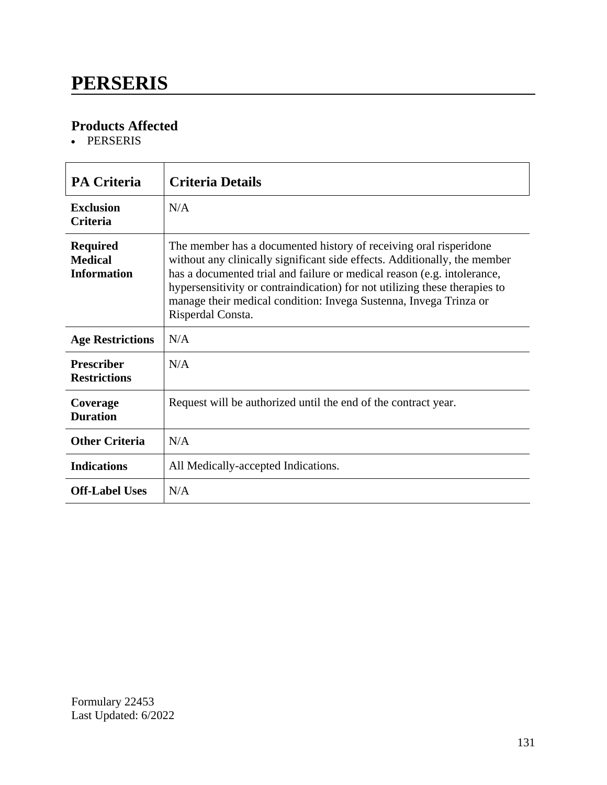### **PERSERIS**

### **Products Affected**

• PERSERIS

| <b>PA Criteria</b>                                      | <b>Criteria Details</b>                                                                                                                                                                                                                                                                                                                                                                           |
|---------------------------------------------------------|---------------------------------------------------------------------------------------------------------------------------------------------------------------------------------------------------------------------------------------------------------------------------------------------------------------------------------------------------------------------------------------------------|
| <b>Exclusion</b><br><b>Criteria</b>                     | N/A                                                                                                                                                                                                                                                                                                                                                                                               |
| <b>Required</b><br><b>Medical</b><br><b>Information</b> | The member has a documented history of receiving oral risperidone<br>without any clinically significant side effects. Additionally, the member<br>has a documented trial and failure or medical reason (e.g. intolerance,<br>hypersensitivity or contraindication) for not utilizing these therapies to<br>manage their medical condition: Invega Sustenna, Invega Trinza or<br>Risperdal Consta. |
| <b>Age Restrictions</b>                                 | N/A                                                                                                                                                                                                                                                                                                                                                                                               |
| <b>Prescriber</b><br><b>Restrictions</b>                | N/A                                                                                                                                                                                                                                                                                                                                                                                               |
| Coverage<br><b>Duration</b>                             | Request will be authorized until the end of the contract year.                                                                                                                                                                                                                                                                                                                                    |
| <b>Other Criteria</b>                                   | N/A                                                                                                                                                                                                                                                                                                                                                                                               |
| <b>Indications</b>                                      | All Medically-accepted Indications.                                                                                                                                                                                                                                                                                                                                                               |
| <b>Off-Label Uses</b>                                   | N/A                                                                                                                                                                                                                                                                                                                                                                                               |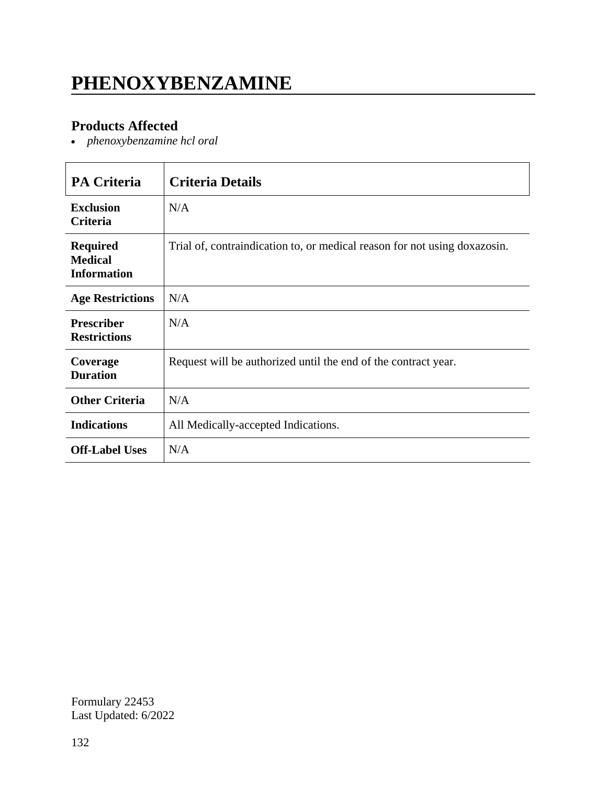# **PHENOXYBENZAMINE**

### **Products Affected**

*phenoxybenzamine hcl oral*

| <b>PA Criteria</b>                                      | <b>Criteria Details</b>                                                   |
|---------------------------------------------------------|---------------------------------------------------------------------------|
| <b>Exclusion</b><br>Criteria                            | N/A                                                                       |
| <b>Required</b><br><b>Medical</b><br><b>Information</b> | Trial of, contraindication to, or medical reason for not using doxazosin. |
| <b>Age Restrictions</b>                                 | N/A                                                                       |
| <b>Prescriber</b><br><b>Restrictions</b>                | N/A                                                                       |
| Coverage<br><b>Duration</b>                             | Request will be authorized until the end of the contract year.            |
| <b>Other Criteria</b>                                   | N/A                                                                       |
| <b>Indications</b>                                      | All Medically-accepted Indications.                                       |
| <b>Off-Label Uses</b>                                   | N/A                                                                       |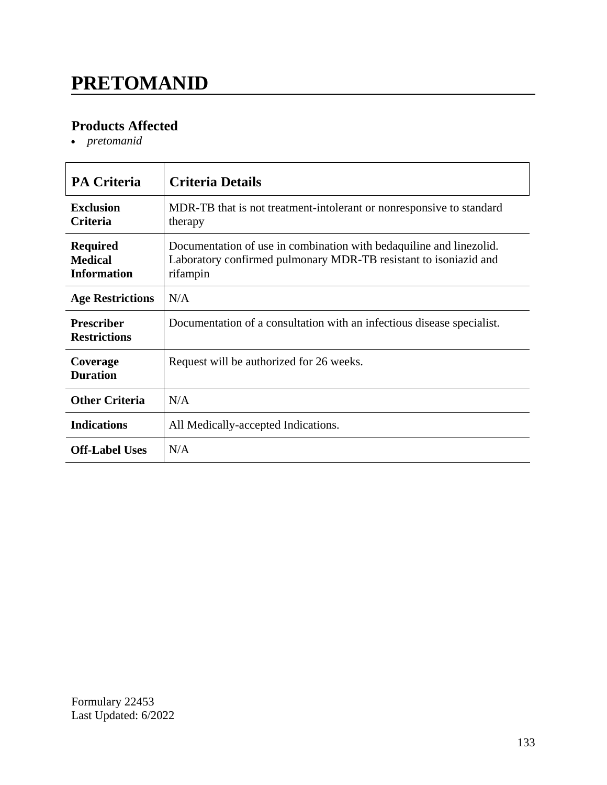# **PRETOMANID**

### **Products Affected**

*pretomanid*

| <b>PA Criteria</b>                                      | <b>Criteria Details</b>                                                                                                                             |
|---------------------------------------------------------|-----------------------------------------------------------------------------------------------------------------------------------------------------|
| <b>Exclusion</b><br><b>Criteria</b>                     | MDR-TB that is not treatment-intolerant or nonresponsive to standard<br>therapy                                                                     |
| <b>Required</b><br><b>Medical</b><br><b>Information</b> | Documentation of use in combination with bedaquiline and linezolid.<br>Laboratory confirmed pulmonary MDR-TB resistant to isoniazid and<br>rifampin |
| <b>Age Restrictions</b>                                 | N/A                                                                                                                                                 |
| <b>Prescriber</b><br><b>Restrictions</b>                | Documentation of a consultation with an infectious disease specialist.                                                                              |
| Coverage<br><b>Duration</b>                             | Request will be authorized for 26 weeks.                                                                                                            |
| <b>Other Criteria</b>                                   | N/A                                                                                                                                                 |
| <b>Indications</b>                                      | All Medically-accepted Indications.                                                                                                                 |
| <b>Off-Label Uses</b>                                   | N/A                                                                                                                                                 |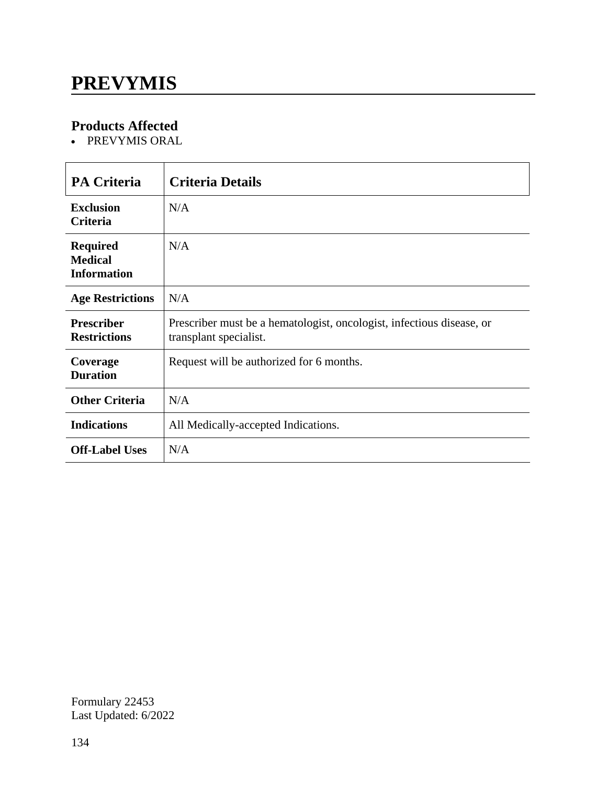### **PREVYMIS**

### **Products Affected**

• PREVYMIS ORAL

| <b>PA Criteria</b>                                      | <b>Criteria Details</b>                                                                         |
|---------------------------------------------------------|-------------------------------------------------------------------------------------------------|
| <b>Exclusion</b><br><b>Criteria</b>                     | N/A                                                                                             |
| <b>Required</b><br><b>Medical</b><br><b>Information</b> | N/A                                                                                             |
| <b>Age Restrictions</b>                                 | N/A                                                                                             |
| <b>Prescriber</b><br><b>Restrictions</b>                | Prescriber must be a hematologist, oncologist, infectious disease, or<br>transplant specialist. |
| Coverage<br><b>Duration</b>                             | Request will be authorized for 6 months.                                                        |
| <b>Other Criteria</b>                                   | N/A                                                                                             |
| <b>Indications</b>                                      | All Medically-accepted Indications.                                                             |
| <b>Off-Label Uses</b>                                   | N/A                                                                                             |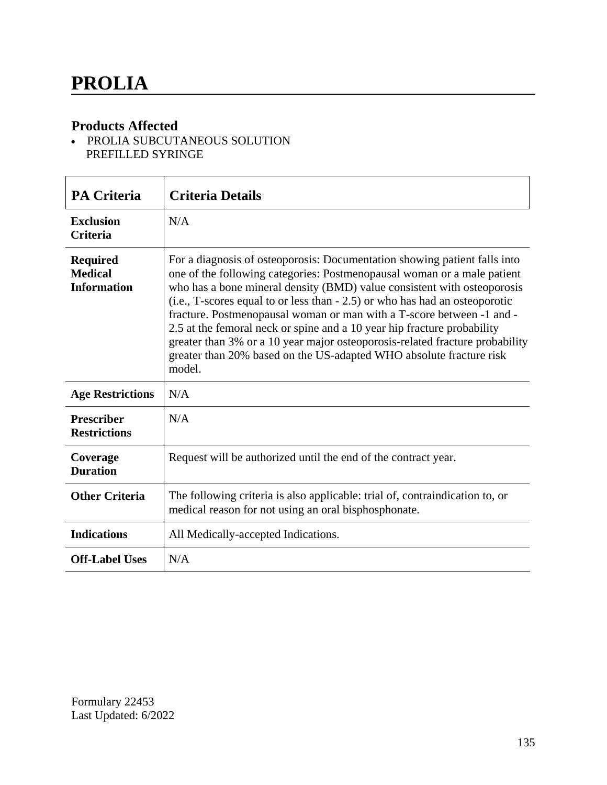• PROLIA SUBCUTANEOUS SOLUTION PREFILLED SYRINGE

| <b>PA Criteria</b>                                      | <b>Criteria Details</b>                                                                                                                                                                                                                                                                                                                                                                                                                                                                                                                                                                                                             |
|---------------------------------------------------------|-------------------------------------------------------------------------------------------------------------------------------------------------------------------------------------------------------------------------------------------------------------------------------------------------------------------------------------------------------------------------------------------------------------------------------------------------------------------------------------------------------------------------------------------------------------------------------------------------------------------------------------|
| <b>Exclusion</b><br><b>Criteria</b>                     | N/A                                                                                                                                                                                                                                                                                                                                                                                                                                                                                                                                                                                                                                 |
| <b>Required</b><br><b>Medical</b><br><b>Information</b> | For a diagnosis of osteoporosis: Documentation showing patient falls into<br>one of the following categories: Postmenopausal woman or a male patient<br>who has a bone mineral density (BMD) value consistent with osteoporosis<br>(i.e., T-scores equal to or less than - 2.5) or who has had an osteoporotic<br>fracture. Postmenopausal woman or man with a T-score between -1 and -<br>2.5 at the femoral neck or spine and a 10 year hip fracture probability<br>greater than 3% or a 10 year major osteoporosis-related fracture probability<br>greater than 20% based on the US-adapted WHO absolute fracture risk<br>model. |
| <b>Age Restrictions</b>                                 | N/A                                                                                                                                                                                                                                                                                                                                                                                                                                                                                                                                                                                                                                 |
| <b>Prescriber</b><br><b>Restrictions</b>                | N/A                                                                                                                                                                                                                                                                                                                                                                                                                                                                                                                                                                                                                                 |
| Coverage<br><b>Duration</b>                             | Request will be authorized until the end of the contract year.                                                                                                                                                                                                                                                                                                                                                                                                                                                                                                                                                                      |
| <b>Other Criteria</b>                                   | The following criteria is also applicable: trial of, contraindication to, or<br>medical reason for not using an oral bisphosphonate.                                                                                                                                                                                                                                                                                                                                                                                                                                                                                                |
| <b>Indications</b>                                      | All Medically-accepted Indications.                                                                                                                                                                                                                                                                                                                                                                                                                                                                                                                                                                                                 |
| <b>Off-Label Uses</b>                                   | N/A                                                                                                                                                                                                                                                                                                                                                                                                                                                                                                                                                                                                                                 |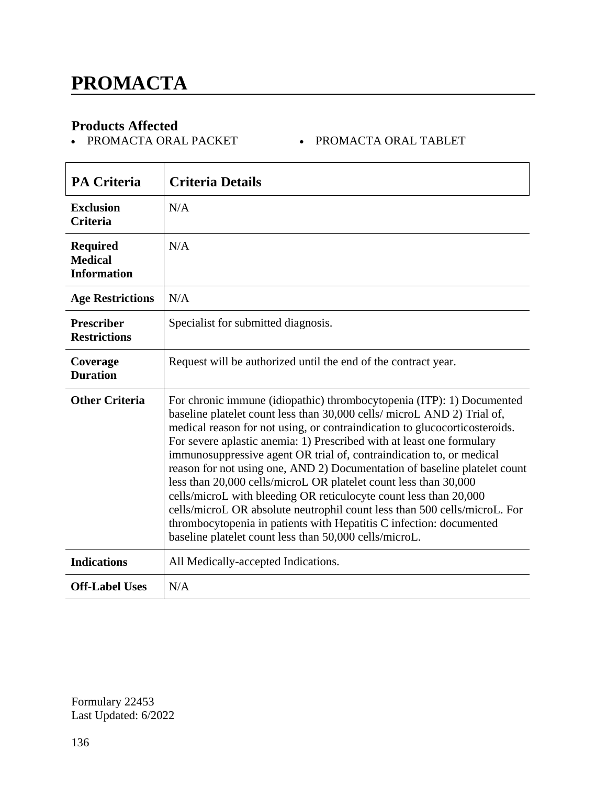• PROMACTA ORAL PACKET • PROMACTA ORAL TABLET

| <b>PA Criteria</b>                                      | <b>Criteria Details</b>                                                                                                                                                                                                                                                                                                                                                                                                                                                                                                                                                                                                                                                                                                                                                                                             |
|---------------------------------------------------------|---------------------------------------------------------------------------------------------------------------------------------------------------------------------------------------------------------------------------------------------------------------------------------------------------------------------------------------------------------------------------------------------------------------------------------------------------------------------------------------------------------------------------------------------------------------------------------------------------------------------------------------------------------------------------------------------------------------------------------------------------------------------------------------------------------------------|
| <b>Exclusion</b><br><b>Criteria</b>                     | N/A                                                                                                                                                                                                                                                                                                                                                                                                                                                                                                                                                                                                                                                                                                                                                                                                                 |
| <b>Required</b><br><b>Medical</b><br><b>Information</b> | N/A                                                                                                                                                                                                                                                                                                                                                                                                                                                                                                                                                                                                                                                                                                                                                                                                                 |
| <b>Age Restrictions</b>                                 | N/A                                                                                                                                                                                                                                                                                                                                                                                                                                                                                                                                                                                                                                                                                                                                                                                                                 |
| <b>Prescriber</b><br><b>Restrictions</b>                | Specialist for submitted diagnosis.                                                                                                                                                                                                                                                                                                                                                                                                                                                                                                                                                                                                                                                                                                                                                                                 |
| Coverage<br><b>Duration</b>                             | Request will be authorized until the end of the contract year.                                                                                                                                                                                                                                                                                                                                                                                                                                                                                                                                                                                                                                                                                                                                                      |
| <b>Other Criteria</b>                                   | For chronic immune (idiopathic) thrombocytopenia (ITP): 1) Documented<br>baseline platelet count less than 30,000 cells/ microL AND 2) Trial of,<br>medical reason for not using, or contraindication to glucocorticosteroids.<br>For severe aplastic anemia: 1) Prescribed with at least one formulary<br>immunosuppressive agent OR trial of, contraindication to, or medical<br>reason for not using one, AND 2) Documentation of baseline platelet count<br>less than 20,000 cells/microL OR platelet count less than 30,000<br>cells/microL with bleeding OR reticulocyte count less than 20,000<br>cells/microL OR absolute neutrophil count less than 500 cells/microL. For<br>thrombocytopenia in patients with Hepatitis C infection: documented<br>baseline platelet count less than 50,000 cells/microL. |
| <b>Indications</b>                                      | All Medically-accepted Indications.                                                                                                                                                                                                                                                                                                                                                                                                                                                                                                                                                                                                                                                                                                                                                                                 |
| <b>Off-Label Uses</b>                                   | N/A                                                                                                                                                                                                                                                                                                                                                                                                                                                                                                                                                                                                                                                                                                                                                                                                                 |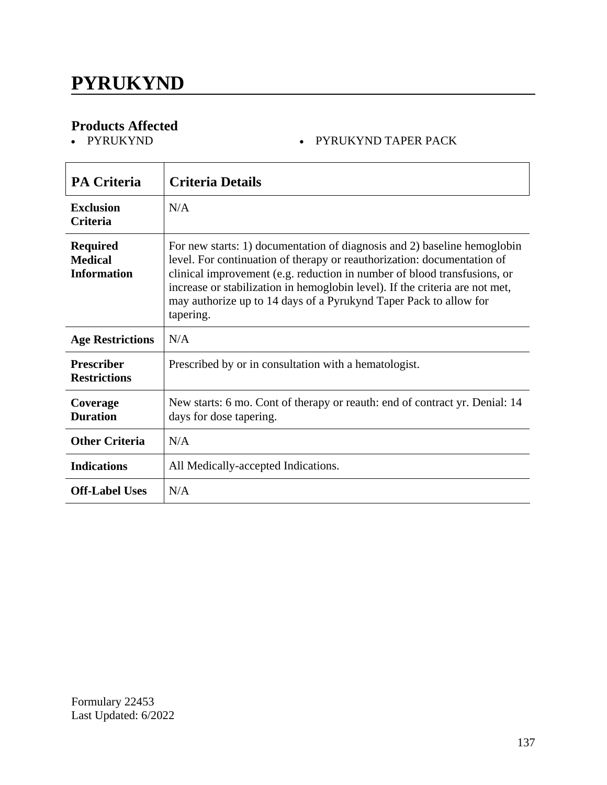# **PYRUKYND**

# **Products Affected**

#### • PYRUKYND TAPER PACK

| <b>PA Criteria</b>                                      | <b>Criteria Details</b>                                                                                                                                                                                                                                                                                                                                                                           |
|---------------------------------------------------------|---------------------------------------------------------------------------------------------------------------------------------------------------------------------------------------------------------------------------------------------------------------------------------------------------------------------------------------------------------------------------------------------------|
| Exclusion<br><b>Criteria</b>                            | N/A                                                                                                                                                                                                                                                                                                                                                                                               |
| <b>Required</b><br><b>Medical</b><br><b>Information</b> | For new starts: 1) documentation of diagnosis and 2) baseline hemoglobin<br>level. For continuation of therapy or reauthorization: documentation of<br>clinical improvement (e.g. reduction in number of blood transfusions, or<br>increase or stabilization in hemoglobin level). If the criteria are not met,<br>may authorize up to 14 days of a Pyrukynd Taper Pack to allow for<br>tapering. |
| <b>Age Restrictions</b>                                 | N/A                                                                                                                                                                                                                                                                                                                                                                                               |
| <b>Prescriber</b><br><b>Restrictions</b>                | Prescribed by or in consultation with a hematologist.                                                                                                                                                                                                                                                                                                                                             |
| Coverage<br><b>Duration</b>                             | New starts: 6 mo. Cont of therapy or reauth: end of contract yr. Denial: 14<br>days for dose tapering.                                                                                                                                                                                                                                                                                            |
| <b>Other Criteria</b>                                   | N/A                                                                                                                                                                                                                                                                                                                                                                                               |
| <b>Indications</b>                                      | All Medically-accepted Indications.                                                                                                                                                                                                                                                                                                                                                               |
| <b>Off-Label Uses</b>                                   | N/A                                                                                                                                                                                                                                                                                                                                                                                               |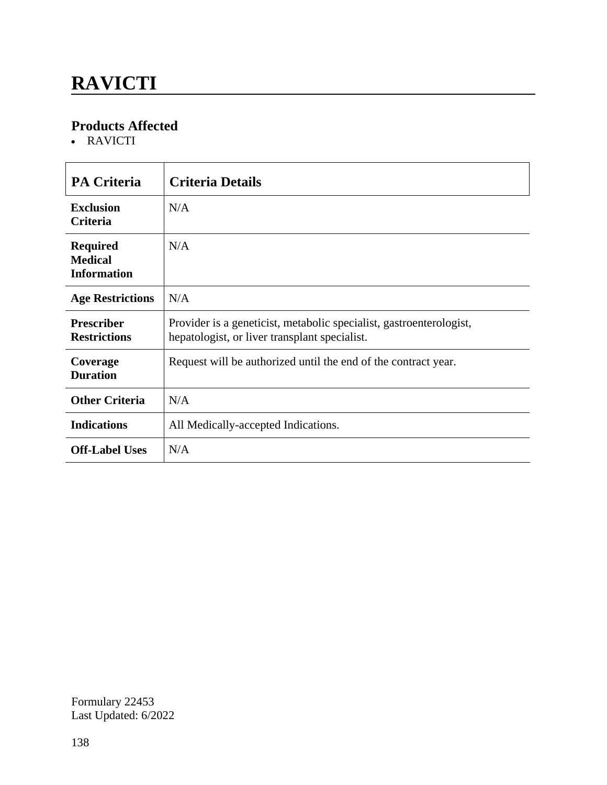# **RAVICTI**

### **Products Affected**

• RAVICTI

| <b>PA Criteria</b>                                      | <b>Criteria Details</b>                                                                                              |
|---------------------------------------------------------|----------------------------------------------------------------------------------------------------------------------|
| <b>Exclusion</b><br><b>Criteria</b>                     | N/A                                                                                                                  |
| <b>Required</b><br><b>Medical</b><br><b>Information</b> | N/A                                                                                                                  |
| <b>Age Restrictions</b>                                 | N/A                                                                                                                  |
| <b>Prescriber</b><br><b>Restrictions</b>                | Provider is a geneticist, metabolic specialist, gastroenterologist,<br>hepatologist, or liver transplant specialist. |
| Coverage<br><b>Duration</b>                             | Request will be authorized until the end of the contract year.                                                       |
| <b>Other Criteria</b>                                   | N/A                                                                                                                  |
| <b>Indications</b>                                      | All Medically-accepted Indications.                                                                                  |
| <b>Off-Label Uses</b>                                   | N/A                                                                                                                  |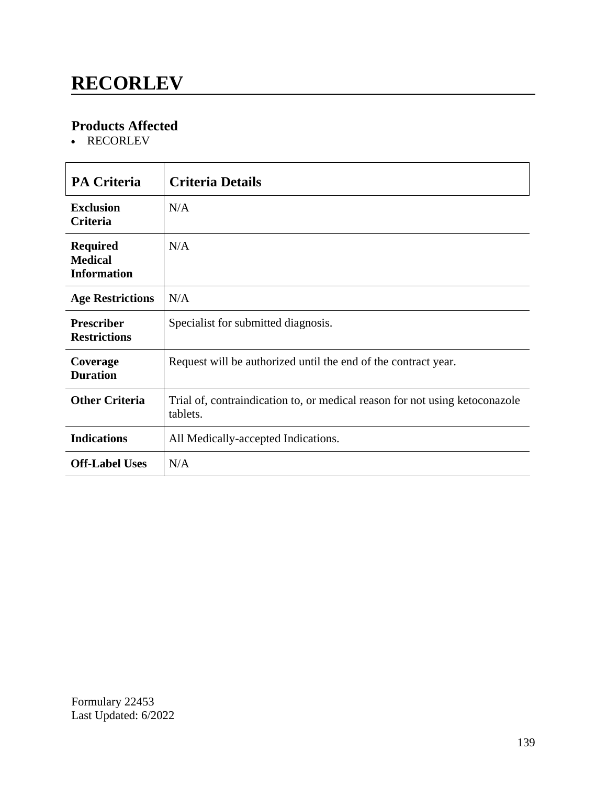### **RECORLEV**

### **Products Affected**

• RECORLEV

| <b>PA Criteria</b>                                      | <b>Criteria Details</b>                                                                 |
|---------------------------------------------------------|-----------------------------------------------------------------------------------------|
|                                                         |                                                                                         |
| <b>Exclusion</b><br><b>Criteria</b>                     | N/A                                                                                     |
| <b>Required</b><br><b>Medical</b><br><b>Information</b> | N/A                                                                                     |
| <b>Age Restrictions</b>                                 | N/A                                                                                     |
| <b>Prescriber</b><br><b>Restrictions</b>                | Specialist for submitted diagnosis.                                                     |
| Coverage<br><b>Duration</b>                             | Request will be authorized until the end of the contract year.                          |
| <b>Other Criteria</b>                                   | Trial of, contraindication to, or medical reason for not using ketoconazole<br>tablets. |
| <b>Indications</b>                                      | All Medically-accepted Indications.                                                     |
| <b>Off-Label Uses</b>                                   | N/A                                                                                     |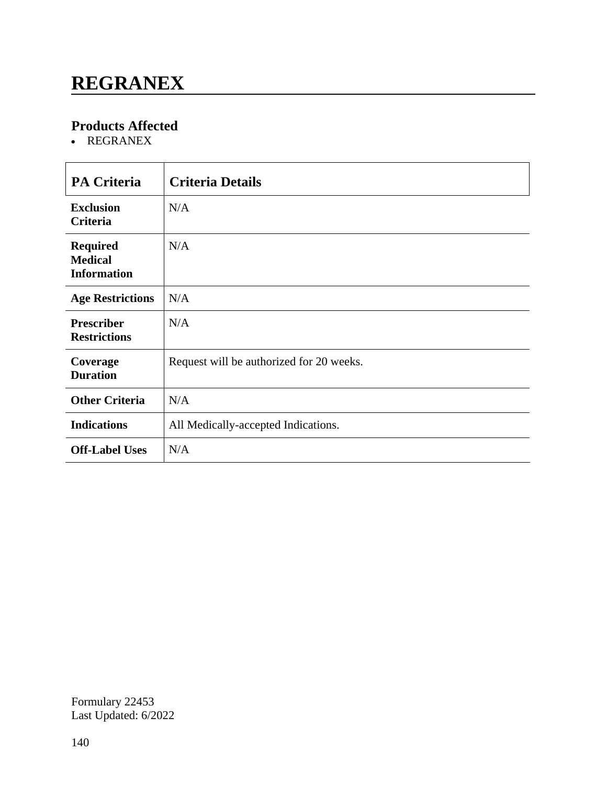### **REGRANEX**

### **Products Affected**

REGRANEX

| <b>PA Criteria</b>                                      | <b>Criteria Details</b>                  |
|---------------------------------------------------------|------------------------------------------|
| <b>Exclusion</b><br><b>Criteria</b>                     | N/A                                      |
| <b>Required</b><br><b>Medical</b><br><b>Information</b> | N/A                                      |
| <b>Age Restrictions</b>                                 | N/A                                      |
| <b>Prescriber</b><br><b>Restrictions</b>                | N/A                                      |
| Coverage<br><b>Duration</b>                             | Request will be authorized for 20 weeks. |
| <b>Other Criteria</b>                                   | N/A                                      |
| <b>Indications</b>                                      | All Medically-accepted Indications.      |
| <b>Off-Label Uses</b>                                   | N/A                                      |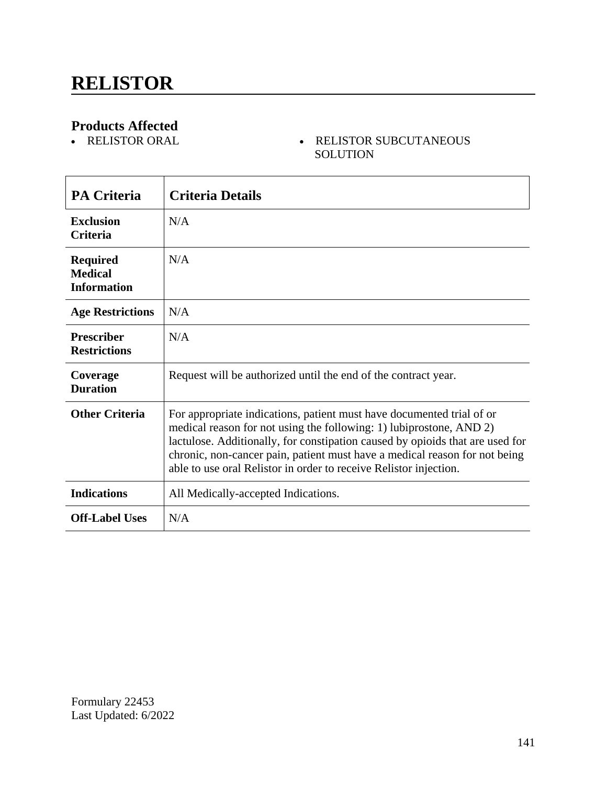#### - RELISTOR SUBCUTANEOUS SOLUTION

| <b>PA Criteria</b>                                      | <b>Criteria Details</b>                                                                                                                                                                                                                                                                                                                                                          |
|---------------------------------------------------------|----------------------------------------------------------------------------------------------------------------------------------------------------------------------------------------------------------------------------------------------------------------------------------------------------------------------------------------------------------------------------------|
| <b>Exclusion</b><br><b>Criteria</b>                     | N/A                                                                                                                                                                                                                                                                                                                                                                              |
| <b>Required</b><br><b>Medical</b><br><b>Information</b> | N/A                                                                                                                                                                                                                                                                                                                                                                              |
| <b>Age Restrictions</b>                                 | N/A                                                                                                                                                                                                                                                                                                                                                                              |
| <b>Prescriber</b><br><b>Restrictions</b>                | N/A                                                                                                                                                                                                                                                                                                                                                                              |
| Coverage<br><b>Duration</b>                             | Request will be authorized until the end of the contract year.                                                                                                                                                                                                                                                                                                                   |
| <b>Other Criteria</b>                                   | For appropriate indications, patient must have documented trial of or<br>medical reason for not using the following: 1) lubiprostone, AND 2)<br>lactulose. Additionally, for constipation caused by opioids that are used for<br>chronic, non-cancer pain, patient must have a medical reason for not being<br>able to use oral Relistor in order to receive Relistor injection. |
| <b>Indications</b>                                      | All Medically-accepted Indications.                                                                                                                                                                                                                                                                                                                                              |
| <b>Off-Label Uses</b>                                   | N/A                                                                                                                                                                                                                                                                                                                                                                              |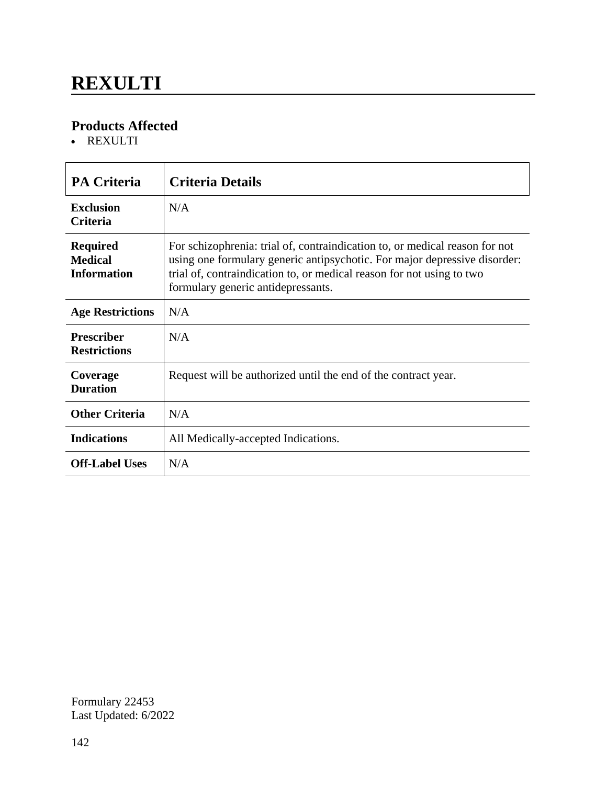# **REXULTI**

### **Products Affected**

REXULTI

| <b>PA Criteria</b>                                      | <b>Criteria Details</b>                                                                                                                                                                                                                                                 |
|---------------------------------------------------------|-------------------------------------------------------------------------------------------------------------------------------------------------------------------------------------------------------------------------------------------------------------------------|
| <b>Exclusion</b><br><b>Criteria</b>                     | N/A                                                                                                                                                                                                                                                                     |
| <b>Required</b><br><b>Medical</b><br><b>Information</b> | For schizophrenia: trial of, contraindication to, or medical reason for not<br>using one formulary generic antipsychotic. For major depressive disorder:<br>trial of, contraindication to, or medical reason for not using to two<br>formulary generic antidepressants. |
| <b>Age Restrictions</b>                                 | N/A                                                                                                                                                                                                                                                                     |
| <b>Prescriber</b><br><b>Restrictions</b>                | N/A                                                                                                                                                                                                                                                                     |
| Coverage<br><b>Duration</b>                             | Request will be authorized until the end of the contract year.                                                                                                                                                                                                          |
| <b>Other Criteria</b>                                   | N/A                                                                                                                                                                                                                                                                     |
| <b>Indications</b>                                      | All Medically-accepted Indications.                                                                                                                                                                                                                                     |
| <b>Off-Label Uses</b>                                   | N/A                                                                                                                                                                                                                                                                     |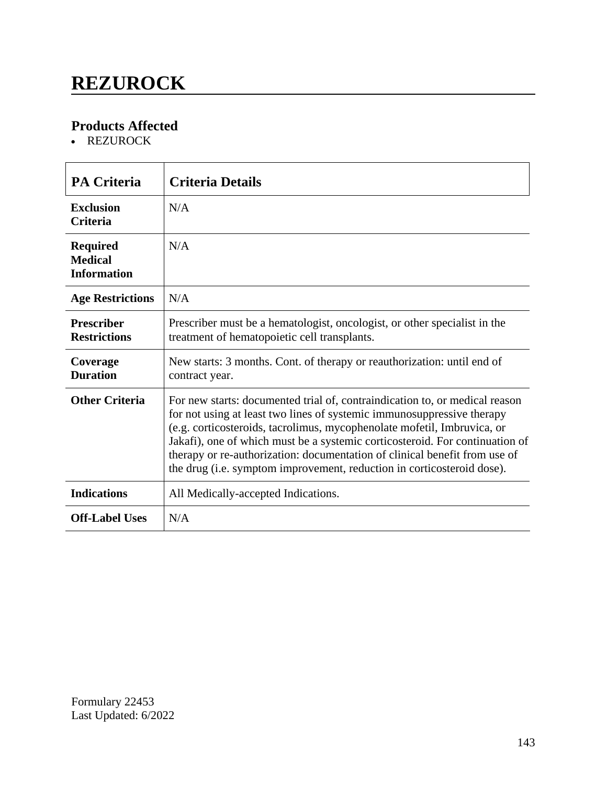## **REZUROCK**

### **Products Affected**

• REZUROCK

| <b>PA Criteria</b>                                      | <b>Criteria Details</b>                                                                                                                                                                                                                                                                                                                                                                                                                                                  |
|---------------------------------------------------------|--------------------------------------------------------------------------------------------------------------------------------------------------------------------------------------------------------------------------------------------------------------------------------------------------------------------------------------------------------------------------------------------------------------------------------------------------------------------------|
| <b>Exclusion</b><br><b>Criteria</b>                     | N/A                                                                                                                                                                                                                                                                                                                                                                                                                                                                      |
| <b>Required</b><br><b>Medical</b><br><b>Information</b> | N/A                                                                                                                                                                                                                                                                                                                                                                                                                                                                      |
| <b>Age Restrictions</b>                                 | N/A                                                                                                                                                                                                                                                                                                                                                                                                                                                                      |
| <b>Prescriber</b><br><b>Restrictions</b>                | Prescriber must be a hematologist, oncologist, or other specialist in the<br>treatment of hematopoietic cell transplants.                                                                                                                                                                                                                                                                                                                                                |
| Coverage<br><b>Duration</b>                             | New starts: 3 months. Cont. of therapy or reauthorization: until end of<br>contract year.                                                                                                                                                                                                                                                                                                                                                                                |
| <b>Other Criteria</b>                                   | For new starts: documented trial of, contraindication to, or medical reason<br>for not using at least two lines of systemic immunosuppressive therapy<br>(e.g. corticosteroids, tacrolimus, mycophenolate mofetil, Imbruvica, or<br>Jakafi), one of which must be a systemic corticosteroid. For continuation of<br>therapy or re-authorization: documentation of clinical benefit from use of<br>the drug (i.e. symptom improvement, reduction in corticosteroid dose). |
| <b>Indications</b>                                      | All Medically-accepted Indications.                                                                                                                                                                                                                                                                                                                                                                                                                                      |
| <b>Off-Label Uses</b>                                   | N/A                                                                                                                                                                                                                                                                                                                                                                                                                                                                      |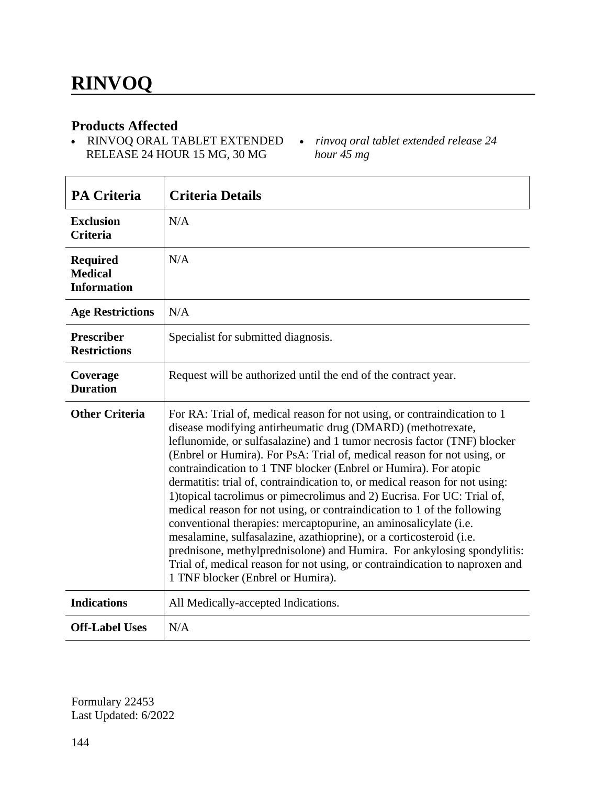r

#### **Products Affected**

- RINVOQ ORAL TABLET EXTENDED *rinvoq oral tablet extended release 24*  RELEASE 24 HOUR 15 MG, 30 MG
- *hour 45 mg*

| <b>PA Criteria</b>                                      | <b>Criteria Details</b>                                                                                                                                                                                                                                                                                                                                                                                                                                                                                                                                                                                                                                                                                                                                                                                                                                                                                                                           |
|---------------------------------------------------------|---------------------------------------------------------------------------------------------------------------------------------------------------------------------------------------------------------------------------------------------------------------------------------------------------------------------------------------------------------------------------------------------------------------------------------------------------------------------------------------------------------------------------------------------------------------------------------------------------------------------------------------------------------------------------------------------------------------------------------------------------------------------------------------------------------------------------------------------------------------------------------------------------------------------------------------------------|
| <b>Exclusion</b><br><b>Criteria</b>                     | N/A                                                                                                                                                                                                                                                                                                                                                                                                                                                                                                                                                                                                                                                                                                                                                                                                                                                                                                                                               |
| <b>Required</b><br><b>Medical</b><br><b>Information</b> | N/A                                                                                                                                                                                                                                                                                                                                                                                                                                                                                                                                                                                                                                                                                                                                                                                                                                                                                                                                               |
| <b>Age Restrictions</b>                                 | N/A                                                                                                                                                                                                                                                                                                                                                                                                                                                                                                                                                                                                                                                                                                                                                                                                                                                                                                                                               |
| <b>Prescriber</b><br><b>Restrictions</b>                | Specialist for submitted diagnosis.                                                                                                                                                                                                                                                                                                                                                                                                                                                                                                                                                                                                                                                                                                                                                                                                                                                                                                               |
| Coverage<br><b>Duration</b>                             | Request will be authorized until the end of the contract year.                                                                                                                                                                                                                                                                                                                                                                                                                                                                                                                                                                                                                                                                                                                                                                                                                                                                                    |
| <b>Other Criteria</b>                                   | For RA: Trial of, medical reason for not using, or contraindication to 1<br>disease modifying antirheumatic drug (DMARD) (methotrexate,<br>leflunomide, or sulfasalazine) and 1 tumor necrosis factor (TNF) blocker<br>(Enbrel or Humira). For PsA: Trial of, medical reason for not using, or<br>contraindication to 1 TNF blocker (Enbrel or Humira). For atopic<br>dermatitis: trial of, contraindication to, or medical reason for not using:<br>1) topical tacrolimus or pimecrolimus and 2) Eucrisa. For UC: Trial of,<br>medical reason for not using, or contraindication to 1 of the following<br>conventional therapies: mercaptopurine, an aminosalicylate (i.e.<br>mesalamine, sulfasalazine, azathioprine), or a corticosteroid (i.e.<br>prednisone, methylprednisolone) and Humira. For ankylosing spondylitis:<br>Trial of, medical reason for not using, or contraindication to naproxen and<br>1 TNF blocker (Enbrel or Humira). |
| <b>Indications</b>                                      | All Medically-accepted Indications.                                                                                                                                                                                                                                                                                                                                                                                                                                                                                                                                                                                                                                                                                                                                                                                                                                                                                                               |
| <b>Off-Label Uses</b>                                   | N/A                                                                                                                                                                                                                                                                                                                                                                                                                                                                                                                                                                                                                                                                                                                                                                                                                                                                                                                                               |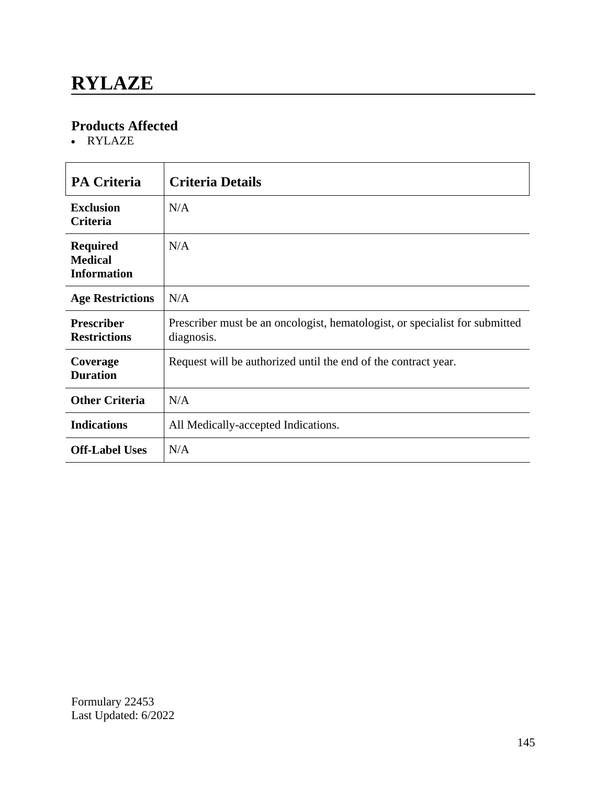RYLAZE

| <b>PA Criteria</b>                                      | <b>Criteria Details</b>                                                                   |
|---------------------------------------------------------|-------------------------------------------------------------------------------------------|
| <b>Exclusion</b><br><b>Criteria</b>                     | N/A                                                                                       |
| <b>Required</b><br><b>Medical</b><br><b>Information</b> | N/A                                                                                       |
| <b>Age Restrictions</b>                                 | N/A                                                                                       |
| <b>Prescriber</b><br><b>Restrictions</b>                | Prescriber must be an oncologist, hematologist, or specialist for submitted<br>diagnosis. |
| Coverage<br><b>Duration</b>                             | Request will be authorized until the end of the contract year.                            |
| <b>Other Criteria</b>                                   | N/A                                                                                       |
| <b>Indications</b>                                      | All Medically-accepted Indications.                                                       |
| <b>Off-Label Uses</b>                                   | N/A                                                                                       |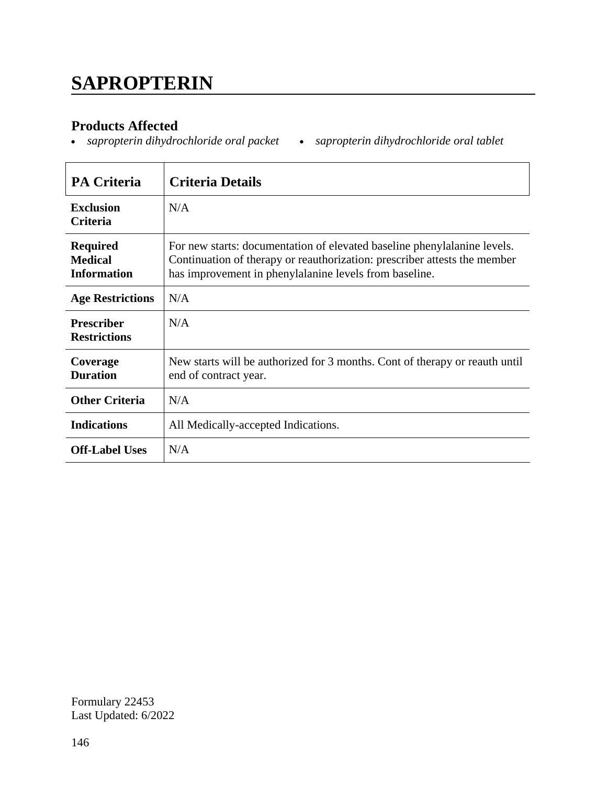# **SAPROPTERIN**

#### **Products Affected**

*sapropterin dihydrochloride oral packet sapropterin dihydrochloride oral tablet*

| <b>PA Criteria</b>                                      | <b>Criteria Details</b>                                                                                                                                                                                         |
|---------------------------------------------------------|-----------------------------------------------------------------------------------------------------------------------------------------------------------------------------------------------------------------|
| <b>Exclusion</b><br><b>Criteria</b>                     | N/A                                                                                                                                                                                                             |
| <b>Required</b><br><b>Medical</b><br><b>Information</b> | For new starts: documentation of elevated baseline phenylalanine levels.<br>Continuation of therapy or reauthorization: prescriber attests the member<br>has improvement in phenylalanine levels from baseline. |
| <b>Age Restrictions</b>                                 | N/A                                                                                                                                                                                                             |
| <b>Prescriber</b><br><b>Restrictions</b>                | N/A                                                                                                                                                                                                             |
| Coverage<br><b>Duration</b>                             | New starts will be authorized for 3 months. Cont of therapy or reauth until<br>end of contract year.                                                                                                            |
| <b>Other Criteria</b>                                   | N/A                                                                                                                                                                                                             |
| <b>Indications</b>                                      | All Medically-accepted Indications.                                                                                                                                                                             |
| <b>Off-Label Uses</b>                                   | N/A                                                                                                                                                                                                             |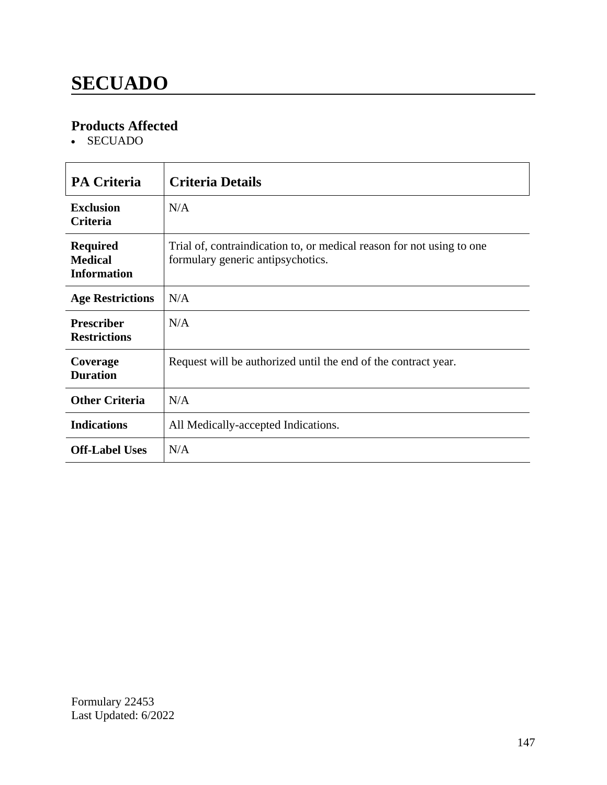# **SECUADO**

### **Products Affected**

SECUADO

| <b>PA Criteria</b>                                      | <b>Criteria Details</b>                                                                                    |
|---------------------------------------------------------|------------------------------------------------------------------------------------------------------------|
| <b>Exclusion</b><br><b>Criteria</b>                     | N/A                                                                                                        |
| <b>Required</b><br><b>Medical</b><br><b>Information</b> | Trial of, contraindication to, or medical reason for not using to one<br>formulary generic antipsychotics. |
| <b>Age Restrictions</b>                                 | N/A                                                                                                        |
| <b>Prescriber</b><br><b>Restrictions</b>                | N/A                                                                                                        |
| Coverage<br><b>Duration</b>                             | Request will be authorized until the end of the contract year.                                             |
| <b>Other Criteria</b>                                   | N/A                                                                                                        |
| <b>Indications</b>                                      | All Medically-accepted Indications.                                                                        |
| <b>Off-Label Uses</b>                                   | N/A                                                                                                        |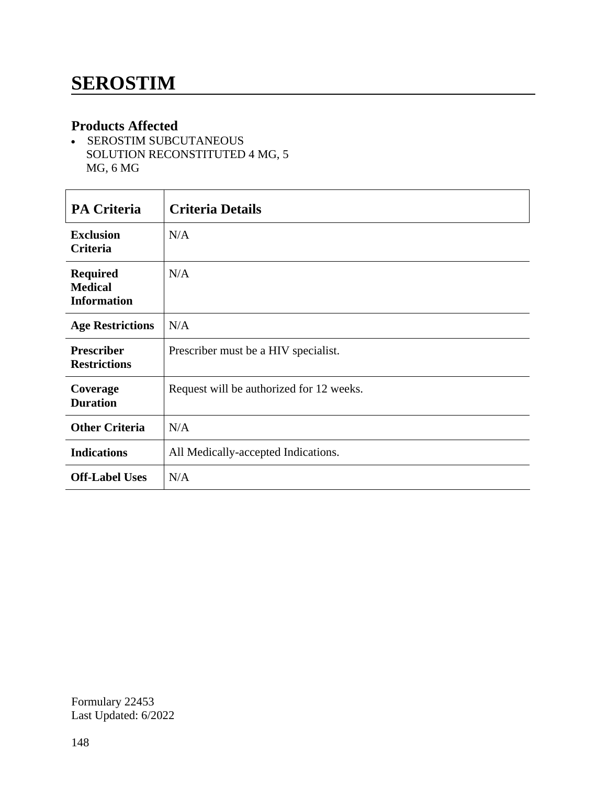- SEROSTIM SUBCUTANEOUS SOLUTION RECONSTITUTED 4 MG, 5 MG, 6 MG

| <b>PA Criteria</b>                                      | <b>Criteria Details</b>                  |
|---------------------------------------------------------|------------------------------------------|
| <b>Exclusion</b><br>Criteria                            | N/A                                      |
| <b>Required</b><br><b>Medical</b><br><b>Information</b> | N/A                                      |
| <b>Age Restrictions</b>                                 | N/A                                      |
| <b>Prescriber</b><br><b>Restrictions</b>                | Prescriber must be a HIV specialist.     |
| Coverage<br><b>Duration</b>                             | Request will be authorized for 12 weeks. |
| <b>Other Criteria</b>                                   | N/A                                      |
| <b>Indications</b>                                      | All Medically-accepted Indications.      |
| <b>Off-Label Uses</b>                                   | N/A                                      |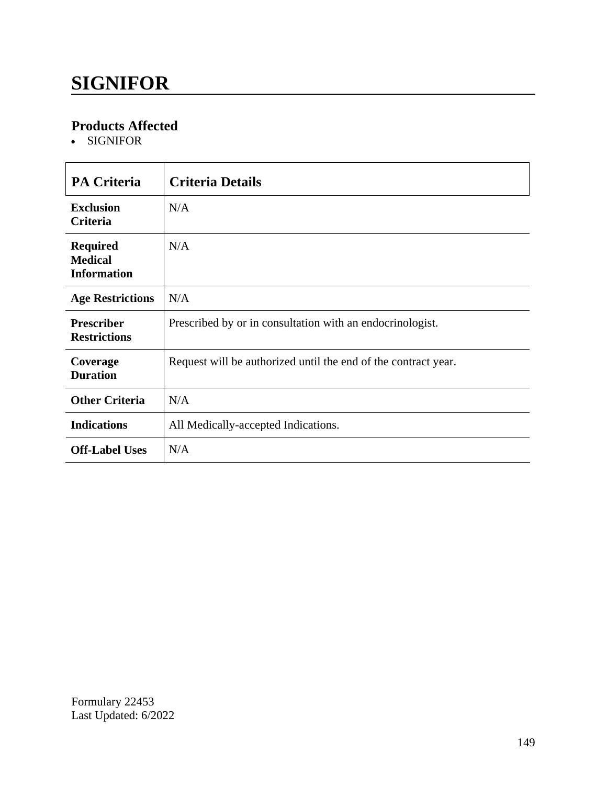## **SIGNIFOR**

### **Products Affected**

SIGNIFOR

| <b>PA Criteria</b>                                      | <b>Criteria Details</b>                                        |
|---------------------------------------------------------|----------------------------------------------------------------|
| <b>Exclusion</b><br><b>Criteria</b>                     | N/A                                                            |
| <b>Required</b><br><b>Medical</b><br><b>Information</b> | N/A                                                            |
| <b>Age Restrictions</b>                                 | N/A                                                            |
| <b>Prescriber</b><br><b>Restrictions</b>                | Prescribed by or in consultation with an endocrinologist.      |
| Coverage<br><b>Duration</b>                             | Request will be authorized until the end of the contract year. |
| <b>Other Criteria</b>                                   | N/A                                                            |
| <b>Indications</b>                                      | All Medically-accepted Indications.                            |
| <b>Off-Label Uses</b>                                   | N/A                                                            |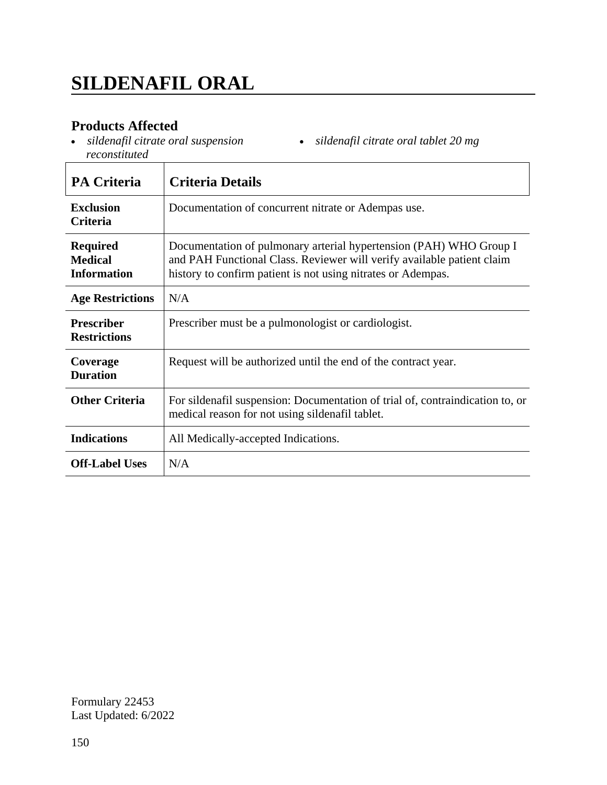*sildenafil citrate oral suspension reconstituted*

| <b>PA Criteria</b>                                      | <b>Criteria Details</b>                                                                                                                                                                                      |
|---------------------------------------------------------|--------------------------------------------------------------------------------------------------------------------------------------------------------------------------------------------------------------|
| <b>Exclusion</b><br><b>Criteria</b>                     | Documentation of concurrent nitrate or Adempas use.                                                                                                                                                          |
| <b>Required</b><br><b>Medical</b><br><b>Information</b> | Documentation of pulmonary arterial hypertension (PAH) WHO Group I<br>and PAH Functional Class. Reviewer will verify available patient claim<br>history to confirm patient is not using nitrates or Adempas. |
| <b>Age Restrictions</b>                                 | N/A                                                                                                                                                                                                          |
| <b>Prescriber</b><br><b>Restrictions</b>                | Prescriber must be a pulmonologist or cardiologist.                                                                                                                                                          |
| Coverage<br><b>Duration</b>                             | Request will be authorized until the end of the contract year.                                                                                                                                               |
| <b>Other Criteria</b>                                   | For sildenafil suspension: Documentation of trial of, contraindication to, or<br>medical reason for not using sildenafil tablet.                                                                             |
| <b>Indications</b>                                      | All Medically-accepted Indications.                                                                                                                                                                          |
| <b>Off-Label Uses</b>                                   | N/A                                                                                                                                                                                                          |

*sildenafil citrate oral tablet 20 mg*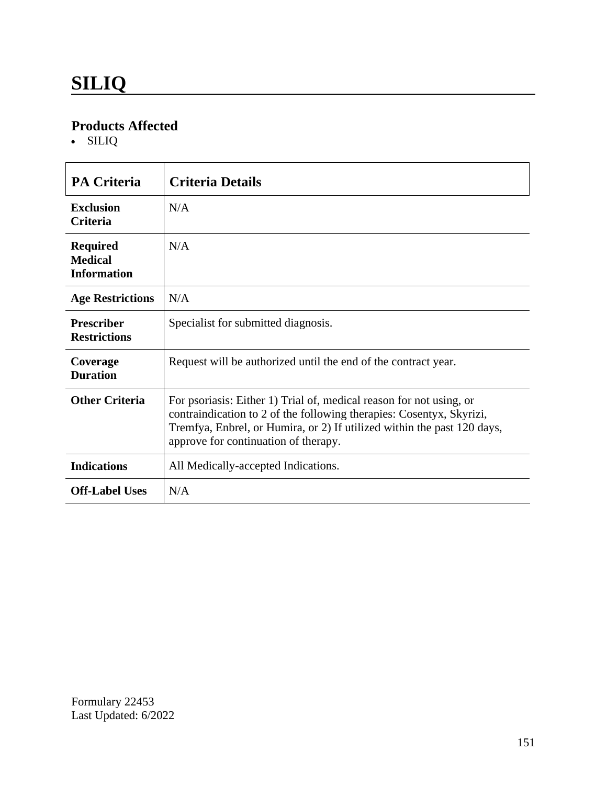SILIQ

| <b>PA Criteria</b>                                      | <b>Criteria Details</b>                                                                                                                                                                                                                                        |
|---------------------------------------------------------|----------------------------------------------------------------------------------------------------------------------------------------------------------------------------------------------------------------------------------------------------------------|
| <b>Exclusion</b><br><b>Criteria</b>                     | N/A                                                                                                                                                                                                                                                            |
| <b>Required</b><br><b>Medical</b><br><b>Information</b> | N/A                                                                                                                                                                                                                                                            |
| <b>Age Restrictions</b>                                 | N/A                                                                                                                                                                                                                                                            |
| <b>Prescriber</b><br><b>Restrictions</b>                | Specialist for submitted diagnosis.                                                                                                                                                                                                                            |
| Coverage<br><b>Duration</b>                             | Request will be authorized until the end of the contract year.                                                                                                                                                                                                 |
| <b>Other Criteria</b>                                   | For psoriasis: Either 1) Trial of, medical reason for not using, or<br>contraindication to 2 of the following therapies: Cosentyx, Skyrizi,<br>Tremfya, Enbrel, or Humira, or 2) If utilized within the past 120 days,<br>approve for continuation of therapy. |
| <b>Indications</b>                                      | All Medically-accepted Indications.                                                                                                                                                                                                                            |
| <b>Off-Label Uses</b>                                   | N/A                                                                                                                                                                                                                                                            |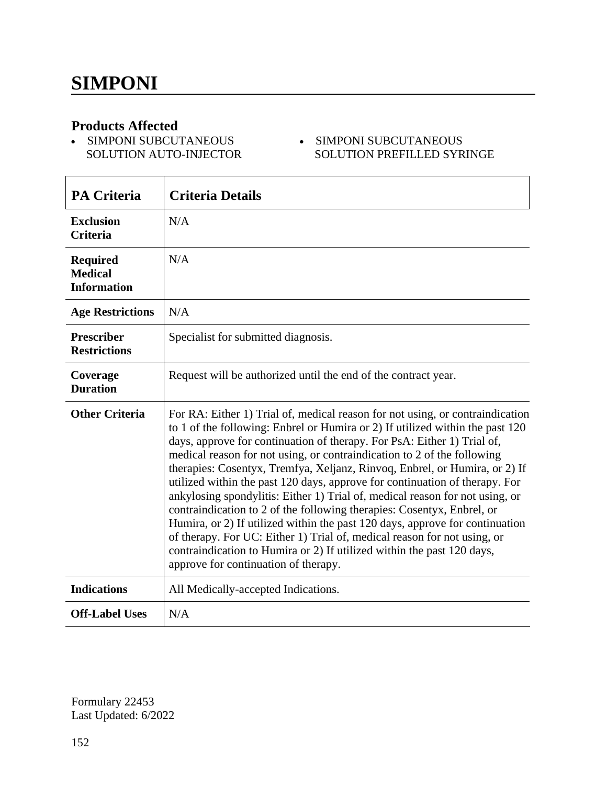SIMPONI SUBCUTANEOUS SIMPONI SUBCUTANEOUS SOLUTION AUTO-INJECTOR

# SOLUTION PREFILLED SYRINGE

| <b>PA Criteria</b>                                      | <b>Criteria Details</b>                                                                                                                                                                                                                                                                                                                                                                                                                                                                                                                                                                                                                                                                                                                                                                                                                                                                                                   |
|---------------------------------------------------------|---------------------------------------------------------------------------------------------------------------------------------------------------------------------------------------------------------------------------------------------------------------------------------------------------------------------------------------------------------------------------------------------------------------------------------------------------------------------------------------------------------------------------------------------------------------------------------------------------------------------------------------------------------------------------------------------------------------------------------------------------------------------------------------------------------------------------------------------------------------------------------------------------------------------------|
| <b>Exclusion</b><br><b>Criteria</b>                     | N/A                                                                                                                                                                                                                                                                                                                                                                                                                                                                                                                                                                                                                                                                                                                                                                                                                                                                                                                       |
| <b>Required</b><br><b>Medical</b><br><b>Information</b> | N/A                                                                                                                                                                                                                                                                                                                                                                                                                                                                                                                                                                                                                                                                                                                                                                                                                                                                                                                       |
| <b>Age Restrictions</b>                                 | N/A                                                                                                                                                                                                                                                                                                                                                                                                                                                                                                                                                                                                                                                                                                                                                                                                                                                                                                                       |
| <b>Prescriber</b><br><b>Restrictions</b>                | Specialist for submitted diagnosis.                                                                                                                                                                                                                                                                                                                                                                                                                                                                                                                                                                                                                                                                                                                                                                                                                                                                                       |
| Coverage<br><b>Duration</b>                             | Request will be authorized until the end of the contract year.                                                                                                                                                                                                                                                                                                                                                                                                                                                                                                                                                                                                                                                                                                                                                                                                                                                            |
| <b>Other Criteria</b>                                   | For RA: Either 1) Trial of, medical reason for not using, or contraindication<br>to 1 of the following: Enbrel or Humira or 2) If utilized within the past 120<br>days, approve for continuation of therapy. For PsA: Either 1) Trial of,<br>medical reason for not using, or contraindication to 2 of the following<br>therapies: Cosentyx, Tremfya, Xeljanz, Rinvoq, Enbrel, or Humira, or 2) If<br>utilized within the past 120 days, approve for continuation of therapy. For<br>ankylosing spondylitis: Either 1) Trial of, medical reason for not using, or<br>contraindication to 2 of the following therapies: Cosentyx, Enbrel, or<br>Humira, or 2) If utilized within the past 120 days, approve for continuation<br>of therapy. For UC: Either 1) Trial of, medical reason for not using, or<br>contraindication to Humira or 2) If utilized within the past 120 days,<br>approve for continuation of therapy. |
| <b>Indications</b>                                      | All Medically-accepted Indications.                                                                                                                                                                                                                                                                                                                                                                                                                                                                                                                                                                                                                                                                                                                                                                                                                                                                                       |
| <b>Off-Label Uses</b>                                   | N/A                                                                                                                                                                                                                                                                                                                                                                                                                                                                                                                                                                                                                                                                                                                                                                                                                                                                                                                       |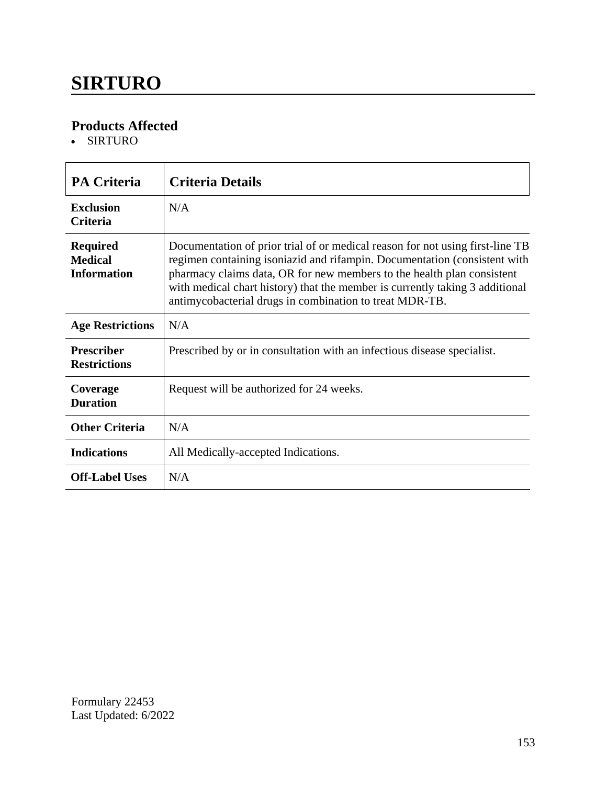### **SIRTURO**

### **Products Affected**

SIRTURO

| <b>PA Criteria</b>                                      | <b>Criteria Details</b>                                                                                                                                                                                                                                                                                                                                                         |
|---------------------------------------------------------|---------------------------------------------------------------------------------------------------------------------------------------------------------------------------------------------------------------------------------------------------------------------------------------------------------------------------------------------------------------------------------|
| <b>Exclusion</b><br><b>Criteria</b>                     | N/A                                                                                                                                                                                                                                                                                                                                                                             |
| <b>Required</b><br><b>Medical</b><br><b>Information</b> | Documentation of prior trial of or medical reason for not using first-line TB<br>regimen containing isoniazid and rifampin. Documentation (consistent with<br>pharmacy claims data, OR for new members to the health plan consistent<br>with medical chart history) that the member is currently taking 3 additional<br>antimycobacterial drugs in combination to treat MDR-TB. |
| <b>Age Restrictions</b>                                 | N/A                                                                                                                                                                                                                                                                                                                                                                             |
| <b>Prescriber</b><br><b>Restrictions</b>                | Prescribed by or in consultation with an infectious disease specialist.                                                                                                                                                                                                                                                                                                         |
| Coverage<br><b>Duration</b>                             | Request will be authorized for 24 weeks.                                                                                                                                                                                                                                                                                                                                        |
| <b>Other Criteria</b>                                   | N/A                                                                                                                                                                                                                                                                                                                                                                             |
| <b>Indications</b>                                      | All Medically-accepted Indications.                                                                                                                                                                                                                                                                                                                                             |
| <b>Off-Label Uses</b>                                   | N/A                                                                                                                                                                                                                                                                                                                                                                             |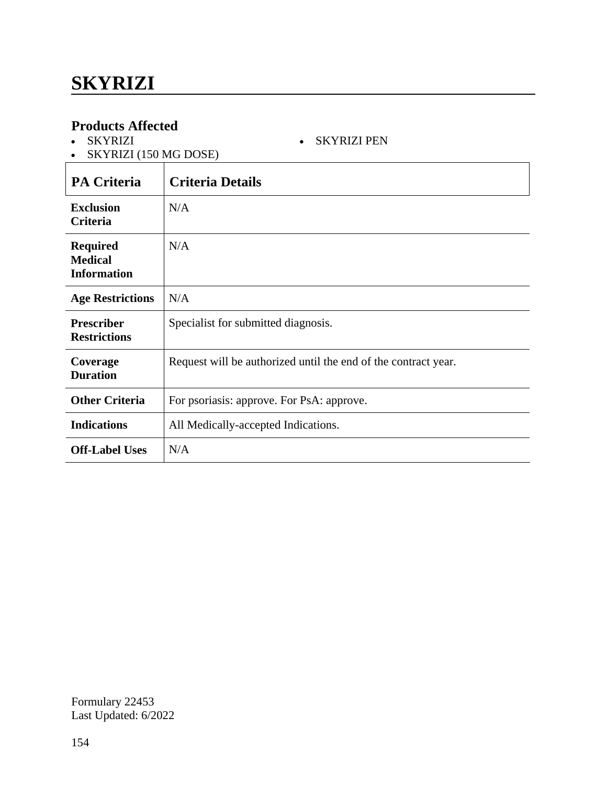SKYRIZI

SKYRIZI PEN

| SKYRIZI (150 MG DOSE)                                   |                                                                |
|---------------------------------------------------------|----------------------------------------------------------------|
| <b>PA Criteria</b>                                      | <b>Criteria Details</b>                                        |
| <b>Exclusion</b><br><b>Criteria</b>                     | N/A                                                            |
| <b>Required</b><br><b>Medical</b><br><b>Information</b> | N/A                                                            |
| <b>Age Restrictions</b>                                 | N/A                                                            |
| <b>Prescriber</b><br><b>Restrictions</b>                | Specialist for submitted diagnosis.                            |
| Coverage<br><b>Duration</b>                             | Request will be authorized until the end of the contract year. |
| <b>Other Criteria</b>                                   | For psoriasis: approve. For PsA: approve.                      |
| <b>Indications</b>                                      | All Medically-accepted Indications.                            |
| <b>Off-Label Uses</b>                                   | N/A                                                            |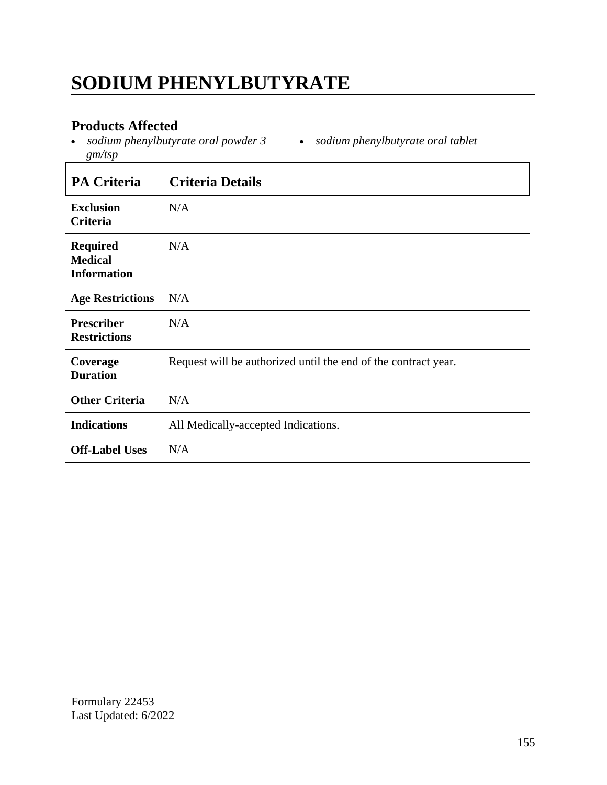# **SODIUM PHENYLBUTYRATE**

### **Products Affected**

 *sodium phenylbutyrate oral powder 3 sodium phenylbutyrate oral tablet gm/tsp*

| <b>PA Criteria</b>                                      | <b>Criteria Details</b>                                        |
|---------------------------------------------------------|----------------------------------------------------------------|
| <b>Exclusion</b><br>Criteria                            | N/A                                                            |
| <b>Required</b><br><b>Medical</b><br><b>Information</b> | N/A                                                            |
| <b>Age Restrictions</b>                                 | N/A                                                            |
| <b>Prescriber</b><br><b>Restrictions</b>                | N/A                                                            |
| Coverage<br><b>Duration</b>                             | Request will be authorized until the end of the contract year. |
| <b>Other Criteria</b>                                   | N/A                                                            |
| <b>Indications</b>                                      | All Medically-accepted Indications.                            |
| <b>Off-Label Uses</b>                                   | N/A                                                            |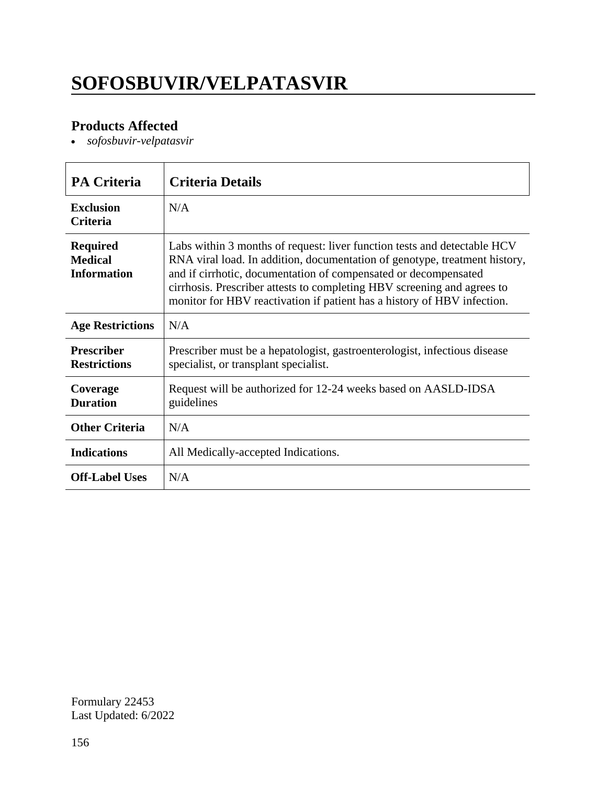# **SOFOSBUVIR/VELPATASVIR**

### **Products Affected**

*sofosbuvir-velpatasvir*

| <b>PA Criteria</b>                                      | <b>Criteria Details</b>                                                                                                                                                                                                                                                                                                                                                         |
|---------------------------------------------------------|---------------------------------------------------------------------------------------------------------------------------------------------------------------------------------------------------------------------------------------------------------------------------------------------------------------------------------------------------------------------------------|
| <b>Exclusion</b><br><b>Criteria</b>                     | N/A                                                                                                                                                                                                                                                                                                                                                                             |
| <b>Required</b><br><b>Medical</b><br><b>Information</b> | Labs within 3 months of request: liver function tests and detectable HCV<br>RNA viral load. In addition, documentation of genotype, treatment history,<br>and if cirrhotic, documentation of compensated or decompensated<br>cirrhosis. Prescriber attests to completing HBV screening and agrees to<br>monitor for HBV reactivation if patient has a history of HBV infection. |
| <b>Age Restrictions</b>                                 | N/A                                                                                                                                                                                                                                                                                                                                                                             |
| <b>Prescriber</b><br><b>Restrictions</b>                | Prescriber must be a hepatologist, gastroenterologist, infectious disease<br>specialist, or transplant specialist.                                                                                                                                                                                                                                                              |
| Coverage<br><b>Duration</b>                             | Request will be authorized for 12-24 weeks based on AASLD-IDSA<br>guidelines                                                                                                                                                                                                                                                                                                    |
| <b>Other Criteria</b>                                   | N/A                                                                                                                                                                                                                                                                                                                                                                             |
| <b>Indications</b>                                      | All Medically-accepted Indications.                                                                                                                                                                                                                                                                                                                                             |
| <b>Off-Label Uses</b>                                   | N/A                                                                                                                                                                                                                                                                                                                                                                             |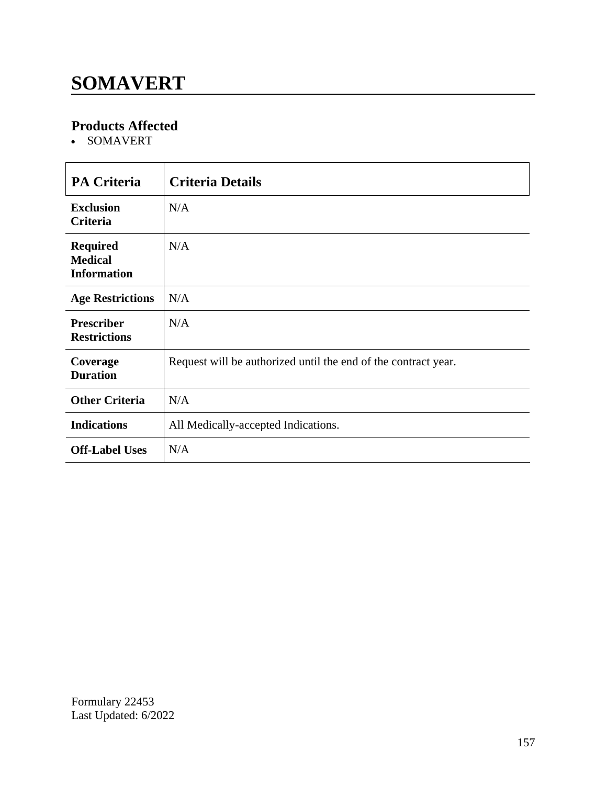# **SOMAVERT**

### **Products Affected**

• SOMAVERT

| <b>PA Criteria</b>                                      | <b>Criteria Details</b>                                        |
|---------------------------------------------------------|----------------------------------------------------------------|
| <b>Exclusion</b><br><b>Criteria</b>                     | N/A                                                            |
| <b>Required</b><br><b>Medical</b><br><b>Information</b> | N/A                                                            |
| <b>Age Restrictions</b>                                 | N/A                                                            |
| <b>Prescriber</b><br><b>Restrictions</b>                | N/A                                                            |
| Coverage<br><b>Duration</b>                             | Request will be authorized until the end of the contract year. |
| <b>Other Criteria</b>                                   | N/A                                                            |
| <b>Indications</b>                                      | All Medically-accepted Indications.                            |
| <b>Off-Label Uses</b>                                   | N/A                                                            |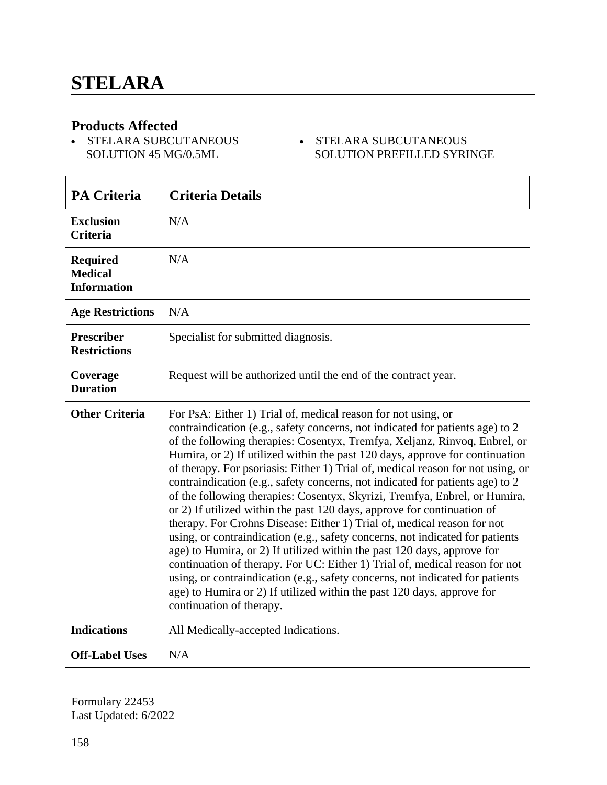• STELARA SUBCUTANEOUS SOLUTION 45 MG/0.5ML

#### STELARA SUBCUTANEOUS SOLUTION PREFILLED SYRINGE

| <b>PA Criteria</b>                                      | <b>Criteria Details</b>                                                                                                                                                                                                                                                                                                                                                                                                                                                                                                                                                                                                                                                                                                                                                                                                                                                                                                                                                                                                                                                                                                                                |
|---------------------------------------------------------|--------------------------------------------------------------------------------------------------------------------------------------------------------------------------------------------------------------------------------------------------------------------------------------------------------------------------------------------------------------------------------------------------------------------------------------------------------------------------------------------------------------------------------------------------------------------------------------------------------------------------------------------------------------------------------------------------------------------------------------------------------------------------------------------------------------------------------------------------------------------------------------------------------------------------------------------------------------------------------------------------------------------------------------------------------------------------------------------------------------------------------------------------------|
| <b>Exclusion</b><br><b>Criteria</b>                     | N/A                                                                                                                                                                                                                                                                                                                                                                                                                                                                                                                                                                                                                                                                                                                                                                                                                                                                                                                                                                                                                                                                                                                                                    |
| <b>Required</b><br><b>Medical</b><br><b>Information</b> | N/A                                                                                                                                                                                                                                                                                                                                                                                                                                                                                                                                                                                                                                                                                                                                                                                                                                                                                                                                                                                                                                                                                                                                                    |
| <b>Age Restrictions</b>                                 | N/A                                                                                                                                                                                                                                                                                                                                                                                                                                                                                                                                                                                                                                                                                                                                                                                                                                                                                                                                                                                                                                                                                                                                                    |
| <b>Prescriber</b><br><b>Restrictions</b>                | Specialist for submitted diagnosis.                                                                                                                                                                                                                                                                                                                                                                                                                                                                                                                                                                                                                                                                                                                                                                                                                                                                                                                                                                                                                                                                                                                    |
| Coverage<br><b>Duration</b>                             | Request will be authorized until the end of the contract year.                                                                                                                                                                                                                                                                                                                                                                                                                                                                                                                                                                                                                                                                                                                                                                                                                                                                                                                                                                                                                                                                                         |
| <b>Other Criteria</b>                                   | For PsA: Either 1) Trial of, medical reason for not using, or<br>contraindication (e.g., safety concerns, not indicated for patients age) to 2<br>of the following therapies: Cosentyx, Tremfya, Xeljanz, Rinvoq, Enbrel, or<br>Humira, or 2) If utilized within the past 120 days, approve for continuation<br>of therapy. For psoriasis: Either 1) Trial of, medical reason for not using, or<br>contraindication (e.g., safety concerns, not indicated for patients age) to 2<br>of the following therapies: Cosentyx, Skyrizi, Tremfya, Enbrel, or Humira,<br>or 2) If utilized within the past 120 days, approve for continuation of<br>therapy. For Crohns Disease: Either 1) Trial of, medical reason for not<br>using, or contraindication (e.g., safety concerns, not indicated for patients<br>age) to Humira, or 2) If utilized within the past 120 days, approve for<br>continuation of therapy. For UC: Either 1) Trial of, medical reason for not<br>using, or contraindication (e.g., safety concerns, not indicated for patients<br>age) to Humira or 2) If utilized within the past 120 days, approve for<br>continuation of therapy. |
| <b>Indications</b>                                      | All Medically-accepted Indications.                                                                                                                                                                                                                                                                                                                                                                                                                                                                                                                                                                                                                                                                                                                                                                                                                                                                                                                                                                                                                                                                                                                    |
| <b>Off-Label Uses</b>                                   | N/A                                                                                                                                                                                                                                                                                                                                                                                                                                                                                                                                                                                                                                                                                                                                                                                                                                                                                                                                                                                                                                                                                                                                                    |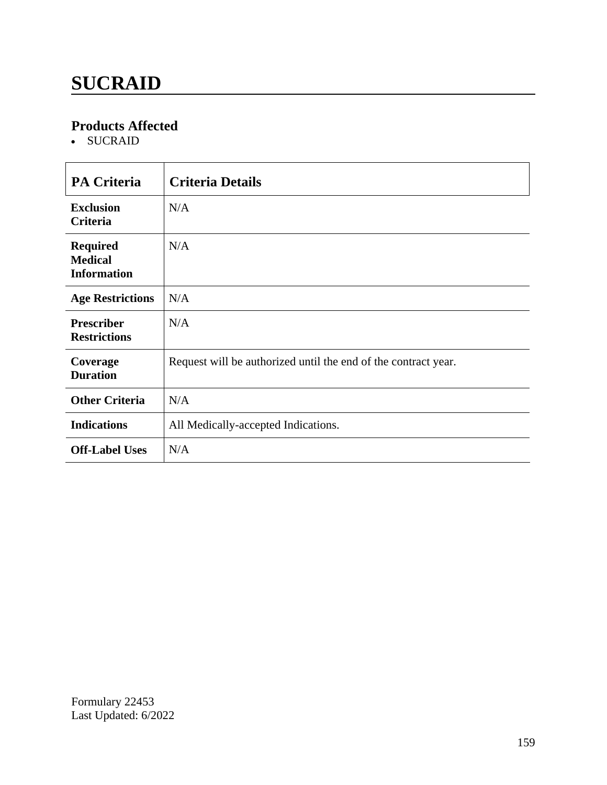# **SUCRAID**

### **Products Affected**

• SUCRAID

| <b>PA Criteria</b>                                      | <b>Criteria Details</b>                                        |
|---------------------------------------------------------|----------------------------------------------------------------|
| <b>Exclusion</b><br>Criteria                            | N/A                                                            |
| <b>Required</b><br><b>Medical</b><br><b>Information</b> | N/A                                                            |
| <b>Age Restrictions</b>                                 | N/A                                                            |
| <b>Prescriber</b><br><b>Restrictions</b>                | N/A                                                            |
| Coverage<br><b>Duration</b>                             | Request will be authorized until the end of the contract year. |
| <b>Other Criteria</b>                                   | N/A                                                            |
| <b>Indications</b>                                      | All Medically-accepted Indications.                            |
| <b>Off-Label Uses</b>                                   | N/A                                                            |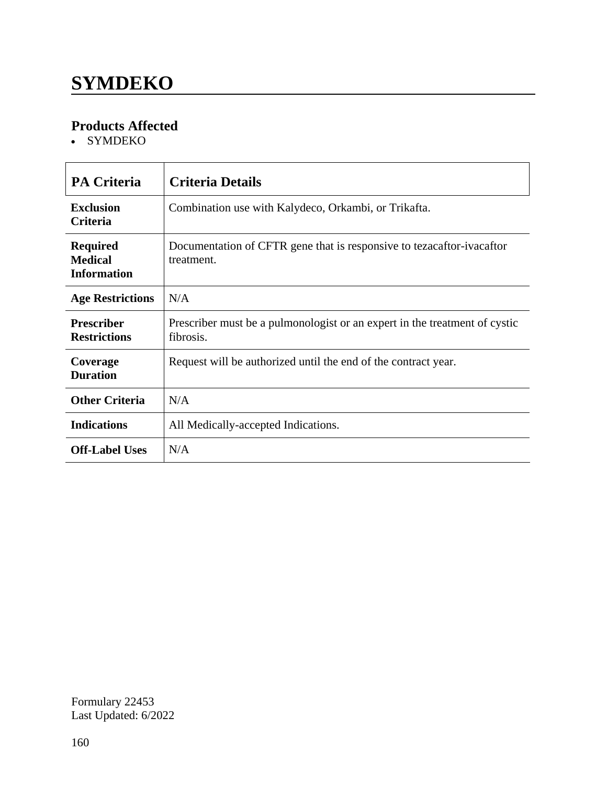# **SYMDEKO**

### **Products Affected**

• SYMDEKO

| <b>PA Criteria</b>                                      | <b>Criteria Details</b>                                                                 |
|---------------------------------------------------------|-----------------------------------------------------------------------------------------|
| <b>Exclusion</b><br><b>Criteria</b>                     | Combination use with Kalydeco, Orkambi, or Trikafta.                                    |
| <b>Required</b><br><b>Medical</b><br><b>Information</b> | Documentation of CFTR gene that is responsive to tezacaftor-ivacaftor<br>treatment.     |
| <b>Age Restrictions</b>                                 | N/A                                                                                     |
| <b>Prescriber</b><br><b>Restrictions</b>                | Prescriber must be a pulmonologist or an expert in the treatment of cystic<br>fibrosis. |
| Coverage<br><b>Duration</b>                             | Request will be authorized until the end of the contract year.                          |
| <b>Other Criteria</b>                                   | N/A                                                                                     |
| <b>Indications</b>                                      | All Medically-accepted Indications.                                                     |
| <b>Off-Label Uses</b>                                   | N/A                                                                                     |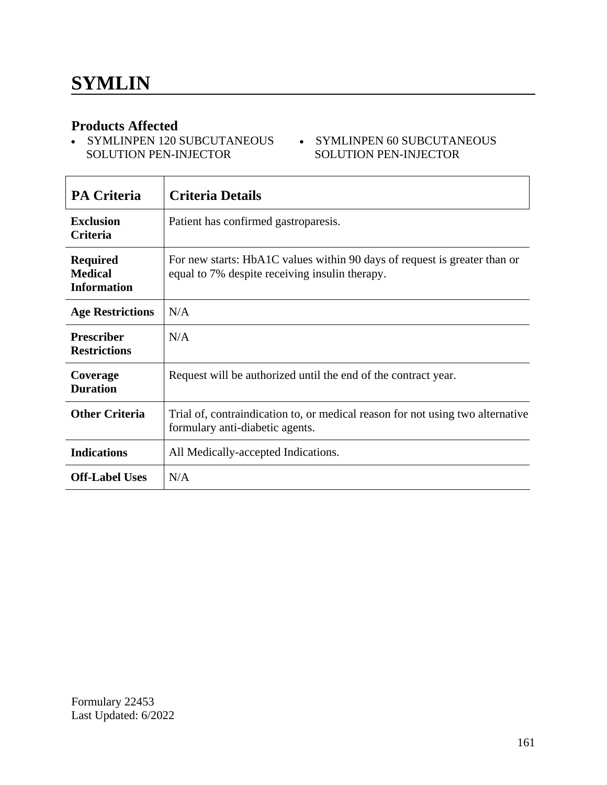• SYMLINPEN 120 SUBCUTANEOUS • SYMLINPEN 60 SUBCUTANEOUS SOLUTION PEN-INJECTOR

# SOLUTION PEN-INJECTOR

| <b>PA Criteria</b>                                      | <b>Criteria Details</b>                                                                                                     |
|---------------------------------------------------------|-----------------------------------------------------------------------------------------------------------------------------|
| <b>Exclusion</b><br><b>Criteria</b>                     | Patient has confirmed gastroparesis.                                                                                        |
| <b>Required</b><br><b>Medical</b><br><b>Information</b> | For new starts: HbA1C values within 90 days of request is greater than or<br>equal to 7% despite receiving insulin therapy. |
| <b>Age Restrictions</b>                                 | N/A                                                                                                                         |
| <b>Prescriber</b><br><b>Restrictions</b>                | N/A                                                                                                                         |
| Coverage<br><b>Duration</b>                             | Request will be authorized until the end of the contract year.                                                              |
| <b>Other Criteria</b>                                   | Trial of, contraindication to, or medical reason for not using two alternative<br>formulary anti-diabetic agents.           |
| <b>Indications</b>                                      | All Medically-accepted Indications.                                                                                         |
| <b>Off-Label Uses</b>                                   | N/A                                                                                                                         |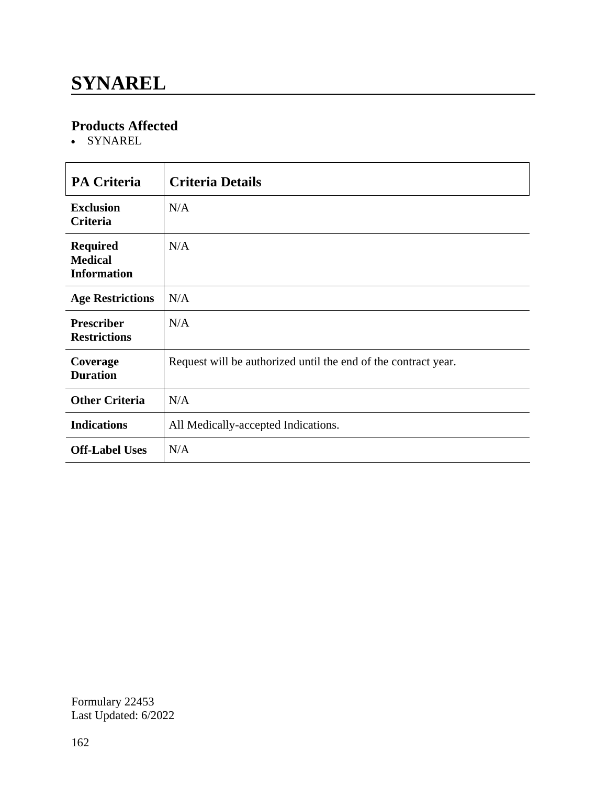### **SYNAREL**

### **Products Affected**

SYNAREL

| <b>PA Criteria</b>                                      | <b>Criteria Details</b>                                        |
|---------------------------------------------------------|----------------------------------------------------------------|
| <b>Exclusion</b><br>Criteria                            | N/A                                                            |
| <b>Required</b><br><b>Medical</b><br><b>Information</b> | N/A                                                            |
| <b>Age Restrictions</b>                                 | N/A                                                            |
| <b>Prescriber</b><br><b>Restrictions</b>                | N/A                                                            |
| Coverage<br><b>Duration</b>                             | Request will be authorized until the end of the contract year. |
| <b>Other Criteria</b>                                   | N/A                                                            |
| <b>Indications</b>                                      | All Medically-accepted Indications.                            |
| <b>Off-Label Uses</b>                                   | N/A                                                            |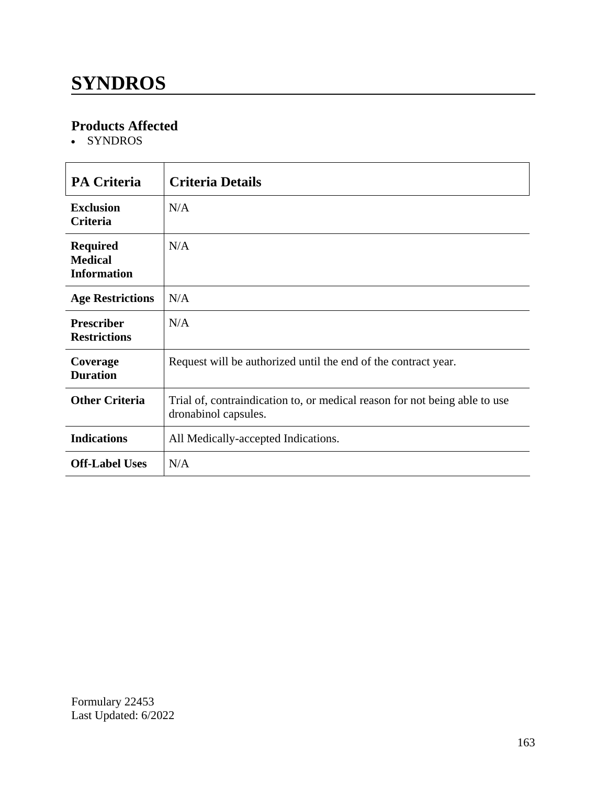# **SYNDROS**

### **Products Affected**

• SYNDROS

| <b>PA Criteria</b>                                      | <b>Criteria Details</b>                                                                            |
|---------------------------------------------------------|----------------------------------------------------------------------------------------------------|
| <b>Exclusion</b><br><b>Criteria</b>                     | N/A                                                                                                |
| <b>Required</b><br><b>Medical</b><br><b>Information</b> | N/A                                                                                                |
| <b>Age Restrictions</b>                                 | N/A                                                                                                |
| <b>Prescriber</b><br><b>Restrictions</b>                | N/A                                                                                                |
| Coverage<br><b>Duration</b>                             | Request will be authorized until the end of the contract year.                                     |
| <b>Other Criteria</b>                                   | Trial of, contraindication to, or medical reason for not being able to use<br>dronabinol capsules. |
| <b>Indications</b>                                      | All Medically-accepted Indications.                                                                |
| <b>Off-Label Uses</b>                                   | N/A                                                                                                |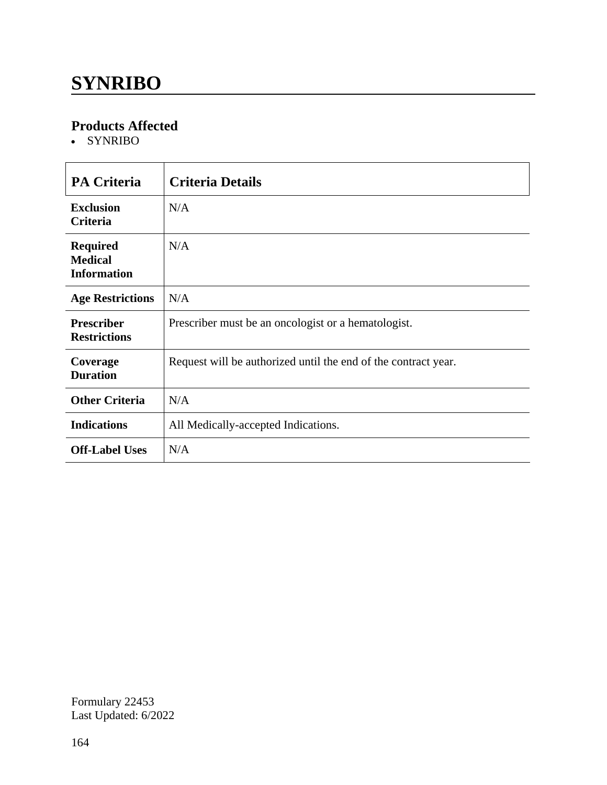## **SYNRIBO**

### **Products Affected**

• SYNRIBO

| <b>PA Criteria</b>                                      | <b>Criteria Details</b>                                        |
|---------------------------------------------------------|----------------------------------------------------------------|
| <b>Exclusion</b><br><b>Criteria</b>                     | N/A                                                            |
| <b>Required</b><br><b>Medical</b><br><b>Information</b> | N/A                                                            |
| <b>Age Restrictions</b>                                 | N/A                                                            |
| <b>Prescriber</b><br><b>Restrictions</b>                | Prescriber must be an oncologist or a hematologist.            |
| Coverage<br><b>Duration</b>                             | Request will be authorized until the end of the contract year. |
| <b>Other Criteria</b>                                   | N/A                                                            |
| <b>Indications</b>                                      | All Medically-accepted Indications.                            |
| <b>Off-Label Uses</b>                                   | N/A                                                            |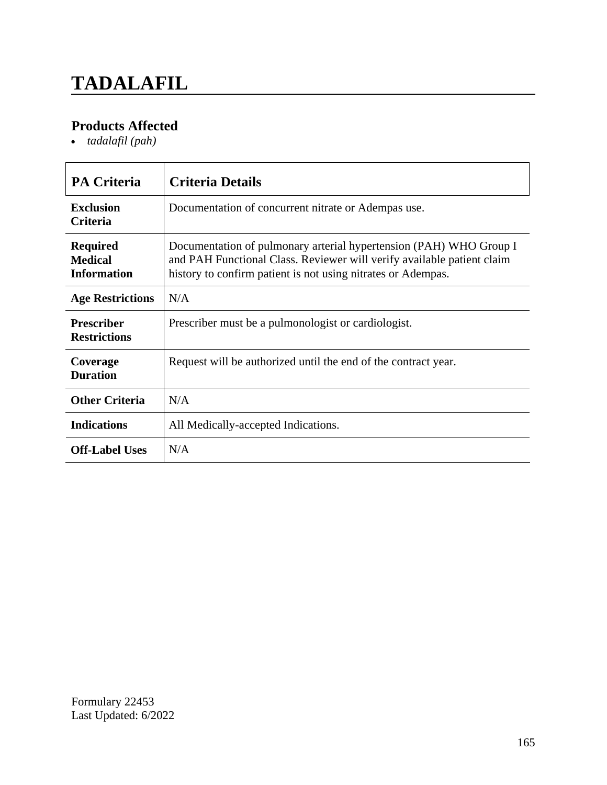# **TADALAFIL**

### **Products Affected**

*tadalafil (pah)*

| <b>PA Criteria</b>                                      | <b>Criteria Details</b>                                                                                                                                                                                      |
|---------------------------------------------------------|--------------------------------------------------------------------------------------------------------------------------------------------------------------------------------------------------------------|
| <b>Exclusion</b><br><b>Criteria</b>                     | Documentation of concurrent nitrate or Adempas use.                                                                                                                                                          |
| <b>Required</b><br><b>Medical</b><br><b>Information</b> | Documentation of pulmonary arterial hypertension (PAH) WHO Group I<br>and PAH Functional Class. Reviewer will verify available patient claim<br>history to confirm patient is not using nitrates or Adempas. |
| <b>Age Restrictions</b>                                 | N/A                                                                                                                                                                                                          |
| <b>Prescriber</b><br><b>Restrictions</b>                | Prescriber must be a pulmonologist or cardiologist.                                                                                                                                                          |
| Coverage<br><b>Duration</b>                             | Request will be authorized until the end of the contract year.                                                                                                                                               |
| <b>Other Criteria</b>                                   | N/A                                                                                                                                                                                                          |
| <b>Indications</b>                                      | All Medically-accepted Indications.                                                                                                                                                                          |
| <b>Off-Label Uses</b>                                   | N/A                                                                                                                                                                                                          |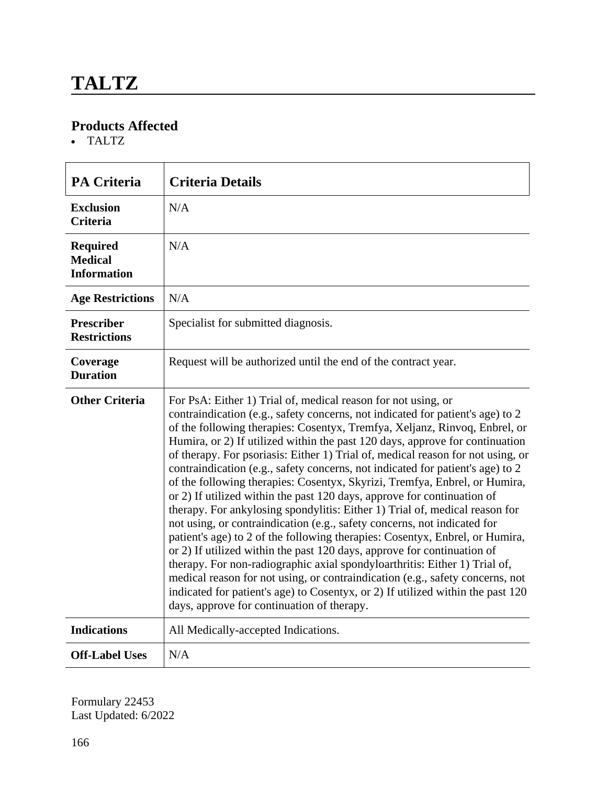TALTZ

| <b>PA Criteria</b>                                      | <b>Criteria Details</b>                                                                                                                                                                                                                                                                                                                                                                                                                                                                                                                                                                                                                                                                                                                                                                                                                                                                                                                                                                                                                                                                                                                                                                                                                                           |
|---------------------------------------------------------|-------------------------------------------------------------------------------------------------------------------------------------------------------------------------------------------------------------------------------------------------------------------------------------------------------------------------------------------------------------------------------------------------------------------------------------------------------------------------------------------------------------------------------------------------------------------------------------------------------------------------------------------------------------------------------------------------------------------------------------------------------------------------------------------------------------------------------------------------------------------------------------------------------------------------------------------------------------------------------------------------------------------------------------------------------------------------------------------------------------------------------------------------------------------------------------------------------------------------------------------------------------------|
| <b>Exclusion</b><br><b>Criteria</b>                     | N/A                                                                                                                                                                                                                                                                                                                                                                                                                                                                                                                                                                                                                                                                                                                                                                                                                                                                                                                                                                                                                                                                                                                                                                                                                                                               |
| <b>Required</b><br><b>Medical</b><br><b>Information</b> | N/A                                                                                                                                                                                                                                                                                                                                                                                                                                                                                                                                                                                                                                                                                                                                                                                                                                                                                                                                                                                                                                                                                                                                                                                                                                                               |
| <b>Age Restrictions</b>                                 | N/A                                                                                                                                                                                                                                                                                                                                                                                                                                                                                                                                                                                                                                                                                                                                                                                                                                                                                                                                                                                                                                                                                                                                                                                                                                                               |
| <b>Prescriber</b><br><b>Restrictions</b>                | Specialist for submitted diagnosis.                                                                                                                                                                                                                                                                                                                                                                                                                                                                                                                                                                                                                                                                                                                                                                                                                                                                                                                                                                                                                                                                                                                                                                                                                               |
| Coverage<br><b>Duration</b>                             | Request will be authorized until the end of the contract year.                                                                                                                                                                                                                                                                                                                                                                                                                                                                                                                                                                                                                                                                                                                                                                                                                                                                                                                                                                                                                                                                                                                                                                                                    |
| <b>Other Criteria</b>                                   | For PsA: Either 1) Trial of, medical reason for not using, or<br>contraindication (e.g., safety concerns, not indicated for patient's age) to 2<br>of the following therapies: Cosentyx, Tremfya, Xeljanz, Rinvoq, Enbrel, or<br>Humira, or 2) If utilized within the past 120 days, approve for continuation<br>of therapy. For psoriasis: Either 1) Trial of, medical reason for not using, or<br>contraindication (e.g., safety concerns, not indicated for patient's age) to 2<br>of the following therapies: Cosentyx, Skyrizi, Tremfya, Enbrel, or Humira,<br>or 2) If utilized within the past 120 days, approve for continuation of<br>therapy. For ankylosing spondylitis: Either 1) Trial of, medical reason for<br>not using, or contraindication (e.g., safety concerns, not indicated for<br>patient's age) to 2 of the following therapies: Cosentyx, Enbrel, or Humira,<br>or 2) If utilized within the past 120 days, approve for continuation of<br>therapy. For non-radiographic axial spondyloarthritis: Either 1) Trial of,<br>medical reason for not using, or contraindication (e.g., safety concerns, not<br>indicated for patient's age) to Cosentyx, or 2) If utilized within the past 120<br>days, approve for continuation of therapy. |
| <b>Indications</b>                                      | All Medically-accepted Indications.                                                                                                                                                                                                                                                                                                                                                                                                                                                                                                                                                                                                                                                                                                                                                                                                                                                                                                                                                                                                                                                                                                                                                                                                                               |
| <b>Off-Label Uses</b>                                   | N/A                                                                                                                                                                                                                                                                                                                                                                                                                                                                                                                                                                                                                                                                                                                                                                                                                                                                                                                                                                                                                                                                                                                                                                                                                                                               |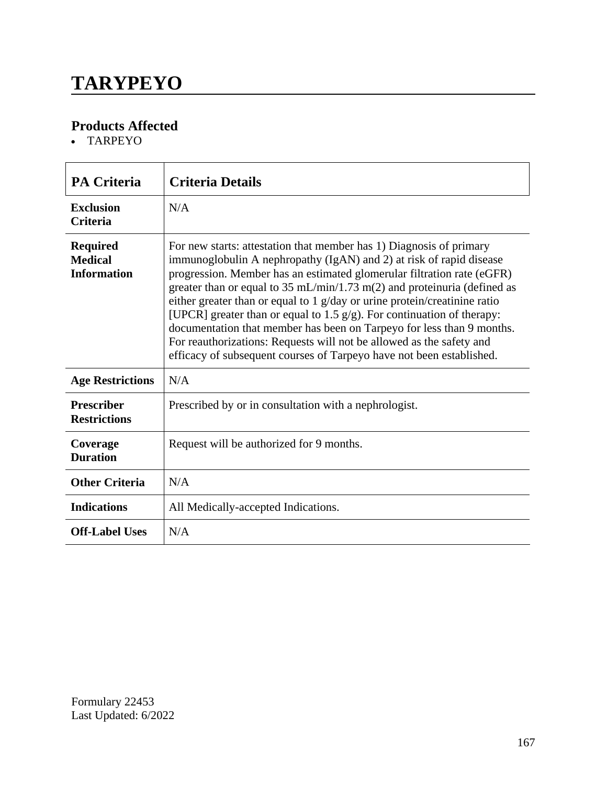# **TARYPEYO**

### **Products Affected**

TARPEYO

| <b>PA Criteria</b>                                      | <b>Criteria Details</b>                                                                                                                                                                                                                                                                                                                                                                                                                                                                                                                                                                                                                                                                                 |
|---------------------------------------------------------|---------------------------------------------------------------------------------------------------------------------------------------------------------------------------------------------------------------------------------------------------------------------------------------------------------------------------------------------------------------------------------------------------------------------------------------------------------------------------------------------------------------------------------------------------------------------------------------------------------------------------------------------------------------------------------------------------------|
| <b>Exclusion</b><br><b>Criteria</b>                     | N/A                                                                                                                                                                                                                                                                                                                                                                                                                                                                                                                                                                                                                                                                                                     |
| <b>Required</b><br><b>Medical</b><br><b>Information</b> | For new starts: attestation that member has 1) Diagnosis of primary<br>immunoglobulin A nephropathy (IgAN) and 2) at risk of rapid disease<br>progression. Member has an estimated glomerular filtration rate (eGFR)<br>greater than or equal to $35 \text{ mL/min}/1.73 \text{ m}(2)$ and proteinuria (defined as<br>either greater than or equal to 1 $g/day$ or urine protein/creatinine ratio<br>[UPCR] greater than or equal to 1.5 $g/g$ ). For continuation of therapy:<br>documentation that member has been on Tarpeyo for less than 9 months.<br>For reauthorizations: Requests will not be allowed as the safety and<br>efficacy of subsequent courses of Tarpeyo have not been established. |
| <b>Age Restrictions</b>                                 | N/A                                                                                                                                                                                                                                                                                                                                                                                                                                                                                                                                                                                                                                                                                                     |
| <b>Prescriber</b><br><b>Restrictions</b>                | Prescribed by or in consultation with a nephrologist.                                                                                                                                                                                                                                                                                                                                                                                                                                                                                                                                                                                                                                                   |
| Coverage<br><b>Duration</b>                             | Request will be authorized for 9 months.                                                                                                                                                                                                                                                                                                                                                                                                                                                                                                                                                                                                                                                                |
| <b>Other Criteria</b>                                   | N/A                                                                                                                                                                                                                                                                                                                                                                                                                                                                                                                                                                                                                                                                                                     |
| <b>Indications</b>                                      | All Medically-accepted Indications.                                                                                                                                                                                                                                                                                                                                                                                                                                                                                                                                                                                                                                                                     |
| <b>Off-Label Uses</b>                                   | N/A                                                                                                                                                                                                                                                                                                                                                                                                                                                                                                                                                                                                                                                                                                     |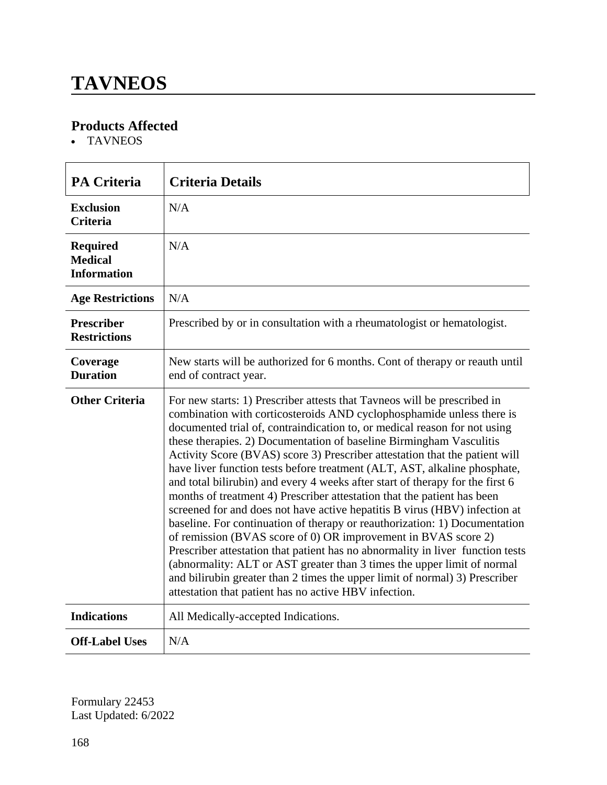### **TAVNEOS**

### **Products Affected**

TAVNEOS

| <b>PA Criteria</b>                                      | <b>Criteria Details</b>                                                                                                                                                                                                                                                                                                                                                                                                                                                                                                                                                                                                                                                                                                                                                                                                                                                                                                                                                                                                                                                                                                                                          |
|---------------------------------------------------------|------------------------------------------------------------------------------------------------------------------------------------------------------------------------------------------------------------------------------------------------------------------------------------------------------------------------------------------------------------------------------------------------------------------------------------------------------------------------------------------------------------------------------------------------------------------------------------------------------------------------------------------------------------------------------------------------------------------------------------------------------------------------------------------------------------------------------------------------------------------------------------------------------------------------------------------------------------------------------------------------------------------------------------------------------------------------------------------------------------------------------------------------------------------|
| <b>Exclusion</b><br><b>Criteria</b>                     | N/A                                                                                                                                                                                                                                                                                                                                                                                                                                                                                                                                                                                                                                                                                                                                                                                                                                                                                                                                                                                                                                                                                                                                                              |
| <b>Required</b><br><b>Medical</b><br><b>Information</b> | N/A                                                                                                                                                                                                                                                                                                                                                                                                                                                                                                                                                                                                                                                                                                                                                                                                                                                                                                                                                                                                                                                                                                                                                              |
| <b>Age Restrictions</b>                                 | N/A                                                                                                                                                                                                                                                                                                                                                                                                                                                                                                                                                                                                                                                                                                                                                                                                                                                                                                                                                                                                                                                                                                                                                              |
| <b>Prescriber</b><br><b>Restrictions</b>                | Prescribed by or in consultation with a rheumatologist or hematologist.                                                                                                                                                                                                                                                                                                                                                                                                                                                                                                                                                                                                                                                                                                                                                                                                                                                                                                                                                                                                                                                                                          |
| Coverage<br><b>Duration</b>                             | New starts will be authorized for 6 months. Cont of therapy or reauth until<br>end of contract year.                                                                                                                                                                                                                                                                                                                                                                                                                                                                                                                                                                                                                                                                                                                                                                                                                                                                                                                                                                                                                                                             |
| <b>Other Criteria</b>                                   | For new starts: 1) Prescriber attests that Tavneos will be prescribed in<br>combination with corticosteroids AND cyclophosphamide unless there is<br>documented trial of, contraindication to, or medical reason for not using<br>these therapies. 2) Documentation of baseline Birmingham Vasculitis<br>Activity Score (BVAS) score 3) Prescriber attestation that the patient will<br>have liver function tests before treatment (ALT, AST, alkaline phosphate,<br>and total bilirubin) and every 4 weeks after start of therapy for the first 6<br>months of treatment 4) Prescriber attestation that the patient has been<br>screened for and does not have active hepatitis B virus (HBV) infection at<br>baseline. For continuation of therapy or reauthorization: 1) Documentation<br>of remission (BVAS score of 0) OR improvement in BVAS score 2)<br>Prescriber attestation that patient has no abnormality in liver function tests<br>(abnormality: ALT or AST greater than 3 times the upper limit of normal<br>and bilirubin greater than 2 times the upper limit of normal) 3) Prescriber<br>attestation that patient has no active HBV infection. |
| <b>Indications</b>                                      | All Medically-accepted Indications.                                                                                                                                                                                                                                                                                                                                                                                                                                                                                                                                                                                                                                                                                                                                                                                                                                                                                                                                                                                                                                                                                                                              |
| <b>Off-Label Uses</b>                                   | N/A                                                                                                                                                                                                                                                                                                                                                                                                                                                                                                                                                                                                                                                                                                                                                                                                                                                                                                                                                                                                                                                                                                                                                              |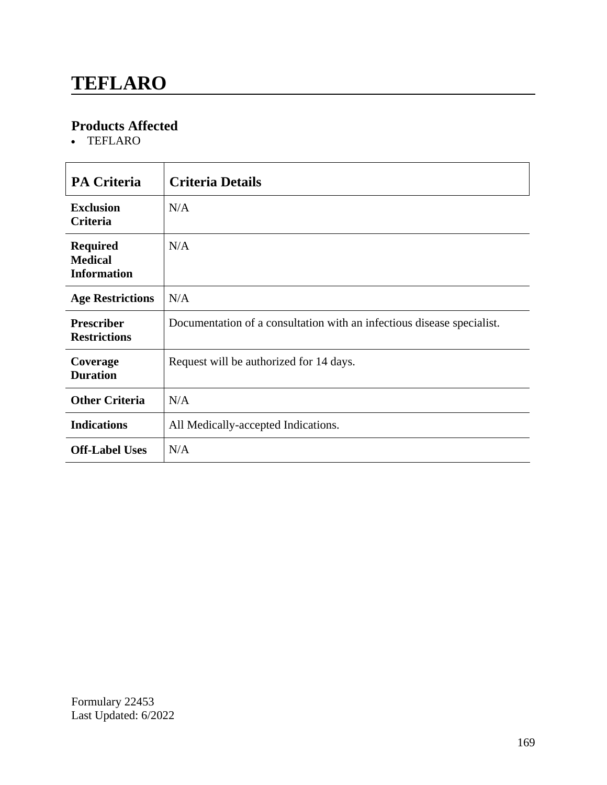### **TEFLARO**

### **Products Affected**

TEFLARO

| <b>PA Criteria</b>                                      | <b>Criteria Details</b>                                                |
|---------------------------------------------------------|------------------------------------------------------------------------|
| <b>Exclusion</b><br><b>Criteria</b>                     | N/A                                                                    |
| <b>Required</b><br><b>Medical</b><br><b>Information</b> | N/A                                                                    |
| <b>Age Restrictions</b>                                 | N/A                                                                    |
| <b>Prescriber</b><br><b>Restrictions</b>                | Documentation of a consultation with an infectious disease specialist. |
| Coverage<br><b>Duration</b>                             | Request will be authorized for 14 days.                                |
| <b>Other Criteria</b>                                   | N/A                                                                    |
| <b>Indications</b>                                      | All Medically-accepted Indications.                                    |
| <b>Off-Label Uses</b>                                   | N/A                                                                    |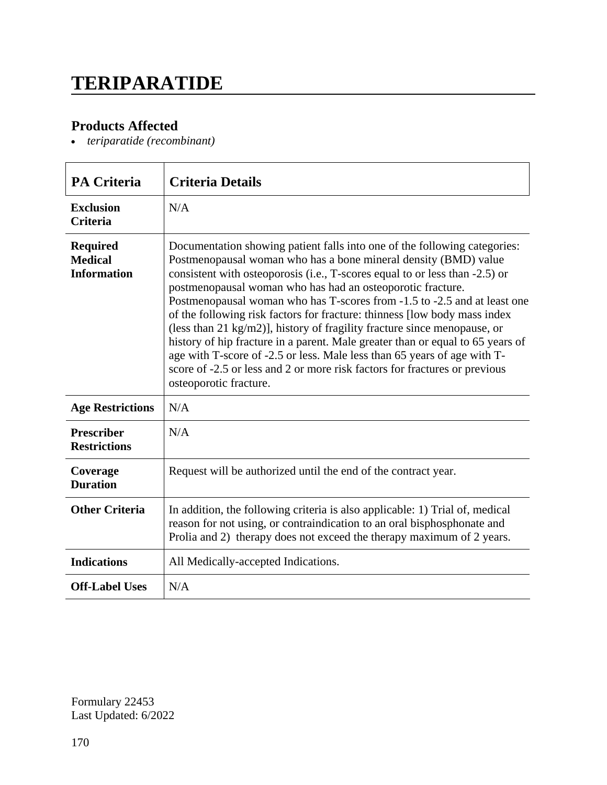## **TERIPARATIDE**

### **Products Affected**

*teriparatide (recombinant)*

| <b>PA Criteria</b>                                      | <b>Criteria Details</b>                                                                                                                                                                                                                                                                                                                                                                                                                                                                                                                                                                                                                                                                                                                                                                              |
|---------------------------------------------------------|------------------------------------------------------------------------------------------------------------------------------------------------------------------------------------------------------------------------------------------------------------------------------------------------------------------------------------------------------------------------------------------------------------------------------------------------------------------------------------------------------------------------------------------------------------------------------------------------------------------------------------------------------------------------------------------------------------------------------------------------------------------------------------------------------|
| <b>Exclusion</b><br><b>Criteria</b>                     | N/A                                                                                                                                                                                                                                                                                                                                                                                                                                                                                                                                                                                                                                                                                                                                                                                                  |
| <b>Required</b><br><b>Medical</b><br><b>Information</b> | Documentation showing patient falls into one of the following categories:<br>Postmenopausal woman who has a bone mineral density (BMD) value<br>consistent with osteoporosis (i.e., T-scores equal to or less than -2.5) or<br>postmenopausal woman who has had an osteoporotic fracture.<br>Postmenopausal woman who has T-scores from -1.5 to -2.5 and at least one<br>of the following risk factors for fracture: thinness [low body mass index<br>(less than 21 kg/m2)], history of fragility fracture since menopause, or<br>history of hip fracture in a parent. Male greater than or equal to 65 years of<br>age with T-score of -2.5 or less. Male less than 65 years of age with T-<br>score of -2.5 or less and 2 or more risk factors for fractures or previous<br>osteoporotic fracture. |
| <b>Age Restrictions</b>                                 | N/A                                                                                                                                                                                                                                                                                                                                                                                                                                                                                                                                                                                                                                                                                                                                                                                                  |
| <b>Prescriber</b><br><b>Restrictions</b>                | N/A                                                                                                                                                                                                                                                                                                                                                                                                                                                                                                                                                                                                                                                                                                                                                                                                  |
| Coverage<br><b>Duration</b>                             | Request will be authorized until the end of the contract year.                                                                                                                                                                                                                                                                                                                                                                                                                                                                                                                                                                                                                                                                                                                                       |
| <b>Other Criteria</b>                                   | In addition, the following criteria is also applicable: 1) Trial of, medical<br>reason for not using, or contraindication to an oral bisphosphonate and<br>Prolia and 2) therapy does not exceed the therapy maximum of 2 years.                                                                                                                                                                                                                                                                                                                                                                                                                                                                                                                                                                     |
| <b>Indications</b>                                      | All Medically-accepted Indications.                                                                                                                                                                                                                                                                                                                                                                                                                                                                                                                                                                                                                                                                                                                                                                  |
| <b>Off-Label Uses</b>                                   | N/A                                                                                                                                                                                                                                                                                                                                                                                                                                                                                                                                                                                                                                                                                                                                                                                                  |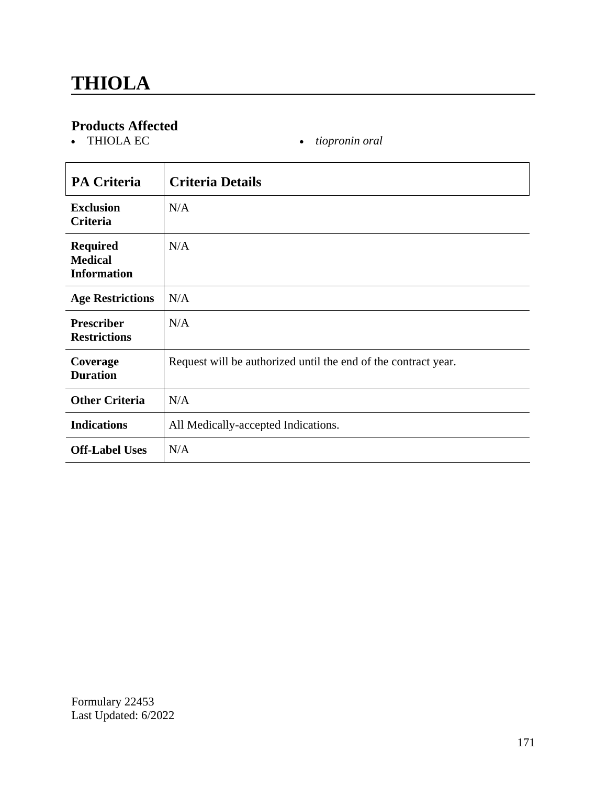$\bullet$  *tiopronin oral* 

| <b>PA Criteria</b>                                      | <b>Criteria Details</b>                                        |
|---------------------------------------------------------|----------------------------------------------------------------|
| <b>Exclusion</b><br>Criteria                            | N/A                                                            |
| <b>Required</b><br><b>Medical</b><br><b>Information</b> | N/A                                                            |
| <b>Age Restrictions</b>                                 | N/A                                                            |
| <b>Prescriber</b><br><b>Restrictions</b>                | N/A                                                            |
| Coverage<br><b>Duration</b>                             | Request will be authorized until the end of the contract year. |
| <b>Other Criteria</b>                                   | N/A                                                            |
| <b>Indications</b>                                      | All Medically-accepted Indications.                            |
| <b>Off-Label Uses</b>                                   | N/A                                                            |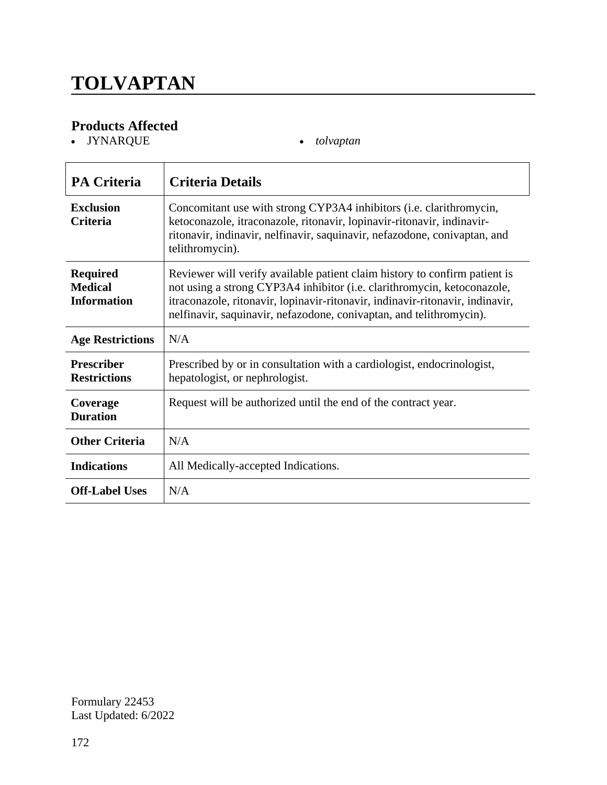# **TOLVAPTAN**

### **Products Affected**

JYNARQUE *tolvaptan*

| <b>PA Criteria</b>                                      | <b>Criteria Details</b>                                                                                                                                                                                                                                                                                       |
|---------------------------------------------------------|---------------------------------------------------------------------------------------------------------------------------------------------------------------------------------------------------------------------------------------------------------------------------------------------------------------|
| <b>Exclusion</b><br><b>Criteria</b>                     | Concomitant use with strong CYP3A4 inhibitors (i.e. clarithromycin,<br>ketoconazole, itraconazole, ritonavir, lopinavir-ritonavir, indinavir-<br>ritonavir, indinavir, nelfinavir, saquinavir, nefazodone, conivaptan, and<br>telithromycin).                                                                 |
| <b>Required</b><br><b>Medical</b><br><b>Information</b> | Reviewer will verify available patient claim history to confirm patient is<br>not using a strong CYP3A4 inhibitor (i.e. clarithromycin, ketoconazole,<br>itraconazole, ritonavir, lopinavir-ritonavir, indinavir-ritonavir, indinavir,<br>nelfinavir, saquinavir, nefazodone, conivaptan, and telithromycin). |
| <b>Age Restrictions</b>                                 | N/A                                                                                                                                                                                                                                                                                                           |
| <b>Prescriber</b><br><b>Restrictions</b>                | Prescribed by or in consultation with a cardiologist, endocrinologist,<br>hepatologist, or nephrologist.                                                                                                                                                                                                      |
| Coverage<br><b>Duration</b>                             | Request will be authorized until the end of the contract year.                                                                                                                                                                                                                                                |
| <b>Other Criteria</b>                                   | N/A                                                                                                                                                                                                                                                                                                           |
| <b>Indications</b>                                      | All Medically-accepted Indications.                                                                                                                                                                                                                                                                           |
| <b>Off-Label Uses</b>                                   | N/A                                                                                                                                                                                                                                                                                                           |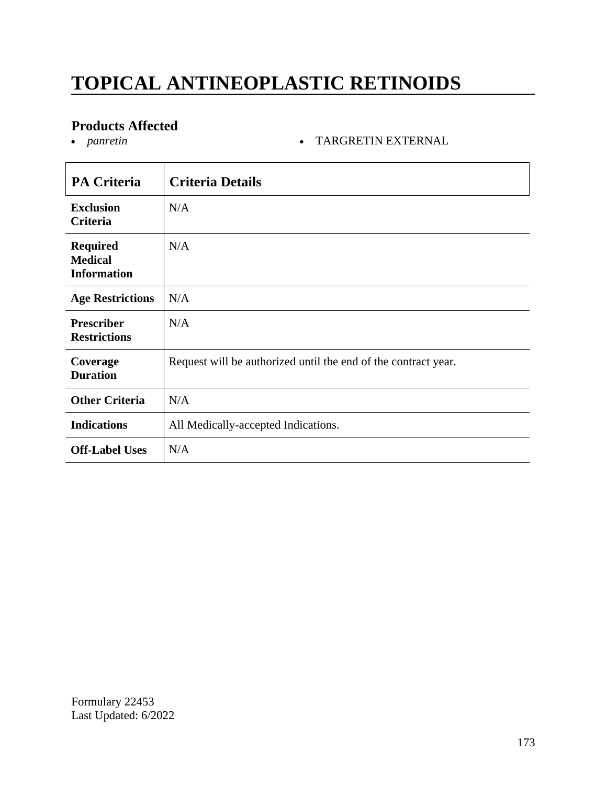# **TOPICAL ANTINEOPLASTIC RETINOIDS**

# **Products Affected**

**• TARGRETIN EXTERNAL** 

| <b>PA Criteria</b>                                      | <b>Criteria Details</b>                                        |
|---------------------------------------------------------|----------------------------------------------------------------|
| <b>Exclusion</b><br>Criteria                            | N/A                                                            |
| <b>Required</b><br><b>Medical</b><br><b>Information</b> | N/A                                                            |
| <b>Age Restrictions</b>                                 | N/A                                                            |
| <b>Prescriber</b><br><b>Restrictions</b>                | N/A                                                            |
| Coverage<br><b>Duration</b>                             | Request will be authorized until the end of the contract year. |
| <b>Other Criteria</b>                                   | N/A                                                            |
| <b>Indications</b>                                      | All Medically-accepted Indications.                            |
| <b>Off-Label Uses</b>                                   | N/A                                                            |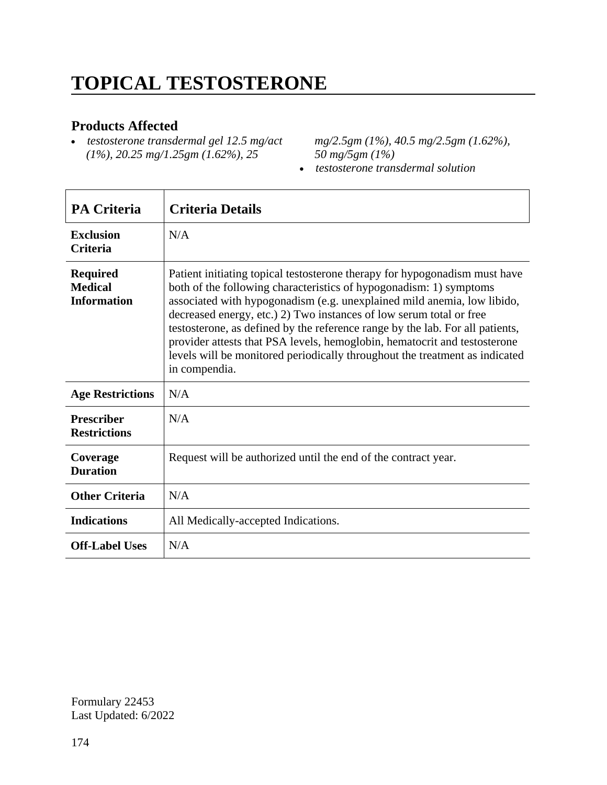# **TOPICAL TESTOSTERONE**

#### **Products Affected**

 *testosterone transdermal gel 12.5 mg/act (1%), 20.25 mg/1.25gm (1.62%), 25* 

*mg/2.5gm (1%), 40.5 mg/2.5gm (1.62%), 50 mg/5gm (1%)*

*testosterone transdermal solution*

| <b>PA Criteria</b>                                      | <b>Criteria Details</b>                                                                                                                                                                                                                                                                                                                                                                                                                                                                                                                                          |
|---------------------------------------------------------|------------------------------------------------------------------------------------------------------------------------------------------------------------------------------------------------------------------------------------------------------------------------------------------------------------------------------------------------------------------------------------------------------------------------------------------------------------------------------------------------------------------------------------------------------------------|
| <b>Exclusion</b><br><b>Criteria</b>                     | N/A                                                                                                                                                                                                                                                                                                                                                                                                                                                                                                                                                              |
| <b>Required</b><br><b>Medical</b><br><b>Information</b> | Patient initiating topical testosterone therapy for hypogonadism must have<br>both of the following characteristics of hypogonadism: 1) symptoms<br>associated with hypogonadism (e.g. unexplained mild anemia, low libido,<br>decreased energy, etc.) 2) Two instances of low serum total or free<br>testosterone, as defined by the reference range by the lab. For all patients,<br>provider attests that PSA levels, hemoglobin, hematocrit and testosterone<br>levels will be monitored periodically throughout the treatment as indicated<br>in compendia. |
| <b>Age Restrictions</b>                                 | N/A                                                                                                                                                                                                                                                                                                                                                                                                                                                                                                                                                              |
| <b>Prescriber</b><br><b>Restrictions</b>                | N/A                                                                                                                                                                                                                                                                                                                                                                                                                                                                                                                                                              |
| Coverage<br><b>Duration</b>                             | Request will be authorized until the end of the contract year.                                                                                                                                                                                                                                                                                                                                                                                                                                                                                                   |
| <b>Other Criteria</b>                                   | N/A                                                                                                                                                                                                                                                                                                                                                                                                                                                                                                                                                              |
| <b>Indications</b>                                      | All Medically-accepted Indications.                                                                                                                                                                                                                                                                                                                                                                                                                                                                                                                              |
| <b>Off-Label Uses</b>                                   | N/A                                                                                                                                                                                                                                                                                                                                                                                                                                                                                                                                                              |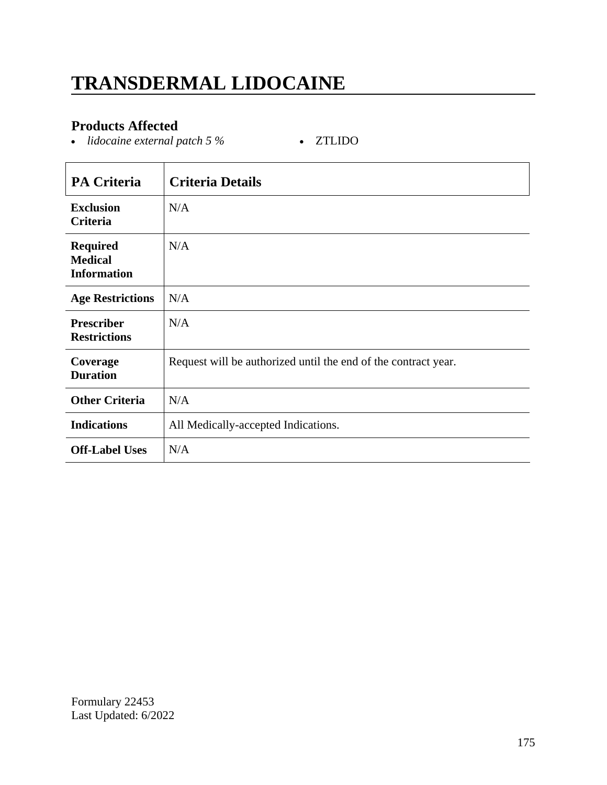# **TRANSDERMAL LIDOCAINE**

### **Products Affected**

• *lidocaine external patch 5 %* • ZTLIDO

| <b>PA Criteria</b>                                      | <b>Criteria Details</b>                                        |
|---------------------------------------------------------|----------------------------------------------------------------|
| <b>Exclusion</b><br>Criteria                            | N/A                                                            |
| <b>Required</b><br><b>Medical</b><br><b>Information</b> | N/A                                                            |
| <b>Age Restrictions</b>                                 | N/A                                                            |
| <b>Prescriber</b><br><b>Restrictions</b>                | N/A                                                            |
| Coverage<br><b>Duration</b>                             | Request will be authorized until the end of the contract year. |
| <b>Other Criteria</b>                                   | N/A                                                            |
| <b>Indications</b>                                      | All Medically-accepted Indications.                            |
| <b>Off-Label Uses</b>                                   | N/A                                                            |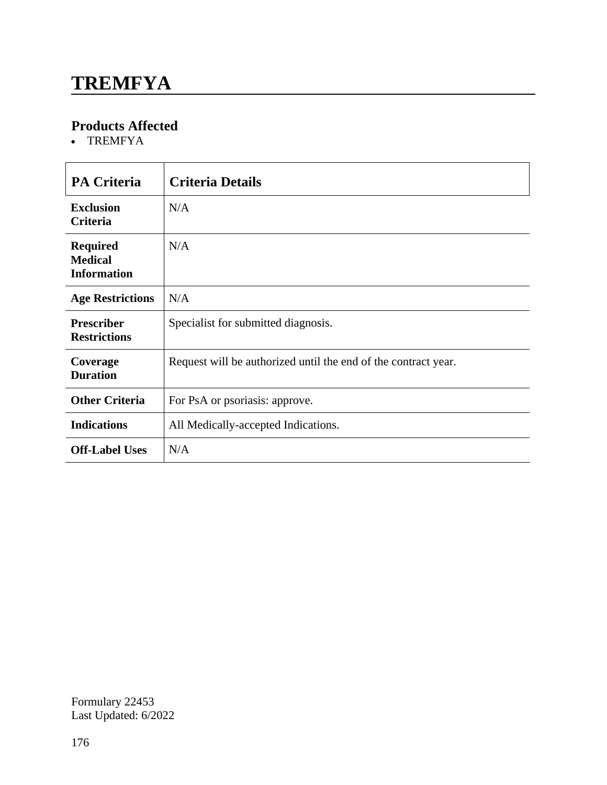### **TREMFYA**

### **Products Affected**

TREMFYA

| <b>PA Criteria</b>                                      | <b>Criteria Details</b>                                        |
|---------------------------------------------------------|----------------------------------------------------------------|
| <b>Exclusion</b><br><b>Criteria</b>                     | N/A                                                            |
| <b>Required</b><br><b>Medical</b><br><b>Information</b> | N/A                                                            |
| <b>Age Restrictions</b>                                 | N/A                                                            |
| <b>Prescriber</b><br><b>Restrictions</b>                | Specialist for submitted diagnosis.                            |
| Coverage<br><b>Duration</b>                             | Request will be authorized until the end of the contract year. |
| <b>Other Criteria</b>                                   | For PsA or psoriasis: approve.                                 |
| <b>Indications</b>                                      | All Medically-accepted Indications.                            |
| <b>Off-Label Uses</b>                                   | N/A                                                            |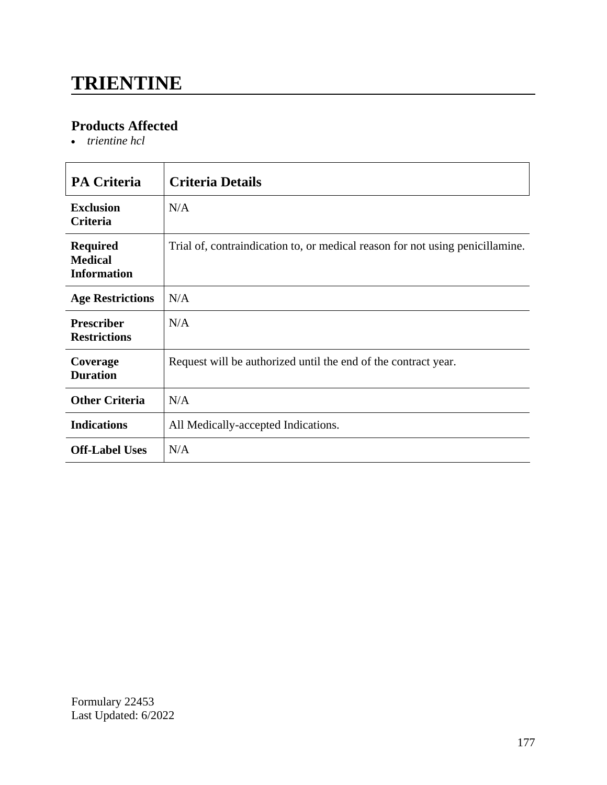### **TRIENTINE**

### **Products Affected**

*trientine hcl*

| <b>PA Criteria</b>                                      | <b>Criteria Details</b>                                                       |
|---------------------------------------------------------|-------------------------------------------------------------------------------|
| <b>Exclusion</b><br><b>Criteria</b>                     | N/A                                                                           |
| <b>Required</b><br><b>Medical</b><br><b>Information</b> | Trial of, contraindication to, or medical reason for not using penicillamine. |
| <b>Age Restrictions</b>                                 | N/A                                                                           |
| <b>Prescriber</b><br><b>Restrictions</b>                | N/A                                                                           |
| Coverage<br><b>Duration</b>                             | Request will be authorized until the end of the contract year.                |
| <b>Other Criteria</b>                                   | N/A                                                                           |
| <b>Indications</b>                                      | All Medically-accepted Indications.                                           |
| <b>Off-Label Uses</b>                                   | N/A                                                                           |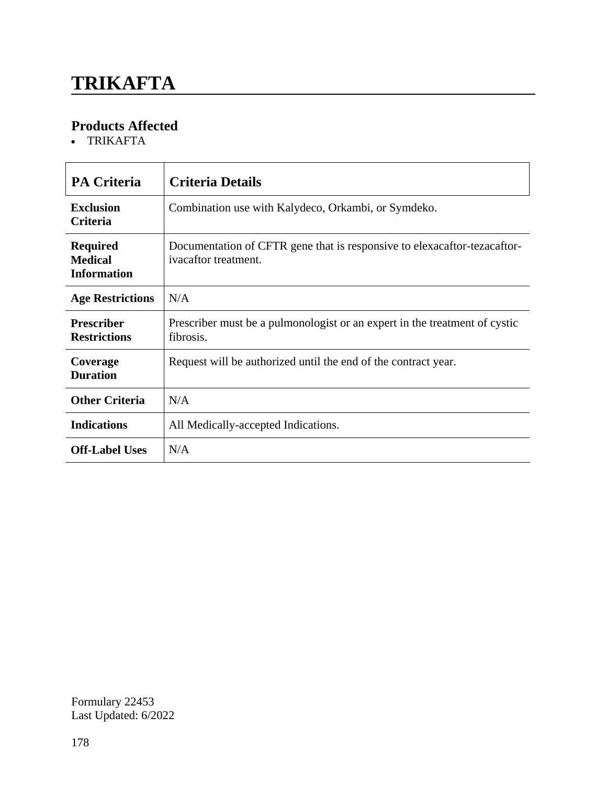# **TRIKAFTA**

### **Products Affected**

TRIKAFTA

| <b>PA Criteria</b>                                      | Criteria Details                                                                                 |
|---------------------------------------------------------|--------------------------------------------------------------------------------------------------|
| <b>Exclusion</b><br><b>Criteria</b>                     | Combination use with Kalydeco, Orkambi, or Symdeko.                                              |
| <b>Required</b><br><b>Medical</b><br><b>Information</b> | Documentation of CFTR gene that is responsive to elexacaftor-tezacaftor-<br>ivacaftor treatment. |
| <b>Age Restrictions</b>                                 | N/A                                                                                              |
| <b>Prescriber</b><br><b>Restrictions</b>                | Prescriber must be a pulmonologist or an expert in the treatment of cystic<br>fibrosis.          |
| Coverage<br><b>Duration</b>                             | Request will be authorized until the end of the contract year.                                   |
| <b>Other Criteria</b>                                   | N/A                                                                                              |
| <b>Indications</b>                                      | All Medically-accepted Indications.                                                              |
| <b>Off-Label Uses</b>                                   | N/A                                                                                              |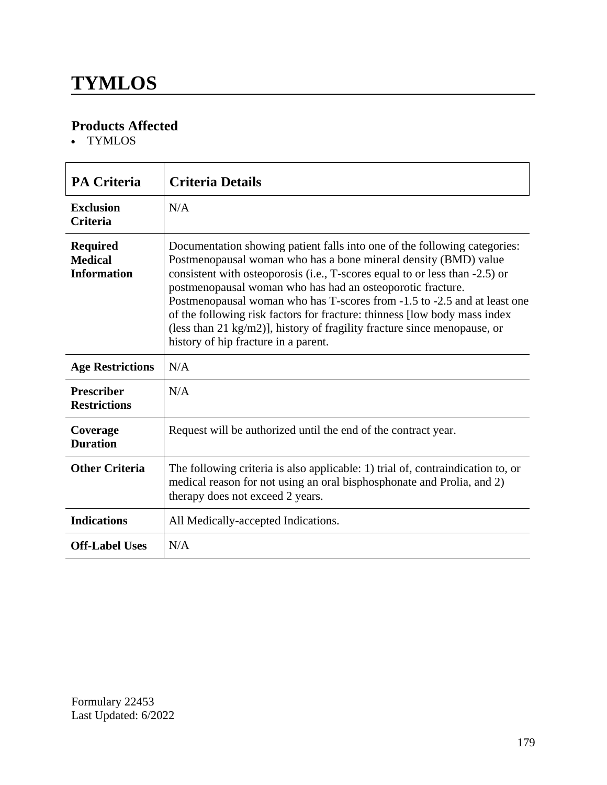### **TYMLOS**

### **Products Affected**

TYMLOS

| <b>PA Criteria</b>                                      | <b>Criteria Details</b>                                                                                                                                                                                                                                                                                                                                                                                                                                                                                                                                                |
|---------------------------------------------------------|------------------------------------------------------------------------------------------------------------------------------------------------------------------------------------------------------------------------------------------------------------------------------------------------------------------------------------------------------------------------------------------------------------------------------------------------------------------------------------------------------------------------------------------------------------------------|
| <b>Exclusion</b><br><b>Criteria</b>                     | N/A                                                                                                                                                                                                                                                                                                                                                                                                                                                                                                                                                                    |
| <b>Required</b><br><b>Medical</b><br><b>Information</b> | Documentation showing patient falls into one of the following categories:<br>Postmenopausal woman who has a bone mineral density (BMD) value<br>consistent with osteoporosis (i.e., T-scores equal to or less than -2.5) or<br>postmenopausal woman who has had an osteoporotic fracture.<br>Postmenopausal woman who has T-scores from -1.5 to -2.5 and at least one<br>of the following risk factors for fracture: thinness [low body mass index<br>(less than 21 kg/m2)], history of fragility fracture since menopause, or<br>history of hip fracture in a parent. |
| <b>Age Restrictions</b>                                 | N/A                                                                                                                                                                                                                                                                                                                                                                                                                                                                                                                                                                    |
| <b>Prescriber</b><br><b>Restrictions</b>                | N/A                                                                                                                                                                                                                                                                                                                                                                                                                                                                                                                                                                    |
| Coverage<br><b>Duration</b>                             | Request will be authorized until the end of the contract year.                                                                                                                                                                                                                                                                                                                                                                                                                                                                                                         |
| <b>Other Criteria</b>                                   | The following criteria is also applicable: 1) trial of, contraindication to, or<br>medical reason for not using an oral bisphosphonate and Prolia, and 2)<br>therapy does not exceed 2 years.                                                                                                                                                                                                                                                                                                                                                                          |
| <b>Indications</b>                                      | All Medically-accepted Indications.                                                                                                                                                                                                                                                                                                                                                                                                                                                                                                                                    |
| <b>Off-Label Uses</b>                                   | N/A                                                                                                                                                                                                                                                                                                                                                                                                                                                                                                                                                                    |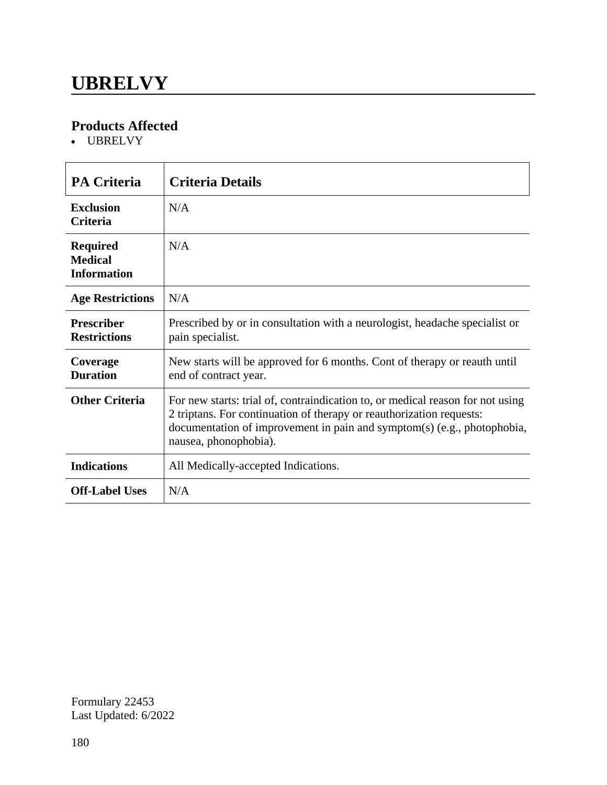### **UBRELVY**

### **Products Affected**

UBRELVY

| <b>PA Criteria</b>                                      | <b>Criteria Details</b>                                                                                                                                                                                                                                    |
|---------------------------------------------------------|------------------------------------------------------------------------------------------------------------------------------------------------------------------------------------------------------------------------------------------------------------|
| <b>Exclusion</b><br><b>Criteria</b>                     | N/A                                                                                                                                                                                                                                                        |
| <b>Required</b><br><b>Medical</b><br><b>Information</b> | N/A                                                                                                                                                                                                                                                        |
| <b>Age Restrictions</b>                                 | N/A                                                                                                                                                                                                                                                        |
| <b>Prescriber</b><br><b>Restrictions</b>                | Prescribed by or in consultation with a neurologist, headache specialist or<br>pain specialist.                                                                                                                                                            |
| Coverage<br><b>Duration</b>                             | New starts will be approved for 6 months. Cont of therapy or reauth until<br>end of contract year.                                                                                                                                                         |
| <b>Other Criteria</b>                                   | For new starts: trial of, contraindication to, or medical reason for not using<br>2 triptans. For continuation of therapy or reauthorization requests:<br>documentation of improvement in pain and symptom(s) (e.g., photophobia,<br>nausea, phonophobia). |
| <b>Indications</b>                                      | All Medically-accepted Indications.                                                                                                                                                                                                                        |
| <b>Off-Label Uses</b>                                   | N/A                                                                                                                                                                                                                                                        |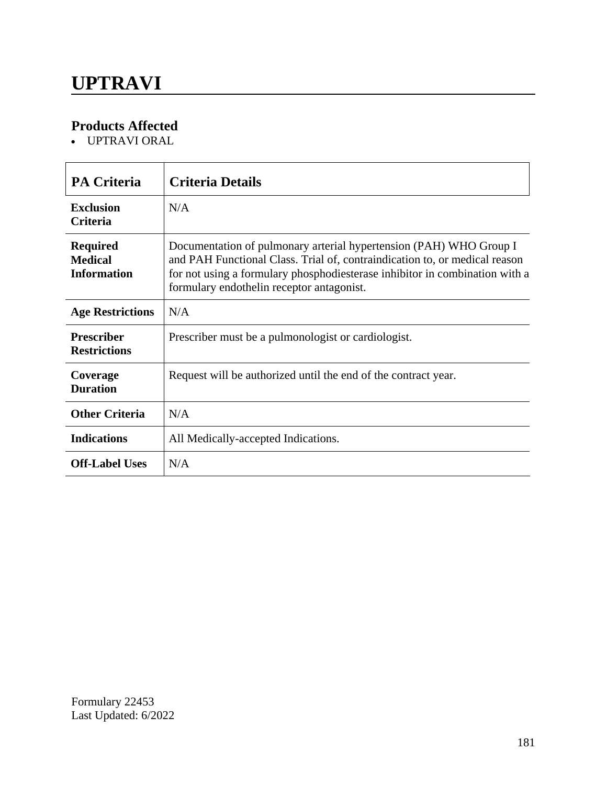UPTRAVI ORAL

| <b>PA Criteria</b>                                      | <b>Criteria Details</b>                                                                                                                                                                                                                                                      |
|---------------------------------------------------------|------------------------------------------------------------------------------------------------------------------------------------------------------------------------------------------------------------------------------------------------------------------------------|
| <b>Exclusion</b><br><b>Criteria</b>                     | N/A                                                                                                                                                                                                                                                                          |
| <b>Required</b><br><b>Medical</b><br><b>Information</b> | Documentation of pulmonary arterial hypertension (PAH) WHO Group I<br>and PAH Functional Class. Trial of, contraindication to, or medical reason<br>for not using a formulary phosphodiesterase inhibitor in combination with a<br>formulary endothelin receptor antagonist. |
| <b>Age Restrictions</b>                                 | N/A                                                                                                                                                                                                                                                                          |
| <b>Prescriber</b><br><b>Restrictions</b>                | Prescriber must be a pulmonologist or cardiologist.                                                                                                                                                                                                                          |
| Coverage<br><b>Duration</b>                             | Request will be authorized until the end of the contract year.                                                                                                                                                                                                               |
| <b>Other Criteria</b>                                   | N/A                                                                                                                                                                                                                                                                          |
| <b>Indications</b>                                      | All Medically-accepted Indications.                                                                                                                                                                                                                                          |
| <b>Off-Label Uses</b>                                   | N/A                                                                                                                                                                                                                                                                          |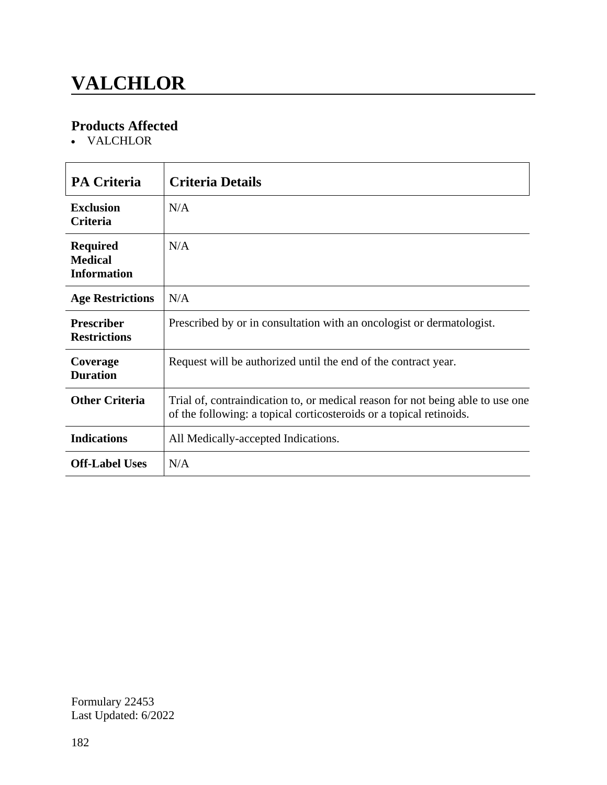## **VALCHLOR**

### **Products Affected**

VALCHLOR

| <b>PA Criteria</b>                                      | <b>Criteria Details</b>                                                                                                                               |
|---------------------------------------------------------|-------------------------------------------------------------------------------------------------------------------------------------------------------|
| <b>Exclusion</b><br><b>Criteria</b>                     | N/A                                                                                                                                                   |
| <b>Required</b><br><b>Medical</b><br><b>Information</b> | N/A                                                                                                                                                   |
| <b>Age Restrictions</b>                                 | N/A                                                                                                                                                   |
| <b>Prescriber</b><br><b>Restrictions</b>                | Prescribed by or in consultation with an oncologist or dermatologist.                                                                                 |
| Coverage<br><b>Duration</b>                             | Request will be authorized until the end of the contract year.                                                                                        |
| <b>Other Criteria</b>                                   | Trial of, contraindication to, or medical reason for not being able to use one<br>of the following: a topical corticosteroids or a topical retinoids. |
| <b>Indications</b>                                      | All Medically-accepted Indications.                                                                                                                   |
| <b>Off-Label Uses</b>                                   | N/A                                                                                                                                                   |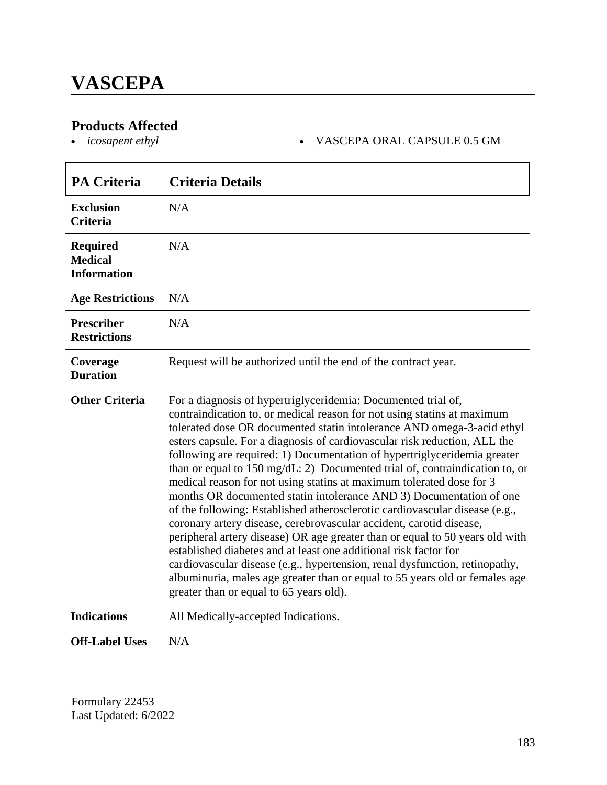# **Products Affected**<br>• *icosapent ethyl*

#### *icosapent ethyl* VASCEPA ORAL CAPSULE 0.5 GM

| <b>PA Criteria</b>                                      | <b>Criteria Details</b>                                                                                                                                                                                                                                                                                                                                                                                                                                                                                                                                                                                                                                                                                                                                                                                                                                                                                                                                                                                                                                                                                                      |
|---------------------------------------------------------|------------------------------------------------------------------------------------------------------------------------------------------------------------------------------------------------------------------------------------------------------------------------------------------------------------------------------------------------------------------------------------------------------------------------------------------------------------------------------------------------------------------------------------------------------------------------------------------------------------------------------------------------------------------------------------------------------------------------------------------------------------------------------------------------------------------------------------------------------------------------------------------------------------------------------------------------------------------------------------------------------------------------------------------------------------------------------------------------------------------------------|
| <b>Exclusion</b><br><b>Criteria</b>                     | N/A                                                                                                                                                                                                                                                                                                                                                                                                                                                                                                                                                                                                                                                                                                                                                                                                                                                                                                                                                                                                                                                                                                                          |
| <b>Required</b><br><b>Medical</b><br><b>Information</b> | N/A                                                                                                                                                                                                                                                                                                                                                                                                                                                                                                                                                                                                                                                                                                                                                                                                                                                                                                                                                                                                                                                                                                                          |
| <b>Age Restrictions</b>                                 | N/A                                                                                                                                                                                                                                                                                                                                                                                                                                                                                                                                                                                                                                                                                                                                                                                                                                                                                                                                                                                                                                                                                                                          |
| <b>Prescriber</b><br><b>Restrictions</b>                | N/A                                                                                                                                                                                                                                                                                                                                                                                                                                                                                                                                                                                                                                                                                                                                                                                                                                                                                                                                                                                                                                                                                                                          |
| Coverage<br><b>Duration</b>                             | Request will be authorized until the end of the contract year.                                                                                                                                                                                                                                                                                                                                                                                                                                                                                                                                                                                                                                                                                                                                                                                                                                                                                                                                                                                                                                                               |
| <b>Other Criteria</b>                                   | For a diagnosis of hypertriglyceridemia: Documented trial of,<br>contraindication to, or medical reason for not using statins at maximum<br>tolerated dose OR documented statin intolerance AND omega-3-acid ethyl<br>esters capsule. For a diagnosis of cardiovascular risk reduction, ALL the<br>following are required: 1) Documentation of hypertriglyceridemia greater<br>than or equal to 150 mg/dL: 2) Documented trial of, contraindication to, or<br>medical reason for not using statins at maximum tolerated dose for 3<br>months OR documented statin intolerance AND 3) Documentation of one<br>of the following: Established atherosclerotic cardiovascular disease (e.g.,<br>coronary artery disease, cerebrovascular accident, carotid disease,<br>peripheral artery disease) OR age greater than or equal to 50 years old with<br>established diabetes and at least one additional risk factor for<br>cardiovascular disease (e.g., hypertension, renal dysfunction, retinopathy,<br>albuminuria, males age greater than or equal to 55 years old or females age<br>greater than or equal to 65 years old). |
| <b>Indications</b>                                      | All Medically-accepted Indications.                                                                                                                                                                                                                                                                                                                                                                                                                                                                                                                                                                                                                                                                                                                                                                                                                                                                                                                                                                                                                                                                                          |
| <b>Off-Label Uses</b>                                   | N/A                                                                                                                                                                                                                                                                                                                                                                                                                                                                                                                                                                                                                                                                                                                                                                                                                                                                                                                                                                                                                                                                                                                          |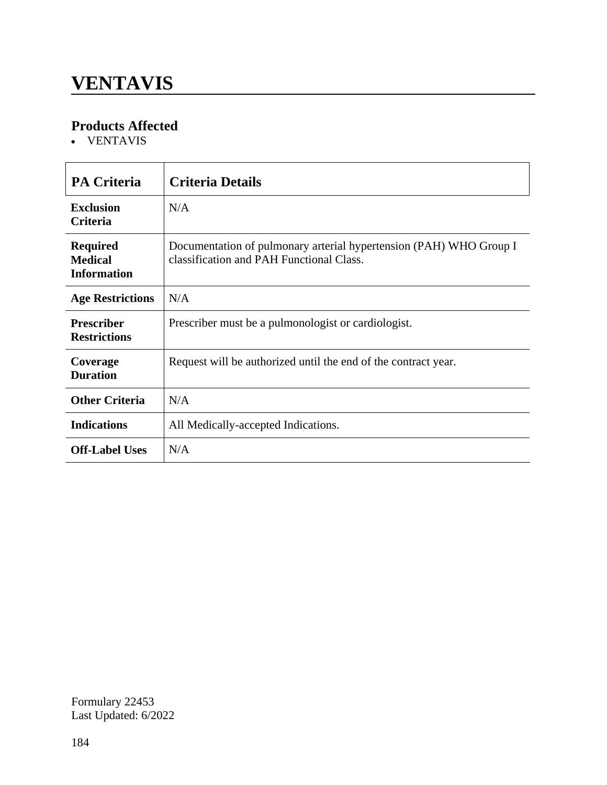### **VENTAVIS**

### **Products Affected**

VENTAVIS

| <b>PA Criteria</b>                                      | <b>Criteria Details</b>                                                                                        |
|---------------------------------------------------------|----------------------------------------------------------------------------------------------------------------|
| <b>Exclusion</b><br><b>Criteria</b>                     | N/A                                                                                                            |
| <b>Required</b><br><b>Medical</b><br><b>Information</b> | Documentation of pulmonary arterial hypertension (PAH) WHO Group I<br>classification and PAH Functional Class. |
| <b>Age Restrictions</b>                                 | N/A                                                                                                            |
| <b>Prescriber</b><br><b>Restrictions</b>                | Prescriber must be a pulmonologist or cardiologist.                                                            |
| Coverage<br><b>Duration</b>                             | Request will be authorized until the end of the contract year.                                                 |
| <b>Other Criteria</b>                                   | N/A                                                                                                            |
| <b>Indications</b>                                      | All Medically-accepted Indications.                                                                            |
| <b>Off-Label Uses</b>                                   | N/A                                                                                                            |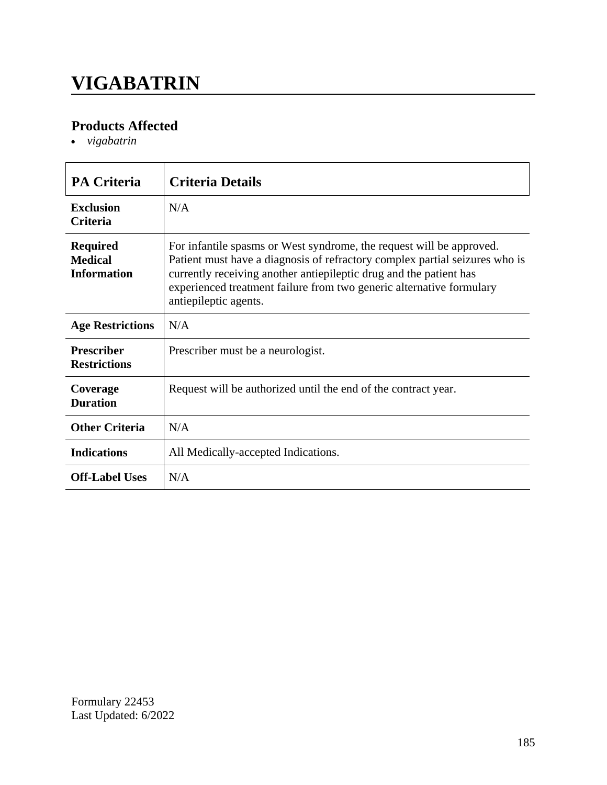### **VIGABATRIN**

### **Products Affected**

*vigabatrin*

| <b>PA Criteria</b>                                      | <b>Criteria Details</b>                                                                                                                                                                                                                                                                                                    |
|---------------------------------------------------------|----------------------------------------------------------------------------------------------------------------------------------------------------------------------------------------------------------------------------------------------------------------------------------------------------------------------------|
| Exclusion<br><b>Criteria</b>                            | N/A                                                                                                                                                                                                                                                                                                                        |
| <b>Required</b><br><b>Medical</b><br><b>Information</b> | For infantile spasms or West syndrome, the request will be approved.<br>Patient must have a diagnosis of refractory complex partial seizures who is<br>currently receiving another antiepileptic drug and the patient has<br>experienced treatment failure from two generic alternative formulary<br>antiepileptic agents. |
| <b>Age Restrictions</b>                                 | N/A                                                                                                                                                                                                                                                                                                                        |
| <b>Prescriber</b><br><b>Restrictions</b>                | Prescriber must be a neurologist.                                                                                                                                                                                                                                                                                          |
| Coverage<br><b>Duration</b>                             | Request will be authorized until the end of the contract year.                                                                                                                                                                                                                                                             |
| <b>Other Criteria</b>                                   | N/A                                                                                                                                                                                                                                                                                                                        |
| <b>Indications</b>                                      | All Medically-accepted Indications.                                                                                                                                                                                                                                                                                        |
| <b>Off-Label Uses</b>                                   | N/A                                                                                                                                                                                                                                                                                                                        |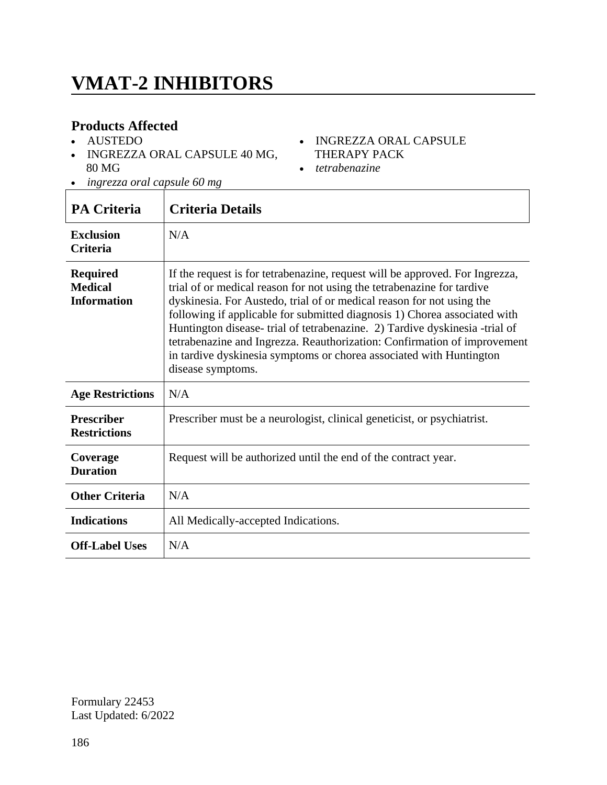### **VMAT-2 INHIBITORS**

#### **Products Affected**

- AUSTEDO
- INGREZZA ORAL CAPSULE 40 MG, 80 MG

#### • INGREZZA ORAL CAPSULE THERAPY PACK

- *tetrabenazine*
- *ingrezza oral capsule 60 mg*

| <b>PA Criteria</b>                                      | <b>Criteria Details</b>                                                                                                                                                                                                                                                                                                                                                                                                                                                                                                                                            |
|---------------------------------------------------------|--------------------------------------------------------------------------------------------------------------------------------------------------------------------------------------------------------------------------------------------------------------------------------------------------------------------------------------------------------------------------------------------------------------------------------------------------------------------------------------------------------------------------------------------------------------------|
| <b>Exclusion</b><br><b>Criteria</b>                     | N/A                                                                                                                                                                                                                                                                                                                                                                                                                                                                                                                                                                |
| <b>Required</b><br><b>Medical</b><br><b>Information</b> | If the request is for tetrabenazine, request will be approved. For Ingrezza,<br>trial of or medical reason for not using the tetrabenazine for tardive<br>dyskinesia. For Austedo, trial of or medical reason for not using the<br>following if applicable for submitted diagnosis 1) Chorea associated with<br>Huntington disease-trial of tetrabenazine. 2) Tardive dyskinesia -trial of<br>tetrabenazine and Ingrezza. Reauthorization: Confirmation of improvement<br>in tardive dyskinesia symptoms or chorea associated with Huntington<br>disease symptoms. |
| <b>Age Restrictions</b>                                 | N/A                                                                                                                                                                                                                                                                                                                                                                                                                                                                                                                                                                |
| <b>Prescriber</b><br><b>Restrictions</b>                | Prescriber must be a neurologist, clinical geneticist, or psychiatrist.                                                                                                                                                                                                                                                                                                                                                                                                                                                                                            |
| Coverage<br><b>Duration</b>                             | Request will be authorized until the end of the contract year.                                                                                                                                                                                                                                                                                                                                                                                                                                                                                                     |
| <b>Other Criteria</b>                                   | N/A                                                                                                                                                                                                                                                                                                                                                                                                                                                                                                                                                                |
| <b>Indications</b>                                      | All Medically-accepted Indications.                                                                                                                                                                                                                                                                                                                                                                                                                                                                                                                                |
| <b>Off-Label Uses</b>                                   | N/A                                                                                                                                                                                                                                                                                                                                                                                                                                                                                                                                                                |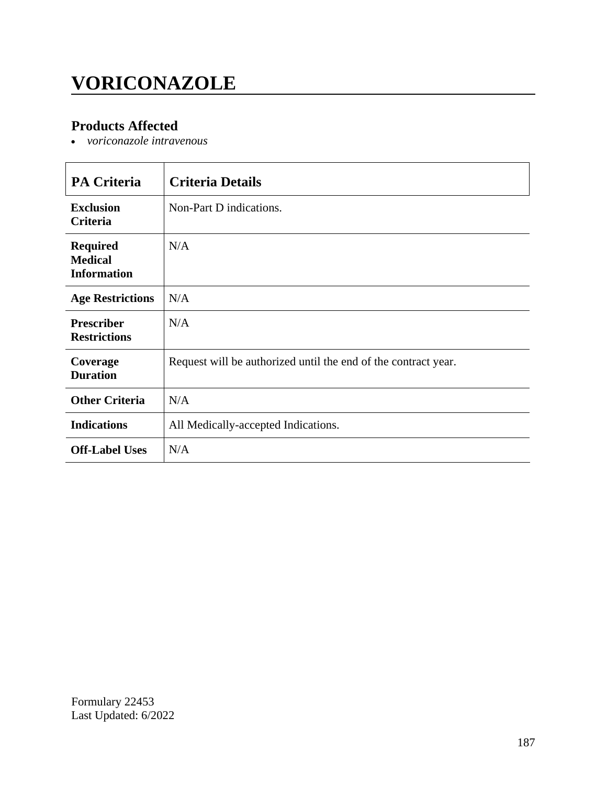## **VORICONAZOLE**

### **Products Affected**

*voriconazole intravenous*

| <b>PA Criteria</b>                                      | <b>Criteria Details</b>                                        |
|---------------------------------------------------------|----------------------------------------------------------------|
| <b>Exclusion</b><br>Criteria                            | Non-Part D indications.                                        |
| <b>Required</b><br><b>Medical</b><br><b>Information</b> | N/A                                                            |
| <b>Age Restrictions</b>                                 | N/A                                                            |
| <b>Prescriber</b><br><b>Restrictions</b>                | N/A                                                            |
| Coverage<br><b>Duration</b>                             | Request will be authorized until the end of the contract year. |
| <b>Other Criteria</b>                                   | N/A                                                            |
| <b>Indications</b>                                      | All Medically-accepted Indications.                            |
| <b>Off-Label Uses</b>                                   | N/A                                                            |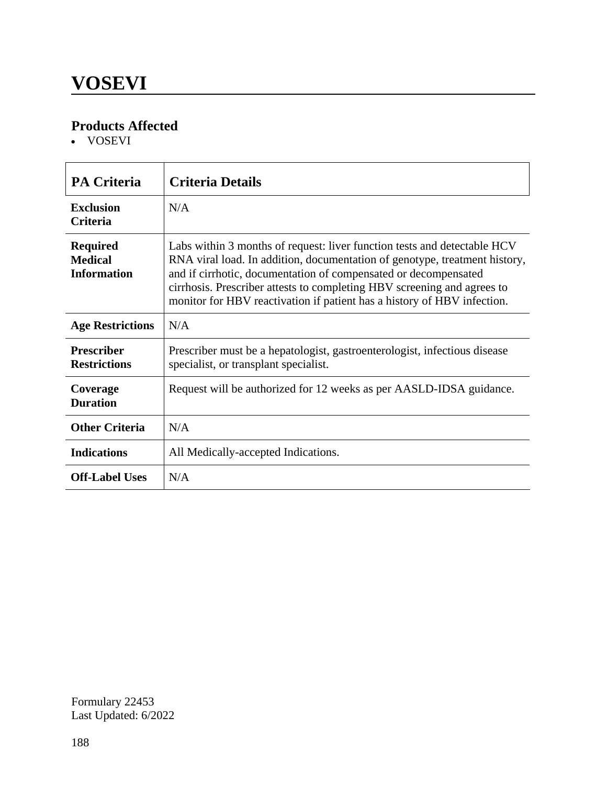VOSEVI

| <b>PA Criteria</b>                                      | <b>Criteria Details</b>                                                                                                                                                                                                                                                                                                                                                         |
|---------------------------------------------------------|---------------------------------------------------------------------------------------------------------------------------------------------------------------------------------------------------------------------------------------------------------------------------------------------------------------------------------------------------------------------------------|
| <b>Exclusion</b><br><b>Criteria</b>                     | N/A                                                                                                                                                                                                                                                                                                                                                                             |
| <b>Required</b><br><b>Medical</b><br><b>Information</b> | Labs within 3 months of request: liver function tests and detectable HCV<br>RNA viral load. In addition, documentation of genotype, treatment history,<br>and if cirrhotic, documentation of compensated or decompensated<br>cirrhosis. Prescriber attests to completing HBV screening and agrees to<br>monitor for HBV reactivation if patient has a history of HBV infection. |
| <b>Age Restrictions</b>                                 | N/A                                                                                                                                                                                                                                                                                                                                                                             |
| <b>Prescriber</b><br><b>Restrictions</b>                | Prescriber must be a hepatologist, gastroenterologist, infectious disease<br>specialist, or transplant specialist.                                                                                                                                                                                                                                                              |
| Coverage<br><b>Duration</b>                             | Request will be authorized for 12 weeks as per AASLD-IDSA guidance.                                                                                                                                                                                                                                                                                                             |
| <b>Other Criteria</b>                                   | N/A                                                                                                                                                                                                                                                                                                                                                                             |
| <b>Indications</b>                                      | All Medically-accepted Indications.                                                                                                                                                                                                                                                                                                                                             |
| <b>Off-Label Uses</b>                                   | N/A                                                                                                                                                                                                                                                                                                                                                                             |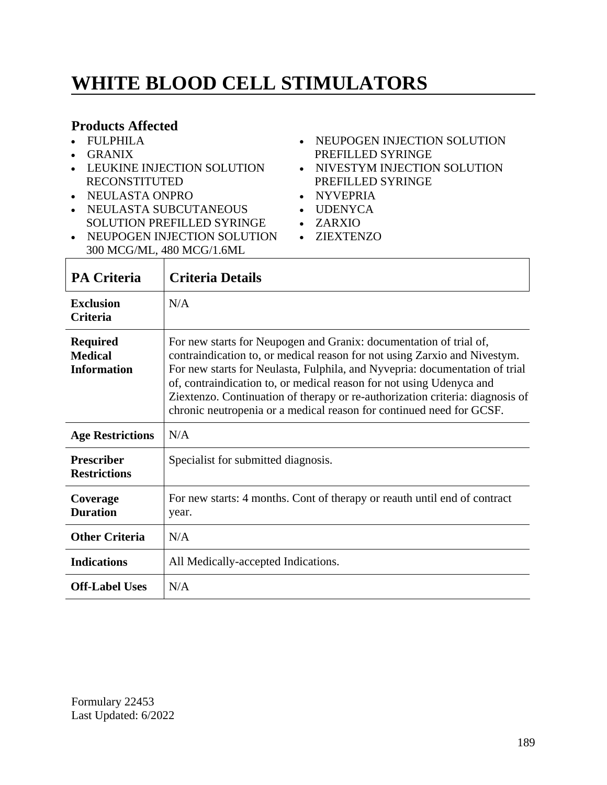## **WHITE BLOOD CELL STIMULATORS**

#### **Products Affected**

- FULPHILA
- GRANIX
- LEUKINE INJECTION SOLUTION RECONSTITUTED
- NEULASTA ONPRO
- NEULASTA SUBCUTANEOUS SOLUTION PREFILLED SYRINGE
- NEUPOGEN INJECTION SOLUTION ZIEXTENZO 300 MCG/ML, 480 MCG/1.6ML
- NEUPOGEN INJECTION SOLUTION PREFILLED SYRINGE
- NIVESTYM INJECTION SOLUTION PREFILLED SYRINGE
- NYVEPRIA
- UDENYCA
- ZARXIO
	-

| <b>PA Criteria</b>                                      | <b>Criteria Details</b>                                                                                                                                                                                                                                                                                                                                                                                                                                         |
|---------------------------------------------------------|-----------------------------------------------------------------------------------------------------------------------------------------------------------------------------------------------------------------------------------------------------------------------------------------------------------------------------------------------------------------------------------------------------------------------------------------------------------------|
| <b>Exclusion</b><br><b>Criteria</b>                     | N/A                                                                                                                                                                                                                                                                                                                                                                                                                                                             |
| <b>Required</b><br><b>Medical</b><br><b>Information</b> | For new starts for Neupogen and Granix: documentation of trial of,<br>contraindication to, or medical reason for not using Zarxio and Nivestym.<br>For new starts for Neulasta, Fulphila, and Nyvepria: documentation of trial<br>of, contraindication to, or medical reason for not using Udenyca and<br>Ziextenzo. Continuation of therapy or re-authorization criteria: diagnosis of<br>chronic neutropenia or a medical reason for continued need for GCSF. |
| <b>Age Restrictions</b>                                 | N/A                                                                                                                                                                                                                                                                                                                                                                                                                                                             |
| <b>Prescriber</b><br><b>Restrictions</b>                | Specialist for submitted diagnosis.                                                                                                                                                                                                                                                                                                                                                                                                                             |
| Coverage<br><b>Duration</b>                             | For new starts: 4 months. Cont of therapy or reauth until end of contract<br>year.                                                                                                                                                                                                                                                                                                                                                                              |
| <b>Other Criteria</b>                                   | N/A                                                                                                                                                                                                                                                                                                                                                                                                                                                             |
| <b>Indications</b>                                      | All Medically-accepted Indications.                                                                                                                                                                                                                                                                                                                                                                                                                             |
| <b>Off-Label Uses</b>                                   | N/A                                                                                                                                                                                                                                                                                                                                                                                                                                                             |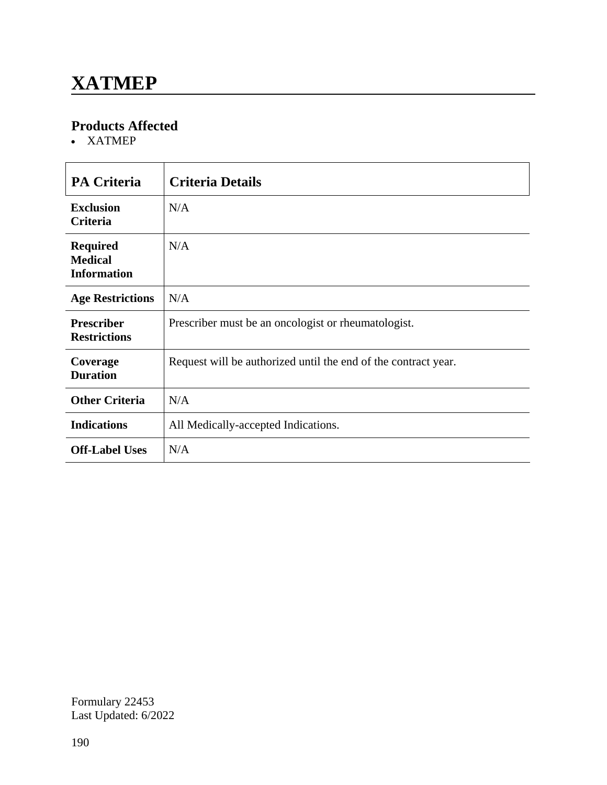### **XATMEP**

#### **Products Affected**

XATMEP

| <b>PA Criteria</b>                                      | <b>Criteria Details</b>                                        |
|---------------------------------------------------------|----------------------------------------------------------------|
| <b>Exclusion</b><br>Criteria                            | N/A                                                            |
| <b>Required</b><br><b>Medical</b><br><b>Information</b> | N/A                                                            |
| <b>Age Restrictions</b>                                 | N/A                                                            |
| <b>Prescriber</b><br><b>Restrictions</b>                | Prescriber must be an oncologist or rheumatologist.            |
| Coverage<br><b>Duration</b>                             | Request will be authorized until the end of the contract year. |
| <b>Other Criteria</b>                                   | N/A                                                            |
| <b>Indications</b>                                      | All Medically-accepted Indications.                            |
| <b>Off-Label Uses</b>                                   | N/A                                                            |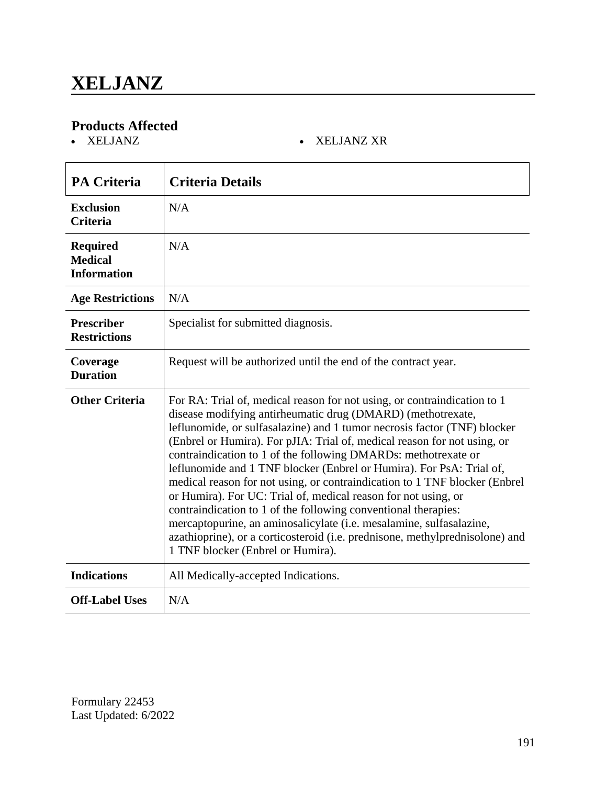XELJANZ XELJANZ XR

| <b>PA Criteria</b>                                      | <b>Criteria Details</b>                                                                                                                                                                                                                                                                                                                                                                                                                                                                                                                                                                                                                                                                                                                                                                                                                                 |
|---------------------------------------------------------|---------------------------------------------------------------------------------------------------------------------------------------------------------------------------------------------------------------------------------------------------------------------------------------------------------------------------------------------------------------------------------------------------------------------------------------------------------------------------------------------------------------------------------------------------------------------------------------------------------------------------------------------------------------------------------------------------------------------------------------------------------------------------------------------------------------------------------------------------------|
| <b>Exclusion</b><br><b>Criteria</b>                     | N/A                                                                                                                                                                                                                                                                                                                                                                                                                                                                                                                                                                                                                                                                                                                                                                                                                                                     |
| <b>Required</b><br><b>Medical</b><br><b>Information</b> | N/A                                                                                                                                                                                                                                                                                                                                                                                                                                                                                                                                                                                                                                                                                                                                                                                                                                                     |
| <b>Age Restrictions</b>                                 | N/A                                                                                                                                                                                                                                                                                                                                                                                                                                                                                                                                                                                                                                                                                                                                                                                                                                                     |
| <b>Prescriber</b><br><b>Restrictions</b>                | Specialist for submitted diagnosis.                                                                                                                                                                                                                                                                                                                                                                                                                                                                                                                                                                                                                                                                                                                                                                                                                     |
| Coverage<br><b>Duration</b>                             | Request will be authorized until the end of the contract year.                                                                                                                                                                                                                                                                                                                                                                                                                                                                                                                                                                                                                                                                                                                                                                                          |
| <b>Other Criteria</b>                                   | For RA: Trial of, medical reason for not using, or contraindication to 1<br>disease modifying antirheumatic drug (DMARD) (methotrexate,<br>leflunomide, or sulfasalazine) and 1 tumor necrosis factor (TNF) blocker<br>(Enbrel or Humira). For pJIA: Trial of, medical reason for not using, or<br>contraindication to 1 of the following DMARDs: methotrexate or<br>leflunomide and 1 TNF blocker (Enbrel or Humira). For PsA: Trial of,<br>medical reason for not using, or contraindication to 1 TNF blocker (Enbrel<br>or Humira). For UC: Trial of, medical reason for not using, or<br>contraindication to 1 of the following conventional therapies:<br>mercaptopurine, an aminosalicylate (i.e. mesalamine, sulfasalazine,<br>azathioprine), or a corticosteroid (i.e. prednisone, methylprednisolone) and<br>1 TNF blocker (Enbrel or Humira). |
| <b>Indications</b>                                      | All Medically-accepted Indications.                                                                                                                                                                                                                                                                                                                                                                                                                                                                                                                                                                                                                                                                                                                                                                                                                     |
| <b>Off-Label Uses</b>                                   | N/A                                                                                                                                                                                                                                                                                                                                                                                                                                                                                                                                                                                                                                                                                                                                                                                                                                                     |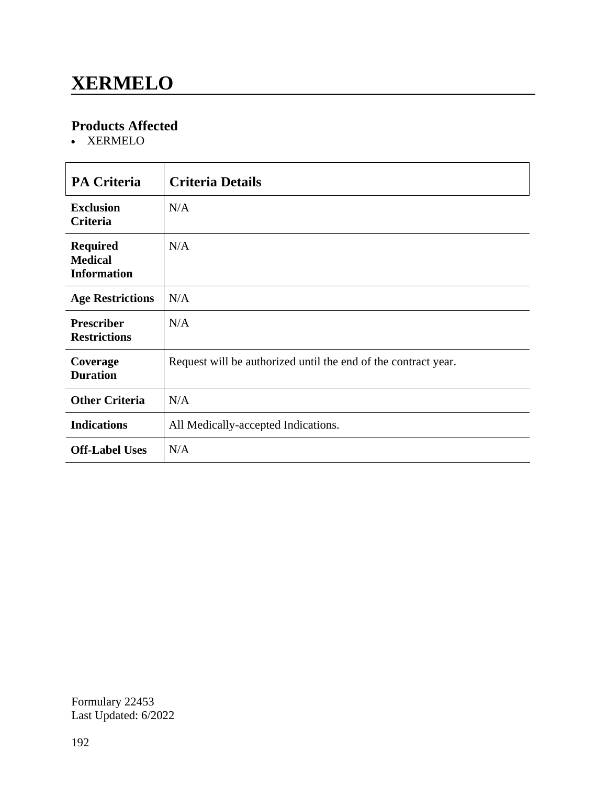### **XERMELO**

### **Products Affected**

XERMELO

| <b>PA Criteria</b>                                      | <b>Criteria Details</b>                                        |
|---------------------------------------------------------|----------------------------------------------------------------|
| <b>Exclusion</b><br><b>Criteria</b>                     | N/A                                                            |
| <b>Required</b><br><b>Medical</b><br><b>Information</b> | N/A                                                            |
| <b>Age Restrictions</b>                                 | N/A                                                            |
| <b>Prescriber</b><br><b>Restrictions</b>                | N/A                                                            |
| Coverage<br><b>Duration</b>                             | Request will be authorized until the end of the contract year. |
| <b>Other Criteria</b>                                   | N/A                                                            |
| <b>Indications</b>                                      | All Medically-accepted Indications.                            |
| <b>Off-Label Uses</b>                                   | N/A                                                            |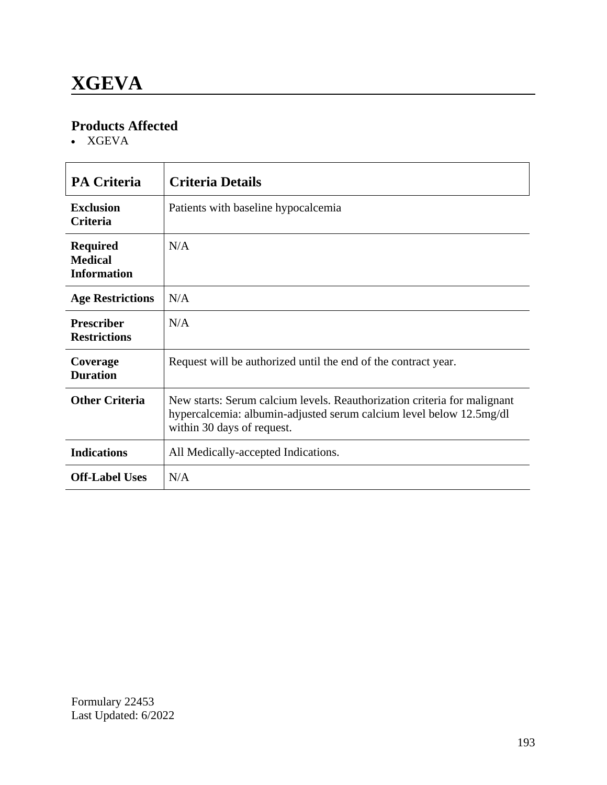XGEVA

| <b>PA Criteria</b>                                      | <b>Criteria Details</b>                                                                                                                                                       |
|---------------------------------------------------------|-------------------------------------------------------------------------------------------------------------------------------------------------------------------------------|
| <b>Exclusion</b><br><b>Criteria</b>                     | Patients with baseline hypocalcemia                                                                                                                                           |
| <b>Required</b><br><b>Medical</b><br><b>Information</b> | N/A                                                                                                                                                                           |
| <b>Age Restrictions</b>                                 | N/A                                                                                                                                                                           |
| <b>Prescriber</b><br><b>Restrictions</b>                | N/A                                                                                                                                                                           |
| Coverage<br><b>Duration</b>                             | Request will be authorized until the end of the contract year.                                                                                                                |
| <b>Other Criteria</b>                                   | New starts: Serum calcium levels. Reauthorization criteria for malignant<br>hypercalcemia: albumin-adjusted serum calcium level below 12.5mg/dl<br>within 30 days of request. |
| <b>Indications</b>                                      | All Medically-accepted Indications.                                                                                                                                           |
| <b>Off-Label Uses</b>                                   | N/A                                                                                                                                                                           |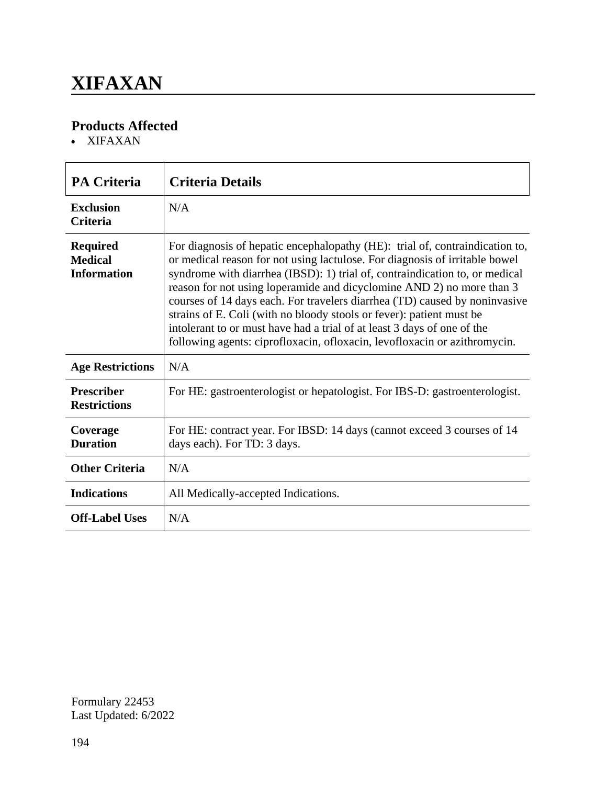### **XIFAXAN**

### **Products Affected**

XIFAXAN

| <b>PA Criteria</b>                                      | <b>Criteria Details</b>                                                                                                                                                                                                                                                                                                                                                                                                                                                                                                                                                                                                           |  |
|---------------------------------------------------------|-----------------------------------------------------------------------------------------------------------------------------------------------------------------------------------------------------------------------------------------------------------------------------------------------------------------------------------------------------------------------------------------------------------------------------------------------------------------------------------------------------------------------------------------------------------------------------------------------------------------------------------|--|
| <b>Exclusion</b><br><b>Criteria</b>                     | N/A                                                                                                                                                                                                                                                                                                                                                                                                                                                                                                                                                                                                                               |  |
| <b>Required</b><br><b>Medical</b><br><b>Information</b> | For diagnosis of hepatic encephalopathy (HE): trial of, contraindication to,<br>or medical reason for not using lactulose. For diagnosis of irritable bowel<br>syndrome with diarrhea (IBSD): 1) trial of, contraindication to, or medical<br>reason for not using loperamide and dicyclomine AND 2) no more than 3<br>courses of 14 days each. For travelers diarrhea (TD) caused by noninvasive<br>strains of E. Coli (with no bloody stools or fever): patient must be<br>intolerant to or must have had a trial of at least 3 days of one of the<br>following agents: ciprofloxacin, ofloxacin, levofloxacin or azithromycin. |  |
| <b>Age Restrictions</b>                                 | N/A                                                                                                                                                                                                                                                                                                                                                                                                                                                                                                                                                                                                                               |  |
| <b>Prescriber</b><br><b>Restrictions</b>                | For HE: gastroenterologist or hepatologist. For IBS-D: gastroenterologist.                                                                                                                                                                                                                                                                                                                                                                                                                                                                                                                                                        |  |
| Coverage<br><b>Duration</b>                             | For HE: contract year. For IBSD: 14 days (cannot exceed 3 courses of 14<br>days each). For TD: 3 days.                                                                                                                                                                                                                                                                                                                                                                                                                                                                                                                            |  |
| <b>Other Criteria</b>                                   | N/A                                                                                                                                                                                                                                                                                                                                                                                                                                                                                                                                                                                                                               |  |
| <b>Indications</b>                                      | All Medically-accepted Indications.                                                                                                                                                                                                                                                                                                                                                                                                                                                                                                                                                                                               |  |
| <b>Off-Label Uses</b>                                   | N/A                                                                                                                                                                                                                                                                                                                                                                                                                                                                                                                                                                                                                               |  |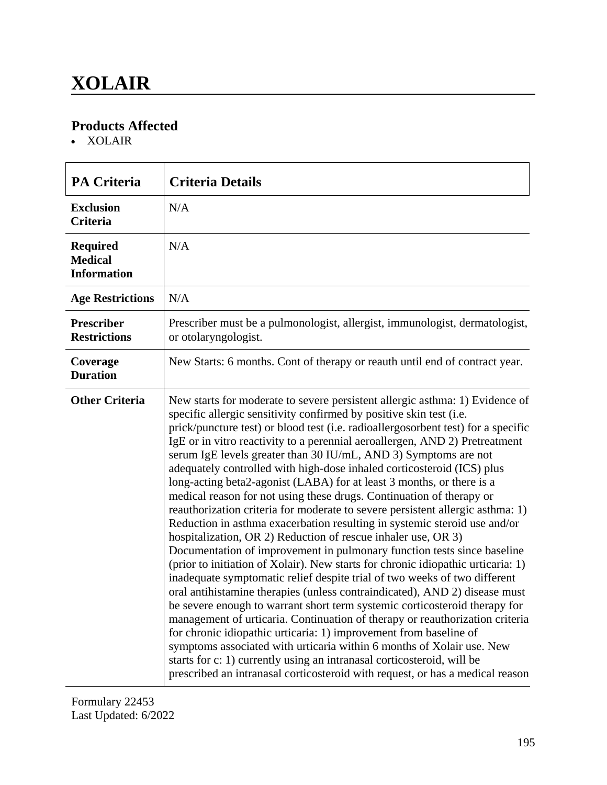XOLAIR

| <b>PA Criteria</b>                                      | <b>Criteria Details</b>                                                                                                                                                                                                                                                                                                                                                                                                                                                                                                                                                                                                                                                                                                                                                                                                                                                                                                                                                                                                                                                                                                                                                                                                                                                                                                                                                                                                                                                                                                                                                                                                                                |  |
|---------------------------------------------------------|--------------------------------------------------------------------------------------------------------------------------------------------------------------------------------------------------------------------------------------------------------------------------------------------------------------------------------------------------------------------------------------------------------------------------------------------------------------------------------------------------------------------------------------------------------------------------------------------------------------------------------------------------------------------------------------------------------------------------------------------------------------------------------------------------------------------------------------------------------------------------------------------------------------------------------------------------------------------------------------------------------------------------------------------------------------------------------------------------------------------------------------------------------------------------------------------------------------------------------------------------------------------------------------------------------------------------------------------------------------------------------------------------------------------------------------------------------------------------------------------------------------------------------------------------------------------------------------------------------------------------------------------------------|--|
| <b>Exclusion</b><br><b>Criteria</b>                     | N/A                                                                                                                                                                                                                                                                                                                                                                                                                                                                                                                                                                                                                                                                                                                                                                                                                                                                                                                                                                                                                                                                                                                                                                                                                                                                                                                                                                                                                                                                                                                                                                                                                                                    |  |
| <b>Required</b><br><b>Medical</b><br><b>Information</b> | N/A                                                                                                                                                                                                                                                                                                                                                                                                                                                                                                                                                                                                                                                                                                                                                                                                                                                                                                                                                                                                                                                                                                                                                                                                                                                                                                                                                                                                                                                                                                                                                                                                                                                    |  |
| <b>Age Restrictions</b>                                 | N/A                                                                                                                                                                                                                                                                                                                                                                                                                                                                                                                                                                                                                                                                                                                                                                                                                                                                                                                                                                                                                                                                                                                                                                                                                                                                                                                                                                                                                                                                                                                                                                                                                                                    |  |
| <b>Prescriber</b><br><b>Restrictions</b>                | Prescriber must be a pulmonologist, allergist, immunologist, dermatologist,<br>or otolaryngologist.                                                                                                                                                                                                                                                                                                                                                                                                                                                                                                                                                                                                                                                                                                                                                                                                                                                                                                                                                                                                                                                                                                                                                                                                                                                                                                                                                                                                                                                                                                                                                    |  |
| Coverage<br><b>Duration</b>                             | New Starts: 6 months. Cont of therapy or reauth until end of contract year.                                                                                                                                                                                                                                                                                                                                                                                                                                                                                                                                                                                                                                                                                                                                                                                                                                                                                                                                                                                                                                                                                                                                                                                                                                                                                                                                                                                                                                                                                                                                                                            |  |
| <b>Other Criteria</b>                                   | New starts for moderate to severe persistent allergic asthma: 1) Evidence of<br>specific allergic sensitivity confirmed by positive skin test (i.e.<br>prick/puncture test) or blood test (i.e. radioallergosorbent test) for a specific<br>IgE or in vitro reactivity to a perennial aeroallergen, AND 2) Pretreatment<br>serum IgE levels greater than 30 IU/mL, AND 3) Symptoms are not<br>adequately controlled with high-dose inhaled corticosteroid (ICS) plus<br>long-acting beta2-agonist (LABA) for at least 3 months, or there is a<br>medical reason for not using these drugs. Continuation of therapy or<br>reauthorization criteria for moderate to severe persistent allergic asthma: 1)<br>Reduction in asthma exacerbation resulting in systemic steroid use and/or<br>hospitalization, OR 2) Reduction of rescue inhaler use, OR 3)<br>Documentation of improvement in pulmonary function tests since baseline<br>(prior to initiation of Xolair). New starts for chronic idiopathic urticaria: 1)<br>inadequate symptomatic relief despite trial of two weeks of two different<br>oral antihistamine therapies (unless contraindicated), AND 2) disease must<br>be severe enough to warrant short term systemic corticosteroid therapy for<br>management of urticaria. Continuation of therapy or reauthorization criteria<br>for chronic idiopathic urticaria: 1) improvement from baseline of<br>symptoms associated with urticaria within 6 months of Xolair use. New<br>starts for c: 1) currently using an intranasal corticosteroid, will be<br>prescribed an intranasal corticosteroid with request, or has a medical reason |  |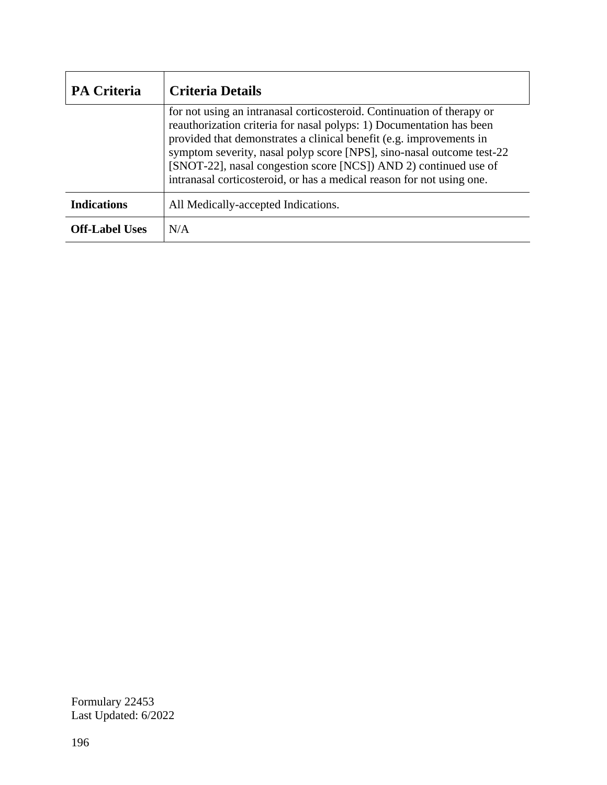| <b>PA Criteria</b>    | <b>Criteria Details</b>                                                                                                                                                                                                                                                                                                                                                                                                                     |  |
|-----------------------|---------------------------------------------------------------------------------------------------------------------------------------------------------------------------------------------------------------------------------------------------------------------------------------------------------------------------------------------------------------------------------------------------------------------------------------------|--|
|                       | for not using an intranasal corticosteroid. Continuation of therapy or<br>reauthorization criteria for nasal polyps: 1) Documentation has been<br>provided that demonstrates a clinical benefit (e.g. improvements in<br>symptom severity, nasal polyp score [NPS], sino-nasal outcome test-22<br>[SNOT-22], nasal congestion score [NCS]) AND 2) continued use of<br>intranasal corticosteroid, or has a medical reason for not using one. |  |
| <b>Indications</b>    | All Medically-accepted Indications.                                                                                                                                                                                                                                                                                                                                                                                                         |  |
| <b>Off-Label Uses</b> | N/A                                                                                                                                                                                                                                                                                                                                                                                                                                         |  |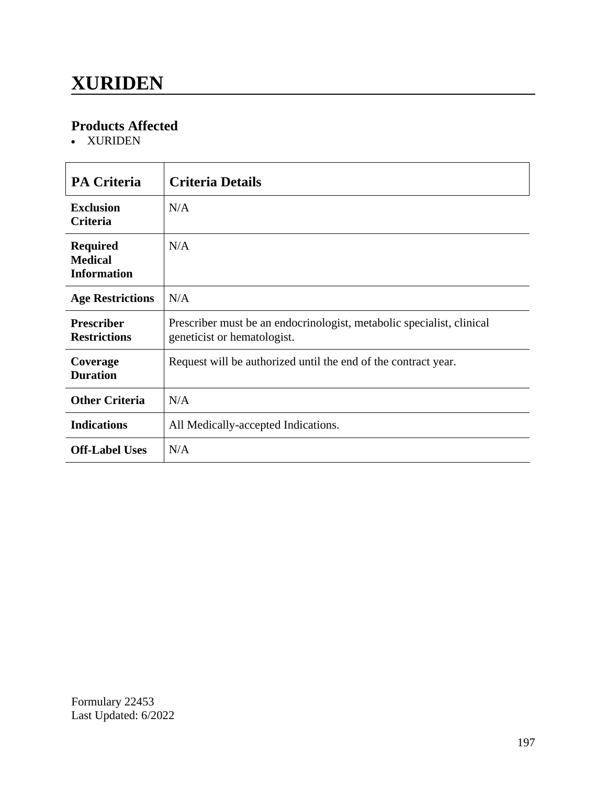### **XURIDEN**

### **Products Affected**

XURIDEN

| <b>PA Criteria</b>                                      | <b>Criteria Details</b>                                                                              |
|---------------------------------------------------------|------------------------------------------------------------------------------------------------------|
| <b>Exclusion</b><br>Criteria                            | N/A                                                                                                  |
| <b>Required</b><br><b>Medical</b><br><b>Information</b> | N/A                                                                                                  |
| <b>Age Restrictions</b>                                 | N/A                                                                                                  |
| <b>Prescriber</b><br><b>Restrictions</b>                | Prescriber must be an endocrinologist, metabolic specialist, clinical<br>geneticist or hematologist. |
| Coverage<br><b>Duration</b>                             | Request will be authorized until the end of the contract year.                                       |
| <b>Other Criteria</b>                                   | N/A                                                                                                  |
| <b>Indications</b>                                      | All Medically-accepted Indications.                                                                  |
| <b>Off-Label Uses</b>                                   | N/A                                                                                                  |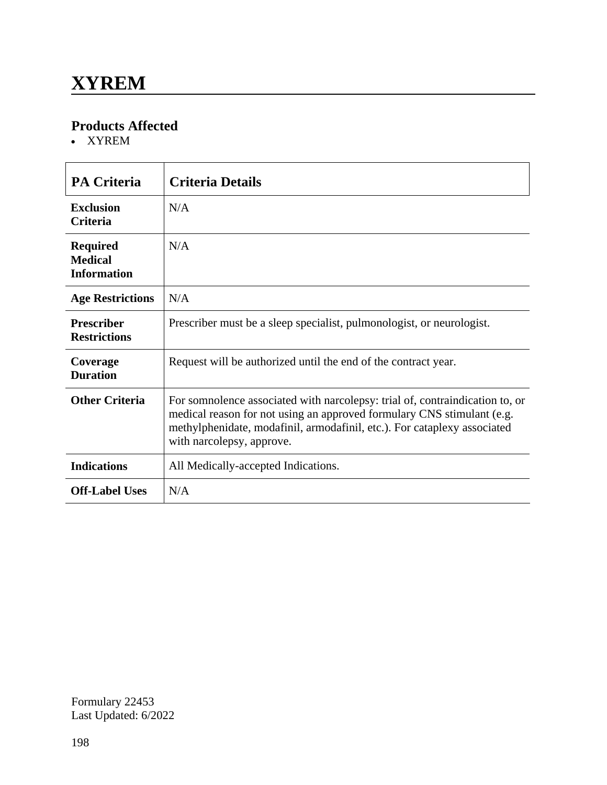XYREM

| <b>PA Criteria</b>                                      | <b>Criteria Details</b>                                                                                                                                                                                                                                         |
|---------------------------------------------------------|-----------------------------------------------------------------------------------------------------------------------------------------------------------------------------------------------------------------------------------------------------------------|
| <b>Exclusion</b><br><b>Criteria</b>                     | N/A                                                                                                                                                                                                                                                             |
| <b>Required</b><br><b>Medical</b><br><b>Information</b> | N/A                                                                                                                                                                                                                                                             |
| <b>Age Restrictions</b>                                 | N/A                                                                                                                                                                                                                                                             |
| <b>Prescriber</b><br><b>Restrictions</b>                | Prescriber must be a sleep specialist, pulmonologist, or neurologist.                                                                                                                                                                                           |
| Coverage<br><b>Duration</b>                             | Request will be authorized until the end of the contract year.                                                                                                                                                                                                  |
| <b>Other Criteria</b>                                   | For somnolence associated with narcolepsy: trial of, contraindication to, or<br>medical reason for not using an approved formulary CNS stimulant (e.g.<br>methylphenidate, modafinil, armodafinil, etc.). For cataplexy associated<br>with narcolepsy, approve. |
| <b>Indications</b>                                      | All Medically-accepted Indications.                                                                                                                                                                                                                             |
| <b>Off-Label Uses</b>                                   | N/A                                                                                                                                                                                                                                                             |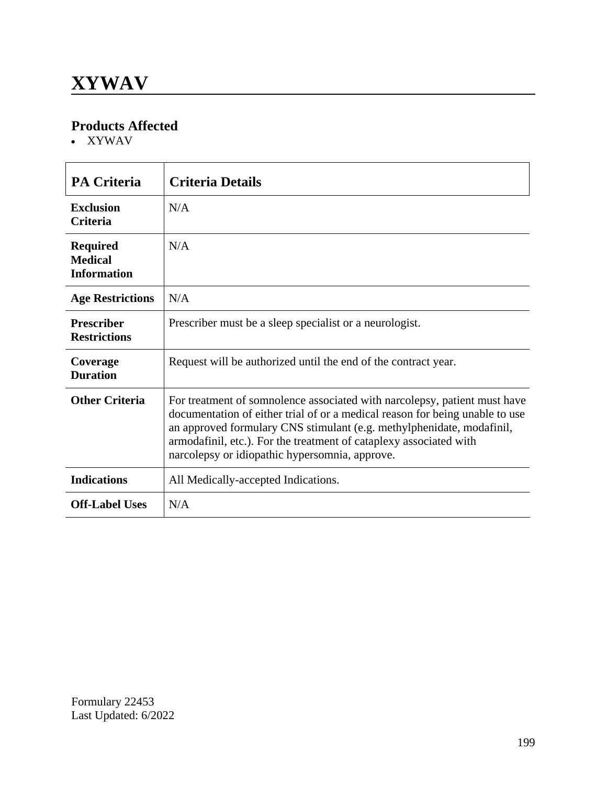XYWAV

| <b>PA Criteria</b>                                      | <b>Criteria Details</b>                                                                                                                                                                                                                                                                                                                                    |
|---------------------------------------------------------|------------------------------------------------------------------------------------------------------------------------------------------------------------------------------------------------------------------------------------------------------------------------------------------------------------------------------------------------------------|
| <b>Exclusion</b><br><b>Criteria</b>                     | N/A                                                                                                                                                                                                                                                                                                                                                        |
| <b>Required</b><br><b>Medical</b><br><b>Information</b> | N/A                                                                                                                                                                                                                                                                                                                                                        |
| <b>Age Restrictions</b>                                 | N/A                                                                                                                                                                                                                                                                                                                                                        |
| <b>Prescriber</b><br><b>Restrictions</b>                | Prescriber must be a sleep specialist or a neurologist.                                                                                                                                                                                                                                                                                                    |
| Coverage<br><b>Duration</b>                             | Request will be authorized until the end of the contract year.                                                                                                                                                                                                                                                                                             |
| <b>Other Criteria</b>                                   | For treatment of somnolence associated with narcolepsy, patient must have<br>documentation of either trial of or a medical reason for being unable to use<br>an approved formulary CNS stimulant (e.g. methylphenidate, modafinil,<br>armodafinil, etc.). For the treatment of cataplexy associated with<br>narcolepsy or idiopathic hypersomnia, approve. |
| <b>Indications</b>                                      | All Medically-accepted Indications.                                                                                                                                                                                                                                                                                                                        |
| <b>Off-Label Uses</b>                                   | N/A                                                                                                                                                                                                                                                                                                                                                        |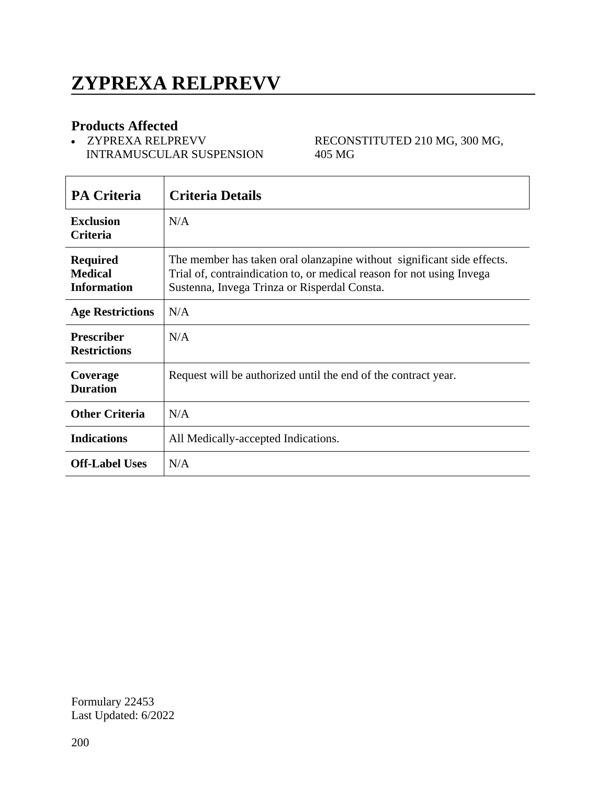### **ZYPREXA RELPREVV**

#### **Products Affected**

'n

 ZYPREXA RELPREVV INTRAMUSCULAR SUSPENSION RECONSTITUTED 210 MG, 300 MG, 405 MG

| <b>PA Criteria</b>                                      | <b>Criteria Details</b>                                                                                                                                                                         |
|---------------------------------------------------------|-------------------------------------------------------------------------------------------------------------------------------------------------------------------------------------------------|
| <b>Exclusion</b><br><b>Criteria</b>                     | N/A                                                                                                                                                                                             |
| <b>Required</b><br><b>Medical</b><br><b>Information</b> | The member has taken oral olanzapine without significant side effects.<br>Trial of, contraindication to, or medical reason for not using Invega<br>Sustenna, Invega Trinza or Risperdal Consta. |
| <b>Age Restrictions</b>                                 | N/A                                                                                                                                                                                             |
| <b>Prescriber</b><br><b>Restrictions</b>                | N/A                                                                                                                                                                                             |
| Coverage<br><b>Duration</b>                             | Request will be authorized until the end of the contract year.                                                                                                                                  |
| <b>Other Criteria</b>                                   | N/A                                                                                                                                                                                             |
| <b>Indications</b>                                      | All Medically-accepted Indications.                                                                                                                                                             |
| <b>Off-Label Uses</b>                                   | N/A                                                                                                                                                                                             |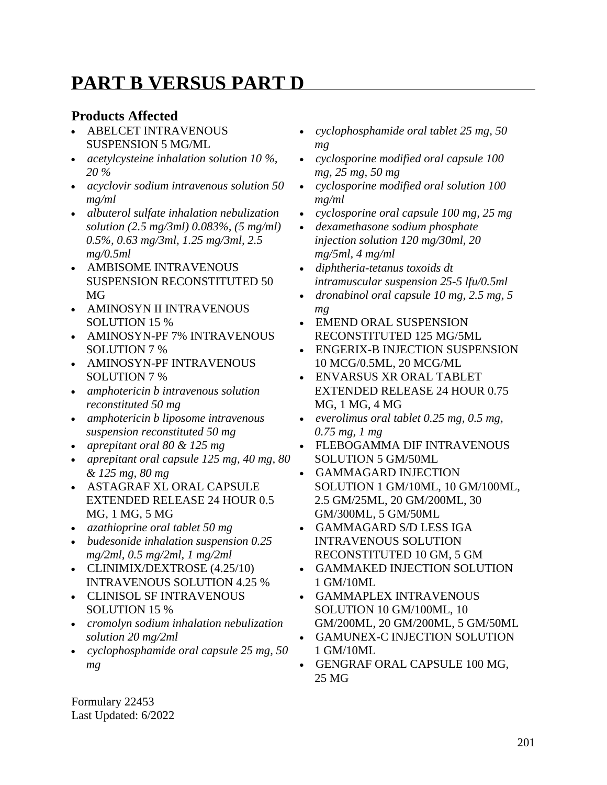### **PART B VERSUS PART D**

#### **Products Affected**

- ABELCET INTRAVENOUS SUSPENSION 5 MG/ML
- *acetylcysteine inhalation solution 10 %, 20 %*
- *acyclovir sodium intravenous solution 50 mg/ml*
- *albuterol sulfate inhalation nebulization solution (2.5 mg/3ml) 0.083%, (5 mg/ml) 0.5%, 0.63 mg/3ml, 1.25 mg/3ml, 2.5 mg/0.5ml*
- AMBISOME INTRAVENOUS SUSPENSION RECONSTITUTED 50 MG
- AMINOSYN II INTRAVENOUS SOLUTION 15 %
- AMINOSYN-PF 7% INTRAVENOUS SOLUTION 7 %
- AMINOSYN-PF INTRAVENOUS SOLUTION 7 %
- *amphotericin b intravenous solution reconstituted 50 mg*
- *amphotericin b liposome intravenous suspension reconstituted 50 mg*
- *aprepitant oral 80 & 125 mg*
- *aprepitant oral capsule 125 mg, 40 mg, 80 & 125 mg, 80 mg*
- ASTAGRAF XL ORAL CAPSULE EXTENDED RELEASE 24 HOUR 0.5 MG, 1 MG, 5 MG
- *azathioprine oral tablet 50 mg*
- *budesonide inhalation suspension 0.25 mg/2ml, 0.5 mg/2ml, 1 mg/2ml*
- CLINIMIX/DEXTROSE (4.25/10) INTRAVENOUS SOLUTION 4.25 %
- CLINISOL SF INTRAVENOUS SOLUTION 15 %
- *cromolyn sodium inhalation nebulization solution 20 mg/2ml*
- *cyclophosphamide oral capsule 25 mg, 50 mg*
- *cyclophosphamide oral tablet 25 mg, 50 mg*
- *cyclosporine modified oral capsule 100 mg, 25 mg, 50 mg*
- *cyclosporine modified oral solution 100 mg/ml*
- *cyclosporine oral capsule 100 mg, 25 mg*
- *dexamethasone sodium phosphate injection solution 120 mg/30ml, 20 mg/5ml, 4 mg/ml*
- *diphtheria-tetanus toxoids dt intramuscular suspension 25-5 lfu/0.5ml*
- *dronabinol oral capsule 10 mg, 2.5 mg, 5 mg*
- EMEND ORAL SUSPENSION RECONSTITUTED 125 MG/5ML
- ENGERIX-B INJECTION SUSPENSION 10 MCG/0.5ML, 20 MCG/ML
- ENVARSUS XR ORAL TABLET EXTENDED RELEASE 24 HOUR 0.75 MG, 1 MG, 4 MG
- *everolimus oral tablet 0.25 mg, 0.5 mg, 0.75 mg, 1 mg*
- FLEBOGAMMA DIF INTRAVENOUS SOLUTION 5 GM/50ML
- GAMMAGARD INJECTION SOLUTION 1 GM/10ML, 10 GM/100ML, 2.5 GM/25ML, 20 GM/200ML, 30 GM/300ML, 5 GM/50ML
- GAMMAGARD S/D LESS IGA INTRAVENOUS SOLUTION RECONSTITUTED 10 GM, 5 GM
- GAMMAKED INJECTION SOLUTION 1 GM/10ML
- GAMMAPLEX INTRAVENOUS SOLUTION 10 GM/100ML, 10 GM/200ML, 20 GM/200ML, 5 GM/50ML
- GAMUNEX-C INJECTION SOLUTION
- 1 GM/10ML GENGRAF ORAL CAPSULE 100 MG,
- 25 MG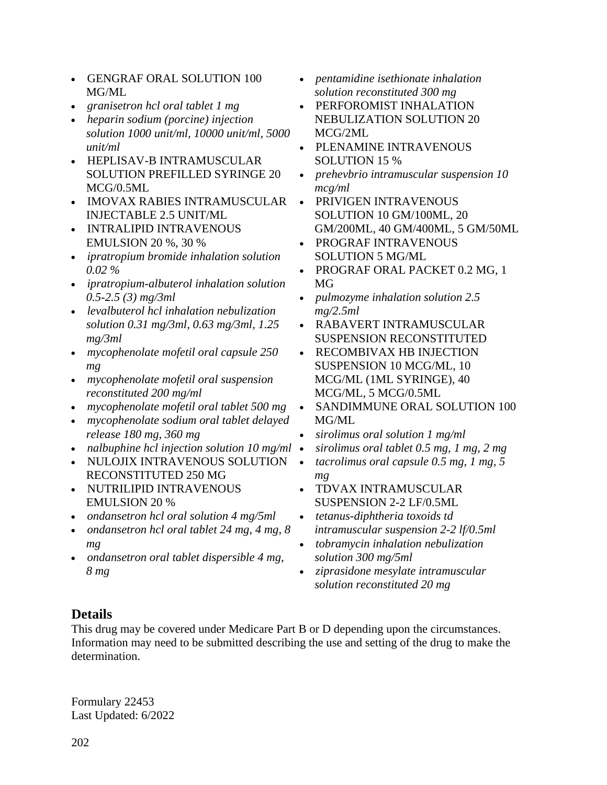- GENGRAF ORAL SOLUTION 100 MG/ML
- *granisetron hcl oral tablet 1 mg*
- *heparin sodium (porcine) injection solution 1000 unit/ml, 10000 unit/ml, 5000 unit/ml*
- HEPLISAV-B INTRAMUSCULAR SOLUTION PREFILLED SYRINGE 20 MCG/0.5ML
- IMOVAX RABIES INTRAMUSCULAR INJECTABLE 2.5 UNIT/ML
- INTRALIPID INTRAVENOUS EMULSION 20 %, 30 %
- *ipratropium bromide inhalation solution 0.02 %*
- *ipratropium-albuterol inhalation solution 0.5-2.5 (3) mg/3ml*
- *levalbuterol hcl inhalation nebulization solution 0.31 mg/3ml, 0.63 mg/3ml, 1.25 mg/3ml*
- *mycophenolate mofetil oral capsule 250 mg*
- *mycophenolate mofetil oral suspension reconstituted 200 mg/ml*
- *mycophenolate mofetil oral tablet 500 mg*
- *mycophenolate sodium oral tablet delayed release 180 mg, 360 mg*
- *nalbuphine hcl injection solution 10 mg/ml* •
- NULOJIX INTRAVENOUS SOLUTION RECONSTITUTED 250 MG
- NUTRILIPID INTRAVENOUS EMULSION 20 %
- *ondansetron hcl oral solution 4 mg/5ml*
- *ondansetron hcl oral tablet 24 mg, 4 mg, 8 mg*
- *ondansetron oral tablet dispersible 4 mg, 8 mg*
- *pentamidine isethionate inhalation solution reconstituted 300 mg*
- PERFOROMIST INHALATION NEBULIZATION SOLUTION 20 MCG/2ML
- PLENAMINE INTRAVENOUS SOLUTION 15 %
- *prehevbrio intramuscular suspension 10 mcg/ml*
- PRIVIGEN INTRAVENOUS SOLUTION 10 GM/100ML, 20 GM/200ML, 40 GM/400ML, 5 GM/50ML
- PROGRAF INTRAVENOUS SOLUTION 5 MG/ML
- PROGRAF ORAL PACKET 0.2 MG, 1 MG
- *pulmozyme inhalation solution 2.5 mg/2.5ml*
- RABAVERT INTRAMUSCULAR SUSPENSION RECONSTITUTED
- RECOMBIVAX HB INJECTION SUSPENSION 10 MCG/ML, 10 MCG/ML (1ML SYRINGE), 40 MCG/ML, 5 MCG/0.5ML
- SANDIMMUNE ORAL SOLUTION 100 MG/ML
- *sirolimus oral solution 1 mg/ml*
- *sirolimus oral tablet 0.5 mg, 1 mg, 2 mg*
- *tacrolimus oral capsule 0.5 mg, 1 mg, 5 mg*
- TDVAX INTRAMUSCULAR SUSPENSION 2-2 LF/0.5ML
- *tetanus-diphtheria toxoids td intramuscular suspension 2-2 lf/0.5ml*
- *tobramycin inhalation nebulization solution 300 mg/5ml*
- *ziprasidone mesylate intramuscular solution reconstituted 20 mg*

#### **Details**

This drug may be covered under Medicare Part B or D depending upon the circumstances. Information may need to be submitted describing the use and setting of the drug to make the determination.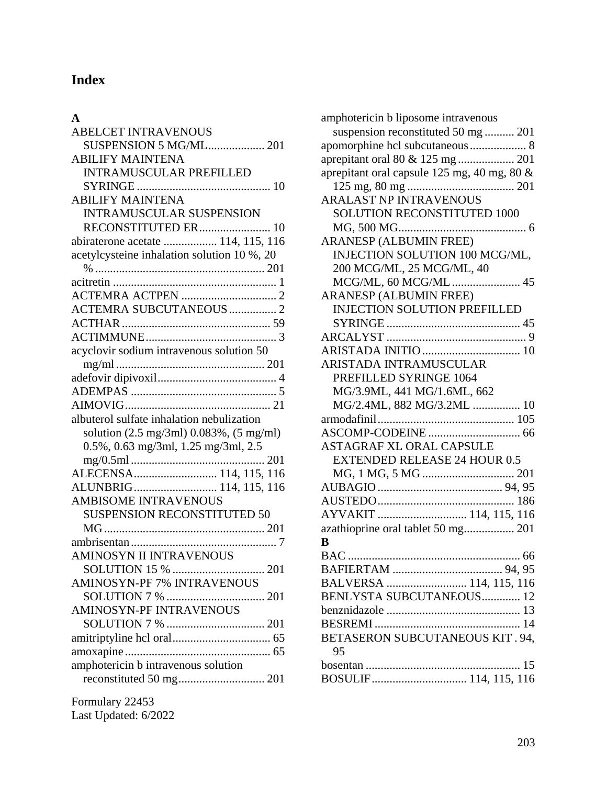### **Index**

#### **A**

| <b>ABELCET INTRAVENOUS</b>                                  |
|-------------------------------------------------------------|
| <b>SUSPENSION 5 MG/ML 201</b>                               |
| <b>ABILIFY MAINTENA</b>                                     |
| <b>INTRAMUSCULAR PREFILLED</b>                              |
|                                                             |
| <b>ABILIFY MAINTENA</b>                                     |
| <b>INTRAMUSCULAR SUSPENSION</b>                             |
| RECONSTITUTED ER 10                                         |
| abiraterone acetate  114, 115, 116                          |
| acetylcysteine inhalation solution 10 %, 20                 |
|                                                             |
|                                                             |
|                                                             |
| <b>ACTEMRA SUBCUTANEOUS</b> 2                               |
|                                                             |
|                                                             |
| acyclovir sodium intravenous solution 50                    |
|                                                             |
|                                                             |
|                                                             |
|                                                             |
| albuterol sulfate inhalation nebulization                   |
| solution $(2.5 \text{ mg/3ml})$ 0.083%, $(5 \text{ mg/ml})$ |
| 0.5%, 0.63 mg/3ml, 1.25 mg/3ml, 2.5                         |
|                                                             |
| ALECENSA 114, 115, 116                                      |
| ALUNBRIG 114, 115, 116                                      |
| <b>AMBISOME INTRAVENOUS</b>                                 |
| <b>SUSPENSION RECONSTITUTED 50</b>                          |
|                                                             |
|                                                             |
| <b>AMINOSYN II INTRAVENOUS</b>                              |
|                                                             |
| <b>AMINOSYN-PF 7% INTRAVENOUS</b>                           |
|                                                             |
| <b>AMINOSYN-PF INTRAVENOUS</b>                              |
|                                                             |
|                                                             |
|                                                             |
| amphotericin b intravenous solution                         |
|                                                             |
|                                                             |
| Formulary 22453                                             |

| Last Updated: 6/2022 |  |
|----------------------|--|
|                      |  |

| amphotericin b liposome intravenous         |
|---------------------------------------------|
| suspension reconstituted 50 mg  201         |
| apomorphine hcl subcutaneous 8              |
|                                             |
| aprepitant oral capsule 125 mg, 40 mg, 80 & |
|                                             |
| <b>ARALAST NP INTRAVENOUS</b>               |
| <b>SOLUTION RECONSTITUTED 1000</b>          |
|                                             |
| <b>ARANESP (ALBUMIN FREE)</b>               |
| INJECTION SOLUTION 100 MCG/ML,              |
| 200 MCG/ML, 25 MCG/ML, 40                   |
| MCG/ML, 60 MCG/ML 45                        |
| <b>ARANESP (ALBUMIN FREE)</b>               |
| <b>INJECTION SOLUTION PREFILLED</b>         |
|                                             |
|                                             |
|                                             |
| ARISTADA INTRAMUSCULAR                      |
| PREFILLED SYRINGE 1064                      |
| MG/3.9ML, 441 MG/1.6ML, 662                 |
| MG/2.4ML, 882 MG/3.2ML  10                  |
|                                             |
|                                             |
| <b>ASTAGRAF XL ORAL CAPSULE</b>             |
| <b>EXTENDED RELEASE 24 HOUR 0.5</b>         |
|                                             |
|                                             |
|                                             |
| AYVAKIT  114, 115, 116                      |
| azathioprine oral tablet 50 mg 201          |
| В                                           |
| BAC.<br>$\dots$ 66<br>                      |
|                                             |
| BALVERSA  114, 115, 116                     |
| BENLYSTA SUBCUTANEOUS 12                    |
|                                             |
|                                             |
| BETASERON SUBCUTANEOUS KIT. 94,             |
| 95                                          |
|                                             |
| BOSULIF 114, 115, 116                       |
|                                             |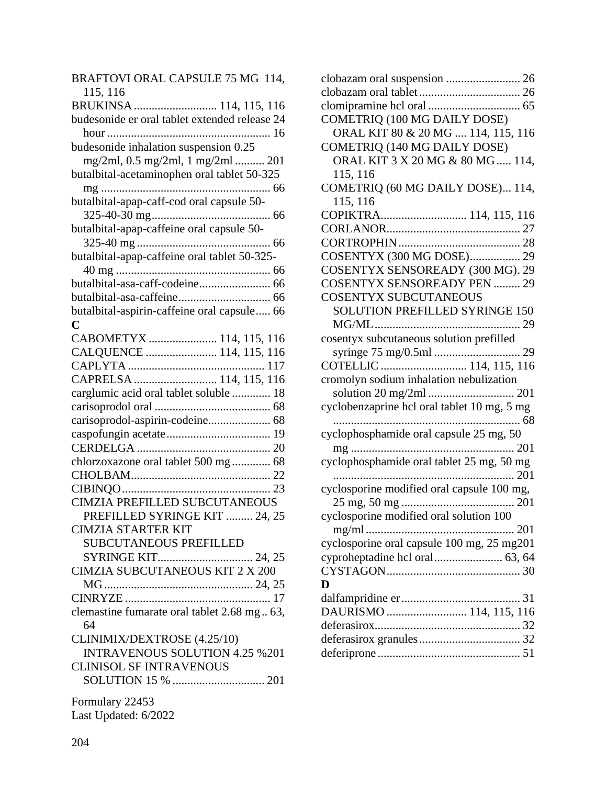| BRAFTOVI ORAL CAPSULE 75 MG 114,              |
|-----------------------------------------------|
| 115, 116                                      |
| BRUKINSA  114, 115, 116                       |
| budesonide er oral tablet extended release 24 |
|                                               |
| budesonide inhalation suspension 0.25         |
| mg/2ml, 0.5 mg/2ml, 1 mg/2ml  201             |
| butalbital-acetaminophen oral tablet 50-325   |
|                                               |
| butalbital-apap-caff-cod oral capsule 50-     |
|                                               |
| butalbital-apap-caffeine oral capsule 50-     |
|                                               |
| butalbital-apap-caffeine oral tablet 50-325-  |
|                                               |
| butalbital-asa-caff-codeine 66                |
|                                               |
| butalbital-aspirin-caffeine oral capsule 66   |
| C                                             |
| CABOMETYX  114, 115, 116                      |
| CALQUENCE  114, 115, 116                      |
|                                               |
| CAPRELSA  114, 115, 116                       |
| carglumic acid oral tablet soluble  18        |
|                                               |
|                                               |
|                                               |
|                                               |
|                                               |
| chlorzoxazone oral tablet 500 mg  68          |
|                                               |
|                                               |
| <b>CIMZIA PREFILLED SUBCUTANEOUS</b>          |
| PREFILLED SYRINGE KIT  24, 25                 |
| <b>CIMZIA STARTER KIT</b>                     |
| <b>SUBCUTANEOUS PREFILLED</b>                 |
|                                               |
| CIMZIA SUBCUTANEOUS KIT 2 X 200               |
|                                               |
|                                               |
| clemastine fumarate oral tablet 2.68 mg 63,   |
| 64                                            |
| CLINIMIX/DEXTROSE (4.25/10)                   |
| <b>INTRAVENOUS SOLUTION 4.25 % 201</b>        |
| <b>CLINISOL SF INTRAVENOUS</b>                |
|                                               |
| Formulary 22453                               |
| Last Updated: 6/2022                          |
|                                               |

| clobazam oral suspension  26                |
|---------------------------------------------|
|                                             |
|                                             |
| COMETRIQ (100 MG DAILY DOSE)                |
| ORAL KIT 80 & 20 MG  114, 115, 116          |
| COMETRIQ (140 MG DAILY DOSE)                |
| ORAL KIT 3 X 20 MG & 80 MG  114,            |
| 115, 116                                    |
| COMETRIQ (60 MG DAILY DOSE) 114,            |
| 115, 116                                    |
| COPIKTRA 114, 115, 116                      |
|                                             |
|                                             |
| COSENTYX (300 MG DOSE) 29                   |
| COSENTYX SENSOREADY (300 MG). 29            |
| <b>COSENTYX SENSOREADY PEN  29</b>          |
| <b>COSENTYX SUBCUTANEOUS</b>                |
| SOLUTION PREFILLED SYRINGE 150              |
|                                             |
| cosentyx subcutaneous solution prefilled    |
|                                             |
|                                             |
| cromolyn sodium inhalation nebulization     |
|                                             |
|                                             |
| cyclobenzaprine hcl oral tablet 10 mg, 5 mg |
|                                             |
| cyclophosphamide oral capsule 25 mg, 50     |
|                                             |
| cyclophosphamide oral tablet 25 mg, 50 mg   |
|                                             |
| cyclosporine modified oral capsule 100 mg,  |
|                                             |
| cyclosporine modified oral solution 100     |
|                                             |
| cyclosporine oral capsule 100 mg, 25 mg201  |
|                                             |
|                                             |
| D                                           |
|                                             |
| DAURISMO  114, 115, 116                     |
|                                             |
|                                             |
|                                             |
|                                             |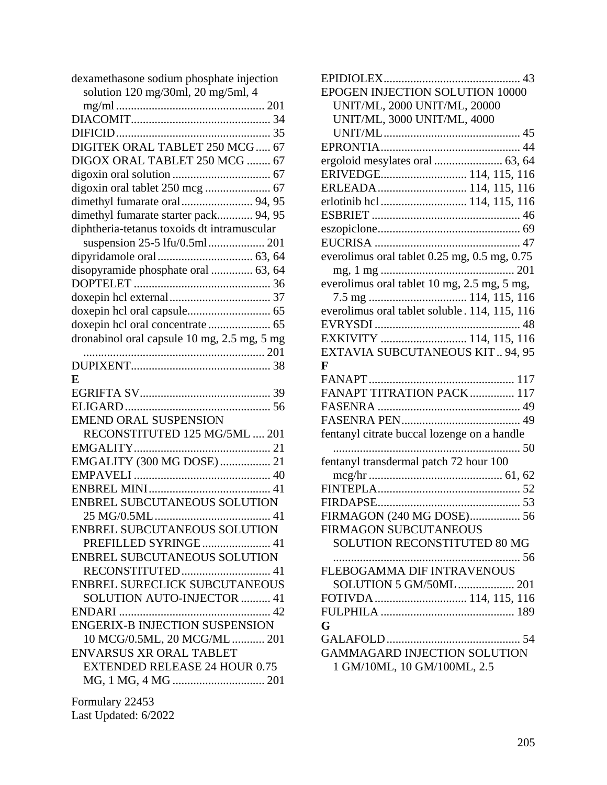| dexamethasone sodium phosphate injection    |
|---------------------------------------------|
| solution 120 mg/30ml, 20 mg/5ml, 4          |
|                                             |
|                                             |
|                                             |
| DIGITEK ORAL TABLET 250 MCG 67              |
| DIGOX ORAL TABLET 250 MCG  67               |
|                                             |
|                                             |
|                                             |
| dimethyl fumarate starter pack 94, 95       |
| diphtheria-tetanus toxoids dt intramuscular |
|                                             |
|                                             |
| disopyramide phosphate oral  63, 64         |
|                                             |
|                                             |
|                                             |
|                                             |
|                                             |
| dronabinol oral capsule 10 mg, 2.5 mg, 5 mg |
|                                             |
|                                             |
| E                                           |
|                                             |
|                                             |
| <b>EMEND ORAL SUSPENSION</b>                |
| RECONSTITUTED 125 MG/5ML  201               |
|                                             |
| EMGALITY (300 MG DOSE)  21                  |
|                                             |
|                                             |
| ENBREL SUBCUTANEOUS SOLUTION                |
| 25 MG/0.5ML.                                |
| ENBREL SUBCUTANEOUS SOLUTION                |
| PREFILLED SYRINGE  41                       |
| ENBREL SUBCUTANEOUS SOLUTION                |
| RECONSTITUTED 41                            |
| <b>ENBREL SURECLICK SUBCUTANEOUS</b>        |
| SOLUTION AUTO-INJECTOR  41                  |
|                                             |
| <b>ENGERIX-B INJECTION SUSPENSION</b>       |
| 10 MCG/0.5ML, 20 MCG/ML  201                |
| <b>ENVARSUS XR ORAL TABLET</b>              |
| <b>EXTENDED RELEASE 24 HOUR 0.75</b>        |
|                                             |
|                                             |
| Formulary 22453                             |
| Last Updated: 6/2022                        |

| EPOGEN INJECTION SOLUTION 10000               |
|-----------------------------------------------|
| UNIT/ML, 2000 UNIT/ML, 20000                  |
| UNIT/ML, 3000 UNIT/ML, 4000                   |
|                                               |
|                                               |
|                                               |
| ERIVEDGE 114, 115, 116                        |
| ERLEADA 114, 115, 116                         |
| erlotinib hcl  114, 115, 116                  |
|                                               |
|                                               |
|                                               |
| everolimus oral tablet 0.25 mg, 0.5 mg, 0.75  |
|                                               |
| everolimus oral tablet 10 mg, 2.5 mg, 5 mg,   |
|                                               |
| everolimus oral tablet soluble. 114, 115, 116 |
|                                               |
| EXKIVITY  114, 115, 116                       |
| EXTAVIA SUBCUTANEOUS KIT 94, 95               |
| $\mathbf{F}$                                  |
|                                               |
| FANAPT TITRATION PACK  117                    |
|                                               |
|                                               |
| fentanyl citrate buccal lozenge on a handle   |
|                                               |
| fentanyl transdermal patch 72 hour 100        |
|                                               |
|                                               |
|                                               |
| FIRMAGON (240 MG DOSE) 56                     |
| FIRMAGON SUBCUTANEOUS                         |
| <b>SOLUTION RECONSTITUTED 80 MG</b>           |
|                                               |
| FLEBOGAMMA DIF INTRAVENOUS                    |
| SOLUTION 5 GM/50ML 201                        |
| FOTIVDA  114, 115, 116                        |
|                                               |
| G                                             |
|                                               |
| <b>GAMMAGARD INJECTION SOLUTION</b>           |
| 1 GM/10ML, 10 GM/100ML, 2.5                   |
|                                               |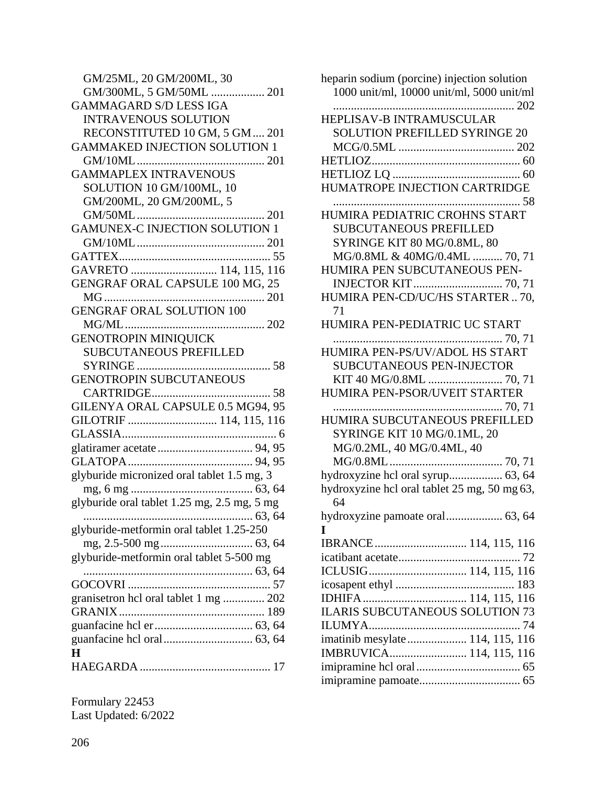| GM/25ML, 20 GM/200ML, 30                    |
|---------------------------------------------|
| GM/300ML, 5 GM/50ML  201                    |
| <b>GAMMAGARD S/D LESS IGA</b>               |
| <b>INTRAVENOUS SOLUTION</b>                 |
| RECONSTITUTED 10 GM, 5 GM  201              |
| <b>GAMMAKED INJECTION SOLUTION 1</b>        |
|                                             |
| <b>GAMMAPLEX INTRAVENOUS</b>                |
| SOLUTION 10 GM/100ML, 10                    |
| GM/200ML, 20 GM/200ML, 5                    |
|                                             |
| <b>GAMUNEX-C INJECTION SOLUTION 1</b>       |
|                                             |
|                                             |
| GAVRETO  114, 115, 116                      |
| GENGRAF ORAL CAPSULE 100 MG, 25             |
|                                             |
| <b>GENGRAF ORAL SOLUTION 100</b>            |
|                                             |
| <b>GENOTROPIN MINIQUICK</b>                 |
| <b>SUBCUTANEOUS PREFILLED</b>               |
|                                             |
| <b>GENOTROPIN SUBCUTANEOUS</b>              |
|                                             |
| GILENYA ORAL CAPSULE 0.5 MG94, 95           |
| GILOTRIF  114, 115, 116                     |
|                                             |
|                                             |
|                                             |
| glyburide micronized oral tablet 1.5 mg, 3  |
|                                             |
| glyburide oral tablet 1.25 mg, 2.5 mg, 5 mg |
|                                             |
| glyburide-metformin oral tablet 1.25-250    |
|                                             |
| glyburide-metformin oral tablet 5-500 mg    |
|                                             |
|                                             |
| granisetron hcl oral tablet 1 mg  202       |
|                                             |
|                                             |
|                                             |
| H                                           |
|                                             |
|                                             |

| heparin sodium (porcine) injection solution<br>1000 unit/ml, 10000 unit/ml, 5000 unit/ml |
|------------------------------------------------------------------------------------------|
| HEPLISAV-B INTRAMUSCULAR                                                                 |
| <b>SOLUTION PREFILLED SYRINGE 20</b>                                                     |
|                                                                                          |
|                                                                                          |
|                                                                                          |
| HUMATROPE INJECTION CARTRIDGE                                                            |
|                                                                                          |
| <b>SUBCUTANEOUS PREFILLED</b>                                                            |
| SYRINGE KIT 80 MG/0.8ML, 80                                                              |
| MG/0.8ML & 40MG/0.4ML  70, 71                                                            |
| HUMIRA PEN SUBCUTANEOUS PEN-                                                             |
| INJECTOR KIT  70, 71                                                                     |
| HUMIRA PEN-CD/UC/HS STARTER  70,<br>71                                                   |
| HUMIRA PEN-PEDIATRIC UC START                                                            |
| HUMIRA PEN-PS/UV/ADOL HS START                                                           |
| <b>SUBCUTANEOUS PEN-INJECTOR</b>                                                         |
| KIT 40 MG/0.8ML  70, 71                                                                  |
| HUMIRA PEN-PSOR/UVEIT STARTER                                                            |
| HUMIRA SUBCUTANEOUS PREFILLED                                                            |
| SYRINGE KIT 10 MG/0.1ML, 20                                                              |
| MG/0.2ML, 40 MG/0.4ML, 40                                                                |
|                                                                                          |
| hydroxyzine hcl oral syrup 63, 64                                                        |
| hydroxyzine hcl oral tablet 25 mg, 50 mg 63,<br>64                                       |
|                                                                                          |
| L                                                                                        |
| IBRANCE 114, 115, 116                                                                    |
|                                                                                          |
|                                                                                          |
|                                                                                          |
|                                                                                          |
| <b>ILARIS SUBCUTANEOUS SOLUTION 73</b>                                                   |
|                                                                                          |
| imatinib mesylate  114, 115, 116                                                         |
| IMBRUVICA 114, 115, 116                                                                  |
|                                                                                          |
|                                                                                          |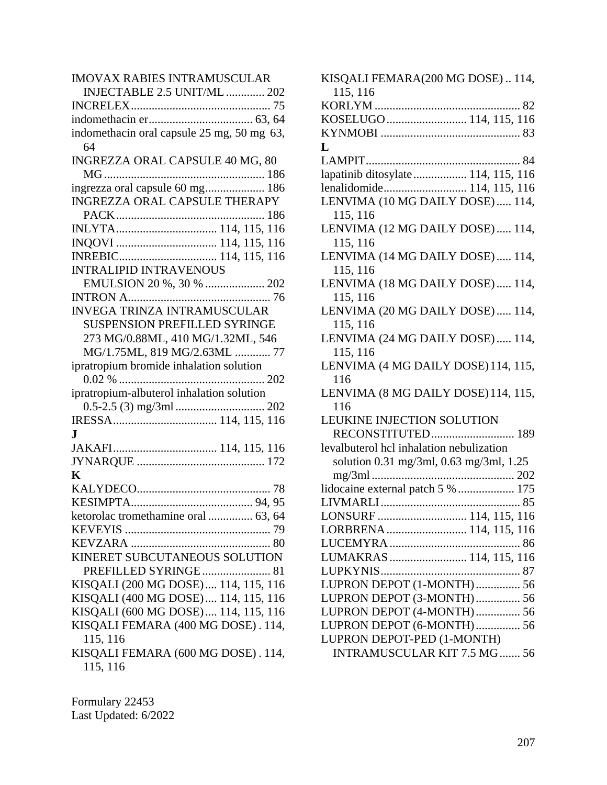| <b>IMOVAX RABIES INTRAMUSCULAR</b>         |
|--------------------------------------------|
| INJECTABLE 2.5 UNIT/ML  202                |
|                                            |
|                                            |
| indomethacin oral capsule 25 mg, 50 mg 63, |
| 64                                         |
| INGREZZA ORAL CAPSULE 40 MG, 80            |
|                                            |
| ingrezza oral capsule 60 mg 186            |
| INGREZZA ORAL CAPSULE THERAPY              |
|                                            |
|                                            |
|                                            |
|                                            |
| <b>INTRALIPID INTRAVENOUS</b>              |
| EMULSION 20 %, 30 %  202                   |
|                                            |
| <b>INVEGA TRINZA INTRAMUSCULAR</b>         |
| <b>SUSPENSION PREFILLED SYRINGE</b>        |
| 273 MG/0.88ML, 410 MG/1.32ML, 546          |
| MG/1.75ML, 819 MG/2.63ML  77               |
| ipratropium bromide inhalation solution    |
|                                            |
| ipratropium-albuterol inhalation solution  |
|                                            |
|                                            |
| J.                                         |
|                                            |
|                                            |
| K                                          |
|                                            |
|                                            |
| ketorolac tromethamine oral  63, 64        |
|                                            |
|                                            |
| KINERET SUBCUTANEOUS SOLUTION              |
| PREFILLED SYRINGE 81                       |
| KISQALI (200 MG DOSE)  114, 115, 116       |
| KISQALI (400 MG DOSE) 114, 115, 116        |
| KISQALI (600 MG DOSE) 114, 115, 116        |
| KISQALI FEMARA (400 MG DOSE). 114,         |
| 115, 116                                   |
| KISQALI FEMARA (600 MG DOSE). 114,         |
| 115, 116                                   |
|                                            |

| KISQALI FEMARA(200 MG DOSE) 114,         |
|------------------------------------------|
| 115, 116                                 |
|                                          |
| KOSELUGO  114, 115, 116                  |
|                                          |
| L                                        |
|                                          |
| lapatinib ditosylate 114, 115, 116       |
| lenalidomide 114, 115, 116               |
| LENVIMA (10 MG DAILY DOSE)  114,         |
| 115, 116                                 |
| LENVIMA (12 MG DAILY DOSE)  114,         |
| 115, 116                                 |
| LENVIMA (14 MG DAILY DOSE)  114,         |
| 115, 116                                 |
| LENVIMA (18 MG DAILY DOSE)  114,         |
| 115, 116                                 |
| LENVIMA (20 MG DAILY DOSE)  114,         |
| 115, 116                                 |
| LENVIMA (24 MG DAILY DOSE)  114,         |
| 115, 116                                 |
| LENVIMA (4 MG DAILY DOSE) 114, 115,      |
| 116                                      |
| LENVIMA (8 MG DAILY DOSE) 114, 115,      |
| 116                                      |
| LEUKINE INJECTION SOLUTION               |
| RECONSTITUTED 189                        |
| levalbuterol hcl inhalation nebulization |
| solution 0.31 mg/3ml, 0.63 mg/3ml, 1.25  |
|                                          |
| lidocaine external patch 5 %  175        |
|                                          |
| LONSURF  114, 115, 116                   |
| LORBRENA 114, 115, 116                   |
|                                          |
| LUMAKRAS  114, 115, 116                  |
|                                          |
| LUPRON DEPOT (1-MONTH) 56                |
| LUPRON DEPOT (3-MONTH) 56                |
| LUPRON DEPOT (4-MONTH) 56                |
| LUPRON DEPOT (6-MONTH) 56                |
| LUPRON DEPOT-PED (1-MONTH)               |
| <b>INTRAMUSCULAR KIT 7.5 MG  56</b>      |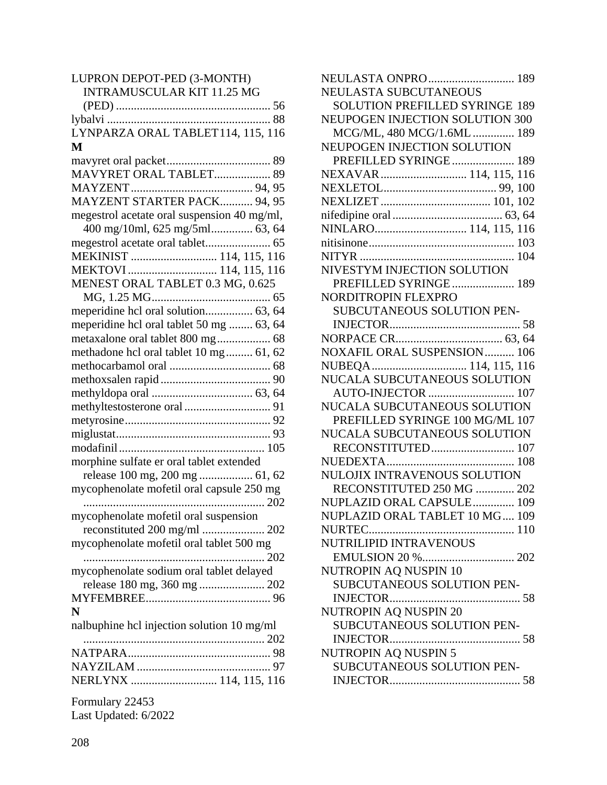| LUPRON DEPOT-PED (3-MONTH)                  |
|---------------------------------------------|
| <b>INTRAMUSCULAR KIT 11.25 MG</b>           |
|                                             |
|                                             |
| LYNPARZA ORAL TABLET114, 115, 116           |
| M                                           |
|                                             |
|                                             |
| MAVYRET ORAL TABLET 89                      |
|                                             |
| MAYZENT STARTER PACK 94, 95                 |
| megestrol acetate oral suspension 40 mg/ml, |
| 400 mg/10ml, 625 mg/5ml 63, 64              |
|                                             |
| MEKINIST  114, 115, 116                     |
| MEKTOVI  114, 115, 116                      |
| MENEST ORAL TABLET 0.3 MG, 0.625            |
|                                             |
| meperidine hcl oral solution 63, 64         |
| meperidine hcl oral tablet 50 mg  63, 64    |
| metaxalone oral tablet 800 mg 68            |
| methadone hcl oral tablet 10 mg 61, 62      |
|                                             |
|                                             |
|                                             |
|                                             |
|                                             |
|                                             |
|                                             |
|                                             |
| morphine sulfate er oral tablet extended    |
| release 100 mg, 200 mg  61, 62              |
| mycophenolate mofetil oral capsule 250 mg   |
|                                             |
| mycophenolate mofetil oral suspension       |
|                                             |
| mycophenolate mofetil oral tablet 500 mg    |
|                                             |
| mycophenolate sodium oral tablet delayed    |
| release 180 mg, 360 mg  202                 |
|                                             |
| N                                           |
| nalbuphine hcl injection solution 10 mg/ml  |
|                                             |
|                                             |
|                                             |
|                                             |
| NERLYNX  114, 115, 116                      |
| Formulary 22453                             |

| $\sim$ 0.111.01 $\mu$ , $\mu$ = 100 |  |
|-------------------------------------|--|
| Last Updated: 6/2022                |  |

| NEULASTA ONPRO  189                   |  |
|---------------------------------------|--|
| NEULASTA SUBCUTANEOUS                 |  |
| <b>SOLUTION PREFILLED SYRINGE 189</b> |  |
| NEUPOGEN INJECTION SOLUTION 300       |  |
| MCG/ML, 480 MCG/1.6ML  189            |  |
| NEUPOGEN INJECTION SOLUTION           |  |
| PREFILLED SYRINGE 189                 |  |
| NEXAVAR  114, 115, 116                |  |
|                                       |  |
|                                       |  |
|                                       |  |
| NINLARO 114, 115, 116                 |  |
|                                       |  |
|                                       |  |
| NIVESTYM INJECTION SOLUTION           |  |
| PREFILLED SYRINGE 189                 |  |
| NORDITROPIN FLEXPRO                   |  |
| SUBCUTANEOUS SOLUTION PEN-            |  |
|                                       |  |
|                                       |  |
| <b>NOXAFIL ORAL SUSPENSION  106</b>   |  |
| NUBEQA 114, 115, 116                  |  |
| NUCALA SUBCUTANEOUS SOLUTION          |  |
| AUTO-INJECTOR  107                    |  |
| NUCALA SUBCUTANEOUS SOLUTION          |  |
| PREFILLED SYRINGE 100 MG/ML 107       |  |
| NUCALA SUBCUTANEOUS SOLUTION          |  |
| RECONSTITUTED 107                     |  |
|                                       |  |
| NULOJIX INTRAVENOUS SOLUTION          |  |
| RECONSTITUTED 250 MG  202             |  |
| NUPLAZID ORAL CAPSULE 109             |  |
| NUPLAZID ORAL TABLET 10 MG 109        |  |
| NURTEC                                |  |
| NUTRILIPID INTRAVENOUS                |  |
|                                       |  |
| NUTROPIN AQ NUSPIN 10                 |  |
| SUBCUTANEOUS SOLUTION PEN-            |  |
|                                       |  |
| <b>NUTROPIN AQ NUSPIN 20</b>          |  |
| SUBCUTANEOUS SOLUTION PEN-            |  |
| <b>INJECTOR</b>                       |  |
| NUTROPIN AQ NUSPIN 5                  |  |
| SUBCUTANEOUS SOLUTION PEN-            |  |
|                                       |  |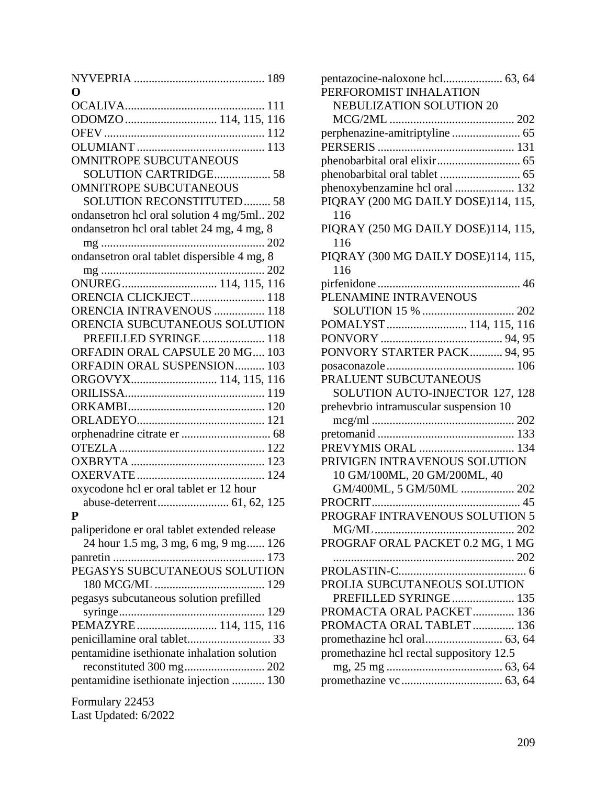| 0                                            |
|----------------------------------------------|
|                                              |
| ODOMZO  114, 115, 116                        |
|                                              |
|                                              |
| <b>OMNITROPE SUBCUTANEOUS</b>                |
| SOLUTION CARTRIDGE 58                        |
| <b>OMNITROPE SUBCUTANEOUS</b>                |
| <b>SOLUTION RECONSTITUTED 58</b>             |
| ondansetron hcl oral solution 4 mg/5ml 202   |
| ondansetron hcl oral tablet 24 mg, 4 mg, 8   |
| 202                                          |
| ondansetron oral tablet dispersible 4 mg, 8  |
|                                              |
|                                              |
|                                              |
| ORENCIA CLICKJECT 118                        |
| ORENCIA INTRAVENOUS  118                     |
| ORENCIA SUBCUTANEOUS SOLUTION                |
| PREFILLED SYRINGE 118                        |
| ORFADIN ORAL CAPSULE 20 MG 103               |
| ORFADIN ORAL SUSPENSION 103                  |
| ORGOVYX 114, 115, 116                        |
|                                              |
|                                              |
|                                              |
|                                              |
|                                              |
|                                              |
|                                              |
| oxycodone hcl er oral tablet er 12 hour      |
|                                              |
| P                                            |
| paliperidone er oral tablet extended release |
| 24 hour 1.5 mg, 3 mg, 6 mg, 9 mg 126         |
|                                              |
| PEGASYS SUBCUTANEOUS SOLUTION                |
|                                              |
| pegasys subcutaneous solution prefilled      |
|                                              |
| PEMAZYRE 114, 115, 116                       |
|                                              |
| pentamidine isethionate inhalation solution  |
|                                              |
| pentamidine isethionate injection  130       |
|                                              |
| Formulary 22453                              |
| Last Updated: 6/2022                         |

| PERFOROMIST INHALATION                   |
|------------------------------------------|
| <b>NEBULIZATION SOLUTION 20</b>          |
|                                          |
| perphenazine-amitriptyline  65           |
|                                          |
|                                          |
|                                          |
| phenoxybenzamine hcl oral  132           |
| PIQRAY (200 MG DAILY DOSE)114, 115,      |
| 116                                      |
| PIQRAY (250 MG DAILY DOSE)114, 115,      |
| 116                                      |
| PIQRAY (300 MG DAILY DOSE)114, 115,      |
| 116                                      |
|                                          |
| PLENAMINE INTRAVENOUS                    |
|                                          |
| POMALYST 114, 115, 116                   |
|                                          |
| PONVORY STARTER PACK 94, 95              |
|                                          |
| PRALUENT SUBCUTANEOUS                    |
| SOLUTION AUTO-INJECTOR 127, 128          |
| prehevbrio intramuscular suspension 10   |
|                                          |
|                                          |
| PREVYMIS ORAL  134                       |
| PRIVIGEN INTRAVENOUS SOLUTION            |
| 10 GM/100ML, 20 GM/200ML, 40             |
| GM/400ML, 5 GM/50ML  202                 |
|                                          |
| PROGRAF INTRAVENOUS SOLUTION 5           |
|                                          |
| PROGRAF ORAL PACKET 0.2 MG, 1 MG         |
|                                          |
|                                          |
| PROLIA SUBCUTANEOUS SOLUTION             |
| PREFILLED SYRINGE 135                    |
| PROMACTA ORAL PACKET 136                 |
| PROMACTA ORAL TABLET  136                |
|                                          |
| promethazine hcl rectal suppository 12.5 |
|                                          |
|                                          |
|                                          |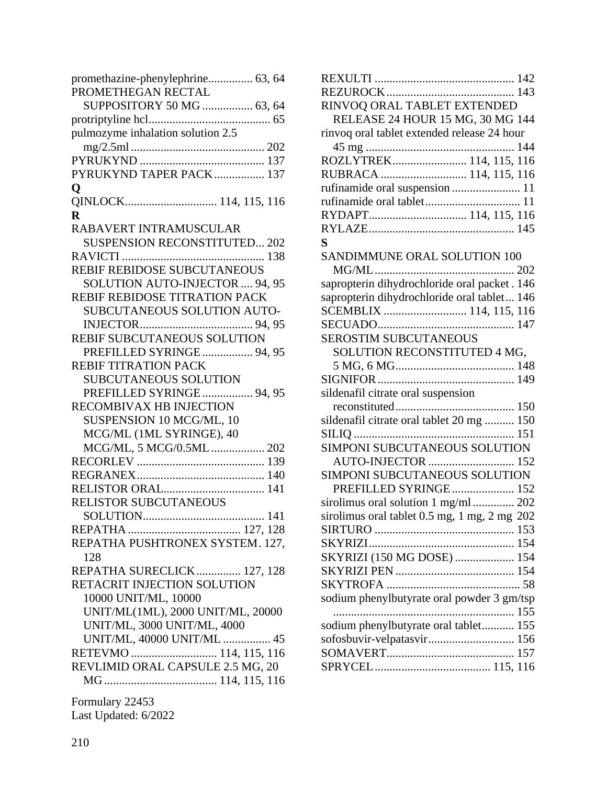| PROMETHEGAN RECTAL<br>SUPPOSITORY 50 MG  63, 64<br>pulmozyme inhalation solution 2.5<br>PYRUKYND TAPER PACK 137<br>$\mathbf{Q}$<br>QINLOCK 114, 115, 116<br>$\bf{R}$<br>RABAVERT INTRAMUSCULAR<br><b>SUSPENSION RECONSTITUTED 202</b><br>REBIF REBIDOSE SUBCUTANEOUS<br>SOLUTION AUTO-INJECTOR  94, 95<br>REBIF REBIDOSE TITRATION PACK |
|-----------------------------------------------------------------------------------------------------------------------------------------------------------------------------------------------------------------------------------------------------------------------------------------------------------------------------------------|
|                                                                                                                                                                                                                                                                                                                                         |
|                                                                                                                                                                                                                                                                                                                                         |
|                                                                                                                                                                                                                                                                                                                                         |
|                                                                                                                                                                                                                                                                                                                                         |
|                                                                                                                                                                                                                                                                                                                                         |
|                                                                                                                                                                                                                                                                                                                                         |
|                                                                                                                                                                                                                                                                                                                                         |
|                                                                                                                                                                                                                                                                                                                                         |
|                                                                                                                                                                                                                                                                                                                                         |
|                                                                                                                                                                                                                                                                                                                                         |
|                                                                                                                                                                                                                                                                                                                                         |
|                                                                                                                                                                                                                                                                                                                                         |
|                                                                                                                                                                                                                                                                                                                                         |
|                                                                                                                                                                                                                                                                                                                                         |
|                                                                                                                                                                                                                                                                                                                                         |
| SUBCUTANEOUS SOLUTION AUTO-                                                                                                                                                                                                                                                                                                             |
|                                                                                                                                                                                                                                                                                                                                         |
|                                                                                                                                                                                                                                                                                                                                         |
| REBIF SUBCUTANEOUS SOLUTION                                                                                                                                                                                                                                                                                                             |
| PREFILLED SYRINGE  94, 95                                                                                                                                                                                                                                                                                                               |
| <b>REBIF TITRATION PACK</b>                                                                                                                                                                                                                                                                                                             |
| <b>SUBCUTANEOUS SOLUTION</b>                                                                                                                                                                                                                                                                                                            |
| PREFILLED SYRINGE 94, 95                                                                                                                                                                                                                                                                                                                |
| RECOMBIVAX HB INJECTION                                                                                                                                                                                                                                                                                                                 |
| SUSPENSION 10 MCG/ML, 10                                                                                                                                                                                                                                                                                                                |
| MCG/ML (1ML SYRINGE), 40                                                                                                                                                                                                                                                                                                                |
| MCG/ML, 5 MCG/0.5ML  202                                                                                                                                                                                                                                                                                                                |
|                                                                                                                                                                                                                                                                                                                                         |
|                                                                                                                                                                                                                                                                                                                                         |
| RELISTOR ORAL 141                                                                                                                                                                                                                                                                                                                       |
| <b>RELISTOR SUBCUTANEOUS</b>                                                                                                                                                                                                                                                                                                            |
| 141                                                                                                                                                                                                                                                                                                                                     |
|                                                                                                                                                                                                                                                                                                                                         |
| REPATHA PUSHTRONEX SYSTEM. 127,                                                                                                                                                                                                                                                                                                         |
| 128                                                                                                                                                                                                                                                                                                                                     |
| REPATHA SURECLICK 127, 128                                                                                                                                                                                                                                                                                                              |
|                                                                                                                                                                                                                                                                                                                                         |
| RETACRIT INJECTION SOLUTION                                                                                                                                                                                                                                                                                                             |
| 10000 UNIT/ML, 10000                                                                                                                                                                                                                                                                                                                    |
| UNIT/ML(1ML), 2000 UNIT/ML, 20000                                                                                                                                                                                                                                                                                                       |
| UNIT/ML, 3000 UNIT/ML, 4000                                                                                                                                                                                                                                                                                                             |
| UNIT/ML, 40000 UNIT/ML  45                                                                                                                                                                                                                                                                                                              |
| RETEVMO  114, 115, 116                                                                                                                                                                                                                                                                                                                  |
| REVLIMID ORAL CAPSULE 2.5 MG, 20                                                                                                                                                                                                                                                                                                        |
|                                                                                                                                                                                                                                                                                                                                         |
| Formulary 22453                                                                                                                                                                                                                                                                                                                         |

| RINVOQ ORAL TABLET EXTENDED<br>RELEASE 24 HOUR 15 MG, 30 MG 144<br>rinvoq oral tablet extended release 24 hour<br>ROZLYTREK 114, 115, 116<br>RUBRACA  114, 115, 116<br>rufinamide oral suspension  11<br>RYDAPT 114, 115, 116<br>S<br>SANDIMMUNE ORAL SOLUTION 100<br>sapropterin dihydrochloride oral packet . 146<br>sapropterin dihydrochloride oral tablet 146<br>SCEMBLIX  114, 115, 116<br><b>SEROSTIM SUBCUTANEOUS</b><br>SOLUTION RECONSTITUTED 4 MG, |  |
|---------------------------------------------------------------------------------------------------------------------------------------------------------------------------------------------------------------------------------------------------------------------------------------------------------------------------------------------------------------------------------------------------------------------------------------------------------------|--|
|                                                                                                                                                                                                                                                                                                                                                                                                                                                               |  |
|                                                                                                                                                                                                                                                                                                                                                                                                                                                               |  |
|                                                                                                                                                                                                                                                                                                                                                                                                                                                               |  |
|                                                                                                                                                                                                                                                                                                                                                                                                                                                               |  |
|                                                                                                                                                                                                                                                                                                                                                                                                                                                               |  |
|                                                                                                                                                                                                                                                                                                                                                                                                                                                               |  |
|                                                                                                                                                                                                                                                                                                                                                                                                                                                               |  |
|                                                                                                                                                                                                                                                                                                                                                                                                                                                               |  |
|                                                                                                                                                                                                                                                                                                                                                                                                                                                               |  |
|                                                                                                                                                                                                                                                                                                                                                                                                                                                               |  |
|                                                                                                                                                                                                                                                                                                                                                                                                                                                               |  |
|                                                                                                                                                                                                                                                                                                                                                                                                                                                               |  |
|                                                                                                                                                                                                                                                                                                                                                                                                                                                               |  |
|                                                                                                                                                                                                                                                                                                                                                                                                                                                               |  |
|                                                                                                                                                                                                                                                                                                                                                                                                                                                               |  |
|                                                                                                                                                                                                                                                                                                                                                                                                                                                               |  |
|                                                                                                                                                                                                                                                                                                                                                                                                                                                               |  |
|                                                                                                                                                                                                                                                                                                                                                                                                                                                               |  |
|                                                                                                                                                                                                                                                                                                                                                                                                                                                               |  |
|                                                                                                                                                                                                                                                                                                                                                                                                                                                               |  |
|                                                                                                                                                                                                                                                                                                                                                                                                                                                               |  |
|                                                                                                                                                                                                                                                                                                                                                                                                                                                               |  |
| sildenafil citrate oral suspension                                                                                                                                                                                                                                                                                                                                                                                                                            |  |
|                                                                                                                                                                                                                                                                                                                                                                                                                                                               |  |
| sildenafil citrate oral tablet 20 mg  150                                                                                                                                                                                                                                                                                                                                                                                                                     |  |
|                                                                                                                                                                                                                                                                                                                                                                                                                                                               |  |
| SIMPONI SUBCUTANEOUS SOLUTION                                                                                                                                                                                                                                                                                                                                                                                                                                 |  |
| AUTO-INJECTOR  152                                                                                                                                                                                                                                                                                                                                                                                                                                            |  |
| SIMPONI SUBCUTANEOUS SOLUTION                                                                                                                                                                                                                                                                                                                                                                                                                                 |  |
| PREFILLED SYRINGE 152                                                                                                                                                                                                                                                                                                                                                                                                                                         |  |
| sirolimus oral solution 1 mg/ml  202                                                                                                                                                                                                                                                                                                                                                                                                                          |  |
| sirolimus oral tablet 0.5 mg, 1 mg, 2 mg 202                                                                                                                                                                                                                                                                                                                                                                                                                  |  |
|                                                                                                                                                                                                                                                                                                                                                                                                                                                               |  |
|                                                                                                                                                                                                                                                                                                                                                                                                                                                               |  |
| SKYRIZI (150 MG DOSE)  154                                                                                                                                                                                                                                                                                                                                                                                                                                    |  |
|                                                                                                                                                                                                                                                                                                                                                                                                                                                               |  |
|                                                                                                                                                                                                                                                                                                                                                                                                                                                               |  |
| sodium phenylbutyrate oral powder 3 gm/tsp                                                                                                                                                                                                                                                                                                                                                                                                                    |  |
|                                                                                                                                                                                                                                                                                                                                                                                                                                                               |  |
| sodium phenylbutyrate oral tablet 155                                                                                                                                                                                                                                                                                                                                                                                                                         |  |
| sofosbuvir-velpatasvir 156                                                                                                                                                                                                                                                                                                                                                                                                                                    |  |
|                                                                                                                                                                                                                                                                                                                                                                                                                                                               |  |
|                                                                                                                                                                                                                                                                                                                                                                                                                                                               |  |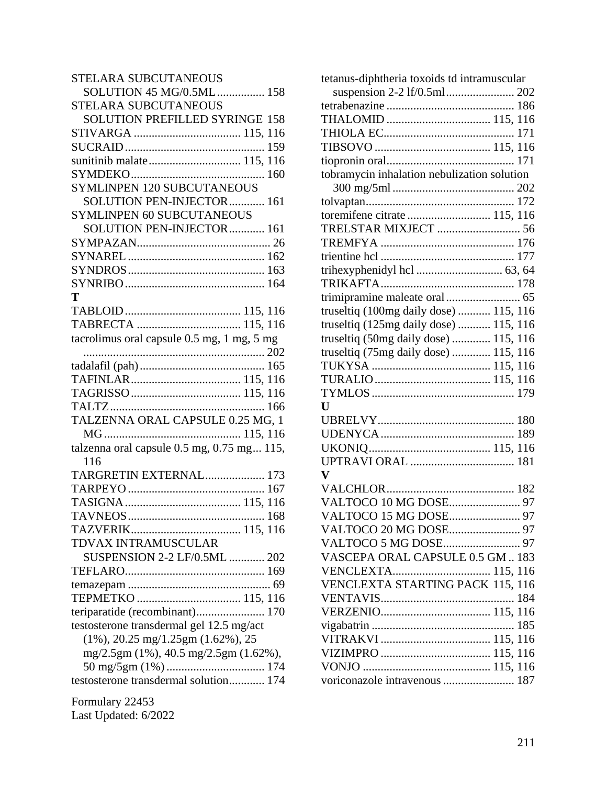| <b>STELARA SUBCUTANEOUS</b>                       |
|---------------------------------------------------|
| SOLUTION 45 MG/0.5ML 158                          |
| STELARA SUBCUTANEOUS                              |
| SOLUTION PREFILLED SYRINGE 158                    |
|                                                   |
|                                                   |
| sunitinib malate 115, 116                         |
|                                                   |
| <b>SYMLINPEN 120 SUBCUTANEOUS</b>                 |
| SOLUTION PEN-INJECTOR 161                         |
| <b>SYMLINPEN 60 SUBCUTANEOUS</b>                  |
| SOLUTION PEN-INJECTOR 161                         |
|                                                   |
|                                                   |
|                                                   |
|                                                   |
| T                                                 |
|                                                   |
|                                                   |
|                                                   |
| tacrolimus oral capsule 0.5 mg, 1 mg, 5 mg        |
|                                                   |
|                                                   |
|                                                   |
|                                                   |
|                                                   |
| TALZENNA ORAL CAPSULE 0.25 MG, 1                  |
|                                                   |
| talzenna oral capsule $0.5$ mg, $0.75$ mg $115$ , |
| 116                                               |
| TARGRETIN EXTERNAL 173                            |
|                                                   |
|                                                   |
|                                                   |
|                                                   |
| TDVAX INTRAMUSCULAR                               |
| SUSPENSION 2-2 LF/0.5ML  202                      |
|                                                   |
|                                                   |
| TEPMETKO  115, 116                                |
| teriparatide (recombinant) 170                    |
| testosterone transdermal gel 12.5 mg/act          |
| $(1\%)$ , 20.25 mg/1.25gm $(1.62\%)$ , 25         |
| mg/2.5gm (1%), 40.5 mg/2.5gm (1.62%),             |
|                                                   |
| testosterone transdermal solution 174             |
|                                                   |
| Formulary 22453                                   |

| Last Updated: 6/2022 |  |
|----------------------|--|

| tetanus-diphtheria toxoids td intramuscular |
|---------------------------------------------|
|                                             |
|                                             |
|                                             |
|                                             |
|                                             |
|                                             |
| tobramycin inhalation nebulization solution |
|                                             |
|                                             |
| toremifene citrate  115, 116                |
| TRELSTAR MIXJECT  56                        |
|                                             |
|                                             |
|                                             |
|                                             |
|                                             |
| truseltiq (100mg daily dose)  115, 116      |
| truseltiq (125mg daily dose)  115, 116      |
| truseltiq (50mg daily dose)  115, 116       |
| truseltiq (75mg daily dose)  115, 116       |
|                                             |
|                                             |
|                                             |
| $\mathbf{U}$                                |
|                                             |
|                                             |
|                                             |
|                                             |
| $\mathbf{V}$                                |
|                                             |
|                                             |
|                                             |
|                                             |
|                                             |
| VASCEPA ORAL CAPSULE 0.5 GM  183            |
| VENCLEXTA 115, 116                          |
| <b>VENCLEXTA STARTING PACK 115, 116</b>     |
|                                             |
|                                             |
|                                             |
|                                             |
|                                             |
|                                             |
| voriconazole intravenous  187               |